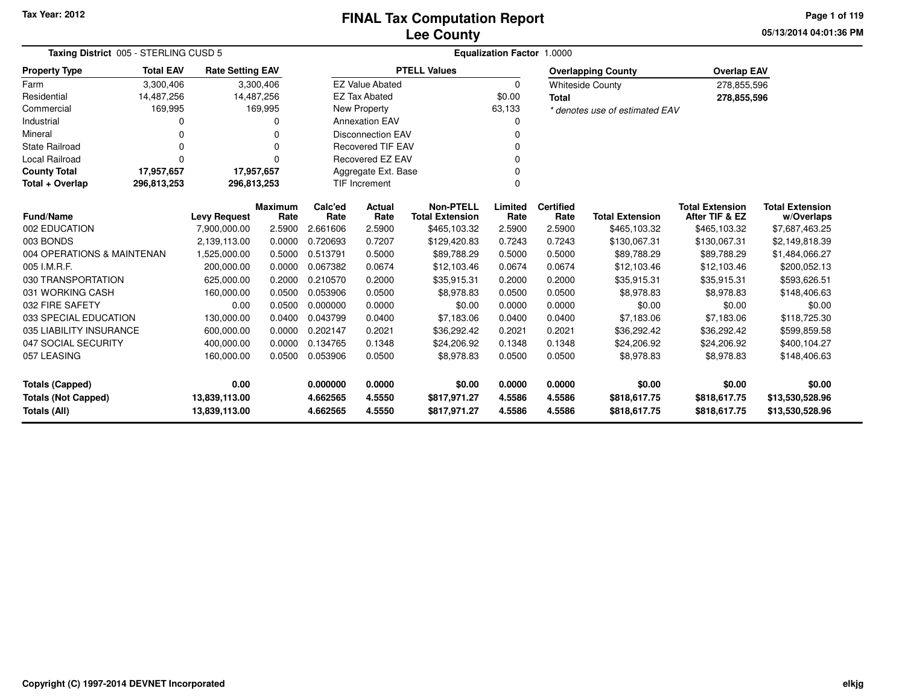# **Lee CountyFINAL Tax Computation Report**

**05/13/2014 04:01:36 PM Page 1 of 119**

| Taxing District 005 - STERLING CUSD 5       | Equalization Factor 1.0000 |                         |                        |                 |                          |                                            |                 |                          |                                |                                          |                                      |
|---------------------------------------------|----------------------------|-------------------------|------------------------|-----------------|--------------------------|--------------------------------------------|-----------------|--------------------------|--------------------------------|------------------------------------------|--------------------------------------|
| <b>Property Type</b>                        | <b>Total EAV</b>           | <b>Rate Setting EAV</b> |                        |                 |                          | <b>PTELL Values</b>                        |                 |                          | <b>Overlapping County</b>      | <b>Overlap EAV</b>                       |                                      |
| Farm                                        | 3,300,406                  |                         | 3,300,406              |                 | <b>EZ Value Abated</b>   |                                            | $\mathbf 0$     |                          | <b>Whiteside County</b>        | 278,855,596                              |                                      |
| Residential                                 | 14,487,256                 | 14,487,256              |                        |                 | <b>EZ Tax Abated</b>     |                                            | \$0.00          | <b>Total</b>             |                                | 278,855,596                              |                                      |
| Commercial                                  | 169,995                    |                         | 169,995                |                 | New Property             |                                            | 63,133          |                          | * denotes use of estimated EAV |                                          |                                      |
| Industrial                                  |                            |                         |                        |                 | <b>Annexation EAV</b>    |                                            | 0               |                          |                                |                                          |                                      |
| Mineral                                     |                            |                         | 0                      |                 | <b>Disconnection EAV</b> |                                            | 0               |                          |                                |                                          |                                      |
| <b>State Railroad</b>                       |                            |                         |                        |                 | <b>Recovered TIF EAV</b> |                                            | $\mathbf 0$     |                          |                                |                                          |                                      |
| <b>Local Railroad</b>                       |                            |                         |                        |                 | <b>Recovered EZ EAV</b>  |                                            | $\Omega$        |                          |                                |                                          |                                      |
| <b>County Total</b>                         | 17,957,657                 | 17,957,657              |                        |                 | Aggregate Ext. Base      |                                            | 0               |                          |                                |                                          |                                      |
| Total + Overlap                             | 296,813,253                | 296,813,253             |                        |                 | TIF Increment            |                                            | $\mathbf 0$     |                          |                                |                                          |                                      |
| <b>Fund/Name</b>                            |                            | <b>Levy Request</b>     | <b>Maximum</b><br>Rate | Calc'ed<br>Rate | Actual<br>Rate           | <b>Non-PTELL</b><br><b>Total Extension</b> | Limited<br>Rate | <b>Certified</b><br>Rate | <b>Total Extension</b>         | <b>Total Extension</b><br>After TIF & EZ | <b>Total Extension</b><br>w/Overlaps |
| 002 EDUCATION                               |                            | 7,900,000.00            | 2.5900                 | 2.661606        | 2.5900                   | \$465,103.32                               | 2.5900          | 2.5900                   | \$465,103.32                   | \$465,103.32                             | \$7,687,463.25                       |
| 003 BONDS                                   |                            | 2,139,113.00            | 0.0000                 | 0.720693        | 0.7207                   | \$129,420.83                               | 0.7243          | 0.7243                   | \$130,067.31                   | \$130,067.31                             | \$2,149,818.39                       |
| 004 OPERATIONS & MAINTENAN                  |                            | 1,525,000.00            | 0.5000                 | 0.513791        | 0.5000                   | \$89,788.29                                | 0.5000          | 0.5000                   | \$89,788.29                    | \$89,788.29                              | \$1,484,066.27                       |
| 005 I.M.R.F.                                |                            | 200,000.00              | 0.0000                 | 0.067382        | 0.0674                   | \$12,103.46                                | 0.0674          | 0.0674                   | \$12,103.46                    | \$12,103.46                              | \$200,052.13                         |
| 030 TRANSPORTATION                          |                            | 625,000.00              | 0.2000                 | 0.210570        | 0.2000                   | \$35,915.31                                | 0.2000          | 0.2000                   | \$35,915.31                    | \$35,915.31                              | \$593,626.51                         |
| 031 WORKING CASH                            |                            | 160,000.00              | 0.0500                 | 0.053906        | 0.0500                   | \$8,978.83                                 | 0.0500          | 0.0500                   | \$8,978.83                     | \$8,978.83                               | \$148,406.63                         |
| 032 FIRE SAFETY                             |                            | 0.00                    | 0.0500                 | 0.000000        | 0.0000                   | \$0.00                                     | 0.0000          | 0.0000                   | \$0.00                         | \$0.00                                   | \$0.00                               |
| 033 SPECIAL EDUCATION                       |                            | 130,000.00              | 0.0400                 | 0.043799        | 0.0400                   | \$7,183.06                                 | 0.0400          | 0.0400                   | \$7,183.06                     | \$7,183.06                               | \$118,725.30                         |
| 035 LIABILITY INSURANCE                     |                            | 600,000.00              | 0.0000                 | 0.202147        | 0.2021                   | \$36,292.42                                | 0.2021          | 0.2021                   | \$36,292.42                    | \$36,292.42                              | \$599,859.58                         |
| 047 SOCIAL SECURITY                         |                            | 400,000.00              | 0.0000                 | 0.134765        | 0.1348                   | \$24,206.92                                | 0.1348          | 0.1348                   | \$24,206.92                    | \$24,206.92                              | \$400,104.27                         |
| 057 LEASING                                 |                            | 160,000.00              | 0.0500                 | 0.053906        | 0.0500                   | \$8,978.83                                 | 0.0500          | 0.0500                   | \$8,978.83                     | \$8,978.83                               | \$148,406.63                         |
| 0.00<br><b>Totals (Capped)</b>              |                            |                         |                        | 0.000000        | 0.0000                   | \$0.00                                     | 0.0000          | 0.0000                   | \$0.00                         | \$0.00                                   | \$0.00                               |
| <b>Totals (Not Capped)</b><br>13,839,113.00 |                            |                         |                        | 4.662565        | 4.5550                   | \$817,971.27                               | 4.5586          | 4.5586                   | \$818,617.75                   | \$818,617.75                             | \$13,530,528.96                      |
| <b>Totals (All)</b>                         |                            | 13,839,113.00           |                        | 4.662565        | 4.5550                   | \$817,971.27                               | 4.5586          | 4.5586                   | \$818,617.75                   | \$818,617.75                             | \$13,530,528.96                      |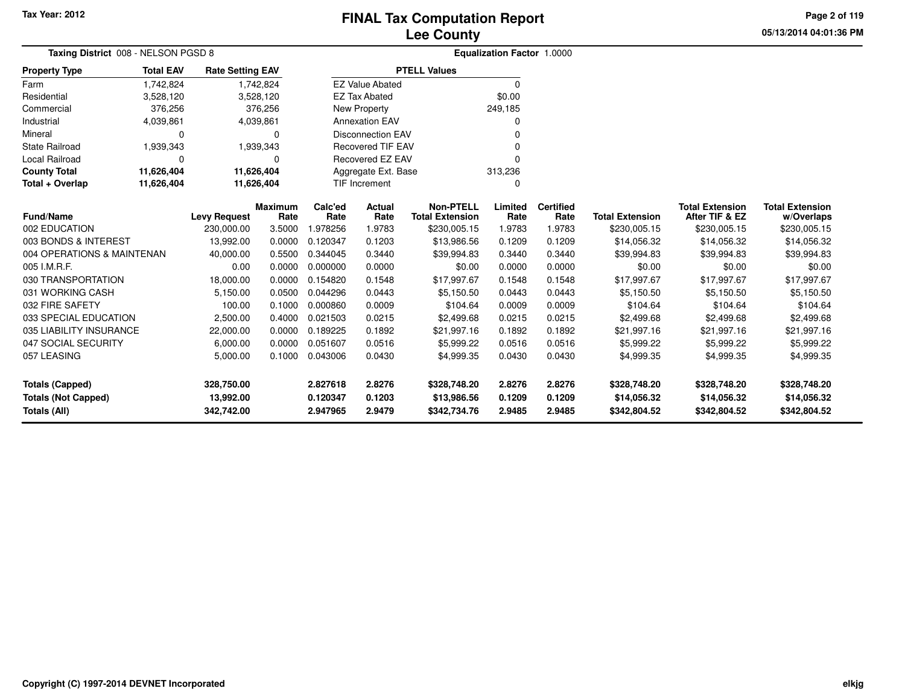**05/13/2014 04:01:36 PMPage 2 of 119**

| Taxing District 008 - NELSON PGSD 8 |                  |                         |                        | <b>Equalization Factor 1.0000</b> |                                |                                            |                 |                          |                        |                                          |                                      |  |
|-------------------------------------|------------------|-------------------------|------------------------|-----------------------------------|--------------------------------|--------------------------------------------|-----------------|--------------------------|------------------------|------------------------------------------|--------------------------------------|--|
| <b>Property Type</b>                | <b>Total EAV</b> | <b>Rate Setting EAV</b> |                        |                                   |                                | <b>PTELL Values</b>                        |                 |                          |                        |                                          |                                      |  |
| Farm                                | 1,742,824        |                         | 1,742,824              |                                   | <b>EZ Value Abated</b>         |                                            | 0               |                          |                        |                                          |                                      |  |
| Residential                         | 3,528,120        |                         | 3,528,120              |                                   | <b>EZ Tax Abated</b>           |                                            | \$0.00          |                          |                        |                                          |                                      |  |
| Commercial                          | 376,256          |                         | 376,256                |                                   | New Property                   |                                            | 249,185         |                          |                        |                                          |                                      |  |
| Industrial                          | 4,039,861        |                         | 4,039,861              |                                   | <b>Annexation EAV</b>          |                                            |                 |                          |                        |                                          |                                      |  |
| Mineral                             | <sup>0</sup>     |                         | 0                      |                                   | <b>Disconnection EAV</b>       |                                            |                 |                          |                        |                                          |                                      |  |
| <b>State Railroad</b>               | 1,939,343        |                         | 1,939,343              |                                   | <b>Recovered TIF EAV</b>       |                                            |                 |                          |                        |                                          |                                      |  |
| Local Railroad                      | $\Omega$         |                         | 0                      |                                   | Recovered EZ EAV               |                                            |                 |                          |                        |                                          |                                      |  |
| <b>County Total</b>                 | 11,626,404       | 11,626,404              |                        |                                   | Aggregate Ext. Base<br>313,236 |                                            |                 |                          |                        |                                          |                                      |  |
| Total + Overlap                     | 11,626,404       |                         | 11,626,404             |                                   | <b>TIF Increment</b>           |                                            | 0               |                          |                        |                                          |                                      |  |
| Fund/Name                           |                  | <b>Levy Request</b>     | <b>Maximum</b><br>Rate | Calc'ed<br>Rate                   | Actual<br>Rate                 | <b>Non-PTELL</b><br><b>Total Extension</b> | Limited<br>Rate | <b>Certified</b><br>Rate | <b>Total Extension</b> | <b>Total Extension</b><br>After TIF & EZ | <b>Total Extension</b><br>w/Overlaps |  |
| 002 EDUCATION                       |                  | 230,000.00              | 3.5000                 | 1.978256                          | 1.9783                         | \$230,005.15                               | 1.9783          | 1.9783                   | \$230,005.15           | \$230,005.15                             | \$230,005.15                         |  |
| 003 BONDS & INTEREST                |                  | 13,992.00               | 0.0000                 | 0.120347                          | 0.1203                         | \$13,986.56                                | 0.1209          | 0.1209                   | \$14,056.32            | \$14,056.32                              | \$14,056.32                          |  |
| 004 OPERATIONS & MAINTENAN          |                  | 40,000.00               | 0.5500                 | 0.344045                          | 0.3440                         | \$39,994.83                                | 0.3440          | 0.3440                   | \$39,994.83            | \$39,994.83                              | \$39,994.83                          |  |
| 005 I.M.R.F.                        |                  | 0.00                    | 0.0000                 | 0.000000                          | 0.0000                         | \$0.00                                     | 0.0000          | 0.0000                   | \$0.00                 | \$0.00                                   | \$0.00                               |  |
| 030 TRANSPORTATION                  |                  | 18,000.00               | 0.0000                 | 0.154820                          | 0.1548                         | \$17,997.67                                | 0.1548          | 0.1548                   | \$17,997.67            | \$17,997.67                              | \$17,997.67                          |  |
| 031 WORKING CASH                    |                  | 5,150.00                | 0.0500                 | 0.044296                          | 0.0443                         | \$5,150.50                                 | 0.0443          | 0.0443                   | \$5,150.50             | \$5,150.50                               | \$5,150.50                           |  |
| 032 FIRE SAFETY                     |                  | 100.00                  | 0.1000                 | 0.000860                          | 0.0009                         | \$104.64                                   | 0.0009          | 0.0009                   | \$104.64               | \$104.64                                 | \$104.64                             |  |
| 033 SPECIAL EDUCATION               |                  | 2,500.00                | 0.4000                 | 0.021503                          | 0.0215                         | \$2,499.68                                 | 0.0215          | 0.0215                   | \$2,499.68             | \$2,499.68                               | \$2,499.68                           |  |
| 035 LIABILITY INSURANCE             |                  | 22,000.00               | 0.0000                 | 0.189225                          | 0.1892                         | \$21,997.16                                | 0.1892          | 0.1892                   | \$21,997.16            | \$21,997.16                              | \$21,997.16                          |  |
| 047 SOCIAL SECURITY                 |                  | 6,000.00                | 0.0000                 | 0.051607                          | 0.0516                         | \$5,999.22                                 | 0.0516          | 0.0516                   | \$5,999.22             | \$5,999.22                               | \$5,999.22                           |  |
| 057 LEASING                         |                  | 5,000.00                | 0.1000                 | 0.043006                          | 0.0430                         | \$4,999.35                                 | 0.0430          | 0.0430                   | \$4,999.35             | \$4,999.35                               | \$4,999.35                           |  |
| <b>Totals (Capped)</b>              |                  | 328,750.00              |                        | 2.827618                          | 2.8276                         | \$328,748.20                               | 2.8276          | 2.8276                   | \$328,748.20           | \$328,748.20                             | \$328,748.20                         |  |
| <b>Totals (Not Capped)</b>          |                  | 13,992.00               |                        | 0.120347                          | 0.1203                         | \$13,986.56                                | 0.1209          | 0.1209                   | \$14,056.32            | \$14,056.32                              | \$14,056.32                          |  |
| <b>Totals (All)</b>                 |                  | 342,742.00              |                        | 2.947965                          | 2.9479                         | \$342,734.76                               | 2.9485          | 2.9485                   | \$342,804.52           | \$342,804.52                             | \$342,804.52                         |  |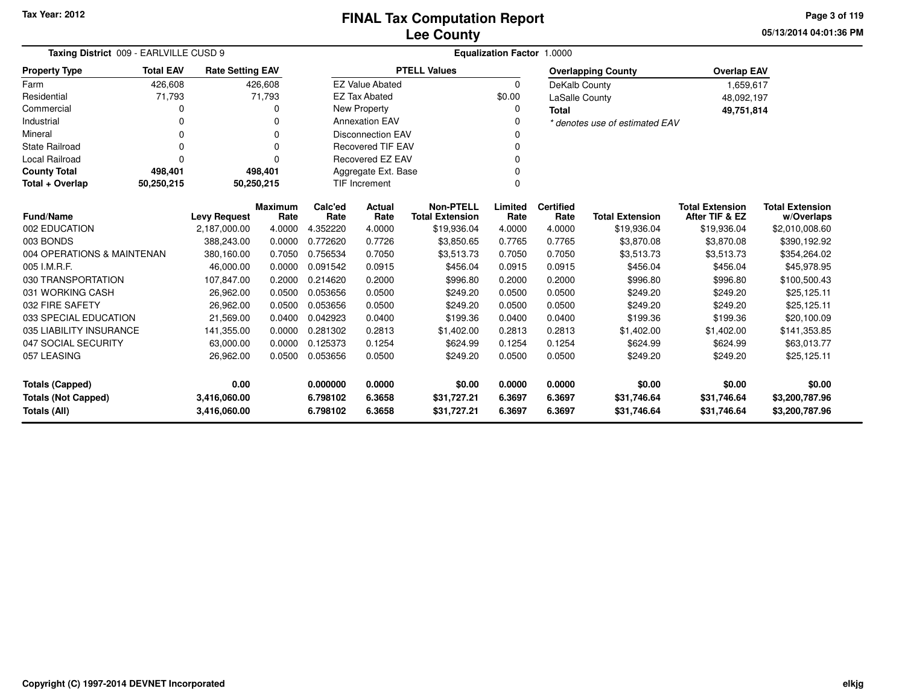**05/13/2014 04:01:36 PM Page 3 of 119**

| Taxing District 009 - EARLVILLE CUSD 9                                     |                         |                        |                      |                          | <b>Equalization Factor 1.0000</b>          |                  |                          |                                |                                          |                                      |  |
|----------------------------------------------------------------------------|-------------------------|------------------------|----------------------|--------------------------|--------------------------------------------|------------------|--------------------------|--------------------------------|------------------------------------------|--------------------------------------|--|
| <b>Total EAV</b><br><b>Property Type</b>                                   | <b>Rate Setting EAV</b> |                        |                      |                          | <b>PTELL Values</b>                        |                  |                          | <b>Overlapping County</b>      | <b>Overlap EAV</b>                       |                                      |  |
| Farm<br>426,608                                                            |                         | 426,608                |                      | <b>EZ Value Abated</b>   |                                            | $\Omega$         | DeKalb County            |                                | 1,659,617                                |                                      |  |
| Residential<br>71,793                                                      |                         | 71,793                 |                      | <b>EZ Tax Abated</b>     |                                            | \$0.00           | LaSalle County           |                                | 48,092,197                               |                                      |  |
| Commercial                                                                 | 0                       | <sup>0</sup>           |                      | New Property             |                                            | 0                | <b>Total</b>             |                                | 49,751,814                               |                                      |  |
| Industrial                                                                 | O                       | n                      |                      | <b>Annexation EAV</b>    |                                            | O                |                          | * denotes use of estimated EAV |                                          |                                      |  |
| Mineral                                                                    | $\Omega$                | $\Omega$               |                      | <b>Disconnection EAV</b> |                                            | <sup>0</sup>     |                          |                                |                                          |                                      |  |
| <b>State Railroad</b>                                                      | $\Omega$                | $\Omega$               |                      | <b>Recovered TIF EAV</b> |                                            | $\Omega$         |                          |                                |                                          |                                      |  |
| Local Railroad                                                             | $\Omega$                | $\Omega$               |                      | Recovered EZ EAV<br>0    |                                            |                  |                          |                                |                                          |                                      |  |
| <b>County Total</b><br>498,401                                             |                         | 498,401                |                      | Aggregate Ext. Base      |                                            |                  |                          |                                |                                          |                                      |  |
| Total + Overlap<br>50,250,215                                              |                         | 50,250,215             |                      | <b>TIF Increment</b>     |                                            |                  |                          |                                |                                          |                                      |  |
| <b>Fund/Name</b>                                                           | <b>Levy Request</b>     | <b>Maximum</b><br>Rate | Calc'ed<br>Rate      | Actual<br>Rate           | <b>Non-PTELL</b><br><b>Total Extension</b> | Limited<br>Rate  | <b>Certified</b><br>Rate | <b>Total Extension</b>         | <b>Total Extension</b><br>After TIF & EZ | <b>Total Extension</b><br>w/Overlaps |  |
| 002 EDUCATION                                                              | 2,187,000.00            | 4.0000                 | 4.352220             | 4.0000                   | \$19,936.04                                | 4.0000           | 4.0000                   | \$19,936.04                    | \$19,936.04                              | \$2,010,008.60                       |  |
| 003 BONDS                                                                  | 388,243.00              | 0.0000                 | 0.772620             | 0.7726                   | \$3,850.65                                 | 0.7765           | 0.7765                   | \$3,870.08                     | \$3,870.08                               | \$390,192.92                         |  |
| 004 OPERATIONS & MAINTENAN                                                 | 380,160.00              | 0.7050                 | 0.756534             | 0.7050                   | \$3,513.73                                 | 0.7050           | 0.7050                   | \$3,513.73                     | \$3,513.73                               | \$354,264.02                         |  |
| 005 I.M.R.F.                                                               | 46,000.00               | 0.0000                 | 0.091542             | 0.0915                   | \$456.04                                   | 0.0915           | 0.0915                   | \$456.04                       | \$456.04                                 | \$45,978.95                          |  |
| 030 TRANSPORTATION                                                         | 107,847.00              | 0.2000                 | 0.214620             | 0.2000                   | \$996.80                                   | 0.2000           | 0.2000                   | \$996.80                       | \$996.80                                 | \$100,500.43                         |  |
| 031 WORKING CASH                                                           | 26,962.00               | 0.0500                 | 0.053656             | 0.0500                   | \$249.20                                   | 0.0500           | 0.0500                   | \$249.20                       | \$249.20                                 | \$25,125.11                          |  |
| 032 FIRE SAFETY                                                            | 26,962.00               | 0.0500                 | 0.053656             | 0.0500                   | \$249.20                                   | 0.0500           | 0.0500                   | \$249.20                       | \$249.20                                 | \$25,125.11                          |  |
| 033 SPECIAL EDUCATION                                                      | 21,569.00               | 0.0400                 | 0.042923             | 0.0400                   | \$199.36                                   | 0.0400           | 0.0400                   | \$199.36                       | \$199.36                                 | \$20,100.09                          |  |
| 035 LIABILITY INSURANCE                                                    | 141,355.00              | 0.0000                 | 0.281302             | 0.2813                   | \$1,402.00                                 | 0.2813           | 0.2813                   | \$1,402.00                     | \$1,402.00                               | \$141,353.85                         |  |
| 047 SOCIAL SECURITY                                                        | 63,000.00               | 0.0000                 | 0.125373             | 0.1254                   | \$624.99                                   | 0.1254           | 0.1254                   | \$624.99                       | \$624.99                                 | \$63,013.77                          |  |
| 057 LEASING                                                                | 26,962.00               | 0.0500                 | 0.053656             | 0.0500                   | \$249.20                                   | 0.0500           | 0.0500                   | \$249.20                       | \$249.20                                 | \$25,125.11                          |  |
| 0.00<br>0.000000<br><b>Totals (Capped)</b>                                 |                         |                        |                      | 0.0000                   | \$0.00                                     | 0.0000           | 0.0000                   | \$0.00                         | \$0.00                                   | \$0.00                               |  |
| <b>Totals (Not Capped)</b><br>3,416,060.00<br>Totals (All)<br>3,416,060.00 |                         |                        | 6.798102<br>6.798102 | 6.3658<br>6.3658         | \$31,727.21<br>\$31,727.21                 | 6.3697<br>6.3697 | 6.3697<br>6.3697         | \$31,746.64<br>\$31,746.64     | \$31,746.64<br>\$31,746.64               | \$3,200,787.96<br>\$3,200,787.96     |  |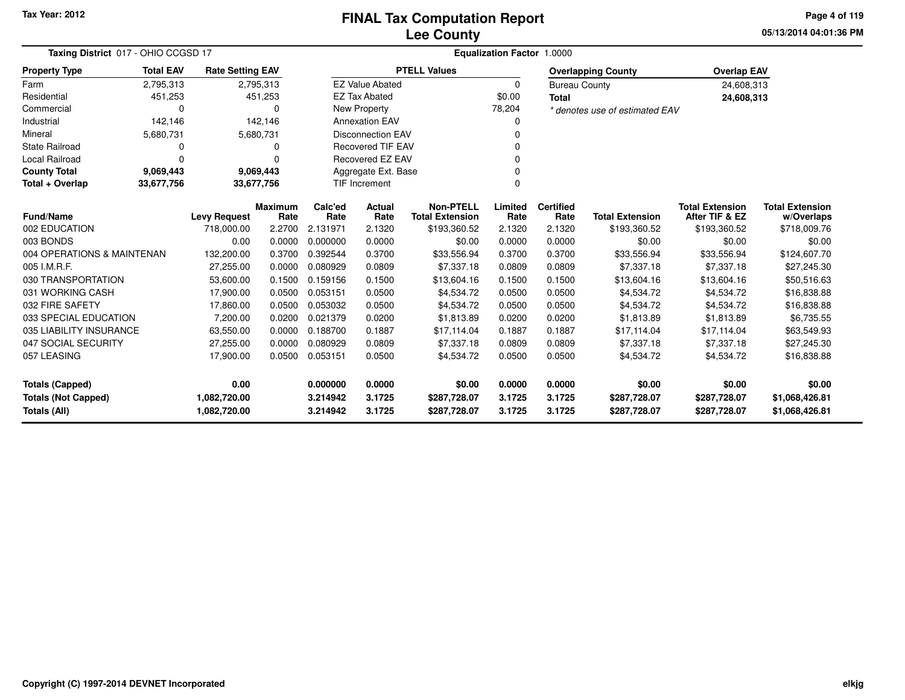**05/13/2014 04:01:36 PMPage 4 of 119**

| Taxing District 017 - OHIO CCGSD 17 |                  |                         |                        |                 |                                     |                                            | Equalization Factor 1.0000 |                          |                                |                                          |                                      |
|-------------------------------------|------------------|-------------------------|------------------------|-----------------|-------------------------------------|--------------------------------------------|----------------------------|--------------------------|--------------------------------|------------------------------------------|--------------------------------------|
| <b>Property Type</b>                | <b>Total EAV</b> | <b>Rate Setting EAV</b> |                        |                 |                                     | <b>PTELL Values</b>                        |                            |                          | <b>Overlapping County</b>      | <b>Overlap EAV</b>                       |                                      |
| Farm                                | 2,795,313        | 2,795,313               |                        |                 | <b>EZ Value Abated</b>              |                                            | 0                          | <b>Bureau County</b>     |                                | 24,608,313                               |                                      |
| Residential                         | 451,253          |                         | 451,253                |                 | <b>EZ Tax Abated</b>                |                                            | \$0.00                     | <b>Total</b>             |                                | 24,608,313                               |                                      |
| Commercial                          | 0                |                         | ∩                      |                 | <b>New Property</b>                 |                                            | 78,204                     |                          | * denotes use of estimated EAV |                                          |                                      |
| Industrial                          | 142,146          |                         | 142,146                |                 | <b>Annexation EAV</b>               |                                            | 0                          |                          |                                |                                          |                                      |
| Mineral                             | 5,680,731        | 5,680,731               |                        |                 | <b>Disconnection EAV</b>            |                                            | $\Omega$                   |                          |                                |                                          |                                      |
| <b>State Railroad</b>               | 0                |                         | 0                      |                 | <b>Recovered TIF EAV</b>            |                                            | $\Omega$                   |                          |                                |                                          |                                      |
| Local Railroad                      | 0                |                         | $\Omega$               |                 | <b>Recovered EZ EAV</b><br>$\Omega$ |                                            |                            |                          |                                |                                          |                                      |
| <b>County Total</b>                 | 9,069,443        | 9,069,443               |                        |                 | Aggregate Ext. Base                 |                                            | $\Omega$                   |                          |                                |                                          |                                      |
| Total + Overlap                     | 33,677,756       | 33,677,756              |                        |                 | TIF Increment<br>$\Omega$           |                                            |                            |                          |                                |                                          |                                      |
| Fund/Name                           |                  | <b>Levy Request</b>     | <b>Maximum</b><br>Rate | Calc'ed<br>Rate | Actual<br>Rate                      | <b>Non-PTELL</b><br><b>Total Extension</b> | Limited<br>Rate            | <b>Certified</b><br>Rate | <b>Total Extension</b>         | <b>Total Extension</b><br>After TIF & EZ | <b>Total Extension</b><br>w/Overlaps |
| 002 EDUCATION                       |                  | 718,000.00              | 2.2700                 | 2.131971        | 2.1320                              | \$193,360.52                               | 2.1320                     | 2.1320                   | \$193,360.52                   | \$193,360.52                             | \$718,009.76                         |
| 003 BONDS                           |                  | 0.00                    | 0.0000                 | 0.000000        | 0.0000                              | \$0.00                                     | 0.0000                     | 0.0000                   | \$0.00                         | \$0.00                                   | \$0.00                               |
| 004 OPERATIONS & MAINTENAN          |                  | 132,200.00              | 0.3700                 | 0.392544        | 0.3700                              | \$33,556.94                                | 0.3700                     | 0.3700                   | \$33,556.94                    | \$33,556.94                              | \$124,607.70                         |
| 005 I.M.R.F.                        |                  | 27,255.00               | 0.0000                 | 0.080929        | 0.0809                              | \$7,337.18                                 | 0.0809                     | 0.0809                   | \$7,337.18                     | \$7,337.18                               | \$27,245.30                          |
| 030 TRANSPORTATION                  |                  | 53,600.00               | 0.1500                 | 0.159156        | 0.1500                              | \$13,604.16                                | 0.1500                     | 0.1500                   | \$13,604.16                    | \$13,604.16                              | \$50,516.63                          |
| 031 WORKING CASH                    |                  | 17,900.00               | 0.0500                 | 0.053151        | 0.0500                              | \$4,534.72                                 | 0.0500                     | 0.0500                   | \$4,534.72                     | \$4,534.72                               | \$16,838.88                          |
| 032 FIRE SAFETY                     |                  | 17,860.00               | 0.0500                 | 0.053032        | 0.0500                              | \$4,534.72                                 | 0.0500                     | 0.0500                   | \$4,534.72                     | \$4,534.72                               | \$16,838.88                          |
| 033 SPECIAL EDUCATION               |                  | 7,200.00                | 0.0200                 | 0.021379        | 0.0200                              | \$1,813.89                                 | 0.0200                     | 0.0200                   | \$1,813.89                     | \$1,813.89                               | \$6,735.55                           |
| 035 LIABILITY INSURANCE             |                  | 63,550.00               | 0.0000                 | 0.188700        | 0.1887                              | \$17,114.04                                | 0.1887                     | 0.1887                   | \$17,114.04                    | \$17,114.04                              | \$63,549.93                          |
| 047 SOCIAL SECURITY                 |                  | 27,255.00               | 0.0000                 | 0.080929        | 0.0809                              | \$7,337.18                                 | 0.0809                     | 0.0809                   | \$7,337.18                     | \$7,337.18                               | \$27,245.30                          |
| 057 LEASING                         |                  | 17,900.00               | 0.0500                 | 0.053151        | 0.0500                              | \$4,534.72                                 | 0.0500                     | 0.0500                   | \$4,534.72                     | \$4,534.72                               | \$16,838.88                          |
| <b>Totals (Capped)</b>              |                  | 0.00                    |                        | 0.000000        | 0.0000                              | \$0.00                                     | 0.0000                     | 0.0000                   | \$0.00                         | \$0.00                                   | \$0.00                               |
| <b>Totals (Not Capped)</b>          |                  | 1,082,720.00            |                        | 3.214942        | 3.1725                              | \$287,728.07                               | 3.1725                     | 3.1725                   | \$287,728.07                   | \$287,728.07                             | \$1,068,426.81                       |
| Totals (All)                        |                  | 1,082,720.00            |                        | 3.214942        | 3.1725                              | \$287,728.07                               | 3.1725                     | 3.1725                   | \$287,728.07                   | \$287,728.07                             | \$1,068,426.81                       |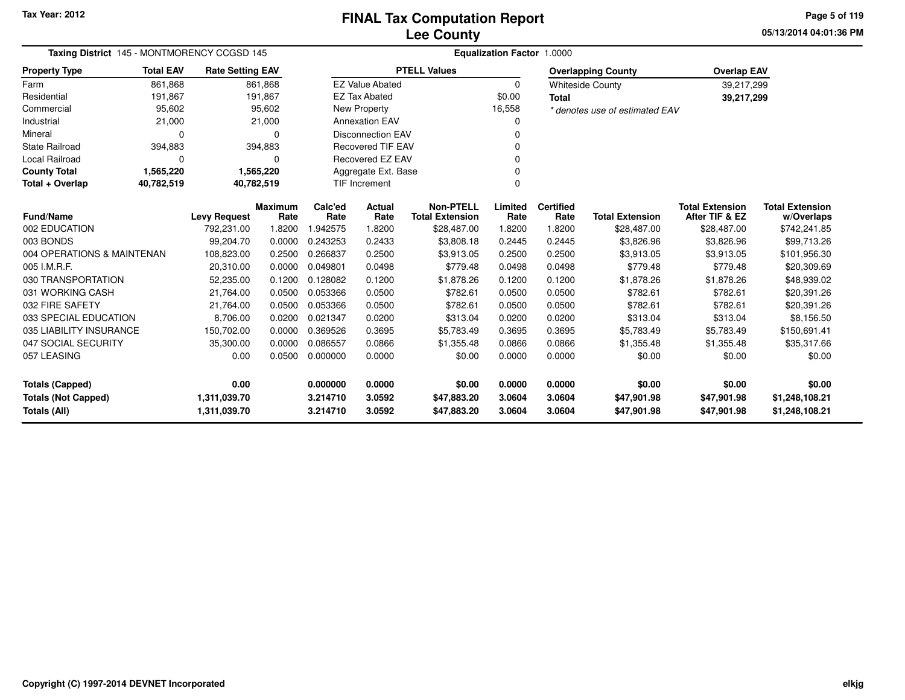**05/13/2014 04:01:36 PM Page 5 of 119**

| Taxing District 145 - MONTMORENCY CCGSD 145 |                          |                         |                | <b>Equalization Factor 1.0000</b> |                          |                        |          |                  |                                |                        |                        |  |  |
|---------------------------------------------|--------------------------|-------------------------|----------------|-----------------------------------|--------------------------|------------------------|----------|------------------|--------------------------------|------------------------|------------------------|--|--|
| <b>Property Type</b>                        | <b>Total EAV</b>         | <b>Rate Setting EAV</b> |                |                                   |                          | <b>PTELL Values</b>    |          |                  | <b>Overlapping County</b>      | <b>Overlap EAV</b>     |                        |  |  |
| Farm                                        | 861.868                  |                         | 861.868        |                                   | <b>EZ Value Abated</b>   |                        | $\Omega$ |                  | <b>Whiteside County</b>        | 39,217,299             |                        |  |  |
| Residential                                 | 191,867                  |                         | 191,867        |                                   | <b>EZ Tax Abated</b>     |                        | \$0.00   | <b>Total</b>     |                                | 39,217,299             |                        |  |  |
| Commercial                                  | 95,602                   |                         | 95,602         |                                   | New Property             |                        | 16,558   |                  | * denotes use of estimated EAV |                        |                        |  |  |
| Industrial                                  | 21,000                   |                         | 21,000         |                                   | <b>Annexation EAV</b>    |                        |          |                  |                                |                        |                        |  |  |
| Mineral                                     | $\Omega$                 |                         | $\Omega$       |                                   | <b>Disconnection EAV</b> |                        |          |                  |                                |                        |                        |  |  |
| <b>State Railroad</b>                       | 394,883                  |                         | 394,883        | <b>Recovered TIF EAV</b>          |                          |                        |          |                  |                                |                        |                        |  |  |
| Local Railroad                              | 0                        |                         | $\Omega$       | <b>Recovered EZ EAV</b>           |                          |                        |          |                  |                                |                        |                        |  |  |
| <b>County Total</b>                         | 1,565,220                |                         | 1,565,220      | Aggregate Ext. Base               |                          |                        |          |                  |                                |                        |                        |  |  |
| Total + Overlap                             | 40,782,519<br>40,782,519 |                         |                |                                   | TIF Increment            |                        | $\Omega$ |                  |                                |                        |                        |  |  |
|                                             |                          |                         | <b>Maximum</b> | Calc'ed                           | <b>Actual</b>            | <b>Non-PTELL</b>       | Limited  | <b>Certified</b> |                                | <b>Total Extension</b> | <b>Total Extension</b> |  |  |
| <b>Fund/Name</b>                            |                          | <b>Levy Request</b>     | Rate           | Rate                              | Rate                     | <b>Total Extension</b> | Rate     | Rate             | <b>Total Extension</b>         | After TIF & EZ         | w/Overlaps             |  |  |
| 002 EDUCATION                               |                          | 792.231.00              | 1.8200         | 1.942575                          | 1.8200                   | \$28,487.00            | 1.8200   | 1.8200           | \$28,487.00                    | \$28,487.00            | \$742,241.85           |  |  |
| 003 BONDS                                   |                          | 99,204.70               | 0.0000         | 0.243253                          | 0.2433                   | \$3,808.18             | 0.2445   | 0.2445           | \$3,826.96                     | \$3,826.96             | \$99,713.26            |  |  |
| 004 OPERATIONS & MAINTENAN                  |                          | 108,823.00              | 0.2500         | 0.266837                          | 0.2500                   | \$3,913.05             | 0.2500   | 0.2500           | \$3,913.05                     | \$3,913.05             | \$101,956.30           |  |  |
| 005 I.M.R.F.                                |                          | 20,310.00               | 0.0000         | 0.049801                          | 0.0498                   | \$779.48               | 0.0498   | 0.0498           | \$779.48                       | \$779.48               | \$20,309.69            |  |  |
| 030 TRANSPORTATION                          |                          | 52,235.00               | 0.1200         | 0.128082                          | 0.1200                   | \$1,878.26             | 0.1200   | 0.1200           | \$1,878.26                     | \$1,878.26             | \$48,939.02            |  |  |
| 031 WORKING CASH                            |                          | 21,764.00               | 0.0500         | 0.053366                          | 0.0500                   | \$782.61               | 0.0500   | 0.0500           | \$782.61                       | \$782.61               | \$20,391.26            |  |  |
| 032 FIRE SAFETY                             |                          | 21,764.00               | 0.0500         | 0.053366                          | 0.0500                   | \$782.61               | 0.0500   | 0.0500           | \$782.61                       | \$782.61               | \$20,391.26            |  |  |
| 033 SPECIAL EDUCATION                       |                          | 8,706.00                | 0.0200         | 0.021347                          | 0.0200                   | \$313.04               | 0.0200   | 0.0200           | \$313.04                       | \$313.04               | \$8,156.50             |  |  |
| 035 LIABILITY INSURANCE                     |                          | 150,702.00              | 0.0000         | 0.369526                          | 0.3695                   | \$5,783.49             | 0.3695   | 0.3695           | \$5,783.49                     | \$5,783.49             | \$150,691.41           |  |  |
| 047 SOCIAL SECURITY                         |                          | 35,300.00               | 0.0000         | 0.086557                          | 0.0866                   | \$1,355.48             | 0.0866   | 0.0866           | \$1,355.48                     | \$1,355.48             | \$35,317.66            |  |  |
| 057 LEASING                                 |                          | 0.00                    | 0.0500         | 0.000000                          | 0.0000                   | \$0.00                 | 0.0000   | 0.0000           | \$0.00                         | \$0.00                 | \$0.00                 |  |  |
| Totals (Capped)                             |                          | 0.00                    |                | 0.000000                          | 0.0000                   | \$0.00                 | 0.0000   | 0.0000           | \$0.00                         | \$0.00                 | \$0.00                 |  |  |
| <b>Totals (Not Capped)</b>                  |                          | 1,311,039.70            |                | 3.214710                          | 3.0592                   | \$47,883.20            | 3.0604   | 3.0604           | \$47,901.98                    | \$47,901.98            | \$1,248,108.21         |  |  |
| <b>Totals (All)</b>                         |                          | 1,311,039.70            |                | 3.214710                          | 3.0592                   | \$47,883.20            | 3.0604   | 3.0604           | \$47,901.98                    | \$47,901.98            | \$1,248,108.21         |  |  |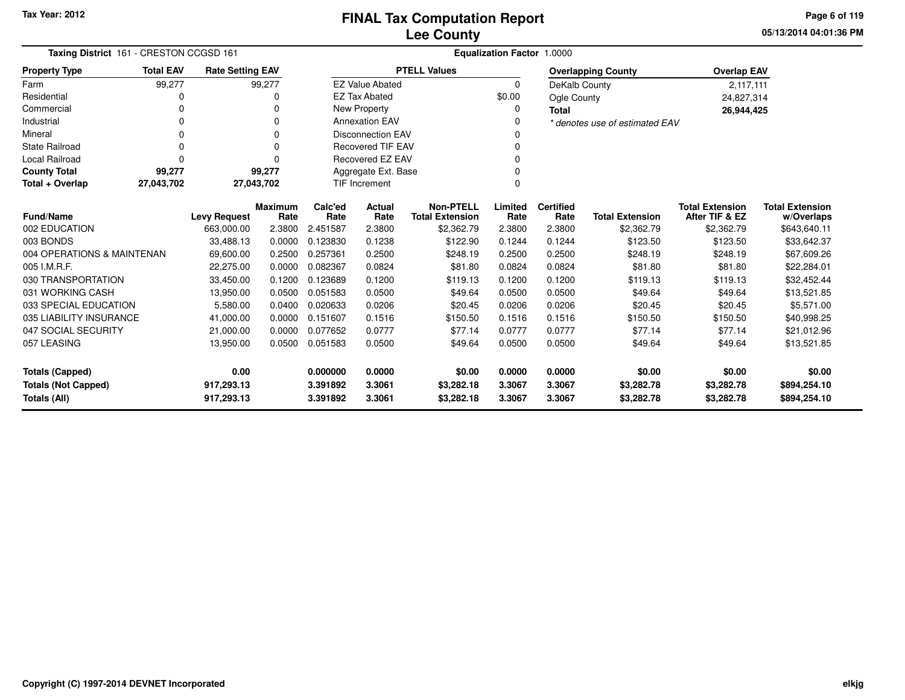**05/13/2014 04:01:36 PM Page 6 of 119**

| Taxing District 161 - CRESTON CCGSD 161    |                  |                          |                        | Equalization Factor 1.0000                                              |                                  |                                            |                  |                          |                           |                                          |                                      |  |
|--------------------------------------------|------------------|--------------------------|------------------------|-------------------------------------------------------------------------|----------------------------------|--------------------------------------------|------------------|--------------------------|---------------------------|------------------------------------------|--------------------------------------|--|
| <b>Property Type</b>                       | <b>Total EAV</b> | <b>Rate Setting EAV</b>  |                        |                                                                         |                                  | <b>PTELL Values</b>                        |                  |                          | <b>Overlapping County</b> | <b>Overlap EAV</b>                       |                                      |  |
| Farm                                       | 99,277           |                          | 99,277                 |                                                                         | <b>EZ Value Abated</b>           |                                            | $\Omega$         | DeKalb County            |                           | 2,117,111                                |                                      |  |
| Residential                                | 0                |                          | O                      |                                                                         | <b>EZ Tax Abated</b>             |                                            | \$0.00           | Ogle County              |                           | 24,827,314                               |                                      |  |
| Commercial                                 | 0                |                          |                        |                                                                         | New Property                     |                                            | 0                | Total                    |                           | 26,944,425                               |                                      |  |
| Industrial                                 | 0                |                          | $\Omega$               | <b>Annexation EAV</b><br><sup>0</sup><br>* denotes use of estimated EAV |                                  |                                            |                  |                          |                           |                                          |                                      |  |
| Mineral                                    | 0                |                          | 0                      | <b>Disconnection EAV</b>                                                |                                  |                                            |                  |                          |                           |                                          |                                      |  |
| <b>State Railroad</b>                      | 0                |                          | $\Omega$               |                                                                         | <b>Recovered TIF EAV</b>         |                                            | 0                |                          |                           |                                          |                                      |  |
| <b>Local Railroad</b>                      | $\Omega$         |                          | $\Omega$               | <b>Recovered EZ EAV</b>                                                 |                                  |                                            |                  |                          |                           |                                          |                                      |  |
| <b>County Total</b>                        | 99,277           |                          | 99,277                 |                                                                         | Aggregate Ext. Base              |                                            |                  |                          |                           |                                          |                                      |  |
| Total + Overlap                            | 27,043,702       |                          | 27,043,702             |                                                                         | <b>TIF Increment</b><br>$\Omega$ |                                            |                  |                          |                           |                                          |                                      |  |
| <b>Fund/Name</b>                           |                  | <b>Levy Request</b>      | <b>Maximum</b><br>Rate | Calc'ed<br>Rate                                                         | Actual<br>Rate                   | <b>Non-PTELL</b><br><b>Total Extension</b> | Limited<br>Rate  | <b>Certified</b><br>Rate | <b>Total Extension</b>    | <b>Total Extension</b><br>After TIF & EZ | <b>Total Extension</b><br>w/Overlaps |  |
| 002 EDUCATION                              |                  | 663.000.00               | 2.3800                 | 2.451587                                                                | 2.3800                           | \$2,362.79                                 | 2.3800           | 2.3800                   | \$2,362.79                | \$2,362.79                               | \$643,640.11                         |  |
| 003 BONDS                                  |                  | 33,488.13                | 0.0000                 | 0.123830                                                                | 0.1238                           | \$122.90                                   | 0.1244           | 0.1244                   | \$123.50                  | \$123.50                                 | \$33,642.37                          |  |
| 004 OPERATIONS & MAINTENAN                 |                  | 69,600.00                | 0.2500                 | 0.257361                                                                | 0.2500                           | \$248.19                                   | 0.2500           | 0.2500                   | \$248.19                  | \$248.19                                 | \$67,609.26                          |  |
| 005 I.M.R.F.                               |                  | 22,275.00                | 0.0000                 | 0.082367                                                                | 0.0824                           | \$81.80                                    | 0.0824           | 0.0824                   | \$81.80                   | \$81.80                                  | \$22,284.01                          |  |
| 030 TRANSPORTATION                         |                  | 33,450.00                | 0.1200                 | 0.123689                                                                | 0.1200                           | \$119.13                                   | 0.1200           | 0.1200                   | \$119.13                  | \$119.13                                 | \$32,452.44                          |  |
| 031 WORKING CASH                           |                  | 13,950.00                | 0.0500                 | 0.051583                                                                | 0.0500                           | \$49.64                                    | 0.0500           | 0.0500                   | \$49.64                   | \$49.64                                  | \$13,521.85                          |  |
| 033 SPECIAL EDUCATION                      |                  | 5,580.00                 | 0.0400                 | 0.020633                                                                | 0.0206                           | \$20.45                                    | 0.0206           | 0.0206                   | \$20.45                   | \$20.45                                  | \$5,571.00                           |  |
| 035 LIABILITY INSURANCE                    |                  | 41,000.00                | 0.0000                 | 0.151607                                                                | 0.1516                           | \$150.50                                   | 0.1516           | 0.1516                   | \$150.50                  | \$150.50                                 | \$40,998.25                          |  |
| 047 SOCIAL SECURITY                        |                  | 21,000.00                | 0.0000                 | 0.077652                                                                | 0.0777                           | \$77.14                                    | 0.0777           | 0.0777                   | \$77.14                   | \$77.14                                  | \$21,012.96                          |  |
| 057 LEASING                                |                  | 13,950.00                | 0.0500                 | 0.051583                                                                | 0.0500                           | \$49.64                                    | 0.0500           | 0.0500                   | \$49.64                   | \$49.64                                  | \$13,521.85                          |  |
| 0.00<br><b>Totals (Capped)</b>             |                  |                          | 0.000000               | 0.0000                                                                  | \$0.00                           | 0.0000                                     | 0.0000           | \$0.00                   | \$0.00                    | \$0.00                                   |                                      |  |
| <b>Totals (Not Capped)</b><br>Totals (All) |                  | 917,293.13<br>917,293.13 |                        | 3.391892<br>3.391892                                                    | 3.3061<br>3.3061                 | \$3,282.18<br>\$3,282.18                   | 3.3067<br>3.3067 | 3.3067<br>3.3067         | \$3,282.78<br>\$3,282.78  | \$3,282.78<br>\$3,282.78                 | \$894,254.10<br>\$894,254.10         |  |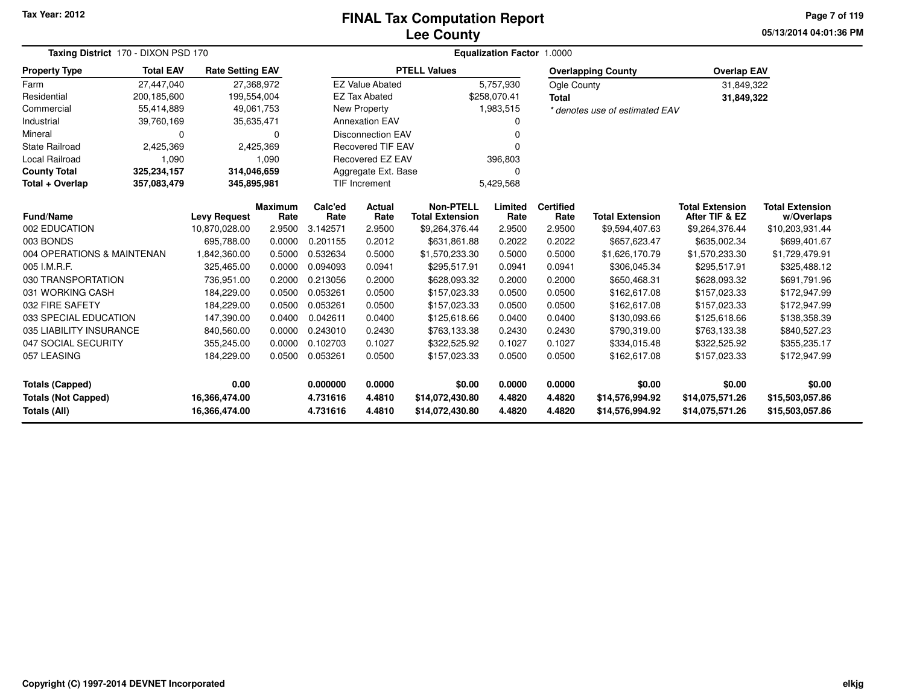### **Lee CountyFINAL Tax Computation Report**

**05/13/2014 04:01:36 PM Page 7 of 119**

| Taxing District 170 - DIXON PSD 170 |                  | Equalization Factor 1.0000 |                |          |                          |                        |              |                  |                                |                        |                        |  |
|-------------------------------------|------------------|----------------------------|----------------|----------|--------------------------|------------------------|--------------|------------------|--------------------------------|------------------------|------------------------|--|
| <b>Property Type</b>                | <b>Total EAV</b> | <b>Rate Setting EAV</b>    |                |          |                          | <b>PTELL Values</b>    |              |                  | <b>Overlapping County</b>      | <b>Overlap EAV</b>     |                        |  |
| Farm                                | 27,447,040       | 27,368,972                 |                |          | <b>EZ Value Abated</b>   |                        | 5,757,930    | Ogle County      |                                | 31,849,322             |                        |  |
| Residential                         | 200,185,600      | 199,554,004                |                |          | <b>EZ Tax Abated</b>     |                        | \$258,070.41 | <b>Total</b>     |                                | 31,849,322             |                        |  |
| Commercial                          | 55,414,889       | 49,061,753                 |                |          | <b>New Property</b>      |                        | 1,983,515    |                  | * denotes use of estimated EAV |                        |                        |  |
| Industrial                          | 39,760,169       | 35,635,471                 |                |          | <b>Annexation EAV</b>    |                        |              |                  |                                |                        |                        |  |
| Mineral                             | $\Omega$         |                            | $\Omega$       |          | <b>Disconnection EAV</b> |                        | ŋ            |                  |                                |                        |                        |  |
| <b>State Railroad</b>               | 2,425,369        |                            | 2,425,369      |          | <b>Recovered TIF EAV</b> |                        |              |                  |                                |                        |                        |  |
| Local Railroad                      | 1,090            |                            | 1,090          |          | Recovered EZ EAV         |                        | 396,803      |                  |                                |                        |                        |  |
| <b>County Total</b>                 | 325,234,157      | 314,046,659                |                |          | Aggregate Ext. Base      |                        | $\Omega$     |                  |                                |                        |                        |  |
| Total + Overlap                     | 357,083,479      | 345,895,981                |                |          | <b>TIF Increment</b>     |                        | 5,429,568    |                  |                                |                        |                        |  |
|                                     |                  |                            | <b>Maximum</b> | Calc'ed  | <b>Actual</b>            | <b>Non-PTELL</b>       | Limited      | <b>Certified</b> |                                | <b>Total Extension</b> | <b>Total Extension</b> |  |
| <b>Fund/Name</b>                    |                  | <b>Levy Request</b>        | Rate           | Rate     | Rate                     | <b>Total Extension</b> | Rate         | Rate             | <b>Total Extension</b>         | After TIF & EZ         | w/Overlaps             |  |
| 002 EDUCATION                       |                  | 10,870,028.00              | 2.9500         | 3.142571 | 2.9500                   | \$9,264,376.44         | 2.9500       | 2.9500           | \$9,594,407.63                 | \$9,264,376.44         | \$10,203,931.44        |  |
| 003 BONDS                           |                  | 695,788.00                 | 0.0000         | 0.201155 | 0.2012                   | \$631,861.88           | 0.2022       | 0.2022           | \$657,623.47                   | \$635,002.34           | \$699,401.67           |  |
| 004 OPERATIONS & MAINTENAN          |                  | 1,842,360.00               | 0.5000         | 0.532634 | 0.5000                   | \$1,570,233.30         | 0.5000       | 0.5000           | \$1,626,170.79                 | \$1,570,233.30         | \$1,729,479.91         |  |
| 005 I.M.R.F.                        |                  | 325,465.00                 | 0.0000         | 0.094093 | 0.0941                   | \$295,517.91           | 0.0941       | 0.0941           | \$306,045.34                   | \$295,517.91           | \$325,488.12           |  |
| 030 TRANSPORTATION                  |                  | 736,951.00                 | 0.2000         | 0.213056 | 0.2000                   | \$628,093.32           | 0.2000       | 0.2000           | \$650,468.31                   | \$628,093.32           | \$691,791.96           |  |
| 031 WORKING CASH                    |                  | 184,229.00                 | 0.0500         | 0.053261 | 0.0500                   | \$157,023.33           | 0.0500       | 0.0500           | \$162,617.08                   | \$157,023.33           | \$172,947.99           |  |
| 032 FIRE SAFETY                     |                  | 184,229.00                 | 0.0500         | 0.053261 | 0.0500                   | \$157,023.33           | 0.0500       | 0.0500           | \$162,617.08                   | \$157,023.33           | \$172,947.99           |  |
| 033 SPECIAL EDUCATION               |                  | 147,390.00                 | 0.0400         | 0.042611 | 0.0400                   | \$125,618.66           | 0.0400       | 0.0400           | \$130,093.66                   | \$125,618.66           | \$138,358.39           |  |
| 035 LIABILITY INSURANCE             |                  | 840,560.00                 | 0.0000         | 0.243010 | 0.2430                   | \$763,133.38           | 0.2430       | 0.2430           | \$790,319.00                   | \$763,133.38           | \$840,527.23           |  |
| 047 SOCIAL SECURITY                 |                  | 355,245.00                 | 0.0000         | 0.102703 | 0.1027                   | \$322,525.92           | 0.1027       | 0.1027           | \$334,015.48                   | \$322,525.92           | \$355,235.17           |  |
| 057 LEASING                         |                  | 184,229.00                 | 0.0500         | 0.053261 | 0.0500                   | \$157,023.33           | 0.0500       | 0.0500           | \$162,617.08                   | \$157,023.33           | \$172,947.99           |  |
| <b>Totals (Capped)</b>              |                  | 0.00                       |                | 0.000000 | 0.0000                   | \$0.00                 | 0.0000       | 0.0000           | \$0.00                         | \$0.00                 | \$0.00                 |  |
| <b>Totals (Not Capped)</b>          |                  | 16,366,474.00              |                | 4.731616 | 4.4810                   | \$14,072,430.80        | 4.4820       | 4.4820           | \$14,576,994.92                | \$14,075,571.26        | \$15,503,057.86        |  |
| Totals (All)                        |                  | 16,366,474.00              |                | 4.731616 | 4.4810                   | \$14,072,430.80        | 4.4820       | 4.4820           | \$14,576,994.92                | \$14,075,571.26        | \$15,503,057.86        |  |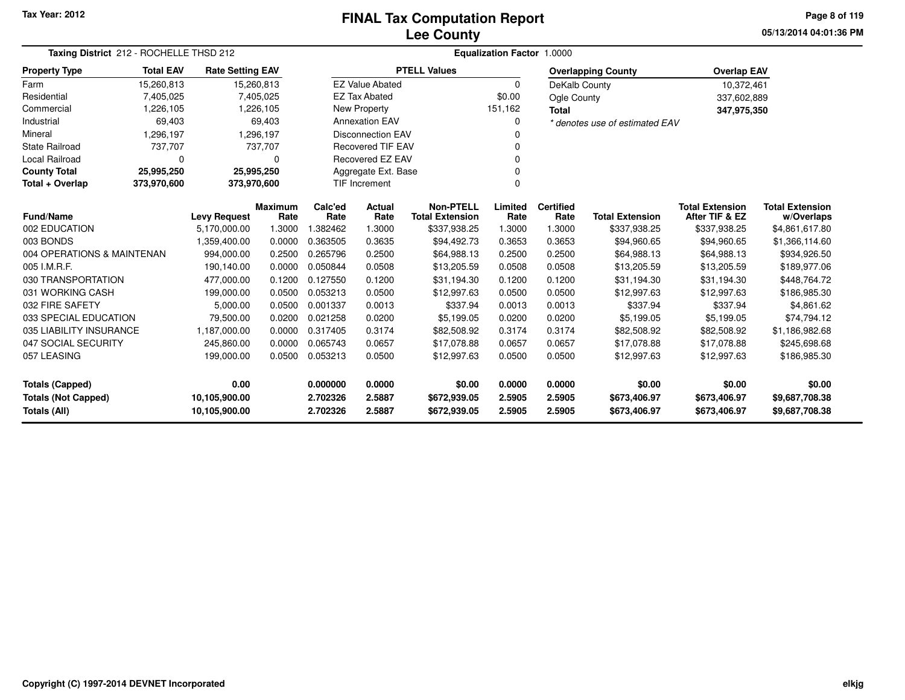### **Lee CountyFINAL Tax Computation Report**

**05/13/2014 04:01:36 PMPage 8 of 119**

| Taxing District 212 - ROCHELLE THSD 212                                      |                  | Equalization Factor 1.0000 |                        |                      |                           |                                            |                  |                          |                                |                                          |                                      |
|------------------------------------------------------------------------------|------------------|----------------------------|------------------------|----------------------|---------------------------|--------------------------------------------|------------------|--------------------------|--------------------------------|------------------------------------------|--------------------------------------|
| <b>Property Type</b>                                                         | <b>Total EAV</b> | <b>Rate Setting EAV</b>    |                        |                      |                           | <b>PTELL Values</b>                        |                  |                          | <b>Overlapping County</b>      | <b>Overlap EAV</b>                       |                                      |
| Farm                                                                         | 15,260,813       | 15,260,813                 |                        |                      | <b>EZ Value Abated</b>    |                                            | $\Omega$         | DeKalb County            |                                | 10,372,461                               |                                      |
| Residential                                                                  | 7,405,025        |                            | 7,405,025              |                      | <b>EZ Tax Abated</b>      |                                            | \$0.00           | Ogle County              |                                | 337,602,889                              |                                      |
| Commercial                                                                   | 1,226,105        |                            | 1,226,105              |                      | <b>New Property</b>       |                                            | 151,162          | <b>Total</b>             |                                | 347,975,350                              |                                      |
| Industrial                                                                   | 69,403           |                            | 69,403                 |                      | <b>Annexation EAV</b>     |                                            | 0                |                          | * denotes use of estimated EAV |                                          |                                      |
| Mineral                                                                      | 1,296,197        |                            | 1,296,197              |                      | <b>Disconnection EAV</b>  |                                            | n                |                          |                                |                                          |                                      |
| <b>State Railroad</b>                                                        | 737,707          |                            | 737,707                |                      | <b>Recovered TIF EAV</b>  |                                            | O                |                          |                                |                                          |                                      |
| Local Railroad                                                               | $\mathbf 0$      |                            | 0                      |                      | Recovered EZ EAV<br>ŋ     |                                            |                  |                          |                                |                                          |                                      |
| <b>County Total</b>                                                          | 25,995,250       | 25,995,250                 |                        |                      | Aggregate Ext. Base       |                                            |                  |                          |                                |                                          |                                      |
| Total + Overlap                                                              | 373,970,600      | 373,970,600                |                        |                      | TIF Increment<br>$\Omega$ |                                            |                  |                          |                                |                                          |                                      |
| Fund/Name                                                                    |                  | <b>Levy Request</b>        | <b>Maximum</b><br>Rate | Calc'ed<br>Rate      | Actual<br>Rate            | <b>Non-PTELL</b><br><b>Total Extension</b> | Limited<br>Rate  | <b>Certified</b><br>Rate | <b>Total Extension</b>         | <b>Total Extension</b><br>After TIF & EZ | <b>Total Extension</b><br>w/Overlaps |
| 002 EDUCATION                                                                |                  | 5,170,000.00               | 1.3000                 | 1.382462             | 1.3000                    | \$337,938.25                               | 1.3000           | 1.3000                   | \$337,938.25                   | \$337,938.25                             | \$4,861,617.80                       |
| 003 BONDS                                                                    |                  | 1,359,400.00               | 0.0000                 | 0.363505             | 0.3635                    | \$94,492.73                                | 0.3653           | 0.3653                   | \$94,960.65                    | \$94,960.65                              | \$1,366,114.60                       |
| 004 OPERATIONS & MAINTENAN                                                   |                  | 994,000.00                 | 0.2500                 | 0.265796             | 0.2500                    | \$64,988.13                                | 0.2500           | 0.2500                   | \$64,988.13                    | \$64,988.13                              | \$934,926.50                         |
| 005 I.M.R.F.                                                                 |                  | 190,140.00                 | 0.0000                 | 0.050844             | 0.0508                    | \$13,205.59                                | 0.0508           | 0.0508                   | \$13,205.59                    | \$13,205.59                              | \$189,977.06                         |
| 030 TRANSPORTATION                                                           |                  | 477,000.00                 | 0.1200                 | 0.127550             | 0.1200                    | \$31,194.30                                | 0.1200           | 0.1200                   | \$31,194.30                    | \$31,194.30                              | \$448,764.72                         |
| 031 WORKING CASH                                                             |                  | 199,000.00                 | 0.0500                 | 0.053213             | 0.0500                    | \$12,997.63                                | 0.0500           | 0.0500                   | \$12,997.63                    | \$12,997.63                              | \$186,985.30                         |
| 032 FIRE SAFETY                                                              |                  | 5,000.00                   | 0.0500                 | 0.001337             | 0.0013                    | \$337.94                                   | 0.0013           | 0.0013                   | \$337.94                       | \$337.94                                 | \$4,861.62                           |
| 033 SPECIAL EDUCATION                                                        |                  | 79,500.00                  | 0.0200                 | 0.021258             | 0.0200                    | \$5,199.05                                 | 0.0200           | 0.0200                   | \$5,199.05                     | \$5,199.05                               | \$74,794.12                          |
| 035 LIABILITY INSURANCE                                                      |                  | 1,187,000.00               | 0.0000                 | 0.317405             | 0.3174                    | \$82,508.92                                | 0.3174           | 0.3174                   | \$82,508.92                    | \$82,508.92                              | \$1,186,982.68                       |
| 047 SOCIAL SECURITY                                                          |                  | 245,860.00                 | 0.0000                 | 0.065743             | 0.0657                    | \$17,078.88                                | 0.0657           | 0.0657                   | \$17,078.88                    | \$17,078.88                              | \$245,698.68                         |
| 057 LEASING                                                                  |                  | 199,000.00                 | 0.0500                 | 0.053213             | 0.0500                    | \$12,997.63                                | 0.0500           | 0.0500                   | \$12,997.63                    | \$12,997.63                              | \$186,985.30                         |
| 0.00<br><b>Totals (Capped)</b>                                               |                  |                            |                        | 0.000000             | 0.0000                    | \$0.00                                     | 0.0000           | 0.0000                   | \$0.00                         | \$0.00                                   | \$0.00                               |
| <b>Totals (Not Capped)</b><br>10,105,900.00<br>Totals (All)<br>10,105,900.00 |                  |                            |                        | 2.702326<br>2.702326 | 2.5887<br>2.5887          | \$672,939.05<br>\$672,939.05               | 2.5905<br>2.5905 | 2.5905<br>2.5905         | \$673,406.97<br>\$673,406.97   | \$673,406.97<br>\$673,406.97             | \$9,687,708.38<br>\$9,687,708.38     |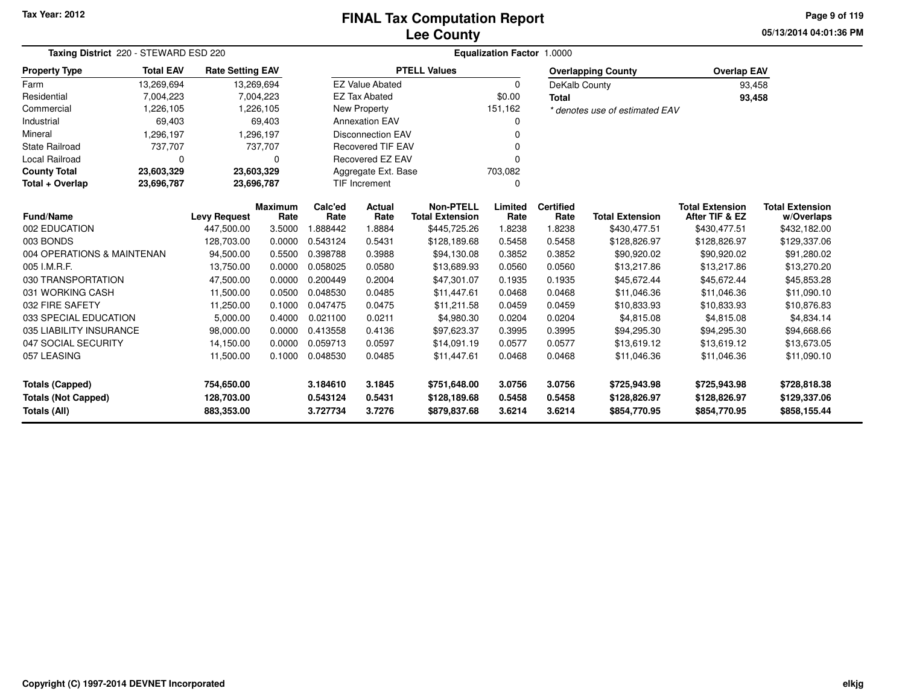### **Lee CountyFINAL Tax Computation Report**

**05/13/2014 04:01:36 PMPage 9 of 119**

| Taxing District 220 - STEWARD ESD 220 | Equalization Factor 1.0000 |                                   |                |                  |                                |                        |                |                  |                                        |                        |                        |
|---------------------------------------|----------------------------|-----------------------------------|----------------|------------------|--------------------------------|------------------------|----------------|------------------|----------------------------------------|------------------------|------------------------|
| <b>Property Type</b>                  | <b>Total EAV</b>           | <b>Rate Setting EAV</b>           |                |                  |                                | <b>PTELL Values</b>    |                |                  | <b>Overlapping County</b>              | <b>Overlap EAV</b>     |                        |
| Farm                                  | 13,269,694                 | 13,269,694                        |                |                  | <b>EZ Value Abated</b>         |                        | 0              | DeKalb County    |                                        | 93,458                 |                        |
| Residential                           | 7,004,223                  |                                   | 7,004,223      |                  | <b>EZ Tax Abated</b>           |                        | \$0.00         | <b>Total</b>     |                                        | 93,458                 |                        |
| Commercial                            | 1,226,105                  |                                   | 1,226,105      |                  | <b>New Property</b>            |                        | 151,162        |                  | * denotes use of estimated EAV         |                        |                        |
| Industrial                            | 69,403                     |                                   | 69,403         |                  | <b>Annexation EAV</b>          |                        | 0              |                  |                                        |                        |                        |
| Mineral                               | 1,296,197                  |                                   | 1,296,197      |                  | <b>Disconnection EAV</b>       |                        | $\Omega$       |                  |                                        |                        |                        |
| <b>State Railroad</b>                 | 737,707                    |                                   | 737,707        |                  | <b>Recovered TIF EAV</b>       |                        | $\Omega$       |                  |                                        |                        |                        |
| <b>Local Railroad</b>                 | 0                          |                                   | 0              |                  | <b>Recovered EZ EAV</b>        |                        | n              |                  |                                        |                        |                        |
| <b>County Total</b>                   | 23,603,329                 | 23,603,329                        |                |                  | Aggregate Ext. Base<br>703,082 |                        |                |                  |                                        |                        |                        |
| Total + Overlap                       | 23,696,787                 | 23,696,787                        |                |                  | <b>TIF Increment</b>           |                        | $\Omega$       |                  |                                        |                        |                        |
|                                       |                            |                                   | <b>Maximum</b> | Calc'ed          | Actual                         | <b>Non-PTELL</b>       | Limited        | <b>Certified</b> |                                        | <b>Total Extension</b> | <b>Total Extension</b> |
| <b>Fund/Name</b><br>002 EDUCATION     |                            | <b>Levy Request</b><br>447.500.00 | Rate<br>3.5000 | Rate<br>1.888442 | Rate<br>1.8884                 | <b>Total Extension</b> | Rate<br>1.8238 | Rate<br>1.8238   | <b>Total Extension</b><br>\$430,477.51 | After TIF & EZ         | w/Overlaps             |
| 003 BONDS                             |                            | 128,703.00                        | 0.0000         | 0.543124         |                                | \$445,725.26           |                | 0.5458           |                                        | \$430,477.51           | \$432,182.00           |
| 004 OPERATIONS & MAINTENAN            |                            |                                   |                | 0.398788         | 0.5431                         | \$128,189.68           | 0.5458         |                  | \$128,826.97                           | \$128,826.97           | \$129,337.06           |
|                                       |                            | 94,500.00                         | 0.5500         |                  | 0.3988                         | \$94,130.08            | 0.3852         | 0.3852           | \$90,920.02                            | \$90,920.02            | \$91,280.02            |
| 005 I.M.R.F.                          |                            | 13,750.00                         | 0.0000         | 0.058025         | 0.0580                         | \$13,689.93            | 0.0560         | 0.0560           | \$13,217.86                            | \$13,217.86            | \$13,270.20            |
| 030 TRANSPORTATION                    |                            | 47,500.00                         | 0.0000         | 0.200449         | 0.2004                         | \$47,301.07            | 0.1935         | 0.1935           | \$45,672.44                            | \$45,672.44            | \$45,853.28            |
| 031 WORKING CASH                      |                            | 11,500.00                         | 0.0500         | 0.048530         | 0.0485                         | \$11,447.61            | 0.0468         | 0.0468           | \$11,046.36                            | \$11,046.36            | \$11,090.10            |
| 032 FIRE SAFETY                       |                            | 11,250.00                         | 0.1000         | 0.047475         | 0.0475                         | \$11,211.58            | 0.0459         | 0.0459           | \$10,833.93                            | \$10,833.93            | \$10,876.83            |
| 033 SPECIAL EDUCATION                 |                            | 5,000.00                          | 0.4000         | 0.021100         | 0.0211                         | \$4,980.30             | 0.0204         | 0.0204           | \$4,815.08                             | \$4,815.08             | \$4,834.14             |
| 035 LIABILITY INSURANCE               |                            | 98,000.00                         | 0.0000         | 0.413558         | 0.4136                         | \$97,623.37            | 0.3995         | 0.3995           | \$94,295.30                            | \$94,295.30            | \$94,668.66            |
| 047 SOCIAL SECURITY                   |                            | 14,150.00                         | 0.0000         | 0.059713         | 0.0597                         | \$14,091.19            | 0.0577         | 0.0577           | \$13,619.12                            | \$13,619.12            | \$13,673.05            |
| 057 LEASING                           |                            | 11,500.00                         | 0.1000         | 0.048530         | 0.0485                         | \$11,447.61            | 0.0468         | 0.0468           | \$11,046.36                            | \$11,046.36            | \$11,090.10            |
| <b>Totals (Capped)</b>                |                            | 754,650.00                        |                | 3.184610         | 3.1845                         | \$751,648.00           | 3.0756         | 3.0756           | \$725,943.98                           | \$725,943.98           | \$728,818.38           |
| <b>Totals (Not Capped)</b>            |                            | 128,703.00                        |                | 0.543124         | 0.5431                         | \$128,189.68           | 0.5458         | 0.5458           | \$128,826.97                           | \$128,826.97           | \$129,337.06           |
| Totals (All)                          |                            | 883,353.00                        |                | 3.727734         | 3.7276                         | \$879,837.68           | 3.6214         | 3.6214           | \$854,770.95                           | \$854,770.95           | \$858,155.44           |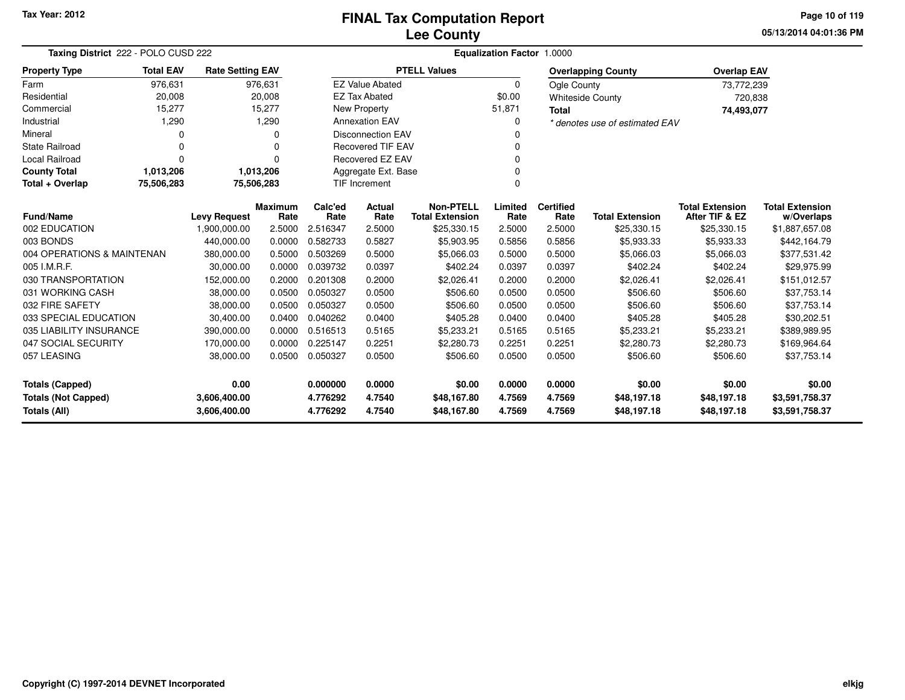**05/13/2014 04:01:36 PM Page 10 of 119**

| Taxing District 222 - POLO CUSD 222        |                          |                         |                 | Equalization Factor 1.0000 |                                            |                     |                          |                        |                                          |                                      |                |  |
|--------------------------------------------|--------------------------|-------------------------|-----------------|----------------------------|--------------------------------------------|---------------------|--------------------------|------------------------|------------------------------------------|--------------------------------------|----------------|--|
| <b>Property Type</b>                       | <b>Total EAV</b>         | <b>Rate Setting EAV</b> |                 |                            |                                            | <b>PTELL Values</b> |                          |                        | <b>Overlapping County</b>                | <b>Overlap EAV</b>                   |                |  |
| Farm                                       | 976,631                  |                         | 976,631         |                            | <b>EZ Value Abated</b>                     |                     | $\Omega$                 | Ogle County            |                                          | 73,772,239                           |                |  |
| Residential                                | 20,008                   |                         | 20,008          |                            | <b>EZ Tax Abated</b>                       |                     | \$0.00                   |                        | <b>Whiteside County</b>                  | 720,838                              |                |  |
| Commercial                                 | 15,277                   |                         | 15,277          |                            | New Property                               |                     | 51,871                   | <b>Total</b>           |                                          | 74,493,077                           |                |  |
| Industrial                                 | 1,290                    |                         | 1,290           |                            | <b>Annexation EAV</b>                      |                     | O                        |                        | * denotes use of estimated EAV           |                                      |                |  |
| Mineral                                    | 0                        |                         | 0               | <b>Disconnection EAV</b>   |                                            |                     |                          |                        |                                          |                                      |                |  |
| <b>State Railroad</b>                      | 0                        |                         | 0               |                            | <b>Recovered TIF EAV</b>                   |                     |                          |                        |                                          |                                      |                |  |
| <b>Local Railroad</b>                      | 0                        |                         | n               |                            | <b>Recovered EZ EAV</b>                    |                     |                          |                        |                                          |                                      |                |  |
| <b>County Total</b>                        | 1,013,206                |                         | 1,013,206       |                            | Aggregate Ext. Base                        |                     |                          |                        |                                          |                                      |                |  |
| Total + Overlap                            | 75,506,283<br>75,506,283 |                         |                 |                            | <b>TIF Increment</b>                       |                     | $\Omega$                 |                        |                                          |                                      |                |  |
| <b>Fund/Name</b><br><b>Levy Request</b>    |                          | <b>Maximum</b><br>Rate  | Calc'ed<br>Rate | Actual<br>Rate             | <b>Non-PTELL</b><br><b>Total Extension</b> | Limited<br>Rate     | <b>Certified</b><br>Rate | <b>Total Extension</b> | <b>Total Extension</b><br>After TIF & EZ | <b>Total Extension</b><br>w/Overlaps |                |  |
| 002 EDUCATION                              |                          | 1,900,000.00            | 2.5000          | 2.516347                   | 2.5000                                     | \$25,330.15         | 2.5000                   | 2.5000                 | \$25,330.15                              | \$25,330.15                          | \$1,887,657.08 |  |
| 003 BONDS                                  |                          | 440,000.00              | 0.0000          | 0.582733                   | 0.5827                                     | \$5,903.95          | 0.5856                   | 0.5856                 | \$5,933.33                               | \$5,933.33                           | \$442,164.79   |  |
| 004 OPERATIONS & MAINTENAN                 |                          | 380,000.00              | 0.5000          | 0.503269                   | 0.5000                                     | \$5,066.03          | 0.5000                   | 0.5000                 | \$5,066.03                               | \$5,066.03                           | \$377,531.42   |  |
| 005 I.M.R.F.                               |                          | 30,000.00               | 0.0000          | 0.039732                   | 0.0397                                     | \$402.24            | 0.0397                   | 0.0397                 | \$402.24                                 | \$402.24                             | \$29,975.99    |  |
| 030 TRANSPORTATION                         |                          | 152,000.00              | 0.2000          | 0.201308                   | 0.2000                                     | \$2,026.41          | 0.2000                   | 0.2000                 | \$2,026.41                               | \$2,026.41                           | \$151,012.57   |  |
| 031 WORKING CASH                           |                          | 38,000.00               | 0.0500          | 0.050327                   | 0.0500                                     | \$506.60            | 0.0500                   | 0.0500                 | \$506.60                                 | \$506.60                             | \$37,753.14    |  |
| 032 FIRE SAFETY                            |                          | 38,000.00               | 0.0500          | 0.050327                   | 0.0500                                     | \$506.60            | 0.0500                   | 0.0500                 | \$506.60                                 | \$506.60                             | \$37,753.14    |  |
| 033 SPECIAL EDUCATION                      |                          | 30,400.00               | 0.0400          | 0.040262                   | 0.0400                                     | \$405.28            | 0.0400                   | 0.0400                 | \$405.28                                 | \$405.28                             | \$30,202.51    |  |
| 035 LIABILITY INSURANCE                    |                          | 390,000.00              | 0.0000          | 0.516513                   | 0.5165                                     | \$5,233.21          | 0.5165                   | 0.5165                 | \$5,233.21                               | \$5,233.21                           | \$389,989.95   |  |
| 047 SOCIAL SECURITY                        |                          | 170,000.00              | 0.0000          | 0.225147                   | 0.2251                                     | \$2,280.73          | 0.2251                   | 0.2251                 | \$2,280.73                               | \$2,280.73                           | \$169,964.64   |  |
| 057 LEASING                                |                          | 38,000.00               | 0.0500          | 0.050327                   | 0.0500                                     | \$506.60            | 0.0500                   | 0.0500                 | \$506.60                                 | \$506.60                             | \$37,753.14    |  |
| 0.00<br><b>Totals (Capped)</b>             |                          |                         | 0.000000        | 0.0000                     | \$0.00                                     | 0.0000              | 0.0000                   | \$0.00                 | \$0.00                                   | \$0.00                               |                |  |
| <b>Totals (Not Capped)</b><br>3,606,400.00 |                          |                         |                 | 4.776292                   | 4.7540                                     | \$48,167.80         | 4.7569                   | 4.7569                 | \$48,197.18                              | \$48,197.18                          | \$3,591,758.37 |  |
| <b>Totals (All)</b>                        |                          | 3,606,400.00            |                 | 4.776292                   | 4.7540                                     | \$48,167.80         | 4.7569                   | 4.7569                 | \$48,197.18                              | \$48,197.18                          | \$3,591,758.37 |  |

 $\overline{\phantom{0}}$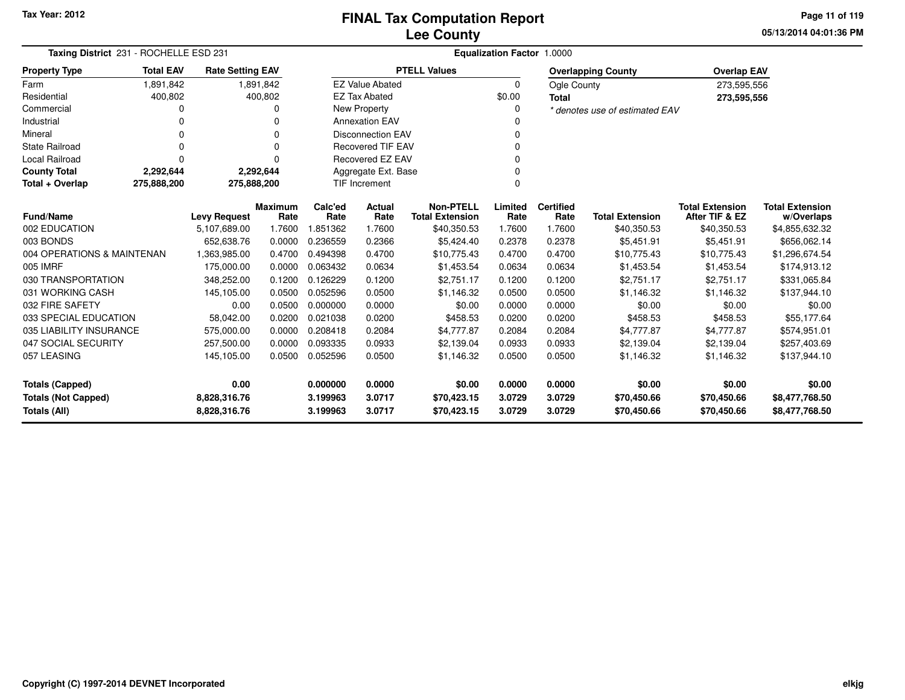**05/13/2014 04:01:36 PMPage 11 of 119**

| Taxing District 231 - ROCHELLE ESD 231     | Equalization Factor 1.0000                      |                              |                |                      |                          |                                            |                  |                          |                                |                                          |                                  |
|--------------------------------------------|-------------------------------------------------|------------------------------|----------------|----------------------|--------------------------|--------------------------------------------|------------------|--------------------------|--------------------------------|------------------------------------------|----------------------------------|
| <b>Property Type</b>                       | <b>Total EAV</b>                                | <b>Rate Setting EAV</b>      |                |                      |                          | <b>PTELL Values</b>                        |                  |                          | <b>Overlapping County</b>      | <b>Overlap EAV</b>                       |                                  |
| Farm                                       | 1,891,842                                       |                              | 1,891,842      |                      | <b>EZ Value Abated</b>   |                                            | $\Omega$         | Ogle County              |                                | 273,595,556                              |                                  |
| Residential                                | 400,802                                         |                              | 400,802        |                      | <b>EZ Tax Abated</b>     |                                            | \$0.00           | <b>Total</b>             |                                | 273,595,556                              |                                  |
| Commercial                                 | 0                                               |                              | 0              |                      | New Property             |                                            | $\Omega$         |                          | * denotes use of estimated EAV |                                          |                                  |
| Industrial                                 | 0                                               |                              | 0              |                      | <b>Annexation EAV</b>    |                                            |                  |                          |                                |                                          |                                  |
| Mineral                                    | 0                                               |                              | 0              |                      | <b>Disconnection EAV</b> |                                            | 0                |                          |                                |                                          |                                  |
| <b>State Railroad</b>                      | 0                                               |                              | $\Omega$       |                      | <b>Recovered TIF EAV</b> |                                            | 0                |                          |                                |                                          |                                  |
| Local Railroad                             | 0                                               |                              | 0              |                      | Recovered EZ EAV         |                                            | $\Omega$         |                          |                                |                                          |                                  |
| <b>County Total</b>                        | 2,292,644                                       |                              | 2,292,644      |                      | Aggregate Ext. Base      |                                            | 0                |                          |                                |                                          |                                  |
| Total + Overlap                            | 275,888,200                                     | 275,888,200                  |                |                      | <b>TIF Increment</b>     |                                            | $\mathbf 0$      |                          |                                |                                          |                                  |
|                                            | <b>Fund/Name</b><br><b>Levy Request</b><br>Rate |                              | <b>Maximum</b> | Calc'ed<br>Rate      | Actual<br>Rate           | <b>Non-PTELL</b><br><b>Total Extension</b> | Limited<br>Rate  | <b>Certified</b><br>Rate | <b>Total Extension</b>         | <b>Total Extension</b><br>After TIF & EZ | <b>Total Extension</b>           |
| 002 EDUCATION                              |                                                 | 5,107,689.00                 | 1.7600         | 1.851362             | 1.7600                   | \$40,350.53                                | 1.7600           | 1.7600                   | \$40,350.53                    | \$40,350.53                              | w/Overlaps<br>\$4,855,632.32     |
| 003 BONDS                                  |                                                 | 652,638.76                   | 0.0000         | 0.236559             | 0.2366                   | \$5,424.40                                 | 0.2378           | 0.2378                   | \$5,451.91                     | \$5,451.91                               | \$656,062.14                     |
| 004 OPERATIONS & MAINTENAN                 |                                                 | 1,363,985.00                 | 0.4700         | 0.494398             | 0.4700                   | \$10,775.43                                | 0.4700           | 0.4700                   | \$10,775.43                    | \$10,775.43                              | \$1,296,674.54                   |
| 005 IMRF                                   |                                                 | 175,000.00                   | 0.0000         | 0.063432             | 0.0634                   | \$1,453.54                                 | 0.0634           | 0.0634                   | \$1,453.54                     | \$1,453.54                               | \$174,913.12                     |
| 030 TRANSPORTATION                         |                                                 | 348,252.00                   | 0.1200         | 0.126229             | 0.1200                   | \$2,751.17                                 | 0.1200           | 0.1200                   | \$2,751.17                     | \$2,751.17                               | \$331,065.84                     |
| 031 WORKING CASH                           |                                                 | 145,105.00                   | 0.0500         | 0.052596             | 0.0500                   | \$1,146.32                                 | 0.0500           | 0.0500                   | \$1,146.32                     | \$1,146.32                               | \$137,944.10                     |
| 032 FIRE SAFETY                            |                                                 | 0.00                         | 0.0500         | 0.000000             | 0.0000                   | \$0.00                                     | 0.0000           | 0.0000                   | \$0.00                         | \$0.00                                   | \$0.00                           |
| 033 SPECIAL EDUCATION                      |                                                 | 58,042.00                    | 0.0200         | 0.021038             | 0.0200                   | \$458.53                                   | 0.0200           | 0.0200                   | \$458.53                       | \$458.53                                 | \$55,177.64                      |
| 035 LIABILITY INSURANCE                    |                                                 | 575,000.00                   | 0.0000         | 0.208418             | 0.2084                   | \$4,777.87                                 | 0.2084           | 0.2084                   | \$4,777.87                     | \$4,777.87                               | \$574,951.01                     |
| 047 SOCIAL SECURITY                        |                                                 | 257,500.00                   | 0.0000         | 0.093335             | 0.0933                   | \$2,139.04                                 | 0.0933           | 0.0933                   | \$2,139.04                     | \$2,139.04                               | \$257,403.69                     |
| 057 LEASING                                |                                                 | 145,105.00                   | 0.0500         | 0.052596             | 0.0500                   | \$1,146.32                                 | 0.0500           | 0.0500                   | \$1,146.32                     | \$1,146.32                               | \$137,944.10                     |
| <b>Totals (Capped)</b>                     |                                                 | 0.00                         |                | 0.000000             | 0.0000                   | \$0.00                                     | 0.0000           | 0.0000                   | \$0.00                         | \$0.00                                   | \$0.00                           |
| <b>Totals (Not Capped)</b><br>Totals (All) |                                                 | 8,828,316.76<br>8,828,316.76 |                | 3.199963<br>3.199963 | 3.0717<br>3.0717         | \$70,423.15<br>\$70,423.15                 | 3.0729<br>3.0729 | 3.0729<br>3.0729         | \$70,450.66<br>\$70,450.66     | \$70,450.66<br>\$70,450.66               | \$8,477,768.50<br>\$8,477,768.50 |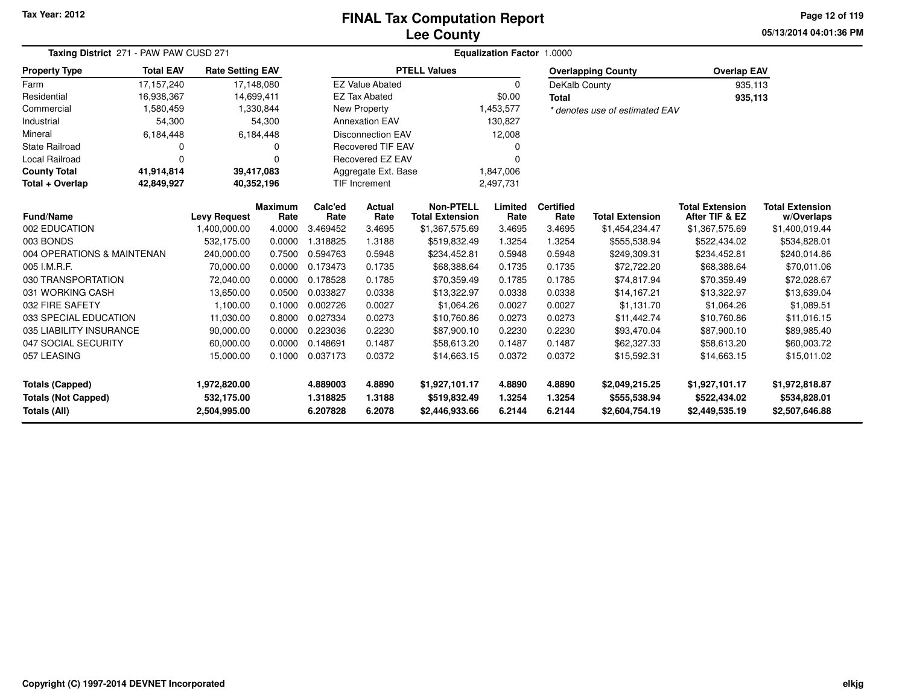### **Lee CountyFINAL Tax Computation Report**

**05/13/2014 04:01:36 PMPage 12 of 119**

| Taxing District 271 - PAW PAW CUSD 271 | Equalization Factor 1.0000 |                                     |                        |                 |                          |                                            |                 |                          |                                |                                          |                                      |
|----------------------------------------|----------------------------|-------------------------------------|------------------------|-----------------|--------------------------|--------------------------------------------|-----------------|--------------------------|--------------------------------|------------------------------------------|--------------------------------------|
| <b>Property Type</b>                   | <b>Total EAV</b>           | <b>Rate Setting EAV</b>             |                        |                 |                          | <b>PTELL Values</b>                        |                 |                          | <b>Overlapping County</b>      | <b>Overlap EAV</b>                       |                                      |
| Farm                                   | 17,157,240                 |                                     | 17,148,080             |                 | <b>EZ Value Abated</b>   |                                            | $\Omega$        | DeKalb County            |                                | 935,113                                  |                                      |
| Residential                            | 16,938,367                 |                                     | 14,699,411             |                 | <b>EZ Tax Abated</b>     |                                            | \$0.00          | <b>Total</b>             |                                | 935,113                                  |                                      |
| Commercial                             | 1,580,459                  |                                     | 1,330,844              |                 | New Property             |                                            | 1,453,577       |                          | * denotes use of estimated EAV |                                          |                                      |
| Industrial                             | 54,300                     |                                     | 54,300                 |                 | <b>Annexation EAV</b>    |                                            | 130,827         |                          |                                |                                          |                                      |
| Mineral                                | 6,184,448                  |                                     | 6,184,448              |                 | <b>Disconnection EAV</b> |                                            | 12,008          |                          |                                |                                          |                                      |
| State Railroad                         | 0                          |                                     | 0                      |                 | <b>Recovered TIF EAV</b> | 0                                          |                 |                          |                                |                                          |                                      |
| <b>Local Railroad</b>                  | $\Omega$                   |                                     | $\Omega$               |                 | Recovered EZ EAV         | $\Omega$                                   |                 |                          |                                |                                          |                                      |
| <b>County Total</b>                    | 41,914,814                 |                                     | 39,417,083             |                 | Aggregate Ext. Base      |                                            | 1,847,006       |                          |                                |                                          |                                      |
| Total + Overlap                        | 42,849,927                 |                                     | 40,352,196             |                 | <b>TIF Increment</b>     |                                            | 2,497,731       |                          |                                |                                          |                                      |
|                                        | <b>Fund/Name</b>           |                                     | <b>Maximum</b><br>Rate | Calc'ed<br>Rate | Actual<br>Rate           | <b>Non-PTELL</b><br><b>Total Extension</b> | Limited<br>Rate | <b>Certified</b><br>Rate | <b>Total Extension</b>         | <b>Total Extension</b><br>After TIF & EZ | <b>Total Extension</b><br>w/Overlaps |
| 002 EDUCATION                          |                            | <b>Levy Request</b><br>1,400,000.00 | 4.0000                 | 3.469452        | 3.4695                   | \$1,367,575.69                             | 3.4695          | 3.4695                   | \$1,454,234.47                 | \$1,367,575.69                           | \$1,400,019.44                       |
| 003 BONDS                              |                            | 532,175.00                          | 0.0000                 | 1.318825        | 1.3188                   | \$519,832.49                               | 1.3254          | 1.3254                   | \$555,538.94                   | \$522,434.02                             | \$534,828.01                         |
| 004 OPERATIONS & MAINTENAN             |                            | 240,000.00                          | 0.7500                 | 0.594763        | 0.5948                   | \$234,452.81                               | 0.5948          | 0.5948                   | \$249,309.31                   | \$234,452.81                             | \$240,014.86                         |
| 005 I.M.R.F.                           |                            | 70,000.00                           | 0.0000                 | 0.173473        | 0.1735                   | \$68,388.64                                | 0.1735          | 0.1735                   | \$72,722,20                    | \$68,388.64                              | \$70,011.06                          |
| 030 TRANSPORTATION                     |                            | 72,040.00                           | 0.0000                 | 0.178528        | 0.1785                   | \$70,359.49                                | 0.1785          | 0.1785                   | \$74,817.94                    | \$70,359.49                              | \$72,028.67                          |
| 031 WORKING CASH                       |                            | 13,650.00                           | 0.0500                 | 0.033827        | 0.0338                   | \$13,322.97                                | 0.0338          | 0.0338                   | \$14,167.21                    | \$13,322.97                              | \$13,639.04                          |
| 032 FIRE SAFETY                        |                            | 1,100.00                            | 0.1000                 | 0.002726        | 0.0027                   | \$1,064.26                                 | 0.0027          | 0.0027                   | \$1,131.70                     | \$1,064.26                               | \$1,089.51                           |
| 033 SPECIAL EDUCATION                  |                            | 11,030.00                           | 0.8000                 | 0.027334        | 0.0273                   | \$10,760.86                                | 0.0273          | 0.0273                   | \$11,442.74                    | \$10,760.86                              | \$11,016.15                          |
| 035 LIABILITY INSURANCE                |                            | 90,000.00                           | 0.0000                 | 0.223036        | 0.2230                   | \$87,900.10                                | 0.2230          | 0.2230                   | \$93,470.04                    | \$87,900.10                              | \$89,985.40                          |
| 047 SOCIAL SECURITY                    |                            | 60,000.00                           | 0.0000                 | 0.148691        | 0.1487                   | \$58,613.20                                | 0.1487          | 0.1487                   | \$62,327.33                    | \$58,613.20                              | \$60,003.72                          |
| 057 LEASING                            |                            | 15,000.00                           | 0.1000                 | 0.037173        | 0.0372                   | \$14,663.15                                | 0.0372          | 0.0372                   | \$15,592.31                    | \$14,663.15                              | \$15,011.02                          |
| <b>Totals (Capped)</b>                 |                            | 1,972,820.00                        |                        | 4.889003        | 4.8890                   | \$1,927,101.17                             | 4.8890          | 4.8890                   | \$2,049,215.25                 | \$1,927,101.17                           | \$1,972,818.87                       |
| <b>Totals (Not Capped)</b>             |                            | 532,175.00                          |                        | 1.318825        | 1.3188                   | \$519,832.49                               | 1.3254          | 1.3254                   | \$555,538.94                   | \$522,434.02                             | \$534,828.01                         |
| <b>Totals (All)</b>                    |                            | 2,504,995.00                        |                        | 6.207828        | 6.2078                   | \$2,446,933.66                             | 6.2144          | 6.2144                   | \$2,604,754.19                 | \$2,449,535.19                           | \$2,507,646.88                       |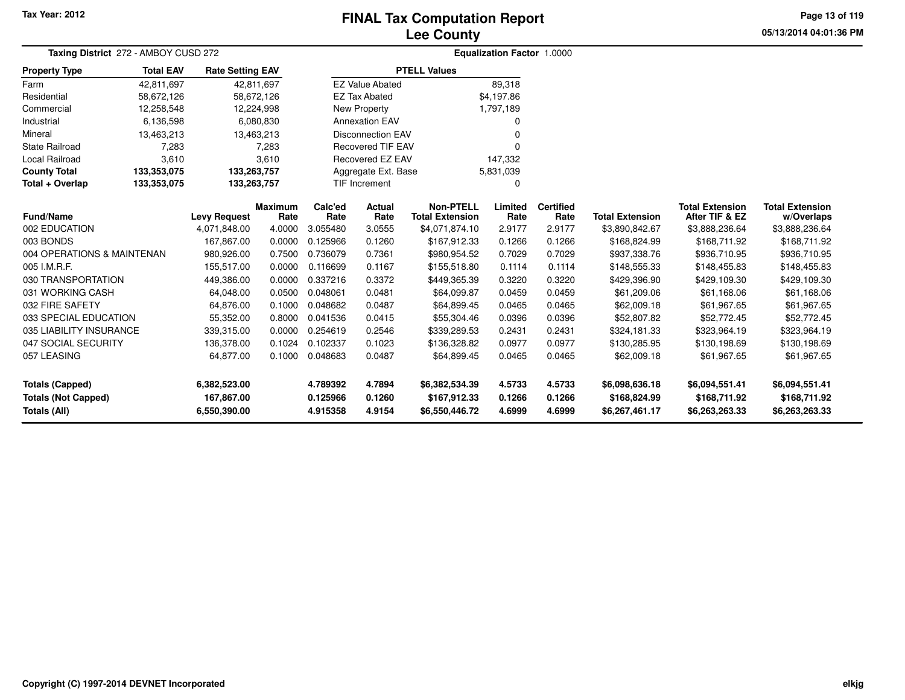# **Lee CountyFINAL Tax Computation Report**

**05/13/2014 04:01:36 PM Page 13 of 119**

| Taxing District 272 - AMBOY CUSD 272 | Equalization Factor 1.0000 |                         |                    |                          |                          |                        |              |                  |                        |                        |                        |  |
|--------------------------------------|----------------------------|-------------------------|--------------------|--------------------------|--------------------------|------------------------|--------------|------------------|------------------------|------------------------|------------------------|--|
| <b>Property Type</b>                 | <b>Total EAV</b>           | <b>Rate Setting EAV</b> |                    |                          |                          | <b>PTELL Values</b>    |              |                  |                        |                        |                        |  |
| Farm                                 | 42,811,697                 | 42,811,697              |                    |                          | <b>EZ Value Abated</b>   |                        | 89,318       |                  |                        |                        |                        |  |
| Residential                          | 58,672,126                 | 58,672,126              |                    |                          | <b>EZ Tax Abated</b>     |                        | \$4,197.86   |                  |                        |                        |                        |  |
| Commercial                           | 12,258,548                 | 12,224,998              |                    |                          | <b>New Property</b>      |                        | 1,797,189    |                  |                        |                        |                        |  |
| Industrial                           | 6,136,598                  |                         | 6,080,830          |                          | <b>Annexation EAV</b>    |                        | $\Omega$     |                  |                        |                        |                        |  |
| Mineral                              | 13,463,213                 | 13,463,213              |                    |                          | <b>Disconnection EAV</b> |                        | $\Omega$     |                  |                        |                        |                        |  |
| <b>State Railroad</b>                | 7,283                      |                         | 7,283              | <b>Recovered TIF EAV</b> |                          |                        | $\Omega$     |                  |                        |                        |                        |  |
| Local Railroad                       | 3,610                      |                         | 3,610              |                          | Recovered EZ EAV         |                        | 147,332      |                  |                        |                        |                        |  |
| <b>County Total</b>                  | 133,353,075                | 133,263,757             |                    |                          | Aggregate Ext. Base      |                        | 5,831,039    |                  |                        |                        |                        |  |
| Total + Overlap                      | 133,353,075                | 133,263,757             |                    |                          | <b>TIF Increment</b>     |                        | $\Omega$     |                  |                        |                        |                        |  |
|                                      |                            |                         | <b>Maximum</b>     | Calc'ed<br>Actual        |                          | <b>Non-PTELL</b>       | Limited      | <b>Certified</b> |                        | <b>Total Extension</b> | <b>Total Extension</b> |  |
| Fund/Name                            |                            | <b>Levy Request</b>     | Rate               | Rate                     | Rate                     | <b>Total Extension</b> | Rate         | Rate             | <b>Total Extension</b> | After TIF & EZ         | w/Overlaps             |  |
| 002 EDUCATION                        |                            | 4,071,848.00            | 4.0000             | 3.055480                 | 3.0555                   | \$4,071,874.10         | 2.9177       | 2.9177           | \$3,890,842.67         | \$3,888,236.64         | \$3,888,236.64         |  |
| 003 BONDS                            |                            | 167,867.00              | 0.0000             | 0.125966                 | 0.1260                   | \$167,912.33           | 0.1266       | 0.1266           | \$168,824.99           | \$168,711.92           | \$168,711.92           |  |
| 004 OPERATIONS & MAINTENAN           |                            | 980,926.00              | 0.7500             | 0.736079                 | 0.7361                   | \$980,954.52           | 0.7029       | 0.7029           | \$937,338.76           | \$936,710.95           | \$936,710.95           |  |
| 005 I.M.R.F.                         |                            | 155,517.00              | 0.0000             | 0.116699                 | 0.1167                   | \$155,518.80           | 0.1114       | 0.1114           | \$148,555.33           | \$148,455.83           | \$148,455.83           |  |
| 030 TRANSPORTATION                   |                            | 449,386.00              | 0.0000             | 0.337216                 | 0.3372                   | \$449,365.39           | 0.3220       | 0.3220           | \$429,396.90           | \$429,109.30           | \$429,109.30           |  |
| 031 WORKING CASH                     |                            | 64,048.00               | 0.0500             | 0.048061                 | 0.0481                   | \$64,099.87            | 0.0459       | 0.0459           | \$61,209.06            | \$61,168.06            | \$61,168.06            |  |
| 032 FIRE SAFETY                      |                            | 64,876.00               | 0.1000             | 0.048682                 | 0.0487                   | \$64,899.45            | 0.0465       | 0.0465           | \$62,009.18            | \$61,967.65            | \$61,967.65            |  |
| 033 SPECIAL EDUCATION                |                            | 55,352.00               | 0.8000             | 0.041536                 | 0.0415                   | \$55,304.46            | 0.0396       | 0.0396           | \$52,807.82            | \$52,772.45            | \$52,772.45            |  |
| 035 LIABILITY INSURANCE              |                            | 339,315.00              | 0.0000             | 0.254619                 | 0.2546                   | \$339,289.53           | 0.2431       | 0.2431           | \$324,181.33           | \$323,964.19           | \$323,964.19           |  |
| 047 SOCIAL SECURITY                  |                            | 136,378.00              | 0.1024             | 0.102337                 | 0.1023                   | \$136,328.82           | 0.0977       | 0.0977           | \$130,285.95           | \$130,198.69           | \$130,198.69           |  |
| 057 LEASING                          |                            | 64,877.00               | 0.1000             | 0.048683<br>0.0487       |                          | \$64,899.45            | 0.0465       | 0.0465           | \$62,009.18            | \$61,967.65            | \$61,967.65            |  |
| <b>Totals (Capped)</b>               |                            | 6,382,523.00            | 4.789392<br>4.7894 |                          | \$6,382,534.39           | 4.5733                 | 4.5733       | \$6,098,636.18   | \$6,094,551.41         | \$6,094,551.41         |                        |  |
| <b>Totals (Not Capped)</b>           | 167,867.00<br>0.125966     |                         | 0.1260             | \$167,912.33             | 0.1266                   | 0.1266                 | \$168,824.99 | \$168,711.92     | \$168,711.92           |                        |                        |  |
| Totals (All)<br>6,550,390.00         |                            |                         | 4.915358           | 4.9154                   | \$6,550,446.72           | 4.6999                 | 4.6999       | \$6,267,461.17   | \$6,263,263.33         | \$6,263,263.33         |                        |  |

۰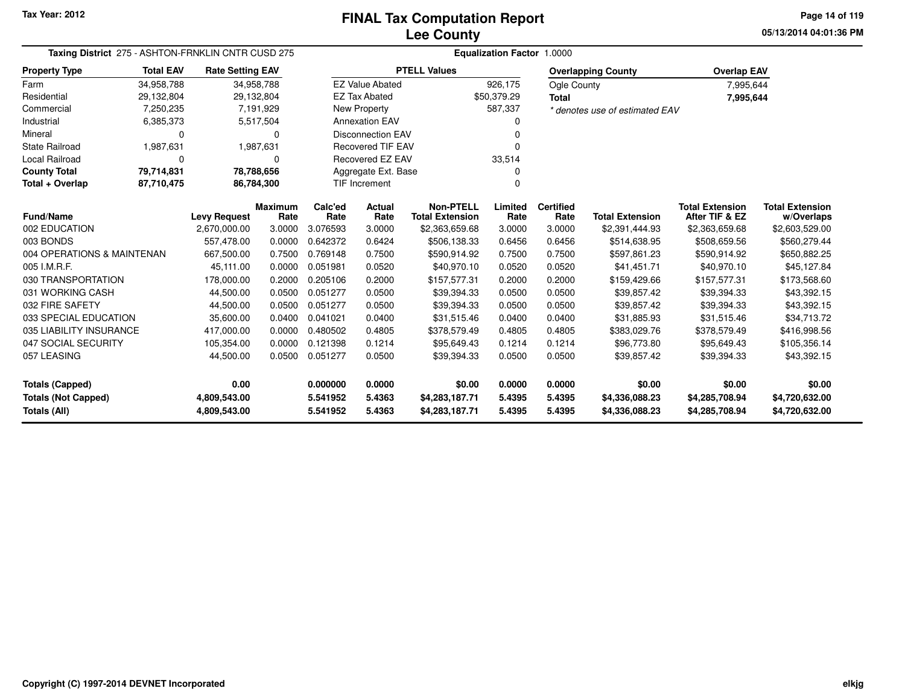**05/13/2014 04:01:36 PMPage 14 of 119**

| Taxing District 275 - ASHTON-FRNKLIN CNTR CUSD 275 | <b>Equalization Factor 1.0000</b> |                         |                        |                 |                                  |                                            |                 |                          |                                |                                          |                                      |
|----------------------------------------------------|-----------------------------------|-------------------------|------------------------|-----------------|----------------------------------|--------------------------------------------|-----------------|--------------------------|--------------------------------|------------------------------------------|--------------------------------------|
| <b>Property Type</b>                               | <b>Total EAV</b>                  | <b>Rate Setting EAV</b> |                        |                 |                                  | <b>PTELL Values</b>                        |                 |                          | <b>Overlapping County</b>      | <b>Overlap EAV</b>                       |                                      |
| Farm                                               | 34,958,788                        | 34,958,788              |                        |                 | <b>EZ Value Abated</b>           |                                            | 926,175         | Ogle County              |                                | 7,995,644                                |                                      |
| Residential                                        | 29,132,804                        | 29,132,804              |                        |                 | <b>EZ Tax Abated</b>             |                                            | \$50,379.29     | <b>Total</b>             |                                | 7,995,644                                |                                      |
| Commercial                                         | 7,250,235                         |                         | 7,191,929              |                 | New Property                     |                                            | 587,337         |                          | * denotes use of estimated EAV |                                          |                                      |
| Industrial                                         | 6,385,373                         |                         | 5,517,504              |                 | <b>Annexation EAV</b>            |                                            |                 |                          |                                |                                          |                                      |
| Mineral                                            | 0                                 |                         | $\Omega$               |                 | <b>Disconnection EAV</b>         |                                            | n               |                          |                                |                                          |                                      |
| <b>State Railroad</b>                              | 1,987,631                         |                         | 1,987,631              |                 | <b>Recovered TIF EAV</b>         |                                            | $\Omega$        |                          |                                |                                          |                                      |
| <b>Local Railroad</b>                              | 0                                 |                         | $\mathbf 0$            |                 | Recovered EZ EAV                 |                                            | 33,514          |                          |                                |                                          |                                      |
| <b>County Total</b>                                | 79,714,831                        |                         | 78,788,656             |                 | Aggregate Ext. Base              |                                            |                 |                          |                                |                                          |                                      |
| Total + Overlap                                    | 87,710,475                        | 86,784,300              |                        |                 | <b>TIF Increment</b><br>$\Omega$ |                                            |                 |                          |                                |                                          |                                      |
| <b>Fund/Name</b>                                   |                                   | <b>Levy Request</b>     | <b>Maximum</b><br>Rate | Calc'ed<br>Rate | Actual<br>Rate                   | <b>Non-PTELL</b><br><b>Total Extension</b> | Limited<br>Rate | <b>Certified</b><br>Rate | <b>Total Extension</b>         | <b>Total Extension</b><br>After TIF & EZ | <b>Total Extension</b><br>w/Overlaps |
| 002 EDUCATION                                      |                                   | 2,670,000.00            | 3.0000                 | 3.076593        | 3.0000                           | \$2,363,659.68                             | 3.0000          | 3.0000                   | \$2,391,444.93                 | \$2,363,659.68                           | \$2,603,529.00                       |
| 003 BONDS                                          |                                   | 557,478.00              | 0.0000                 | 0.642372        | 0.6424                           | \$506,138.33                               | 0.6456          | 0.6456                   | \$514,638.95                   | \$508,659.56                             | \$560,279.44                         |
| 004 OPERATIONS & MAINTENAN                         |                                   | 667,500.00              | 0.7500                 | 0.769148        | 0.7500                           | \$590,914.92                               | 0.7500          | 0.7500                   | \$597,861.23                   | \$590,914.92                             | \$650,882.25                         |
| 005 I.M.R.F.                                       |                                   | 45,111.00               | 0.0000                 | 0.051981        | 0.0520                           | \$40,970.10                                | 0.0520          | 0.0520                   | \$41,451.71                    | \$40,970.10                              | \$45,127.84                          |
| 030 TRANSPORTATION                                 |                                   | 178,000.00              | 0.2000                 | 0.205106        | 0.2000                           | \$157,577.31                               | 0.2000          | 0.2000                   | \$159,429.66                   | \$157,577.31                             | \$173,568.60                         |
| 031 WORKING CASH                                   |                                   | 44,500.00               | 0.0500                 | 0.051277        | 0.0500                           | \$39,394.33                                | 0.0500          | 0.0500                   | \$39,857.42                    | \$39,394.33                              | \$43,392.15                          |
| 032 FIRE SAFETY                                    |                                   | 44,500.00               | 0.0500                 | 0.051277        | 0.0500                           | \$39,394.33                                | 0.0500          | 0.0500                   | \$39,857.42                    | \$39,394.33                              | \$43,392.15                          |
| 033 SPECIAL EDUCATION                              |                                   | 35,600.00               | 0.0400                 | 0.041021        | 0.0400                           | \$31,515.46                                | 0.0400          | 0.0400                   | \$31,885.93                    | \$31,515.46                              | \$34,713.72                          |
| 035 LIABILITY INSURANCE                            |                                   | 417,000.00              | 0.0000                 | 0.480502        | 0.4805                           | \$378,579.49                               | 0.4805          | 0.4805                   | \$383,029.76                   | \$378,579.49                             | \$416,998.56                         |
| 047 SOCIAL SECURITY                                |                                   | 105,354.00              | 0.0000                 | 0.121398        | 0.1214                           | \$95,649.43                                | 0.1214          | 0.1214                   | \$96,773.80                    | \$95,649.43                              | \$105,356.14                         |
| 057 LEASING                                        |                                   | 44,500.00               | 0.0500                 | 0.051277        | 0.0500                           | \$39,394.33                                | 0.0500          | 0.0500                   | \$39,857.42                    | \$39,394.33                              | \$43,392.15                          |
| <b>Totals (Capped)</b>                             |                                   | 0.00                    |                        | 0.000000        | 0.0000                           | \$0.00                                     | 0.0000          | 0.0000                   | \$0.00                         | \$0.00                                   | \$0.00                               |
| <b>Totals (Not Capped)</b>                         |                                   | 4,809,543.00            |                        | 5.541952        | 5.4363                           | \$4,283,187.71                             | 5.4395          | 5.4395                   | \$4,336,088.23                 | \$4,285,708.94                           | \$4,720,632.00                       |
| Totals (All)                                       |                                   | 4,809,543.00            |                        | 5.541952        | 5.4363                           | \$4,283,187.71                             | 5.4395          | 5.4395                   | \$4,336,088.23                 | \$4,285,708.94                           | \$4,720,632.00                       |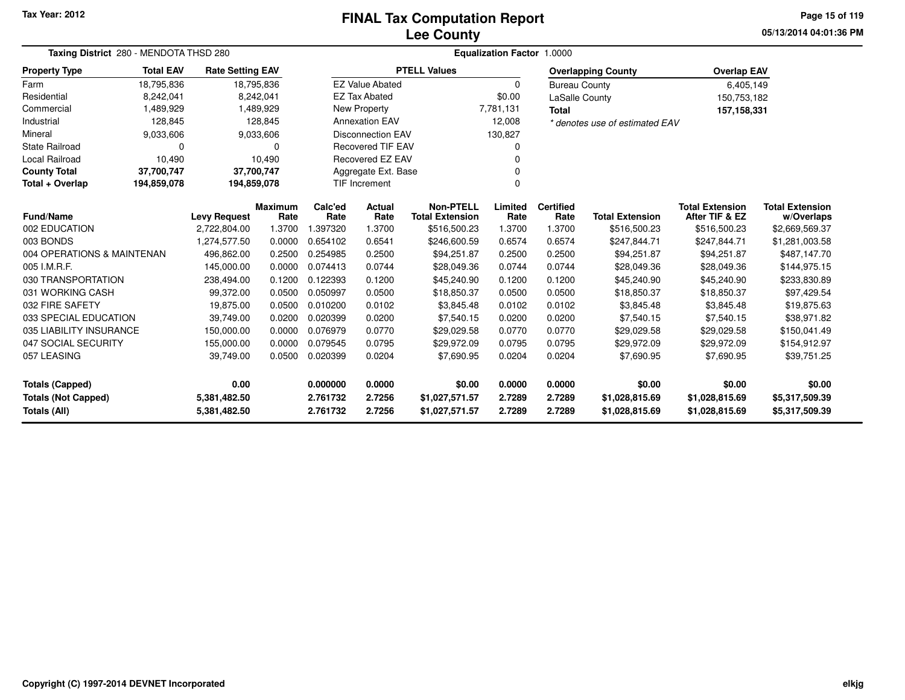**05/13/2014 04:01:36 PMPage 15 of 119**

| Taxing District 280 - MENDOTA THSD 280     |                            |                              |                        | Equalization Factor 1.0000       |                          |                                            |                  |                          |                                  |                                          |                                      |  |  |
|--------------------------------------------|----------------------------|------------------------------|------------------------|----------------------------------|--------------------------|--------------------------------------------|------------------|--------------------------|----------------------------------|------------------------------------------|--------------------------------------|--|--|
| <b>Property Type</b>                       | <b>Total EAV</b>           | <b>Rate Setting EAV</b>      |                        |                                  |                          | <b>PTELL Values</b>                        |                  |                          | <b>Overlapping County</b>        | <b>Overlap EAV</b>                       |                                      |  |  |
| Farm                                       | 18,795,836                 |                              | 18,795,836             |                                  | <b>EZ Value Abated</b>   |                                            | $\Omega$         | <b>Bureau County</b>     |                                  | 6,405,149                                |                                      |  |  |
| Residential                                | 8,242,041                  |                              | 8,242,041              |                                  | <b>EZ Tax Abated</b>     |                                            | \$0.00           |                          | LaSalle County                   | 150,753,182                              |                                      |  |  |
| Commercial                                 | 1,489,929                  |                              | 1,489,929              |                                  | New Property             |                                            | 7,781,131        | <b>Total</b>             |                                  | 157,158,331                              |                                      |  |  |
| Industrial                                 | 128,845                    |                              | 128,845                |                                  | <b>Annexation EAV</b>    |                                            | 12,008           |                          | * denotes use of estimated EAV   |                                          |                                      |  |  |
| Mineral                                    | 9,033,606                  |                              | 9,033,606              |                                  | <b>Disconnection EAV</b> |                                            | 130,827          |                          |                                  |                                          |                                      |  |  |
| <b>State Railroad</b>                      | $\mathbf 0$                |                              | 0                      |                                  | <b>Recovered TIF EAV</b> |                                            | 0                |                          |                                  |                                          |                                      |  |  |
| Local Railroad                             | 10,490                     |                              | 10,490                 |                                  | Recovered EZ EAV         |                                            | ŋ                |                          |                                  |                                          |                                      |  |  |
| <b>County Total</b>                        | 37,700,747                 | 37,700,747                   |                        |                                  | Aggregate Ext. Base      |                                            | 0                |                          |                                  |                                          |                                      |  |  |
| Total + Overlap                            | 194,859,078<br>194,859,078 |                              |                        | <b>TIF Increment</b><br>$\Omega$ |                          |                                            |                  |                          |                                  |                                          |                                      |  |  |
| <b>Fund/Name</b>                           |                            | <b>Levy Request</b>          | <b>Maximum</b><br>Rate | Calc'ed<br>Rate                  | <b>Actual</b><br>Rate    | <b>Non-PTELL</b><br><b>Total Extension</b> | Limited<br>Rate  | <b>Certified</b><br>Rate | <b>Total Extension</b>           | <b>Total Extension</b><br>After TIF & EZ | <b>Total Extension</b><br>w/Overlaps |  |  |
| 002 EDUCATION                              |                            | 2,722,804.00                 | 1.3700                 | 1.397320                         | 1.3700                   | \$516,500.23                               | 1.3700           | 1.3700                   | \$516,500.23                     | \$516,500.23                             | \$2,669,569.37                       |  |  |
| 003 BONDS                                  |                            | 1,274,577.50                 | 0.0000                 | 0.654102                         | 0.6541                   | \$246,600.59                               | 0.6574           | 0.6574                   | \$247,844.71                     | \$247,844.71                             | \$1,281,003.58                       |  |  |
| 004 OPERATIONS & MAINTENAN                 |                            | 496,862.00                   | 0.2500                 | 0.254985                         | 0.2500                   | \$94,251.87                                | 0.2500           | 0.2500                   | \$94,251.87                      | \$94,251.87                              | \$487,147.70                         |  |  |
| 005 I.M.R.F.                               |                            | 145,000.00                   | 0.0000                 | 0.074413                         | 0.0744                   | \$28,049.36                                | 0.0744           | 0.0744                   | \$28,049.36                      | \$28,049.36                              | \$144,975.15                         |  |  |
| 030 TRANSPORTATION                         |                            | 238,494.00                   | 0.1200                 | 0.122393                         | 0.1200                   | \$45,240.90                                | 0.1200           | 0.1200                   | \$45,240.90                      | \$45,240.90                              | \$233,830.89                         |  |  |
| 031 WORKING CASH                           |                            | 99,372.00                    | 0.0500                 | 0.050997                         | 0.0500                   | \$18,850.37                                | 0.0500           | 0.0500                   | \$18,850.37                      | \$18,850.37                              | \$97,429.54                          |  |  |
| 032 FIRE SAFETY                            |                            | 19,875.00                    | 0.0500                 | 0.010200                         | 0.0102                   | \$3,845.48                                 | 0.0102           | 0.0102                   | \$3,845.48                       | \$3,845.48                               | \$19,875.63                          |  |  |
| 033 SPECIAL EDUCATION                      |                            | 39,749.00                    | 0.0200                 | 0.020399                         | 0.0200                   | \$7,540.15                                 | 0.0200           | 0.0200                   | \$7,540.15                       | \$7,540.15                               | \$38,971.82                          |  |  |
| 035 LIABILITY INSURANCE                    |                            | 150,000.00                   | 0.0000                 | 0.076979                         | 0.0770                   | \$29,029.58                                | 0.0770           | 0.0770                   | \$29,029.58                      | \$29,029.58                              | \$150,041.49                         |  |  |
| 047 SOCIAL SECURITY                        |                            | 155,000.00                   | 0.0000                 | 0.079545                         | 0.0795                   | \$29,972.09                                | 0.0795           | 0.0795                   | \$29,972.09                      | \$29,972.09                              | \$154,912.97                         |  |  |
| 057 LEASING                                |                            | 39,749.00                    | 0.0500                 | 0.020399                         | 0.0204                   | \$7,690.95                                 | 0.0204           | 0.0204                   | \$7,690.95                       | \$7,690.95                               | \$39,751.25                          |  |  |
| <b>Totals (Capped)</b>                     |                            | 0.00                         |                        | 0.000000                         | 0.0000                   | \$0.00                                     | 0.0000           | 0.0000                   | \$0.00                           | \$0.00                                   | \$0.00                               |  |  |
| <b>Totals (Not Capped)</b><br>Totals (All) |                            | 5,381,482.50<br>5,381,482.50 |                        | 2.761732<br>2.761732             | 2.7256<br>2.7256         | \$1,027,571.57<br>\$1,027,571.57           | 2.7289<br>2.7289 | 2.7289<br>2.7289         | \$1,028,815.69<br>\$1,028,815.69 | \$1,028,815.69<br>\$1,028,815.69         | \$5,317,509.39<br>\$5,317,509.39     |  |  |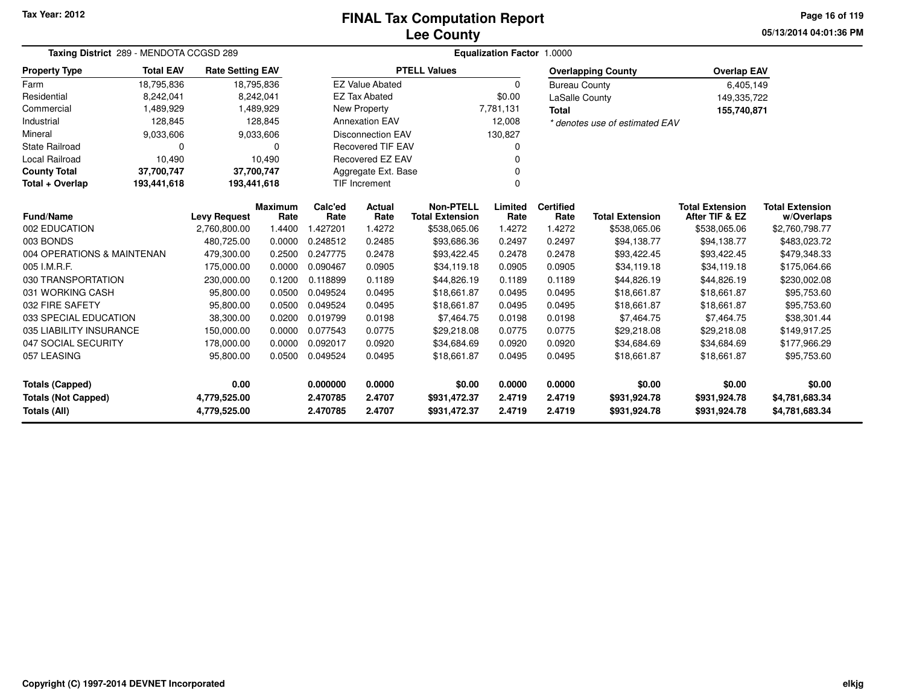### **Lee CountyFINAL Tax Computation Report**

**05/13/2014 04:01:36 PMPage 16 of 119**

| Taxing District 289 - MENDOTA CCGSD 289 |                  |                         |                | Equalization Factor 1.0000 |                          |                        |                  |                      |                                |                        |                |  |  |
|-----------------------------------------|------------------|-------------------------|----------------|----------------------------|--------------------------|------------------------|------------------|----------------------|--------------------------------|------------------------|----------------|--|--|
| <b>Property Type</b>                    | <b>Total EAV</b> | <b>Rate Setting EAV</b> |                |                            |                          | <b>PTELL Values</b>    |                  |                      | <b>Overlapping County</b>      | <b>Overlap EAV</b>     |                |  |  |
| Farm                                    | 18,795,836       | 18,795,836              |                |                            | <b>EZ Value Abated</b>   |                        | $\Omega$         | <b>Bureau County</b> |                                | 6,405,149              |                |  |  |
| Residential                             | 8.242.041        |                         | 8,242,041      |                            | <b>EZ Tax Abated</b>     |                        | \$0.00           | LaSalle County       |                                | 149,335,722            |                |  |  |
| Commercial                              | 1,489,929        |                         | 1,489,929      |                            | <b>New Property</b>      |                        | 7,781,131        | <b>Total</b>         |                                | 155,740,871            |                |  |  |
| Industrial                              | 128,845          |                         | 128,845        |                            | <b>Annexation EAV</b>    |                        | 12,008           |                      | * denotes use of estimated EAV |                        |                |  |  |
| Mineral                                 | 9,033,606        |                         | 9,033,606      |                            | <b>Disconnection EAV</b> |                        | 130,827          |                      |                                |                        |                |  |  |
| <b>State Railroad</b>                   | $\Omega$         |                         | 0              |                            | <b>Recovered TIF EAV</b> |                        |                  |                      |                                |                        |                |  |  |
| Local Railroad                          | 10,490           |                         | 10,490         |                            | <b>Recovered EZ EAV</b>  |                        |                  |                      |                                |                        |                |  |  |
| <b>County Total</b>                     | 37,700,747       | 37,700,747              |                |                            | Aggregate Ext. Base      |                        |                  |                      |                                |                        |                |  |  |
| Total + Overlap                         | 193,441,618      | 193,441,618             |                | <b>TIF Increment</b>       |                          |                        | $\Omega$         |                      |                                |                        |                |  |  |
| Fund/Name<br><b>Levy Request</b>        |                  | <b>Maximum</b>          | Calc'ed        | Actual                     | <b>Non-PTELL</b>         | Limited                | <b>Certified</b> |                      | <b>Total Extension</b>         | <b>Total Extension</b> |                |  |  |
| 002 EDUCATION                           |                  |                         | Rate<br>1.4400 | Rate<br>1.427201           | Rate                     | <b>Total Extension</b> | Rate             | Rate<br>1.4272       | <b>Total Extension</b>         | After TIF & EZ         | w/Overlaps     |  |  |
| 003 BONDS                               |                  | 2,760,800.00            |                |                            | 1.4272                   | \$538,065.06           | 1.4272           |                      | \$538,065.06                   | \$538,065.06           | \$2,760,798.77 |  |  |
|                                         |                  | 480,725.00              | 0.0000         | 0.248512                   | 0.2485                   | \$93,686.36            | 0.2497           | 0.2497               | \$94,138.77                    | \$94,138.77            | \$483,023.72   |  |  |
| 004 OPERATIONS & MAINTENAN              |                  | 479,300.00              | 0.2500         | 0.247775                   | 0.2478                   | \$93,422.45            | 0.2478           | 0.2478               | \$93,422.45                    | \$93,422.45            | \$479,348.33   |  |  |
| 005 I.M.R.F.                            |                  | 175,000.00              | 0.0000         | 0.090467                   | 0.0905                   | \$34,119.18            | 0.0905           | 0.0905               | \$34,119.18                    | \$34,119.18            | \$175,064.66   |  |  |
| 030 TRANSPORTATION                      |                  | 230,000.00              | 0.1200         | 0.118899                   | 0.1189                   | \$44,826.19            | 0.1189           | 0.1189               | \$44,826.19                    | \$44,826.19            | \$230,002.08   |  |  |
| 031 WORKING CASH                        |                  | 95,800.00               | 0.0500         | 0.049524                   | 0.0495                   | \$18,661.87            | 0.0495           | 0.0495               | \$18,661.87                    | \$18,661.87            | \$95,753.60    |  |  |
| 032 FIRE SAFETY                         |                  | 95,800.00               | 0.0500         | 0.049524                   | 0.0495                   | \$18,661.87            | 0.0495           | 0.0495               | \$18,661.87                    | \$18,661.87            | \$95,753.60    |  |  |
| 033 SPECIAL EDUCATION                   |                  | 38,300.00               | 0.0200         | 0.019799                   | 0.0198                   | \$7,464.75             | 0.0198           | 0.0198               | \$7,464.75                     | \$7,464.75             | \$38,301.44    |  |  |
| 035 LIABILITY INSURANCE                 |                  | 150,000.00              | 0.0000         | 0.077543                   | 0.0775                   | \$29,218.08            | 0.0775           | 0.0775               | \$29,218.08                    | \$29,218.08            | \$149,917.25   |  |  |
| 047 SOCIAL SECURITY                     |                  | 178,000.00              | 0.0000         | 0.092017                   | 0.0920                   | \$34,684.69            | 0.0920           | 0.0920               | \$34,684.69                    | \$34,684.69            | \$177,966.29   |  |  |
| 057 LEASING                             |                  | 95,800.00               | 0.0500         | 0.049524                   | 0.0495                   | \$18,661.87            | 0.0495           | 0.0495               | \$18,661.87                    | \$18,661.87            | \$95,753.60    |  |  |
| <b>Totals (Capped)</b>                  |                  | 0.00                    |                | 0.000000                   | 0.0000                   | \$0.00                 | 0.0000           | 0.0000               | \$0.00                         | \$0.00                 | \$0.00         |  |  |
| <b>Totals (Not Capped)</b>              |                  | 4,779,525.00            |                | 2.470785                   | 2.4707                   | \$931,472.37           | 2.4719           | 2.4719               | \$931,924.78                   | \$931,924.78           | \$4,781,683.34 |  |  |
| Totals (All)                            |                  | 4,779,525.00            |                | 2.470785                   | 2.4707                   | \$931,472.37           | 2.4719           | 2.4719               | \$931,924.78                   | \$931,924.78           | \$4,781,683.34 |  |  |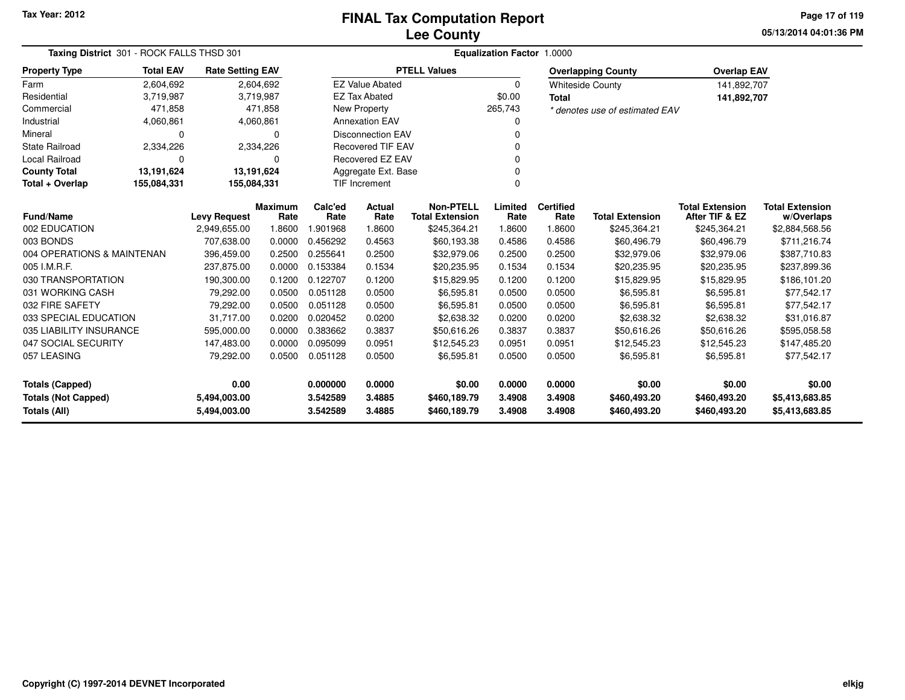**05/13/2014 04:01:36 PMPage 17 of 119**

| Taxing District 301 - ROCK FALLS THSD 301 |                     |                         |                        | Equalization Factor 1.0000 |                          |                                            |                 |                          |                                |                                          |                                      |  |  |
|-------------------------------------------|---------------------|-------------------------|------------------------|----------------------------|--------------------------|--------------------------------------------|-----------------|--------------------------|--------------------------------|------------------------------------------|--------------------------------------|--|--|
| <b>Property Type</b>                      | <b>Total EAV</b>    | <b>Rate Setting EAV</b> |                        |                            |                          | <b>PTELL Values</b>                        |                 |                          | <b>Overlapping County</b>      | <b>Overlap EAV</b>                       |                                      |  |  |
| Farm                                      | 2,604,692           |                         | 2,604,692              |                            | <b>EZ Value Abated</b>   |                                            | $\Omega$        |                          | <b>Whiteside County</b>        | 141,892,707                              |                                      |  |  |
| Residential                               | 3,719,987           |                         | 3,719,987              |                            | <b>EZ Tax Abated</b>     |                                            | \$0.00          | <b>Total</b>             |                                | 141,892,707                              |                                      |  |  |
| Commercial                                | 471,858             |                         | 471,858                | <b>New Property</b>        |                          |                                            | 265,743         |                          | * denotes use of estimated EAV |                                          |                                      |  |  |
| Industrial                                | 4,060,861           |                         | 4,060,861              |                            | <b>Annexation EAV</b>    |                                            | 0               |                          |                                |                                          |                                      |  |  |
| Mineral                                   | O                   |                         | 0                      |                            | <b>Disconnection EAV</b> |                                            | ŋ               |                          |                                |                                          |                                      |  |  |
| <b>State Railroad</b>                     | 2,334,226           |                         | 2,334,226              | <b>Recovered TIF EAV</b>   |                          |                                            |                 |                          |                                |                                          |                                      |  |  |
| Local Railroad                            | O                   |                         | 0                      | <b>Recovered EZ EAV</b>    |                          |                                            |                 |                          |                                |                                          |                                      |  |  |
| <b>County Total</b>                       | 13,191,624          | 13,191,624              |                        |                            | Aggregate Ext. Base      |                                            |                 |                          |                                |                                          |                                      |  |  |
| Total + Overlap                           | 155,084,331         | 155,084,331             |                        |                            | <b>TIF Increment</b>     |                                            | 0               |                          |                                |                                          |                                      |  |  |
| <b>Fund/Name</b>                          | <b>Levy Request</b> |                         | <b>Maximum</b><br>Rate | Calc'ed<br>Rate            | Actual<br>Rate           | <b>Non-PTELL</b><br><b>Total Extension</b> | Limited<br>Rate | <b>Certified</b><br>Rate | <b>Total Extension</b>         | <b>Total Extension</b><br>After TIF & EZ | <b>Total Extension</b><br>w/Overlaps |  |  |
| 002 EDUCATION                             |                     | 2,949,655.00            | 1.8600                 | 1.901968                   | 1.8600                   | \$245,364.21                               | 1.8600          | 1.8600                   | \$245,364.21                   | \$245,364.21                             | \$2,884,568.56                       |  |  |
| 003 BONDS                                 |                     | 707,638.00              | 0.0000                 | 0.456292                   | 0.4563                   | \$60,193.38                                | 0.4586          | 0.4586                   | \$60,496.79                    | \$60,496.79                              | \$711,216.74                         |  |  |
| 004 OPERATIONS & MAINTENAN                |                     | 396,459.00              | 0.2500                 | 0.255641                   | 0.2500                   | \$32,979.06                                | 0.2500          | 0.2500                   | \$32,979.06                    | \$32,979.06                              | \$387,710.83                         |  |  |
| 005 I.M.R.F.                              |                     | 237,875.00              | 0.0000                 | 0.153384                   | 0.1534                   | \$20,235.95                                | 0.1534          | 0.1534                   | \$20,235.95                    | \$20,235.95                              | \$237,899.36                         |  |  |
| 030 TRANSPORTATION                        |                     | 190,300.00              | 0.1200                 | 0.122707                   | 0.1200                   | \$15,829.95                                | 0.1200          | 0.1200                   | \$15,829.95                    | \$15,829.95                              | \$186,101.20                         |  |  |
| 031 WORKING CASH                          |                     | 79,292.00               | 0.0500                 | 0.051128                   | 0.0500                   | \$6,595.81                                 | 0.0500          | 0.0500                   | \$6,595.81                     | \$6,595.81                               | \$77,542.17                          |  |  |
| 032 FIRE SAFETY                           |                     | 79,292.00               | 0.0500                 | 0.051128                   | 0.0500                   | \$6,595.81                                 | 0.0500          | 0.0500                   | \$6,595.81                     | \$6,595.81                               | \$77,542.17                          |  |  |
| 033 SPECIAL EDUCATION                     |                     | 31,717.00               | 0.0200                 | 0.020452                   | 0.0200                   | \$2,638.32                                 | 0.0200          | 0.0200                   | \$2,638.32                     | \$2,638.32                               | \$31,016.87                          |  |  |
| 035 LIABILITY INSURANCE                   |                     | 595,000.00              | 0.0000                 | 0.383662                   | 0.3837                   | \$50,616.26                                | 0.3837          | 0.3837                   | \$50,616.26                    | \$50,616.26                              | \$595,058.58                         |  |  |
| 047 SOCIAL SECURITY                       |                     | 147,483.00              | 0.0000                 | 0.095099                   | 0.0951                   | \$12,545.23                                | 0.0951          | 0.0951                   | \$12,545.23                    | \$12,545.23                              | \$147,485.20                         |  |  |
| 057 LEASING                               |                     | 79,292.00               | 0.0500                 | 0.051128                   | 0.0500                   | \$6,595.81                                 | 0.0500          | 0.0500                   | \$6,595.81                     | \$6,595.81                               | \$77,542.17                          |  |  |
| <b>Totals (Capped)</b>                    |                     | 0.00                    |                        | 0.000000                   | 0.0000                   | \$0.00                                     | 0.0000          | 0.0000                   | \$0.00                         | \$0.00                                   | \$0.00                               |  |  |
| <b>Totals (Not Capped)</b>                |                     | 5,494,003.00            |                        | 3.542589                   | 3.4885                   | \$460,189.79                               | 3.4908          | 3.4908                   | \$460,493.20                   | \$460,493.20                             | \$5,413,683.85                       |  |  |
| Totals (All)                              |                     | 5,494,003.00            |                        | 3.542589                   | 3.4885                   | \$460,189.79                               | 3.4908          | 3.4908                   | \$460,493.20                   | \$460,493.20                             | \$5,413,683.85                       |  |  |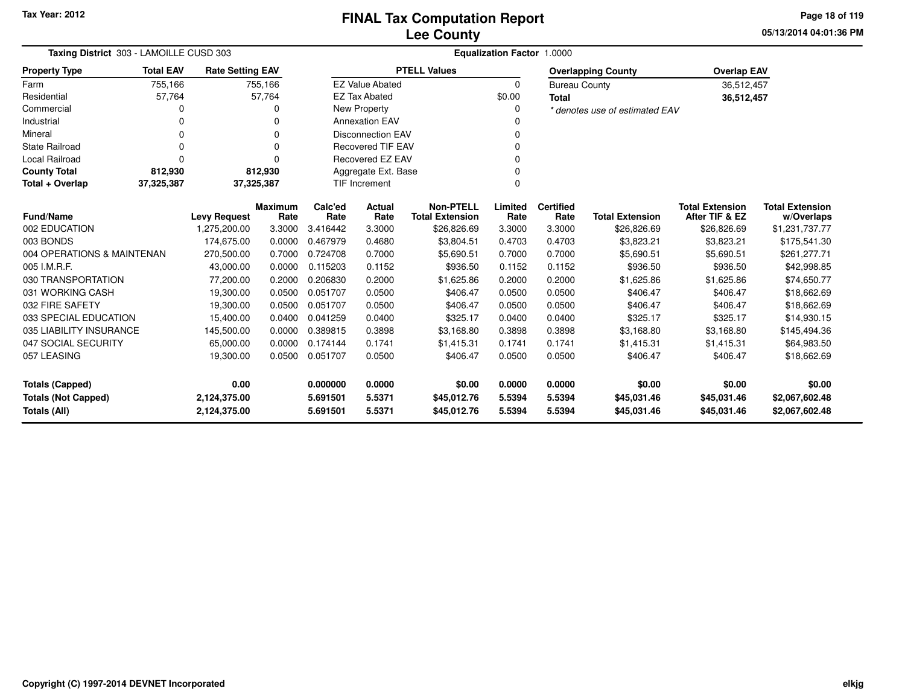**05/13/2014 04:01:36 PM Page 18 of 119**

| Taxing District 303 - LAMOILLE CUSD 303 |                  | Equalization Factor 1.0000 |                 |                  |                          |                                            |                 |                          |                                |                                          |                                      |
|-----------------------------------------|------------------|----------------------------|-----------------|------------------|--------------------------|--------------------------------------------|-----------------|--------------------------|--------------------------------|------------------------------------------|--------------------------------------|
| <b>Property Type</b>                    | <b>Total EAV</b> | <b>Rate Setting EAV</b>    |                 |                  |                          | <b>PTELL Values</b>                        |                 |                          | <b>Overlapping County</b>      | <b>Overlap EAV</b>                       |                                      |
| Farm                                    | 755,166          |                            | 755,166         |                  | <b>EZ Value Abated</b>   |                                            | 0               | <b>Bureau County</b>     |                                | 36,512,457                               |                                      |
| Residential                             | 57,764           |                            | 57,764          |                  | <b>EZ Tax Abated</b>     |                                            | \$0.00          | <b>Total</b>             |                                | 36,512,457                               |                                      |
| Commercial                              |                  |                            |                 |                  | <b>New Property</b>      |                                            | 0               |                          | * denotes use of estimated EAV |                                          |                                      |
| Industrial                              |                  |                            | U               |                  | <b>Annexation EAV</b>    |                                            |                 |                          |                                |                                          |                                      |
| Mineral                                 | 0                |                            | $\Omega$        |                  | <b>Disconnection EAV</b> |                                            | 0               |                          |                                |                                          |                                      |
| <b>State Railroad</b>                   |                  |                            | $\Omega$        |                  | <b>Recovered TIF EAV</b> |                                            | $\Omega$        |                          |                                |                                          |                                      |
| Local Railroad                          | $\Omega$         |                            | $\Omega$        | Recovered EZ EAV |                          | $\Omega$                                   |                 |                          |                                |                                          |                                      |
| <b>County Total</b>                     | 812,930          |                            | 812,930         |                  | Aggregate Ext. Base      |                                            |                 |                          |                                |                                          |                                      |
| Total + Overlap                         | 37,325,387       | 37,325,387                 |                 |                  | TIF Increment            |                                            |                 |                          |                                |                                          |                                      |
| <b>Fund/Name</b>                        |                  | <b>Levy Request</b>        | Maximum<br>Rate | Calc'ed<br>Rate  | Actual<br>Rate           | <b>Non-PTELL</b><br><b>Total Extension</b> | Limited<br>Rate | <b>Certified</b><br>Rate | <b>Total Extension</b>         | <b>Total Extension</b><br>After TIF & EZ | <b>Total Extension</b><br>w/Overlaps |
| 002 EDUCATION                           |                  | 1,275,200.00               | 3.3000          | 3.416442         | 3.3000                   | \$26,826.69                                | 3.3000          | 3.3000                   | \$26,826.69                    | \$26,826.69                              | \$1,231,737.77                       |
| 003 BONDS                               |                  | 174,675.00                 | 0.0000          | 0.467979         | 0.4680                   | \$3,804.51                                 | 0.4703          | 0.4703                   | \$3,823.21                     | \$3,823.21                               | \$175,541.30                         |
| 004 OPERATIONS & MAINTENAN              |                  | 270,500.00                 | 0.7000          | 0.724708         | 0.7000                   | \$5,690.51                                 | 0.7000          | 0.7000                   | \$5,690.51                     | \$5,690.51                               | \$261,277.71                         |
| 005 I.M.R.F.                            |                  | 43,000.00                  | 0.0000          | 0.115203         | 0.1152                   | \$936.50                                   | 0.1152          | 0.1152                   | \$936.50                       | \$936.50                                 | \$42,998.85                          |
| 030 TRANSPORTATION                      |                  | 77,200.00                  | 0.2000          | 0.206830         | 0.2000                   | \$1,625.86                                 | 0.2000          | 0.2000                   | \$1,625.86                     | \$1,625.86                               | \$74,650.77                          |
| 031 WORKING CASH                        |                  | 19,300.00                  | 0.0500          | 0.051707         | 0.0500                   | \$406.47                                   | 0.0500          | 0.0500                   | \$406.47                       | \$406.47                                 | \$18,662.69                          |
| 032 FIRE SAFETY                         |                  | 19,300.00                  | 0.0500          | 0.051707         | 0.0500                   | \$406.47                                   | 0.0500          | 0.0500                   | \$406.47                       | \$406.47                                 | \$18,662.69                          |
| 033 SPECIAL EDUCATION                   |                  | 15,400.00                  | 0.0400          | 0.041259         | 0.0400                   | \$325.17                                   | 0.0400          | 0.0400                   | \$325.17                       | \$325.17                                 | \$14,930.15                          |
| 035 LIABILITY INSURANCE                 |                  | 145,500.00                 | 0.0000          | 0.389815         | 0.3898                   | \$3,168.80                                 | 0.3898          | 0.3898                   | \$3,168.80                     | \$3,168.80                               | \$145,494.36                         |
| 047 SOCIAL SECURITY                     |                  | 65,000.00                  | 0.0000          | 0.174144         | 0.1741                   | \$1,415.31                                 | 0.1741          | 0.1741                   | \$1,415.31                     | \$1,415.31                               | \$64,983.50                          |
| 057 LEASING                             |                  | 19,300.00                  | 0.0500          | 0.051707         | 0.0500                   | \$406.47                                   | 0.0500          | 0.0500                   | \$406.47                       | \$406.47                                 | \$18,662.69                          |
| Totals (Capped)                         |                  | 0.00                       |                 | 0.000000         | 0.0000                   | \$0.00                                     | 0.0000          | 0.0000                   | \$0.00                         | \$0.00                                   | \$0.00                               |
| <b>Totals (Not Capped)</b>              |                  | 2,124,375.00               |                 | 5.691501         | 5.5371                   | \$45,012.76                                | 5.5394          | 5.5394                   | \$45,031.46                    | \$45,031.46                              | \$2,067,602.48                       |
| Totals (All)                            |                  | 2,124,375.00               |                 | 5.691501         | 5.5371                   | \$45,012.76                                | 5.5394          | 5.5394                   | \$45,031.46                    | \$45,031.46                              | \$2,067,602.48                       |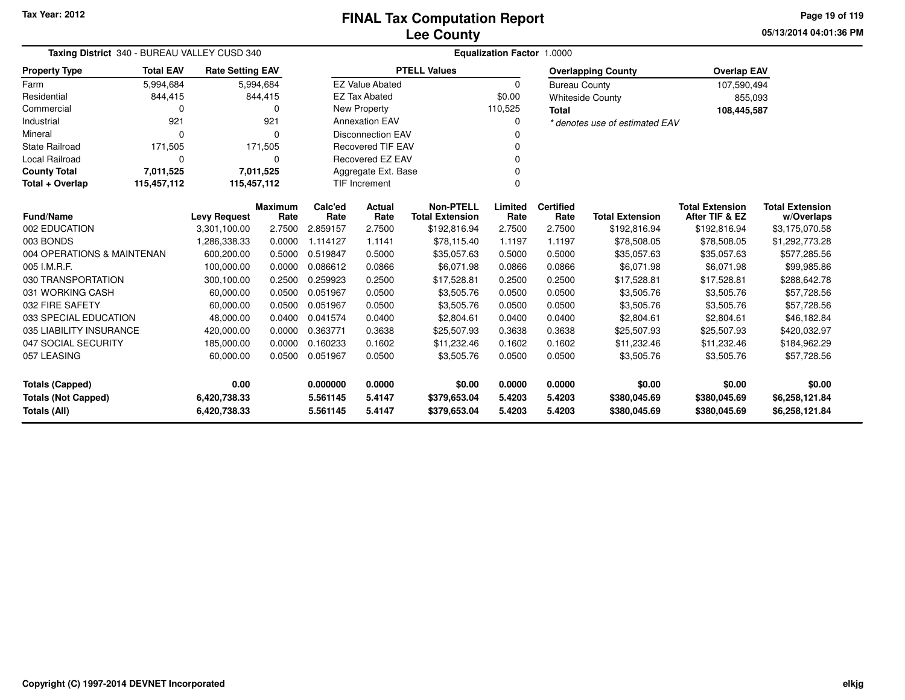**05/13/2014 04:01:36 PM Page 19 of 119**

| Taxing District 340 - BUREAU VALLEY CUSD 340 |                     |                              |                        | <b>Equalization Factor 1.0000</b> |                          |                                            |                  |                          |                                |                                          |                                      |  |
|----------------------------------------------|---------------------|------------------------------|------------------------|-----------------------------------|--------------------------|--------------------------------------------|------------------|--------------------------|--------------------------------|------------------------------------------|--------------------------------------|--|
| <b>Property Type</b>                         | <b>Total EAV</b>    | <b>Rate Setting EAV</b>      |                        |                                   |                          | <b>PTELL Values</b>                        |                  |                          | <b>Overlapping County</b>      | <b>Overlap EAV</b>                       |                                      |  |
| Farm                                         | 5,994,684           |                              | 5,994,684              |                                   | <b>EZ Value Abated</b>   |                                            | 0                | <b>Bureau County</b>     |                                | 107,590,494                              |                                      |  |
| Residential                                  | 844,415             |                              | 844,415                |                                   | <b>EZ Tax Abated</b>     |                                            | \$0.00           |                          | <b>Whiteside County</b>        | 855,093                                  |                                      |  |
| Commercial                                   | 0                   |                              | 0                      |                                   | New Property             |                                            | 110,525          | <b>Total</b>             |                                | 108,445,587                              |                                      |  |
| Industrial                                   | 921                 |                              | 921                    |                                   | <b>Annexation EAV</b>    |                                            | O                |                          | * denotes use of estimated EAV |                                          |                                      |  |
| Mineral                                      | $\Omega$            |                              | 0                      |                                   | <b>Disconnection EAV</b> |                                            |                  |                          |                                |                                          |                                      |  |
| <b>State Railroad</b>                        | 171,505             |                              | 171,505                | <b>Recovered TIF EAV</b>          |                          |                                            |                  |                          |                                |                                          |                                      |  |
| Local Railroad                               | 0                   |                              | 0                      |                                   | Recovered EZ EAV         |                                            |                  |                          |                                |                                          |                                      |  |
| <b>County Total</b>                          | 7,011,525           |                              | 7,011,525              |                                   | Aggregate Ext. Base      |                                            |                  |                          |                                |                                          |                                      |  |
| Total + Overlap                              | 115,457,112         | 115,457,112                  |                        |                                   | <b>TIF Increment</b>     |                                            |                  |                          |                                |                                          |                                      |  |
| <b>Fund/Name</b>                             | <b>Levy Request</b> |                              | <b>Maximum</b><br>Rate | Calc'ed<br>Rate                   | <b>Actual</b><br>Rate    | <b>Non-PTELL</b><br><b>Total Extension</b> | Limited<br>Rate  | <b>Certified</b><br>Rate | <b>Total Extension</b>         | <b>Total Extension</b><br>After TIF & EZ | <b>Total Extension</b><br>w/Overlaps |  |
| 002 EDUCATION                                |                     | 3,301,100.00                 | 2.7500                 | 2.859157                          | 2.7500                   | \$192,816.94                               | 2.7500           | 2.7500                   | \$192,816.94                   | \$192,816.94                             | \$3,175,070.58                       |  |
| 003 BONDS                                    |                     | 1,286,338.33                 | 0.0000                 | 1.114127                          | 1.1141                   | \$78,115.40                                | 1.1197           | 1.1197                   | \$78,508.05                    | \$78,508.05                              | \$1,292,773.28                       |  |
| 004 OPERATIONS & MAINTENAN                   |                     | 600,200.00                   | 0.5000                 | 0.519847                          | 0.5000                   | \$35,057.63                                | 0.5000           | 0.5000                   | \$35,057.63                    | \$35,057.63                              | \$577,285.56                         |  |
| 005 I.M.R.F.                                 |                     | 100.000.00                   | 0.0000                 | 0.086612                          | 0.0866                   | \$6,071.98                                 | 0.0866           | 0.0866                   | \$6,071.98                     | \$6,071.98                               | \$99,985.86                          |  |
| 030 TRANSPORTATION                           |                     | 300,100.00                   | 0.2500                 | 0.259923                          | 0.2500                   | \$17,528.81                                | 0.2500           | 0.2500                   | \$17,528.81                    | \$17,528.81                              | \$288,642.78                         |  |
| 031 WORKING CASH                             |                     | 60,000.00                    | 0.0500                 | 0.051967                          | 0.0500                   | \$3,505.76                                 | 0.0500           | 0.0500                   | \$3,505.76                     | \$3,505.76                               | \$57,728.56                          |  |
| 032 FIRE SAFETY                              |                     | 60,000.00                    | 0.0500                 | 0.051967                          | 0.0500                   | \$3,505.76                                 | 0.0500           | 0.0500                   | \$3,505.76                     | \$3,505.76                               | \$57,728.56                          |  |
| 033 SPECIAL EDUCATION                        |                     | 48,000.00                    | 0.0400                 | 0.041574                          | 0.0400                   | \$2,804.61                                 | 0.0400           | 0.0400                   | \$2,804.61                     | \$2,804.61                               | \$46,182.84                          |  |
| 035 LIABILITY INSURANCE                      |                     | 420,000.00                   | 0.0000                 | 0.363771                          | 0.3638                   | \$25,507.93                                | 0.3638           | 0.3638                   | \$25,507.93                    | \$25,507.93                              | \$420,032.97                         |  |
| 047 SOCIAL SECURITY                          |                     | 185,000.00                   | 0.0000                 | 0.160233                          | 0.1602                   | \$11,232.46                                | 0.1602           | 0.1602                   | \$11,232.46                    | \$11,232.46                              | \$184,962.29                         |  |
| 057 LEASING                                  |                     | 60,000.00                    | 0.0500                 | 0.051967                          | 0.0500                   | \$3,505.76                                 | 0.0500           | 0.0500                   | \$3,505.76                     | \$3,505.76                               | \$57,728.56                          |  |
| 0.00<br><b>Totals (Capped)</b>               |                     |                              | 0.000000               | 0.0000                            | \$0.00                   | 0.0000                                     | 0.0000           | \$0.00                   | \$0.00                         | \$0.00                                   |                                      |  |
| <b>Totals (Not Capped)</b><br>Totals (All)   |                     | 6,420,738.33<br>6,420,738.33 |                        | 5.561145<br>5.561145              | 5.4147<br>5.4147         | \$379,653.04<br>\$379,653.04               | 5.4203<br>5.4203 | 5.4203<br>5.4203         | \$380,045.69<br>\$380,045.69   | \$380,045.69<br>\$380,045.69             | \$6,258,121.84<br>\$6,258,121.84     |  |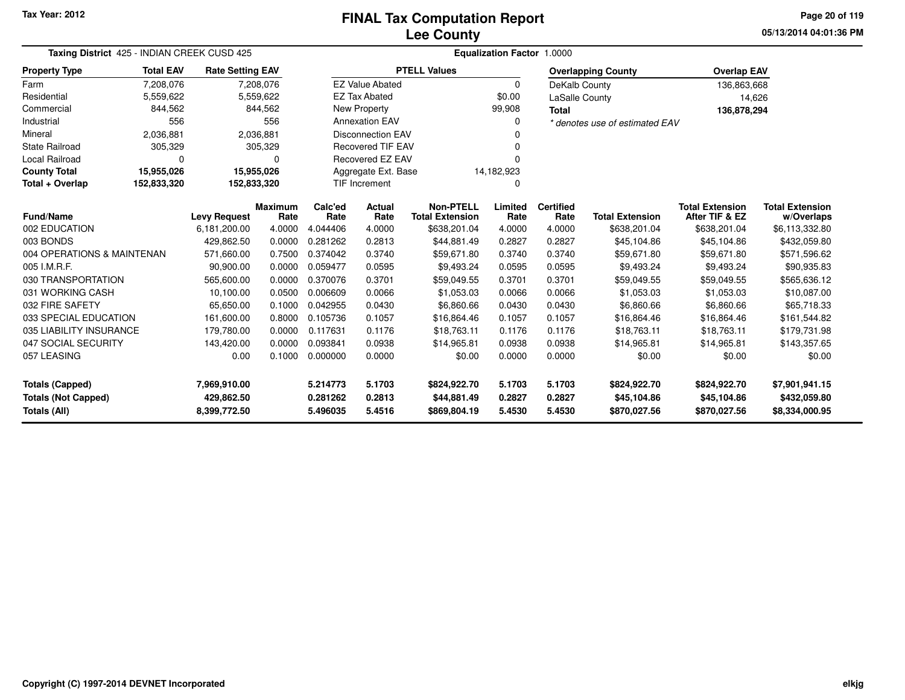**05/13/2014 04:01:36 PMPage 20 of 119**

|                                                      | Taxing District 425 - INDIAN CREEK CUSD 425 |                            |                |                          | <b>Equalization Factor 1.0000</b> |                             |                          |                  |                                |                             |                                |  |  |  |
|------------------------------------------------------|---------------------------------------------|----------------------------|----------------|--------------------------|-----------------------------------|-----------------------------|--------------------------|------------------|--------------------------------|-----------------------------|--------------------------------|--|--|--|
| <b>Property Type</b>                                 | <b>Total EAV</b>                            | <b>Rate Setting EAV</b>    |                |                          |                                   | <b>PTELL Values</b>         |                          |                  | <b>Overlapping County</b>      | <b>Overlap EAV</b>          |                                |  |  |  |
| Farm                                                 | 7,208,076                                   |                            | 7,208,076      |                          | <b>EZ Value Abated</b>            |                             | $\Omega$                 | DeKalb County    |                                | 136,863,668                 |                                |  |  |  |
| Residential                                          | 5,559,622                                   |                            | 5,559,622      |                          | <b>EZ Tax Abated</b>              |                             | \$0.00<br>LaSalle County |                  |                                | 14,626                      |                                |  |  |  |
| Commercial                                           | 844,562                                     |                            | 844,562        |                          | New Property                      |                             | 99,908                   | <b>Total</b>     |                                | 136,878,294                 |                                |  |  |  |
| Industrial                                           | 556                                         |                            | 556            |                          | <b>Annexation EAV</b>             |                             | 0                        |                  | * denotes use of estimated EAV |                             |                                |  |  |  |
| Mineral                                              | 2,036,881                                   |                            | 2,036,881      |                          | <b>Disconnection EAV</b>          |                             |                          |                  |                                |                             |                                |  |  |  |
| <b>State Railroad</b>                                | 305,329                                     |                            | 305,329        | <b>Recovered TIF EAV</b> |                                   |                             |                          |                  |                                |                             |                                |  |  |  |
| Local Railroad                                       | 0                                           |                            | 0              |                          | Recovered EZ EAV                  |                             |                          |                  |                                |                             |                                |  |  |  |
| <b>County Total</b>                                  | 15,955,026                                  | 15,955,026                 |                |                          | 14,182,923<br>Aggregate Ext. Base |                             |                          |                  |                                |                             |                                |  |  |  |
| Total + Overlap                                      | 152,833,320                                 | 152,833,320                |                |                          | <b>TIF Increment</b><br>0         |                             |                          |                  |                                |                             |                                |  |  |  |
|                                                      |                                             |                            | <b>Maximum</b> | Calc'ed                  | Actual                            | <b>Non-PTELL</b>            | Limited                  | <b>Certified</b> |                                | <b>Total Extension</b>      | <b>Total Extension</b>         |  |  |  |
| <b>Fund/Name</b>                                     |                                             | <b>Levy Request</b>        | Rate           | Rate                     | Rate                              | <b>Total Extension</b>      | Rate                     | Rate             | <b>Total Extension</b>         | After TIF & EZ              | w/Overlaps                     |  |  |  |
| 002 EDUCATION                                        |                                             | 6,181,200.00               | 4.0000         | 4.044406                 | 4.0000                            | \$638,201.04                | 4.0000                   | 4.0000           | \$638,201.04                   | \$638,201.04                | \$6,113,332.80                 |  |  |  |
| 003 BONDS                                            |                                             | 429,862.50                 | 0.0000         | 0.281262                 | 0.2813                            | \$44,881.49                 | 0.2827                   | 0.2827           | \$45,104.86                    | \$45,104.86                 | \$432,059.80                   |  |  |  |
| 004 OPERATIONS & MAINTENAN                           |                                             | 571,660.00                 | 0.7500         | 0.374042                 | 0.3740                            | \$59,671.80                 | 0.3740                   | 0.3740           | \$59,671.80                    | \$59,671.80                 | \$571,596.62                   |  |  |  |
| 005 I.M.R.F.                                         |                                             | 90,900.00                  | 0.0000         | 0.059477                 | 0.0595                            | \$9,493.24                  | 0.0595                   | 0.0595           | \$9,493.24                     | \$9,493.24                  | \$90,935.83                    |  |  |  |
| 030 TRANSPORTATION                                   |                                             | 565,600.00                 | 0.0000         | 0.370076                 | 0.3701                            | \$59,049.55                 | 0.3701                   | 0.3701           | \$59,049.55                    | \$59,049.55                 | \$565,636.12                   |  |  |  |
| 031 WORKING CASH                                     |                                             | 10,100.00                  | 0.0500         | 0.006609                 | 0.0066                            | \$1,053.03                  | 0.0066                   | 0.0066           | \$1,053.03                     | \$1,053.03                  | \$10,087.00                    |  |  |  |
| 032 FIRE SAFETY                                      |                                             | 65,650.00                  | 0.1000         | 0.042955                 | 0.0430                            | \$6,860.66                  | 0.0430                   | 0.0430           | \$6,860.66                     | \$6,860.66                  | \$65,718.33                    |  |  |  |
| 033 SPECIAL EDUCATION                                |                                             | 161,600.00                 | 0.8000         | 0.105736                 | 0.1057                            | \$16,864.46                 | 0.1057                   | 0.1057           | \$16,864.46                    | \$16,864.46                 | \$161,544.82                   |  |  |  |
| 035 LIABILITY INSURANCE                              |                                             | 179,780.00                 | 0.0000         | 0.117631                 | 0.1176                            | \$18,763.11                 | 0.1176                   | 0.1176           | \$18,763.11                    | \$18,763.11                 | \$179,731.98                   |  |  |  |
| 047 SOCIAL SECURITY                                  |                                             | 143,420.00                 | 0.0000         | 0.093841                 | 0.0938                            | \$14,965.81                 | 0.0938                   | 0.0938           | \$14,965.81                    | \$14,965.81                 | \$143,357.65                   |  |  |  |
| 057 LEASING                                          |                                             | 0.00                       | 0.1000         | 0.000000                 | 0.0000                            | \$0.00                      | 0.0000                   | 0.0000           | \$0.00                         | \$0.00                      | \$0.00                         |  |  |  |
| <b>Totals (Capped)</b><br><b>Totals (Not Capped)</b> |                                             | 7,969,910.00<br>429,862.50 |                | 5.214773<br>0.281262     | 5.1703<br>0.2813                  | \$824,922.70<br>\$44,881.49 | 5.1703<br>0.2827         | 5.1703<br>0.2827 | \$824,922.70<br>\$45,104.86    | \$824,922.70<br>\$45,104.86 | \$7,901,941.15<br>\$432,059.80 |  |  |  |
| Totals (All)                                         |                                             | 8,399,772.50               |                | 5.496035                 | 5.4516                            | \$869,804.19                | 5.4530                   | 5.4530           | \$870,027.56                   | \$870,027.56                | \$8,334,000.95                 |  |  |  |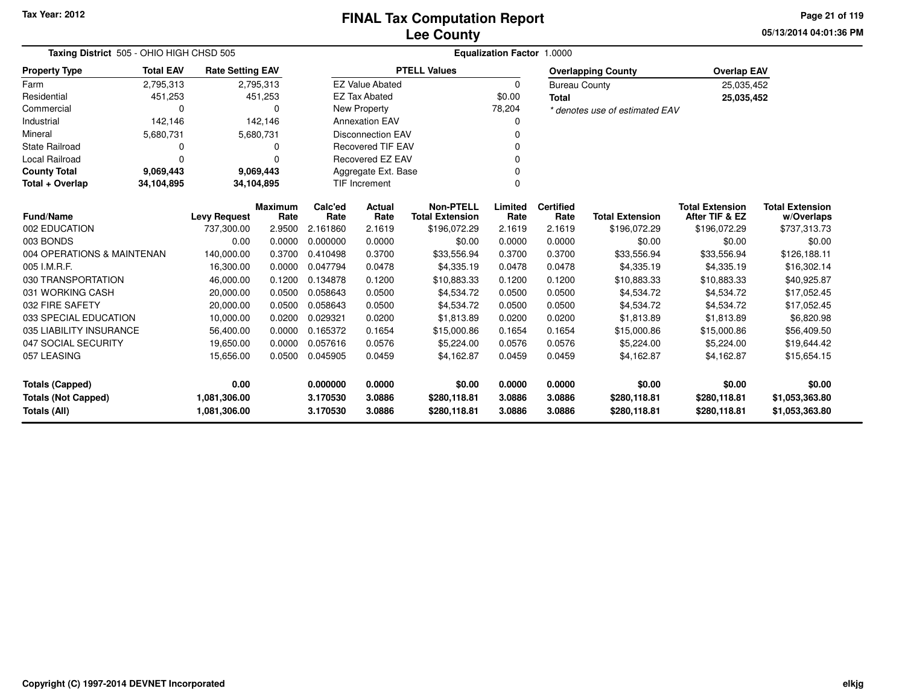**05/13/2014 04:01:36 PM Page 21 of 119**

| Taxing District 505 - OHIO HIGH CHSD 505   |                                      |                              |                 | <b>Equalization Factor 1.0000</b> |                          |                                            |                  |                          |                                |                                          |                                      |  |  |
|--------------------------------------------|--------------------------------------|------------------------------|-----------------|-----------------------------------|--------------------------|--------------------------------------------|------------------|--------------------------|--------------------------------|------------------------------------------|--------------------------------------|--|--|
| <b>Property Type</b>                       | <b>Total EAV</b>                     | <b>Rate Setting EAV</b>      |                 |                                   |                          | <b>PTELL Values</b>                        |                  |                          | <b>Overlapping County</b>      | <b>Overlap EAV</b>                       |                                      |  |  |
| Farm                                       | 2,795,313                            |                              | 2,795,313       |                                   | <b>EZ Value Abated</b>   |                                            | 0                | <b>Bureau County</b>     |                                | 25,035,452                               |                                      |  |  |
| Residential                                | 451,253                              |                              | 451,253         |                                   | <b>EZ Tax Abated</b>     |                                            | \$0.00           | <b>Total</b>             |                                | 25,035,452                               |                                      |  |  |
| Commercial                                 | 0                                    |                              | O               |                                   | New Property             |                                            | 78,204           |                          | * denotes use of estimated EAV |                                          |                                      |  |  |
| Industrial                                 | 142,146                              |                              | 142,146         |                                   | <b>Annexation EAV</b>    |                                            |                  |                          |                                |                                          |                                      |  |  |
| Mineral                                    | 5,680,731                            |                              | 5,680,731       |                                   | <b>Disconnection EAV</b> |                                            |                  |                          |                                |                                          |                                      |  |  |
| <b>State Railroad</b>                      | 0                                    |                              | 0               |                                   | <b>Recovered TIF EAV</b> |                                            |                  |                          |                                |                                          |                                      |  |  |
| Local Railroad                             | $\Omega$                             |                              | $\Omega$        |                                   | Recovered EZ EAV         |                                            |                  |                          |                                |                                          |                                      |  |  |
| <b>County Total</b>                        | 9,069,443<br>9,069,443<br>34,104,895 |                              |                 |                                   | Aggregate Ext. Base      |                                            |                  |                          |                                |                                          |                                      |  |  |
| Total + Overlap                            | 34,104,895                           |                              |                 |                                   | <b>TIF Increment</b>     |                                            | $\Omega$         |                          |                                |                                          |                                      |  |  |
| <b>Fund/Name</b>                           |                                      | <b>Levy Request</b>          | Maximum<br>Rate | Calc'ed<br>Rate                   | <b>Actual</b><br>Rate    | <b>Non-PTELL</b><br><b>Total Extension</b> | Limited<br>Rate  | <b>Certified</b><br>Rate | <b>Total Extension</b>         | <b>Total Extension</b><br>After TIF & EZ | <b>Total Extension</b><br>w/Overlaps |  |  |
| 002 EDUCATION                              |                                      | 737,300.00                   | 2.9500          | 2.161860                          | 2.1619                   | \$196,072.29                               | 2.1619           | 2.1619                   | \$196,072.29                   | \$196,072.29                             | \$737,313.73                         |  |  |
| 003 BONDS                                  |                                      | 0.00                         | 0.0000          | 0.000000                          | 0.0000                   | \$0.00                                     | 0.0000           | 0.0000                   | \$0.00                         | \$0.00                                   | \$0.00                               |  |  |
| 004 OPERATIONS & MAINTENAN                 |                                      | 140,000.00                   | 0.3700          | 0.410498                          | 0.3700                   | \$33,556.94                                | 0.3700           | 0.3700                   | \$33,556.94                    | \$33,556.94                              | \$126,188.11                         |  |  |
| 005 I.M.R.F.                               |                                      | 16,300.00                    | 0.0000          | 0.047794                          | 0.0478                   | \$4,335.19                                 | 0.0478           | 0.0478                   | \$4,335.19                     | \$4,335.19                               | \$16,302.14                          |  |  |
| 030 TRANSPORTATION                         |                                      | 46,000.00                    | 0.1200          | 0.134878                          | 0.1200                   | \$10,883.33                                | 0.1200           | 0.1200                   | \$10,883.33                    | \$10,883.33                              | \$40,925.87                          |  |  |
| 031 WORKING CASH                           |                                      | 20,000.00                    | 0.0500          | 0.058643                          | 0.0500                   | \$4,534.72                                 | 0.0500           | 0.0500                   | \$4,534.72                     | \$4,534.72                               | \$17,052.45                          |  |  |
| 032 FIRE SAFETY                            |                                      | 20,000.00                    | 0.0500          | 0.058643                          | 0.0500                   | \$4,534.72                                 | 0.0500           | 0.0500                   | \$4,534.72                     | \$4,534.72                               | \$17,052.45                          |  |  |
| 033 SPECIAL EDUCATION                      |                                      | 10,000.00                    | 0.0200          | 0.029321                          | 0.0200                   | \$1,813.89                                 | 0.0200           | 0.0200                   | \$1,813.89                     | \$1,813.89                               | \$6,820.98                           |  |  |
| 035 LIABILITY INSURANCE                    |                                      | 56,400.00                    | 0.0000          | 0.165372                          | 0.1654                   | \$15,000.86                                | 0.1654           | 0.1654                   | \$15,000.86                    | \$15,000.86                              | \$56,409.50                          |  |  |
| 047 SOCIAL SECURITY                        |                                      | 19,650.00                    | 0.0000          | 0.057616                          | 0.0576                   | \$5,224.00                                 | 0.0576           | 0.0576                   | \$5,224.00                     | \$5,224.00                               | \$19,644.42                          |  |  |
| 057 LEASING                                |                                      | 15,656.00                    | 0.0500          | 0.045905                          | 0.0459                   | \$4,162.87                                 | 0.0459           | 0.0459                   | \$4,162.87                     | \$4,162.87                               | \$15,654.15                          |  |  |
| <b>Totals (Capped)</b>                     |                                      | 0.00                         |                 | 0.000000                          | 0.0000                   | \$0.00                                     | 0.0000           | 0.0000                   | \$0.00                         | \$0.00                                   | \$0.00                               |  |  |
| <b>Totals (Not Capped)</b><br>Totals (All) |                                      | 1,081,306.00<br>1,081,306.00 |                 | 3.170530<br>3.170530              | 3.0886<br>3.0886         | \$280,118.81<br>\$280,118.81               | 3.0886<br>3.0886 | 3.0886<br>3.0886         | \$280,118.81<br>\$280,118.81   | \$280,118.81<br>\$280,118.81             | \$1,053,363.80<br>\$1,053,363.80     |  |  |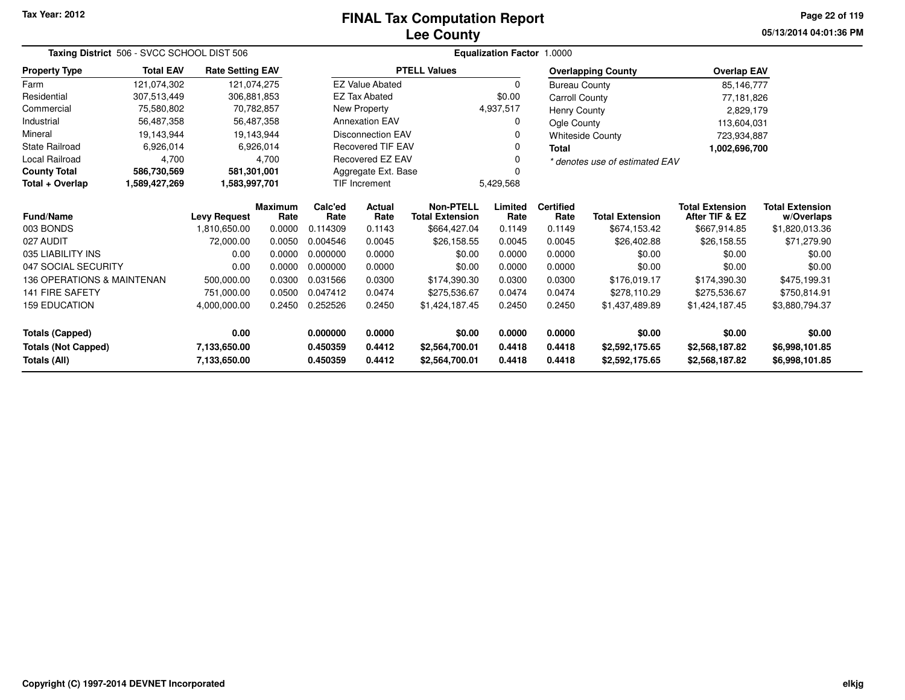# **Lee CountyFINAL Tax Computation Report**

**05/13/2014 04:01:36 PM Page 22 of 119**

|                              | Taxing District 506 - SVCC SCHOOL DIST 506 |                                               |           |                     |                          | <b>Equalization Factor 1.0000</b>          |                 |                          |                                |                                          |                                      |  |  |  |
|------------------------------|--------------------------------------------|-----------------------------------------------|-----------|---------------------|--------------------------|--------------------------------------------|-----------------|--------------------------|--------------------------------|------------------------------------------|--------------------------------------|--|--|--|
| <b>Property Type</b>         | <b>Total EAV</b>                           | <b>Rate Setting EAV</b>                       |           |                     |                          | <b>PTELL Values</b>                        |                 |                          | <b>Overlapping County</b>      | <b>Overlap EAV</b>                       |                                      |  |  |  |
| Farm                         | 121,074,302                                | 121,074,275                                   |           |                     | <b>EZ Value Abated</b>   |                                            | $\Omega$        | <b>Bureau County</b>     |                                | 85,146,777                               |                                      |  |  |  |
| Residential                  | 307,513,449                                | 306,881,853                                   |           |                     | <b>EZ Tax Abated</b>     |                                            | \$0.00          | <b>Carroll County</b>    |                                | 77,181,826                               |                                      |  |  |  |
| Commercial                   | 75,580,802                                 | 70,782,857                                    |           |                     | New Property             |                                            | 4,937,517       | <b>Henry County</b>      |                                | 2,829,179                                |                                      |  |  |  |
| Industrial                   | 56,487,358                                 | 56,487,358                                    |           |                     | <b>Annexation EAV</b>    |                                            | 0               | Ogle County              |                                | 113,604,031                              |                                      |  |  |  |
| Mineral                      | 19,143,944                                 | 19,143,944                                    |           |                     | <b>Disconnection EAV</b> |                                            | $\Omega$        |                          | <b>Whiteside County</b>        | 723,934,887                              |                                      |  |  |  |
| <b>State Railroad</b>        | 6,926,014                                  |                                               | 6,926,014 |                     | <b>Recovered TIF EAV</b> |                                            | 0               | <b>Total</b>             |                                | 1,002,696,700                            |                                      |  |  |  |
| Local Railroad               | 4,700                                      |                                               | 4,700     |                     | Recovered EZ EAV         |                                            | $\Omega$        |                          | * denotes use of estimated EAV |                                          |                                      |  |  |  |
| <b>County Total</b>          | 586,730,569                                | 581,301,001                                   |           | Aggregate Ext. Base |                          |                                            | $\Omega$        |                          |                                |                                          |                                      |  |  |  |
| Total + Overlap              | 1,589,427,269                              | 1,583,997,701                                 |           |                     | TIF Increment            |                                            | 5,429,568       |                          |                                |                                          |                                      |  |  |  |
| <b>Fund/Name</b>             |                                            | <b>Maximum</b><br><b>Levy Request</b><br>Rate |           | Calc'ed<br>Rate     | <b>Actual</b><br>Rate    | <b>Non-PTELL</b><br><b>Total Extension</b> | Limited<br>Rate | <b>Certified</b><br>Rate | <b>Total Extension</b>         | <b>Total Extension</b><br>After TIF & EZ | <b>Total Extension</b><br>w/Overlaps |  |  |  |
| 003 BONDS                    |                                            | 1,810,650.00                                  | 0.0000    | 0.114309            | 0.1143                   | \$664,427.04                               | 0.1149          | 0.1149                   | \$674,153.42                   | \$667,914.85                             | \$1,820,013.36                       |  |  |  |
| 027 AUDIT                    |                                            | 72,000.00                                     | 0.0050    | 0.004546            | 0.0045                   | \$26,158.55                                | 0.0045          | 0.0045                   | \$26,402.88                    | \$26,158.55                              | \$71,279.90                          |  |  |  |
| 035 LIABILITY INS            |                                            | 0.00                                          | 0.0000    | 0.000000            | 0.0000                   | \$0.00                                     | 0.0000          | 0.0000                   | \$0.00                         | \$0.00                                   | \$0.00                               |  |  |  |
| 047 SOCIAL SECURITY          |                                            | 0.00                                          | 0.0000    | 0.000000            | 0.0000                   | \$0.00                                     | 0.0000          | 0.0000                   | \$0.00                         | \$0.00                                   | \$0.00                               |  |  |  |
| 136 OPERATIONS & MAINTENAN   |                                            | 500,000.00                                    | 0.0300    | 0.031566            | 0.0300                   | \$174,390.30                               | 0.0300          | 0.0300                   | \$176,019.17                   | \$174,390.30                             | \$475,199.31                         |  |  |  |
| 141 FIRE SAFETY              |                                            | 751,000.00                                    | 0.0500    | 0.047412            | 0.0474                   | \$275,536.67                               | 0.0474          | 0.0474                   | \$278,110.29                   | \$275,536.67                             | \$750,814.91                         |  |  |  |
| <b>159 EDUCATION</b>         |                                            | 4,000,000.00                                  | 0.2450    | 0.252526            | 0.2450                   | \$1,424,187.45                             | 0.2450          | 0.2450                   | \$1,437,489.89                 | \$1,424,187.45                           | \$3,880,794.37                       |  |  |  |
| <b>Totals (Capped)</b>       |                                            | 0.00                                          |           | 0.000000            | 0.0000                   | \$0.00                                     | 0.0000          | 0.0000                   | \$0.00                         | \$0.00                                   | \$0.00                               |  |  |  |
| <b>Totals (Not Capped)</b>   |                                            | 7,133,650.00                                  |           | 0.450359            | 0.4412                   | \$2,564,700.01                             | 0.4418          | 0.4418                   | \$2,592,175.65                 | \$2,568,187.82                           | \$6,998,101.85                       |  |  |  |
| Totals (All)<br>7,133,650.00 |                                            |                                               | 0.450359  | 0.4412              | \$2,564,700.01           | 0.4418                                     | 0.4418          | \$2,592,175.65           | \$2,568,187.82                 | \$6,998,101.85                           |                                      |  |  |  |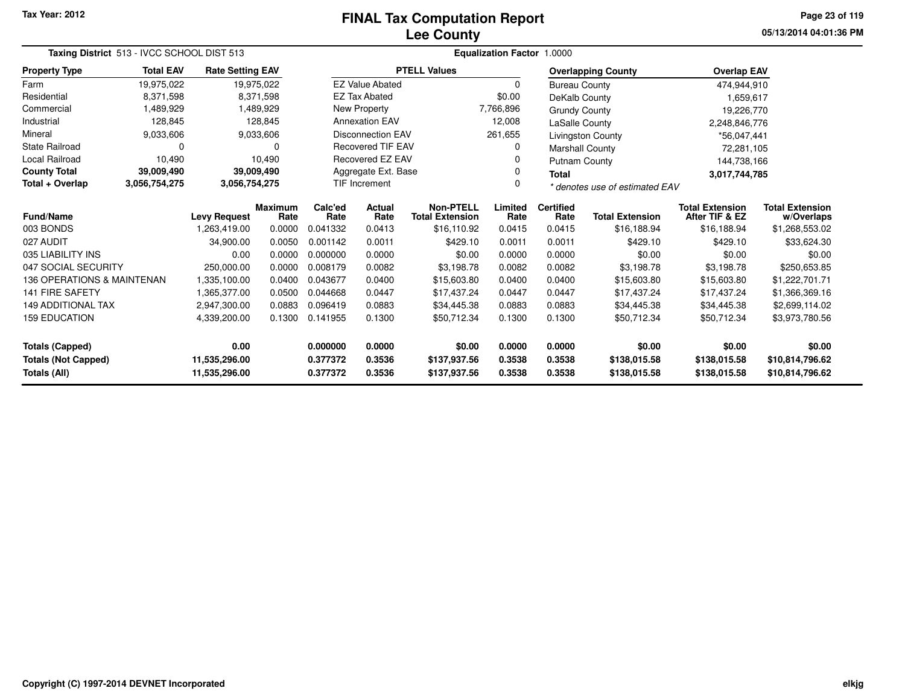# **Lee CountyFINAL Tax Computation Report**

**05/13/2014 04:01:36 PM Page 23 of 119**

|                            | Taxing District 513 - IVCC SCHOOL DIST 513 |                         |                        |                                   |                                                          | Equalization Factor 1.0000                 |                                |                          |                           |                                          |                                      |  |  |  |
|----------------------------|--------------------------------------------|-------------------------|------------------------|-----------------------------------|----------------------------------------------------------|--------------------------------------------|--------------------------------|--------------------------|---------------------------|------------------------------------------|--------------------------------------|--|--|--|
| <b>Property Type</b>       | <b>Total EAV</b>                           | <b>Rate Setting EAV</b> |                        |                                   |                                                          | <b>PTELL Values</b>                        |                                |                          | <b>Overlapping County</b> | <b>Overlap EAV</b>                       |                                      |  |  |  |
| Farm                       | 19,975,022                                 |                         | 19,975,022             |                                   | <b>EZ Value Abated</b>                                   |                                            | $\Omega$                       | <b>Bureau County</b>     |                           | 474,944,910                              |                                      |  |  |  |
| Residential                | 8,371,598                                  |                         | 8,371,598              |                                   | <b>EZ Tax Abated</b>                                     |                                            | \$0.00                         | DeKalb County            |                           | 1,659,617                                |                                      |  |  |  |
| Commercial                 | 1,489,929                                  |                         | 1,489,929              |                                   | New Property                                             |                                            | 7,766,896                      | <b>Grundy County</b>     |                           | 19,226,770                               |                                      |  |  |  |
| Industrial                 | 128,845                                    |                         | 128,845                |                                   | <b>Annexation EAV</b>                                    |                                            | 12,008                         | <b>LaSalle County</b>    |                           | 2,248,846,776                            |                                      |  |  |  |
| Mineral                    | 9,033,606                                  |                         | 9,033,606              |                                   | <b>Disconnection EAV</b>                                 |                                            | 261,655                        |                          | Livingston County         | *56,047,441                              |                                      |  |  |  |
| State Railroad             | 0                                          |                         | $\Omega$               |                                   | <b>Recovered TIF EAV</b>                                 |                                            | 0                              | Marshall County          |                           | 72,281,105                               |                                      |  |  |  |
| Local Railroad             | 10,490                                     |                         | 10,490                 |                                   | <b>Recovered EZ EAV</b><br>0<br>Aggregate Ext. Base<br>0 |                                            |                                | <b>Putnam County</b>     |                           | 144,738,166                              |                                      |  |  |  |
| <b>County Total</b>        | 39,009,490                                 |                         | 39,009,490             |                                   |                                                          |                                            |                                | <b>Total</b>             |                           | 3,017,744,785                            |                                      |  |  |  |
| Total + Overlap            | 3,056,754,275                              | 3,056,754,275           |                        | <b>TIF Increment</b>              |                                                          |                                            | * denotes use of estimated EAV |                          |                           |                                          |                                      |  |  |  |
| Fund/Name                  |                                            | <b>Levy Request</b>     | <b>Maximum</b><br>Rate | Calc'ed<br>Actual<br>Rate<br>Rate |                                                          | <b>Non-PTELL</b><br><b>Total Extension</b> | Limited<br>Rate                | <b>Certified</b><br>Rate | <b>Total Extension</b>    | <b>Total Extension</b><br>After TIF & EZ | <b>Total Extension</b><br>w/Overlaps |  |  |  |
| 003 BONDS                  |                                            | 1,263,419.00            | 0.0000                 | 0.041332                          | 0.0413                                                   | \$16,110.92                                | 0.0415                         | 0.0415                   | \$16,188.94               | \$16,188.94                              | \$1,268,553.02                       |  |  |  |
| 027 AUDIT                  |                                            | 34,900.00               | 0.0050                 | 0.001142                          | 0.0011                                                   | \$429.10                                   | 0.0011                         | 0.0011                   | \$429.10                  | \$429.10                                 | \$33,624.30                          |  |  |  |
| 035 LIABILITY INS          |                                            | 0.00                    | 0.0000                 | 0.000000                          | 0.0000                                                   | \$0.00                                     | 0.0000                         | 0.0000                   | \$0.00                    | \$0.00                                   | \$0.00                               |  |  |  |
| 047 SOCIAL SECURITY        |                                            | 250,000.00              | 0.0000                 | 0.008179                          | 0.0082                                                   | \$3,198.78                                 | 0.0082                         | 0.0082                   | \$3,198.78                | \$3,198.78                               | \$250,653.85                         |  |  |  |
| 136 OPERATIONS & MAINTENAN |                                            | 1,335,100.00            | 0.0400                 | 0.043677                          | 0.0400                                                   | \$15,603.80                                | 0.0400                         | 0.0400                   | \$15,603.80               | \$15,603.80                              | \$1,222,701.71                       |  |  |  |
| <b>141 FIRE SAFETY</b>     |                                            | 1,365,377.00            | 0.0500                 | 0.044668                          | 0.0447                                                   | \$17,437.24                                | 0.0447                         | 0.0447                   | \$17,437.24               | \$17,437.24                              | \$1,366,369.16                       |  |  |  |
| <b>149 ADDITIONAL TAX</b>  |                                            | 2,947,300.00            | 0.0883                 | 0.096419                          | 0.0883                                                   | \$34,445.38                                | 0.0883                         | 0.0883                   | \$34,445.38               | \$34,445.38                              | \$2,699,114.02                       |  |  |  |
| <b>159 EDUCATION</b>       |                                            | 4,339,200.00            | 0.1300                 | 0.141955<br>0.1300                |                                                          | \$50,712.34                                | 0.1300                         | 0.1300                   | \$50,712.34               | \$50,712.34                              | \$3,973,780.56                       |  |  |  |
| <b>Totals (Capped)</b>     |                                            | 0.00                    |                        | 0.000000<br>0.0000                |                                                          | \$0.00                                     | 0.0000                         | 0.0000                   | \$0.00                    | \$0.00                                   | \$0.00                               |  |  |  |
| <b>Totals (Not Capped)</b> |                                            | 11,535,296.00           |                        | 0.377372<br>0.3536                |                                                          | \$137,937.56                               | 0.3538                         | 0.3538                   | \$138,015.58              | \$138,015.58                             | \$10,814,796.62                      |  |  |  |
| Totals (All)               |                                            | 11,535,296.00           |                        | 0.377372                          | 0.3536<br>\$137,937.56<br>0.3538                         |                                            |                                | 0.3538                   | \$138,015.58              | \$138,015.58                             | \$10,814,796.62                      |  |  |  |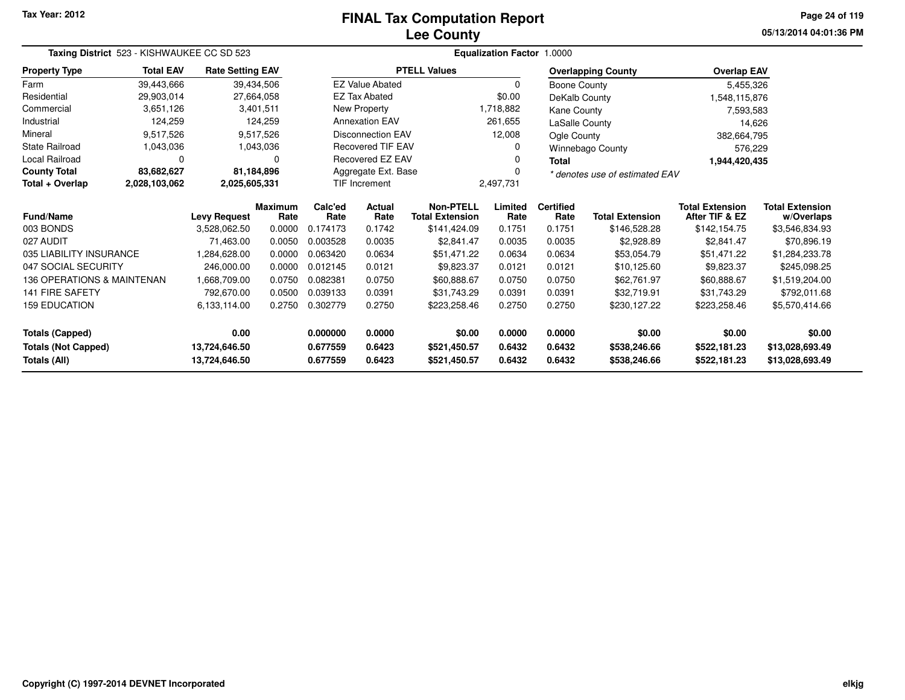# **Lee CountyFINAL Tax Computation Report**

**05/13/2014 04:01:36 PM Page 24 of 119**

| Taxing District 523 - KISHWAUKEE CC SD 523 | Equalization Factor 1.0000 |                         |                        |                          |                        |                                            |                                            |                          |                           |                                          |                                      |  |
|--------------------------------------------|----------------------------|-------------------------|------------------------|--------------------------|------------------------|--------------------------------------------|--------------------------------------------|--------------------------|---------------------------|------------------------------------------|--------------------------------------|--|
| <b>Property Type</b>                       | <b>Total EAV</b>           | <b>Rate Setting EAV</b> |                        |                          |                        | <b>PTELL Values</b>                        |                                            |                          | <b>Overlapping County</b> | <b>Overlap EAV</b>                       |                                      |  |
| Farm                                       | 39,443,666                 |                         | 39,434,506             |                          | <b>EZ Value Abated</b> |                                            | $\Omega$                                   | <b>Boone County</b>      |                           | 5,455,326                                |                                      |  |
| Residential                                | 29,903,014                 |                         | 27,664,058             |                          | <b>EZ Tax Abated</b>   |                                            | \$0.00                                     | DeKalb County            |                           | 1,548,115,876                            |                                      |  |
| Commercial                                 | 3,651,126                  |                         | 3,401,511              | <b>New Property</b>      |                        |                                            | 1,718,882<br>Kane County                   |                          | 7,593,583                 |                                          |                                      |  |
| Industrial                                 | 124,259                    |                         | 124,259                | <b>Annexation EAV</b>    |                        |                                            | 261,655                                    | LaSalle County           |                           | 14,626                                   |                                      |  |
| Mineral                                    | 9,517,526                  |                         | 9,517,526              | <b>Disconnection EAV</b> |                        |                                            | 12,008<br>Ogle County                      |                          |                           | 382,664,795                              |                                      |  |
| <b>State Railroad</b>                      | 1,043,036                  |                         | 1,043,036              | <b>Recovered TIF EAV</b> |                        |                                            | 0<br><b>Winnebago County</b>               |                          |                           | 576,229                                  |                                      |  |
| Local Railroad                             | O                          |                         | 0                      | Recovered EZ EAV         |                        |                                            | 0                                          | <b>Total</b>             |                           | 1,944,420,435                            |                                      |  |
| <b>County Total</b>                        | 83,682,627                 |                         | 81,184,896             | Aggregate Ext. Base      |                        |                                            | $\Omega$<br>* denotes use of estimated EAV |                          |                           |                                          |                                      |  |
| Total + Overlap                            | 2,028,103,062              | 2,025,605,331           |                        |                          | <b>TIF Increment</b>   |                                            | 2,497,731                                  |                          |                           |                                          |                                      |  |
| Fund/Name                                  | <b>Levy Request</b>        |                         | <b>Maximum</b><br>Rate | Calc'ed<br>Rate          | <b>Actual</b><br>Rate  | <b>Non-PTELL</b><br><b>Total Extension</b> | Limited<br>Rate                            | <b>Certified</b><br>Rate | <b>Total Extension</b>    | <b>Total Extension</b><br>After TIF & EZ | <b>Total Extension</b><br>w/Overlaps |  |
| 003 BONDS                                  |                            | 3,528,062.50            | 0.0000                 | 0.174173                 | 0.1742                 | \$141,424.09                               | 0.1751                                     | 0.1751                   | \$146,528.28              | \$142,154.75                             | \$3,546,834.93                       |  |
| 027 AUDIT                                  |                            | 71.463.00               | 0.0050                 | 0.003528                 | 0.0035                 | \$2,841.47                                 | 0.0035                                     | 0.0035                   | \$2,928.89                | \$2,841.47                               | \$70,896.19                          |  |
| 035 LIABILITY INSURANCE                    |                            | 1.284.628.00            | 0.0000                 | 0.063420                 | 0.0634                 | \$51,471.22                                | 0.0634                                     | 0.0634                   | \$53,054.79               | \$51,471.22                              | \$1,284,233.78                       |  |
| 047 SOCIAL SECURITY                        |                            | 246,000.00              | 0.0000                 | 0.012145                 | 0.0121                 | \$9,823.37                                 | 0.0121                                     | 0.0121                   | \$10,125.60               | \$9,823.37                               | \$245,098.25                         |  |
| 136 OPERATIONS & MAINTENAN                 |                            | 1,668,709.00            | 0.0750                 | 0.082381                 | 0.0750                 | \$60,888.67                                | 0.0750                                     | 0.0750                   | \$62,761.97               | \$60,888.67                              | \$1,519,204.00                       |  |
| 141 FIRE SAFETY                            |                            | 792,670.00              | 0.0500                 | 0.039133                 | 0.0391                 | \$31,743.29                                | 0.0391                                     | 0.0391                   | \$32,719.91               | \$31,743.29                              | \$792,011.68                         |  |
| <b>159 EDUCATION</b>                       |                            | 6,133,114.00            | 0.2750                 | 0.302779                 | 0.2750                 | \$223,258.46                               | 0.2750                                     | 0.2750                   | \$230,127.22              | \$223,258.46                             | \$5,570,414.66                       |  |
| <b>Totals (Capped)</b>                     |                            | 0.00                    |                        | 0.000000                 | 0.0000                 | \$0.00                                     | 0.0000                                     | 0.0000                   | \$0.00                    | \$0.00                                   | \$0.00                               |  |
| <b>Totals (Not Capped)</b>                 |                            | 13,724,646.50           |                        | 0.677559                 | 0.6423                 | \$521,450.57                               | 0.6432                                     | 0.6432                   | \$538,246.66              | \$522,181.23                             | \$13,028,693.49                      |  |
| <b>Totals (All)</b>                        |                            | 13,724,646.50           |                        | 0.677559                 | 0.6423                 | \$521,450.57                               | 0.6432                                     | 0.6432                   | \$538,246.66              | \$522,181.23                             | \$13,028,693.49                      |  |

—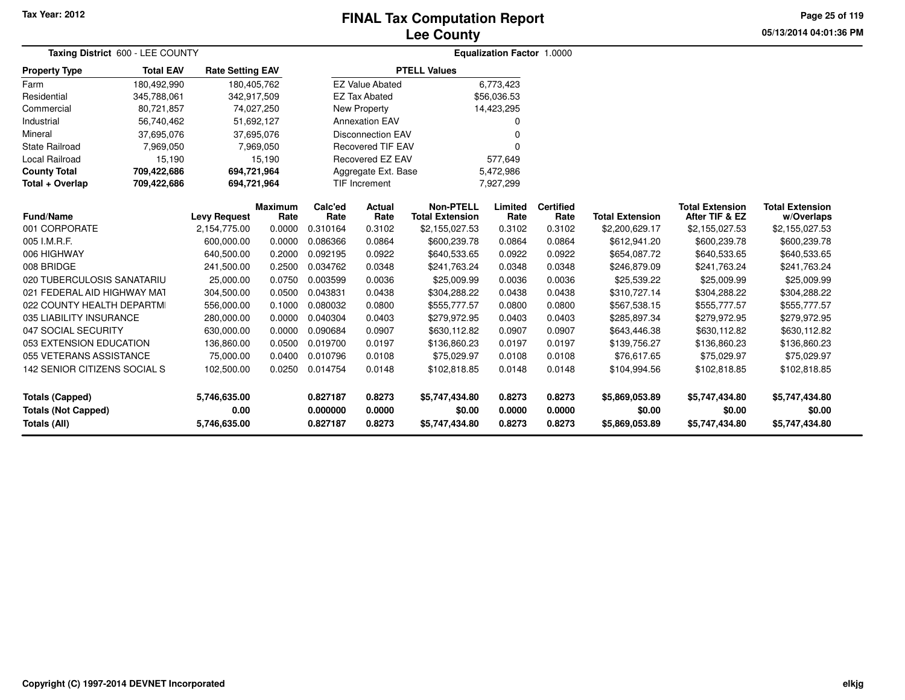# **Lee CountyFINAL Tax Computation Report**

**05/13/2014 04:01:36 PM Page 25 of 119**

| Taxing District 600 - LEE COUNTY           |                  |                         |                        |                      |                          |                                            | <b>Equalization Factor 1.0000</b> |                          |                          |                                          |                                      |
|--------------------------------------------|------------------|-------------------------|------------------------|----------------------|--------------------------|--------------------------------------------|-----------------------------------|--------------------------|--------------------------|------------------------------------------|--------------------------------------|
| <b>Property Type</b>                       | <b>Total EAV</b> | <b>Rate Setting EAV</b> |                        |                      |                          | <b>PTELL Values</b>                        |                                   |                          |                          |                                          |                                      |
| Farm                                       | 180,492,990      | 180,405,762             |                        |                      | <b>EZ Value Abated</b>   |                                            | 6,773,423                         |                          |                          |                                          |                                      |
| Residential                                | 345,788,061      | 342,917,509             |                        |                      | <b>EZ Tax Abated</b>     |                                            | \$56,036.53                       |                          |                          |                                          |                                      |
| Commercial                                 | 80,721,857       | 74,027,250              |                        |                      | <b>New Property</b>      |                                            | 14,423,295                        |                          |                          |                                          |                                      |
| Industrial                                 | 56,740,462       | 51,692,127              |                        |                      | <b>Annexation EAV</b>    |                                            | ŋ                                 |                          |                          |                                          |                                      |
| Mineral                                    | 37,695,076       |                         | 37,695,076             |                      | <b>Disconnection EAV</b> |                                            |                                   |                          |                          |                                          |                                      |
| <b>State Railroad</b>                      | 7,969,050        |                         | 7,969,050              |                      | <b>Recovered TIF EAV</b> |                                            |                                   |                          |                          |                                          |                                      |
| Local Railroad                             | 15,190           |                         | 15,190                 |                      | Recovered EZ EAV         |                                            | 577,649                           |                          |                          |                                          |                                      |
| <b>County Total</b>                        | 709,422,686      | 694,721,964             |                        |                      | Aggregate Ext. Base      |                                            | 5,472,986                         |                          |                          |                                          |                                      |
| Total + Overlap                            | 709,422,686      | 694,721,964             |                        |                      | <b>TIF Increment</b>     |                                            | 7,927,299                         |                          |                          |                                          |                                      |
| <b>Fund/Name</b>                           |                  | <b>Levy Request</b>     | <b>Maximum</b><br>Rate | Calc'ed<br>Rate      | Actual<br>Rate           | <b>Non-PTELL</b><br><b>Total Extension</b> | Limited<br>Rate                   | <b>Certified</b><br>Rate | <b>Total Extension</b>   | <b>Total Extension</b><br>After TIF & EZ | <b>Total Extension</b><br>w/Overlaps |
| 001 CORPORATE                              |                  | 2,154,775.00            | 0.0000                 | 0.310164             | 0.3102                   | \$2,155,027.53                             | 0.3102                            | 0.3102                   | \$2,200,629.17           | \$2,155,027.53                           | \$2,155,027.53                       |
| 005 I.M.R.F.                               |                  | 600,000.00              | 0.0000                 | 0.086366             | 0.0864                   | \$600,239.78                               | 0.0864                            | 0.0864                   | \$612,941.20             | \$600,239.78                             | \$600,239.78                         |
| 006 HIGHWAY                                |                  | 640,500.00              | 0.2000                 | 0.092195             | 0.0922                   | \$640,533.65                               | 0.0922                            | 0.0922                   | \$654,087.72             | \$640,533.65                             | \$640,533.65                         |
| 008 BRIDGE                                 |                  | 241,500.00              | 0.2500                 | 0.034762             | 0.0348                   | \$241,763.24                               | 0.0348                            | 0.0348                   | \$246,879.09             | \$241,763.24                             | \$241,763.24                         |
| 020 TUBERCULOSIS SANATARIU                 |                  | 25,000.00               | 0.0750                 | 0.003599             | 0.0036                   | \$25,009.99                                | 0.0036                            | 0.0036                   | \$25,539.22              | \$25,009.99                              | \$25,009.99                          |
| 021 FEDERAL AID HIGHWAY MAT                |                  | 304,500.00              | 0.0500                 | 0.043831             | 0.0438                   | \$304,288.22                               | 0.0438                            | 0.0438                   | \$310,727.14             | \$304,288.22                             | \$304,288.22                         |
| 022 COUNTY HEALTH DEPARTMI                 |                  | 556,000.00              | 0.1000                 | 0.080032             | 0.0800                   | \$555,777.57                               | 0.0800                            | 0.0800                   | \$567,538.15             | \$555,777.57                             | \$555,777.57                         |
| 035 LIABILITY INSURANCE                    |                  | 280,000.00              | 0.0000                 | 0.040304             | 0.0403                   | \$279,972.95                               | 0.0403                            | 0.0403                   | \$285,897.34             | \$279,972.95                             | \$279,972.95                         |
| 047 SOCIAL SECURITY                        |                  | 630,000.00              | 0.0000                 | 0.090684             | 0.0907                   | \$630,112.82                               | 0.0907                            | 0.0907                   | \$643,446.38             | \$630,112.82                             | \$630,112.82                         |
| 053 EXTENSION EDUCATION                    |                  | 136,860.00              | 0.0500                 | 0.019700             | 0.0197                   | \$136,860.23                               | 0.0197                            | 0.0197                   | \$139,756.27             | \$136,860.23                             | \$136,860.23                         |
| 055 VETERANS ASSISTANCE                    |                  | 75,000.00               | 0.0400                 | 0.010796             | 0.0108                   | \$75,029.97                                | 0.0108                            | 0.0108                   | \$76,617.65              | \$75,029.97                              | \$75,029.97                          |
| 142 SENIOR CITIZENS SOCIAL S               |                  | 102,500.00              | 0.0250                 | 0.014754             | 0.0148                   | \$102,818.85                               | 0.0148                            | 0.0148                   | \$104,994.56             | \$102,818.85                             | \$102,818.85                         |
| <b>Totals (Capped)</b>                     |                  | 5,746,635.00            |                        | 0.827187             | 0.8273                   | \$5,747,434.80                             | 0.8273                            | 0.8273                   | \$5,869,053.89           | \$5,747,434.80                           | \$5,747,434.80                       |
| <b>Totals (Not Capped)</b><br>Totals (All) |                  | 0.00<br>5,746,635.00    |                        | 0.000000<br>0.827187 | 0.0000<br>0.8273         | \$0.00<br>\$5,747,434.80                   | 0.0000<br>0.8273                  | 0.0000<br>0.8273         | \$0.00<br>\$5,869,053.89 | \$0.00<br>\$5,747,434.80                 | \$0.00<br>\$5,747,434.80             |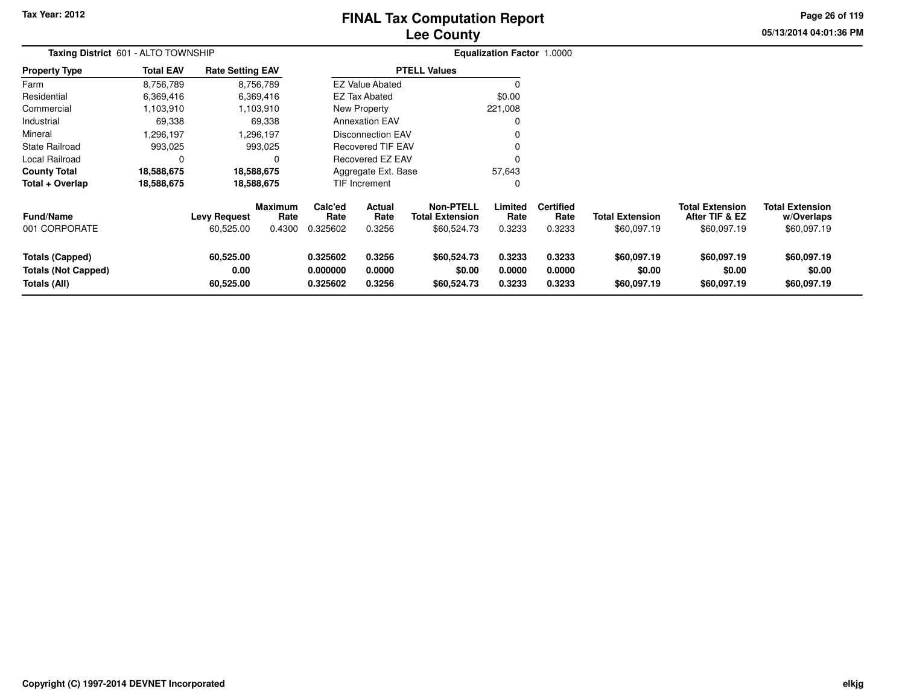# **Lee CountyFINAL Tax Computation Report**

**05/13/2014 04:01:36 PM Page 26 of 119**

| Taxing District 601 - ALTO TOWNSHIP                                         |                  |                                  | <b>Equalization Factor 1.0000</b> |                                  |                            |                                                           |                            |                                    |                                       |                                                         |                                                     |
|-----------------------------------------------------------------------------|------------------|----------------------------------|-----------------------------------|----------------------------------|----------------------------|-----------------------------------------------------------|----------------------------|------------------------------------|---------------------------------------|---------------------------------------------------------|-----------------------------------------------------|
| <b>Property Type</b>                                                        | <b>Total EAV</b> | <b>Rate Setting EAV</b>          |                                   |                                  |                            | <b>PTELL Values</b>                                       |                            |                                    |                                       |                                                         |                                                     |
| Farm                                                                        | 8,756,789        |                                  | 8,756,789                         |                                  | <b>EZ Value Abated</b>     |                                                           | $\Omega$                   |                                    |                                       |                                                         |                                                     |
| Residential                                                                 | 6,369,416        |                                  | 6,369,416                         |                                  | <b>EZ Tax Abated</b>       |                                                           | \$0.00                     |                                    |                                       |                                                         |                                                     |
| Commercial                                                                  | 1,103,910        |                                  | 1,103,910                         |                                  | New Property               |                                                           | 221,008                    |                                    |                                       |                                                         |                                                     |
| Industrial                                                                  | 69,338           |                                  | 69,338                            |                                  | <b>Annexation EAV</b>      |                                                           | 0                          |                                    |                                       |                                                         |                                                     |
| Mineral                                                                     | .296,197         |                                  | ,296,197                          |                                  | <b>Disconnection EAV</b>   |                                                           |                            |                                    |                                       |                                                         |                                                     |
| State Railroad                                                              | 993,025          |                                  | 993,025                           |                                  | <b>Recovered TIF EAV</b>   |                                                           |                            |                                    |                                       |                                                         |                                                     |
| Local Railroad                                                              | 0                |                                  |                                   |                                  | Recovered EZ EAV           |                                                           | 0                          |                                    |                                       |                                                         |                                                     |
| <b>County Total</b>                                                         | 18,588,675       |                                  | 18,588,675                        |                                  | Aggregate Ext. Base        |                                                           | 57,643                     |                                    |                                       |                                                         |                                                     |
| Total + Overlap                                                             | 18,588,675       |                                  | 18,588,675                        |                                  | TIF Increment              |                                                           | 0                          |                                    |                                       |                                                         |                                                     |
| Fund/Name<br>001 CORPORATE                                                  |                  | <b>Levy Request</b><br>60,525.00 | <b>Maximum</b><br>Rate<br>0.4300  | Calc'ed<br>Rate<br>0.325602      | Actual<br>Rate<br>0.3256   | <b>Non-PTELL</b><br><b>Total Extension</b><br>\$60,524.73 | Limited<br>Rate<br>0.3233  | <b>Certified</b><br>Rate<br>0.3233 | <b>Total Extension</b><br>\$60,097.19 | <b>Total Extension</b><br>After TIF & EZ<br>\$60,097.19 | <b>Total Extension</b><br>w/Overlaps<br>\$60,097.19 |
| <b>Totals (Capped)</b><br><b>Totals (Not Capped)</b><br><b>Totals (All)</b> |                  | 60,525.00<br>0.00<br>60,525.00   |                                   | 0.325602<br>0.000000<br>0.325602 | 0.3256<br>0.0000<br>0.3256 | \$60,524.73<br>\$0.00<br>\$60,524.73                      | 0.3233<br>0.0000<br>0.3233 | 0.3233<br>0.0000<br>0.3233         | \$60,097.19<br>\$0.00<br>\$60,097.19  | \$60,097.19<br>\$0.00<br>\$60,097.19                    | \$60,097.19<br>\$0.00<br>\$60,097.19                |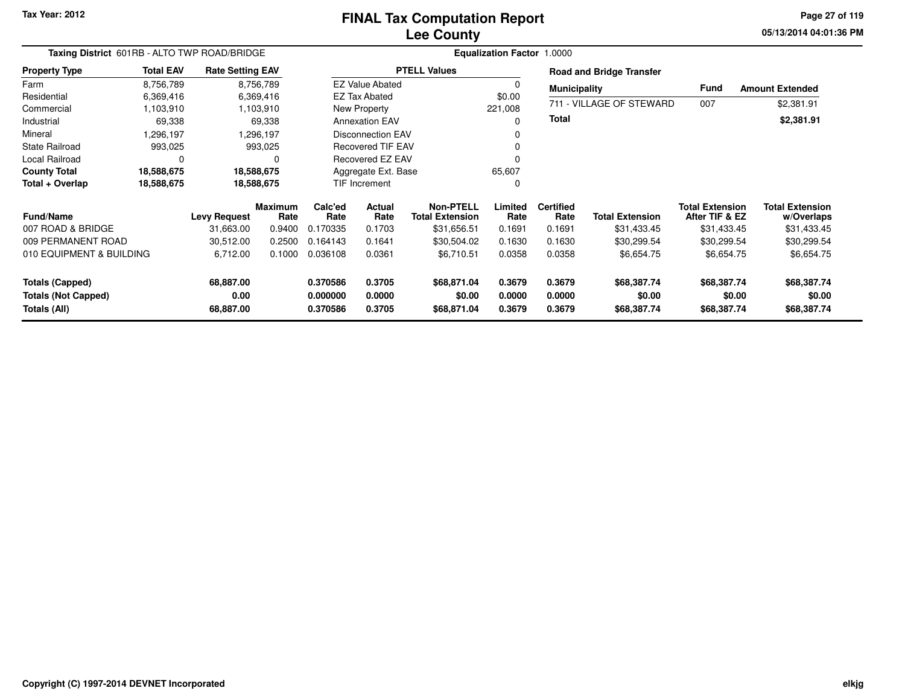## **Lee CountyFINAL Tax Computation Report**

**05/13/2014 04:01:36 PM Page 27 of 119**

| Taxing District 601RB - ALTO TWP ROAD/BRIDGE<br><b>Total EAV</b><br><b>Rate Setting EAV</b> |            |                     |                        |                      |                               |                                            | Equalization Factor 1.0000 |                          |                                 |                                          |                                      |
|---------------------------------------------------------------------------------------------|------------|---------------------|------------------------|----------------------|-------------------------------|--------------------------------------------|----------------------------|--------------------------|---------------------------------|------------------------------------------|--------------------------------------|
| <b>Property Type</b>                                                                        |            |                     |                        |                      |                               | <b>PTELL Values</b>                        |                            |                          | <b>Road and Bridge Transfer</b> |                                          |                                      |
| Farm                                                                                        | 8,756,789  |                     | 8,756,789              |                      | <b>EZ Value Abated</b>        |                                            |                            | <b>Municipality</b>      |                                 | Fund                                     | <b>Amount Extended</b>               |
| Residential                                                                                 | 6,369,416  |                     | 6,369,416              |                      | EZ Tax Abated                 |                                            | \$0.00                     |                          |                                 |                                          |                                      |
| Commercial                                                                                  | 1,103,910  |                     | 1,103,910              |                      | New Property                  |                                            | 221,008                    |                          | 711 - VILLAGE OF STEWARD        | 007                                      | \$2,381.91                           |
| Industrial                                                                                  | 69,338     |                     | 69,338                 |                      | <b>Annexation EAV</b>         |                                            |                            | <b>Total</b>             |                                 |                                          | \$2,381.91                           |
| Mineral                                                                                     | 1,296,197  |                     | 1,296.197              |                      | <b>Disconnection EAV</b>      |                                            |                            |                          |                                 |                                          |                                      |
| State Railroad                                                                              | 993,025    |                     | 993,025                |                      | <b>Recovered TIF EAV</b>      |                                            |                            |                          |                                 |                                          |                                      |
| Local Railroad                                                                              | $\Omega$   |                     | $\Omega$               |                      | Recovered EZ EAV              |                                            |                            |                          |                                 |                                          |                                      |
| <b>County Total</b>                                                                         | 18,588,675 | 18,588,675          |                        |                      | Aggregate Ext. Base<br>65,607 |                                            |                            |                          |                                 |                                          |                                      |
| Total + Overlap                                                                             | 18,588,675 |                     | 18,588,675             |                      | TIF Increment                 |                                            | 0                          |                          |                                 |                                          |                                      |
| <b>Fund/Name</b>                                                                            |            | <b>Levy Request</b> | <b>Maximum</b><br>Rate | Calc'ed<br>Rate      | Actual<br>Rate                | <b>Non-PTELL</b><br><b>Total Extension</b> | Limited<br>Rate            | <b>Certified</b><br>Rate | <b>Total Extension</b>          | <b>Total Extension</b><br>After TIF & EZ | <b>Total Extension</b><br>w/Overlaps |
| 007 ROAD & BRIDGE                                                                           |            | 31.663.00           | 0.9400                 | 0.170335             | 0.1703                        | \$31,656.51                                | 0.1691                     | 0.1691                   | \$31,433.45                     | \$31,433.45                              | \$31,433.45                          |
| 009 PERMANENT ROAD                                                                          |            | 30,512.00           | 0.2500                 | 0.164143             | 0.1641                        | \$30,504.02                                | 0.1630                     | 0.1630                   | \$30,299.54                     | \$30,299.54                              | \$30,299.54                          |
| 010 EQUIPMENT & BUILDING                                                                    |            | 6,712.00            | 0.1000                 | 0.036108             | 0.0361                        | \$6,710.51                                 | 0.0358                     | 0.0358                   | \$6,654.75                      | \$6,654.75                               | \$6,654.75                           |
| Totals (Capped)                                                                             |            | 68,887.00           |                        | 0.370586             | 0.3705                        | \$68,871.04                                | 0.3679                     | 0.3679                   | \$68,387.74                     | \$68,387.74                              | \$68,387.74                          |
| <b>Totals (Not Capped)</b><br>Totals (All)                                                  |            | 0.00<br>68,887.00   |                        | 0.000000<br>0.370586 | 0.0000<br>0.3705              | \$0.00<br>\$68,871.04                      | 0.0000<br>0.3679           | 0.0000<br>0.3679         | \$0.00<br>\$68,387.74           | \$0.00<br>\$68,387.74                    | \$0.00<br>\$68,387.74                |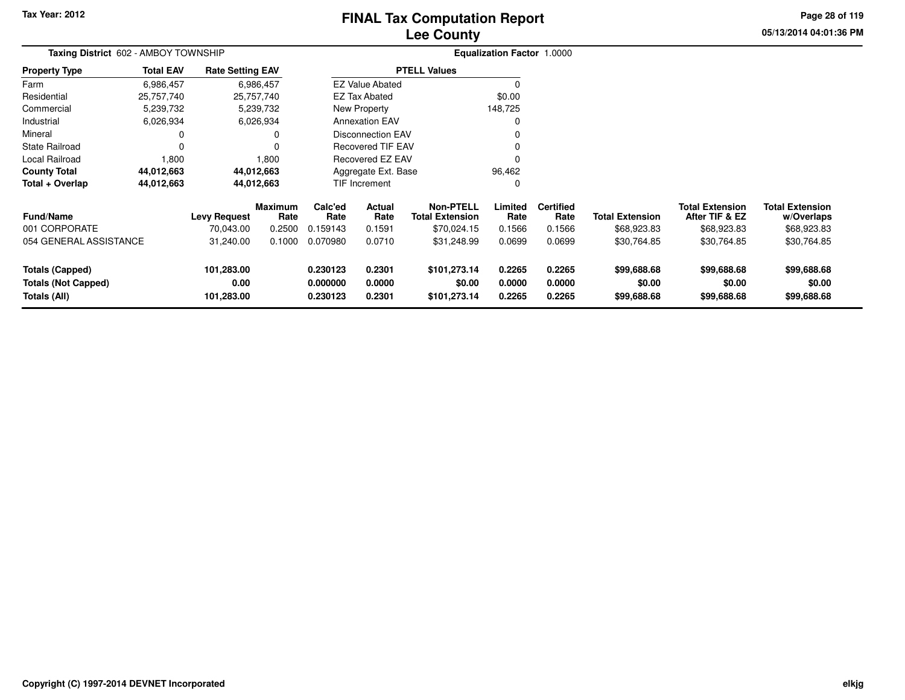# **Lee CountyFINAL Tax Computation Report**

**05/13/2014 04:01:36 PM Page 28 of 119**

| Taxing District 602 - AMBOY TOWNSHIP                                 |                  |                                  |                        |                                  |                               |                                            | Equalization Factor 1.0000 |                            |                                      |                                          |                                      |
|----------------------------------------------------------------------|------------------|----------------------------------|------------------------|----------------------------------|-------------------------------|--------------------------------------------|----------------------------|----------------------------|--------------------------------------|------------------------------------------|--------------------------------------|
| <b>Property Type</b>                                                 | <b>Total EAV</b> | <b>Rate Setting EAV</b>          |                        |                                  |                               | <b>PTELL Values</b>                        |                            |                            |                                      |                                          |                                      |
| Farm                                                                 | 6,986,457        |                                  | 6,986,457              |                                  | <b>EZ Value Abated</b>        |                                            |                            |                            |                                      |                                          |                                      |
| Residential                                                          | 25,757,740       |                                  | 25,757,740             |                                  | EZ Tax Abated                 |                                            | \$0.00                     |                            |                                      |                                          |                                      |
| Commercial                                                           | 5,239,732        |                                  | 5,239,732              |                                  | New Property                  |                                            | 148,725                    |                            |                                      |                                          |                                      |
| Industrial                                                           | 6,026,934        |                                  | 6,026,934              |                                  | <b>Annexation EAV</b>         |                                            |                            |                            |                                      |                                          |                                      |
| Mineral                                                              |                  |                                  |                        |                                  | <b>Disconnection EAV</b>      |                                            |                            |                            |                                      |                                          |                                      |
| State Railroad                                                       | $\Omega$         |                                  |                        |                                  | <b>Recovered TIF EAV</b>      |                                            |                            |                            |                                      |                                          |                                      |
| Local Railroad                                                       | 1,800            |                                  | 1,800                  |                                  | Recovered EZ EAV              |                                            |                            |                            |                                      |                                          |                                      |
| <b>County Total</b>                                                  | 44,012,663       |                                  | 44,012,663             |                                  | Aggregate Ext. Base<br>96,462 |                                            |                            |                            |                                      |                                          |                                      |
| Total + Overlap                                                      | 44,012,663       |                                  | 44,012,663             | <b>TIF Increment</b>             |                               |                                            | 0                          |                            |                                      |                                          |                                      |
| Fund/Name                                                            |                  | <b>Levy Request</b>              | <b>Maximum</b><br>Rate | Calc'ed<br>Rate                  | Actual<br>Rate                | <b>Non-PTELL</b><br><b>Total Extension</b> | Limited<br>Rate            | <b>Certified</b><br>Rate   | <b>Total Extension</b>               | <b>Total Extension</b><br>After TIF & EZ | <b>Total Extension</b><br>w/Overlaps |
| 001 CORPORATE                                                        |                  | 70,043.00                        | 0.2500                 | 0.159143                         | 0.1591                        | \$70,024.15                                | 0.1566                     | 0.1566                     | \$68,923.83                          | \$68,923.83                              | \$68,923.83                          |
| 054 GENERAL ASSISTANCE                                               |                  | 31,240.00                        | 0.1000                 | 0.070980                         | 0.0710                        | \$31,248.99                                | 0.0699                     | 0.0699                     | \$30,764.85                          | \$30,764.85                              | \$30,764.85                          |
| <b>Totals (Capped)</b><br><b>Totals (Not Capped)</b><br>Totals (All) |                  | 101,283.00<br>0.00<br>101,283.00 |                        | 0.230123<br>0.000000<br>0.230123 | 0.2301<br>0.0000<br>0.2301    | \$101,273.14<br>\$0.00<br>\$101,273.14     | 0.2265<br>0.0000<br>0.2265 | 0.2265<br>0.0000<br>0.2265 | \$99,688.68<br>\$0.00<br>\$99,688.68 | \$99,688.68<br>\$0.00<br>\$99,688.68     | \$99,688.68<br>\$0.00<br>\$99,688.68 |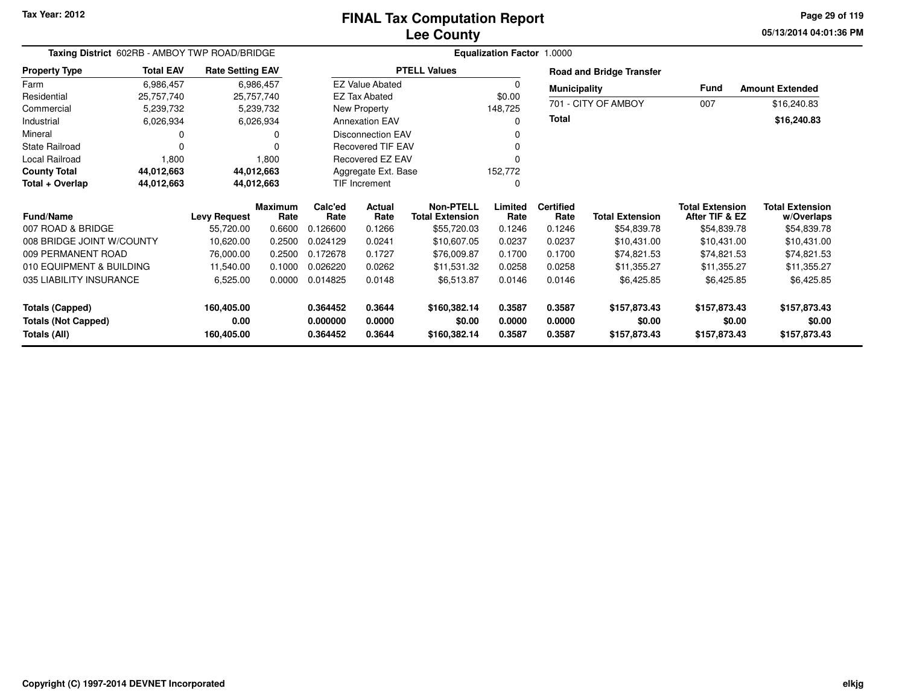## **Lee CountyFINAL Tax Computation Report**

**05/13/2014 04:01:36 PM Page 29 of 119**

| Taxing District 602RB - AMBOY TWP ROAD/BRIDGE |                  |                         |                 |                 |                          |                                            | <b>Equalization Factor 1.0000</b> |                          |                                 |                                          |                                      |
|-----------------------------------------------|------------------|-------------------------|-----------------|-----------------|--------------------------|--------------------------------------------|-----------------------------------|--------------------------|---------------------------------|------------------------------------------|--------------------------------------|
| <b>Property Type</b>                          | <b>Total EAV</b> | <b>Rate Setting EAV</b> |                 |                 |                          | <b>PTELL Values</b>                        |                                   |                          | <b>Road and Bridge Transfer</b> |                                          |                                      |
| Farm                                          | 6,986,457        |                         | 6,986,457       |                 | <b>EZ Value Abated</b>   |                                            | 0                                 | <b>Municipality</b>      |                                 | <b>Fund</b>                              | <b>Amount Extended</b>               |
| Residential                                   | 25,757,740       | 25,757,740              |                 |                 | <b>EZ Tax Abated</b>     |                                            | \$0.00                            |                          | 701 - CITY OF AMBOY             | 007                                      | \$16,240.83                          |
| Commercial                                    | 5,239,732        |                         | 5,239,732       |                 | New Property             |                                            | 148,725                           |                          |                                 |                                          |                                      |
| Industrial                                    | 6,026,934        |                         | 6,026,934       |                 | <b>Annexation EAV</b>    |                                            | $\Omega$                          | Total                    |                                 |                                          | \$16,240.83                          |
| Mineral                                       |                  |                         |                 |                 | <b>Disconnection EAV</b> |                                            | O                                 |                          |                                 |                                          |                                      |
| <b>State Railroad</b>                         | $\Omega$         |                         |                 |                 | <b>Recovered TIF EAV</b> |                                            |                                   |                          |                                 |                                          |                                      |
| Local Railroad                                | 1,800            |                         | 1,800           |                 | <b>Recovered EZ EAV</b>  |                                            |                                   |                          |                                 |                                          |                                      |
| <b>County Total</b>                           | 44,012,663       | 44,012,663              |                 |                 | Aggregate Ext. Base      |                                            | 152,772                           |                          |                                 |                                          |                                      |
| Total + Overlap                               | 44,012,663       | 44,012,663              |                 |                 | <b>TIF Increment</b>     |                                            | 0                                 |                          |                                 |                                          |                                      |
| <b>Fund/Name</b>                              |                  | <b>Levy Request</b>     | Maximum<br>Rate | Calc'ed<br>Rate | Actual<br>Rate           | <b>Non-PTELL</b><br><b>Total Extension</b> | Limited<br>Rate                   | <b>Certified</b><br>Rate | <b>Total Extension</b>          | <b>Total Extension</b><br>After TIF & EZ | <b>Total Extension</b><br>w/Overlaps |
| 007 ROAD & BRIDGE                             |                  | 55,720.00               | 0.6600          | 0.126600        | 0.1266                   | \$55,720.03                                | 0.1246                            | 0.1246                   | \$54,839.78                     | \$54,839.78                              | \$54,839.78                          |
| 008 BRIDGE JOINT W/COUNTY                     |                  | 10,620.00               | 0.2500          | 0.024129        | 0.0241                   | \$10,607.05                                | 0.0237                            | 0.0237                   | \$10,431.00                     | \$10,431.00                              | \$10,431.00                          |
| 009 PERMANENT ROAD                            |                  | 76,000.00               | 0.2500          | 0.172678        | 0.1727                   | \$76,009.87                                | 0.1700                            | 0.1700                   | \$74,821.53                     | \$74,821.53                              | \$74,821.53                          |
| 010 EQUIPMENT & BUILDING                      |                  | 11,540.00               | 0.1000          | 0.026220        | 0.0262                   | \$11,531.32                                | 0.0258                            | 0.0258                   | \$11,355.27                     | \$11,355.27                              | \$11,355.27                          |
| 035 LIABILITY INSURANCE                       |                  | 6,525.00                | 0.0000          | 0.014825        | 0.0148                   | \$6,513.87                                 | 0.0146                            | 0.0146                   | \$6,425.85                      | \$6,425.85                               | \$6,425.85                           |
| <b>Totals (Capped)</b>                        |                  | 160,405.00              |                 | 0.364452        | 0.3644                   | \$160,382.14                               | 0.3587                            | 0.3587                   | \$157,873.43                    | \$157,873.43                             | \$157,873.43                         |
| <b>Totals (Not Capped)</b>                    |                  | 0.00                    |                 | 0.000000        | 0.0000                   | \$0.00                                     | 0.0000                            | 0.0000                   | \$0.00                          | \$0.00                                   | \$0.00                               |
| Totals (All)                                  |                  | 160,405.00              |                 | 0.364452        | 0.3644                   | \$160,382.14                               | 0.3587                            | 0.3587                   | \$157,873.43                    | \$157,873.43                             | \$157,873.43                         |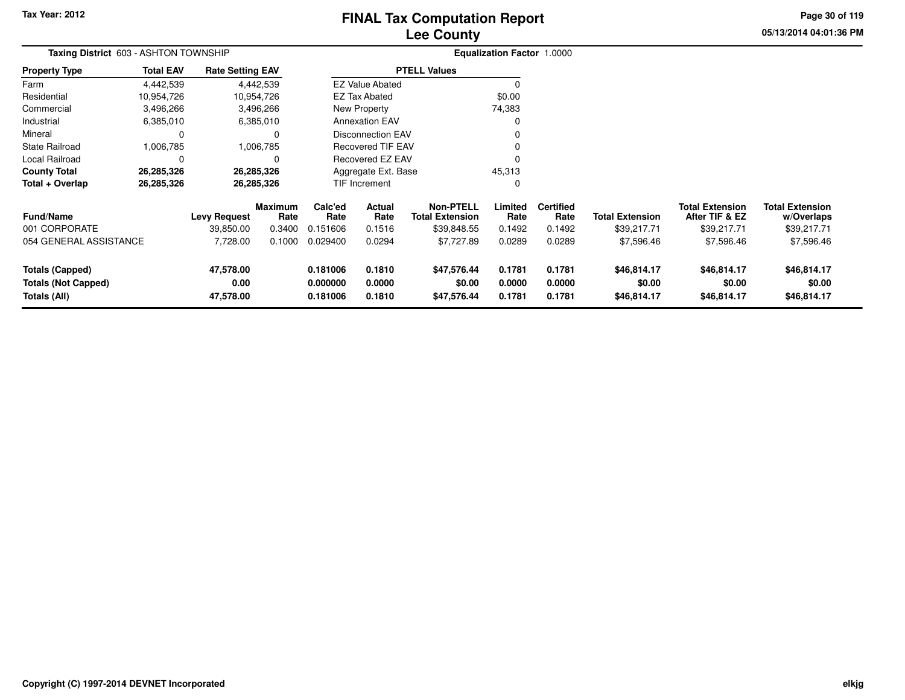# **Lee CountyFINAL Tax Computation Report**

**05/13/2014 04:01:36 PM Page 30 of 119**

| <b>Taxing District 603 - ASHTON TOWNSHIP</b> |                  |                         |                        |                      |                               | <b>Equalization Factor 1.0000</b>          |                  |                          |                        |                                          |                                      |
|----------------------------------------------|------------------|-------------------------|------------------------|----------------------|-------------------------------|--------------------------------------------|------------------|--------------------------|------------------------|------------------------------------------|--------------------------------------|
| Property Type                                | <b>Total EAV</b> | <b>Rate Setting EAV</b> |                        |                      |                               | <b>PTELL Values</b>                        |                  |                          |                        |                                          |                                      |
| Farm                                         | 4,442,539        |                         | 4,442,539              |                      | <b>EZ Value Abated</b>        |                                            |                  |                          |                        |                                          |                                      |
| Residential                                  | 10,954,726       |                         | 10,954,726             |                      | <b>EZ Tax Abated</b>          |                                            | \$0.00           |                          |                        |                                          |                                      |
| Commercial                                   | 3,496,266        |                         | 3,496,266              |                      | New Property                  |                                            | 74,383           |                          |                        |                                          |                                      |
| Industrial                                   | 6,385,010        |                         | 6,385,010              |                      | <b>Annexation EAV</b>         |                                            |                  |                          |                        |                                          |                                      |
| Mineral                                      | 0                |                         | $\Omega$               |                      | Disconnection EAV             |                                            |                  |                          |                        |                                          |                                      |
| State Railroad                               | 1,006,785        |                         | 1,006,785              |                      | <b>Recovered TIF EAV</b>      |                                            |                  |                          |                        |                                          |                                      |
| Local Railroad                               | 0                |                         | $\Omega$               |                      | Recovered EZ EAV              |                                            |                  |                          |                        |                                          |                                      |
| County Total                                 | 26,285,326       |                         | 26,285,326             |                      | 45,313<br>Aggregate Ext. Base |                                            |                  |                          |                        |                                          |                                      |
| Total + Overlap                              | 26,285,326       |                         | 26,285,326             |                      | TIF Increment                 |                                            | 0                |                          |                        |                                          |                                      |
| <b>Fund/Name</b>                             |                  | <b>Levy Request</b>     | <b>Maximum</b><br>Rate | Calc'ed<br>Rate      | Actual<br>Rate                | <b>Non-PTELL</b><br><b>Total Extension</b> | Limited<br>Rate  | <b>Certified</b><br>Rate | <b>Total Extension</b> | <b>Total Extension</b><br>After TIF & EZ | <b>Total Extension</b><br>w/Overlaps |
| 001 CORPORATE                                |                  | 39,850.00               | 0.3400                 | 0.151606             | 0.1516                        | \$39,848.55                                | 0.1492           | 0.1492                   | \$39,217.71            | \$39,217.71                              | \$39,217.71                          |
| 054 GENERAL ASSISTANCE                       |                  | 7,728.00                | 0.1000                 | 0.029400             | 0.0294                        | \$7,727.89                                 | 0.0289           | 0.0289                   | \$7,596.46             | \$7,596.46                               | \$7,596.46                           |
| <b>Totals (Capped)</b>                       |                  | 47,578.00               |                        | 0.181006             | 0.1810                        | \$47,576.44                                | 0.1781           | 0.1781                   | \$46,814.17            | \$46,814.17                              | \$46,814.17                          |
| <b>Totals (Not Capped)</b><br>Totals (All)   |                  | 0.00<br>47,578.00       |                        | 0.000000<br>0.181006 | 0.0000<br>0.1810              | \$0.00<br>\$47,576.44                      | 0.0000<br>0.1781 | 0.0000<br>0.1781         | \$0.00<br>\$46,814.17  | \$0.00<br>\$46,814.17                    | \$0.00<br>\$46,814.17                |
|                                              |                  |                         |                        |                      |                               |                                            |                  |                          |                        |                                          |                                      |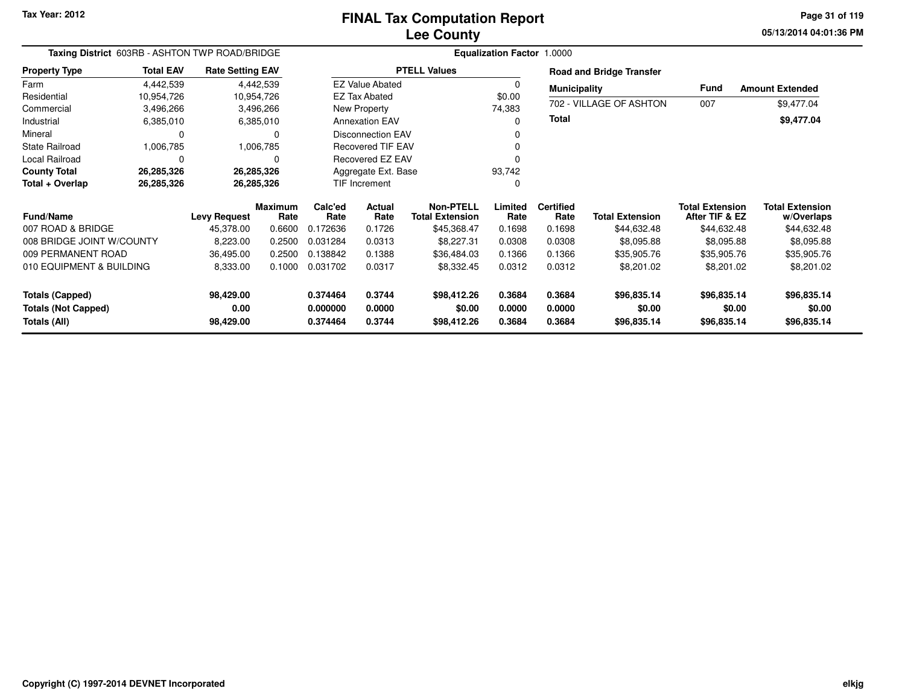**05/13/2014 04:01:36 PM Page 31 of 119**

| Taxing District 603RB - ASHTON TWP ROAD/BRIDGE<br><b>Total EAV</b><br><b>Rate Setting EAV</b> |            |                     |                        | <b>Equalization Factor 1.0000</b> |                               |                                            |                  |                          |                                 |                                          |                                      |
|-----------------------------------------------------------------------------------------------|------------|---------------------|------------------------|-----------------------------------|-------------------------------|--------------------------------------------|------------------|--------------------------|---------------------------------|------------------------------------------|--------------------------------------|
| <b>Property Type</b>                                                                          |            |                     |                        |                                   |                               | <b>PTELL Values</b>                        |                  |                          | <b>Road and Bridge Transfer</b> |                                          |                                      |
| Farm                                                                                          | 4,442,539  |                     | 4,442,539              |                                   | <b>EZ Value Abated</b>        |                                            |                  | <b>Municipality</b>      |                                 | Fund                                     | <b>Amount Extended</b>               |
| Residential                                                                                   | 10,954,726 | 10,954,726          |                        |                                   | <b>EZ Tax Abated</b>          |                                            | \$0.00           |                          |                                 |                                          |                                      |
| Commercial                                                                                    | 3,496,266  |                     | 3,496,266              |                                   | New Property                  |                                            | 74,383           |                          | 702 - VILLAGE OF ASHTON         | 007                                      | \$9,477.04                           |
| Industrial                                                                                    | 6,385,010  |                     | 6,385,010              |                                   | <b>Annexation EAV</b>         |                                            |                  | <b>Total</b>             |                                 |                                          | \$9,477.04                           |
| Mineral                                                                                       | $\Omega$   |                     | $\Omega$               |                                   | <b>Disconnection EAV</b>      |                                            |                  |                          |                                 |                                          |                                      |
| <b>State Railroad</b>                                                                         | 1,006,785  |                     | 1,006,785              |                                   | <b>Recovered TIF EAV</b>      |                                            |                  |                          |                                 |                                          |                                      |
| Local Railroad                                                                                | 0          |                     | 0                      |                                   | Recovered EZ EAV              |                                            |                  |                          |                                 |                                          |                                      |
| <b>County Total</b>                                                                           | 26,285,326 | 26,285,326          |                        |                                   | Aggregate Ext. Base<br>93,742 |                                            |                  |                          |                                 |                                          |                                      |
| Total + Overlap                                                                               | 26,285,326 | 26,285,326          |                        |                                   | TIF Increment<br>0            |                                            |                  |                          |                                 |                                          |                                      |
| <b>Fund/Name</b>                                                                              |            | <b>Levy Request</b> | <b>Maximum</b><br>Rate | Calc'ed<br>Rate                   | Actual<br>Rate                | <b>Non-PTELL</b><br><b>Total Extension</b> | Limited<br>Rate  | <b>Certified</b><br>Rate | <b>Total Extension</b>          | <b>Total Extension</b><br>After TIF & EZ | <b>Total Extension</b><br>w/Overlaps |
| 007 ROAD & BRIDGE                                                                             |            | 45,378.00           | 0.6600                 | 0.172636                          | 0.1726                        | \$45,368.47                                | 0.1698           | 0.1698                   | \$44,632.48                     | \$44,632.48                              | \$44,632.48                          |
| 008 BRIDGE JOINT W/COUNTY                                                                     |            | 8,223.00            | 0.2500                 | 0.031284                          | 0.0313                        | \$8,227.31                                 | 0.0308           | 0.0308                   | \$8,095.88                      | \$8,095.88                               | \$8,095.88                           |
| 009 PERMANENT ROAD                                                                            |            | 36,495.00           | 0.2500                 | 0.138842                          | 0.1388                        | \$36,484.03                                | 0.1366           | 0.1366                   | \$35,905.76                     | \$35,905.76                              | \$35,905.76                          |
| 010 EQUIPMENT & BUILDING                                                                      |            | 8,333.00            | 0.1000                 | 0.031702                          | 0.0317                        | \$8,332.45                                 | 0.0312           | 0.0312                   | \$8,201.02                      | \$8,201.02                               | \$8,201.02                           |
| <b>Totals (Capped)</b>                                                                        |            | 98,429.00           |                        | 0.374464                          | 0.3744                        | \$98,412.26                                | 0.3684           | 0.3684                   | \$96,835.14                     | \$96,835.14                              | \$96,835.14                          |
| <b>Totals (Not Capped)</b><br>Totals (All)                                                    |            | 0.00<br>98,429.00   |                        | 0.000000<br>0.374464              | 0.0000<br>0.3744              | \$0.00<br>\$98,412.26                      | 0.0000<br>0.3684 | 0.0000<br>0.3684         | \$0.00<br>\$96,835.14           | \$0.00<br>\$96,835.14                    | \$0.00<br>\$96,835.14                |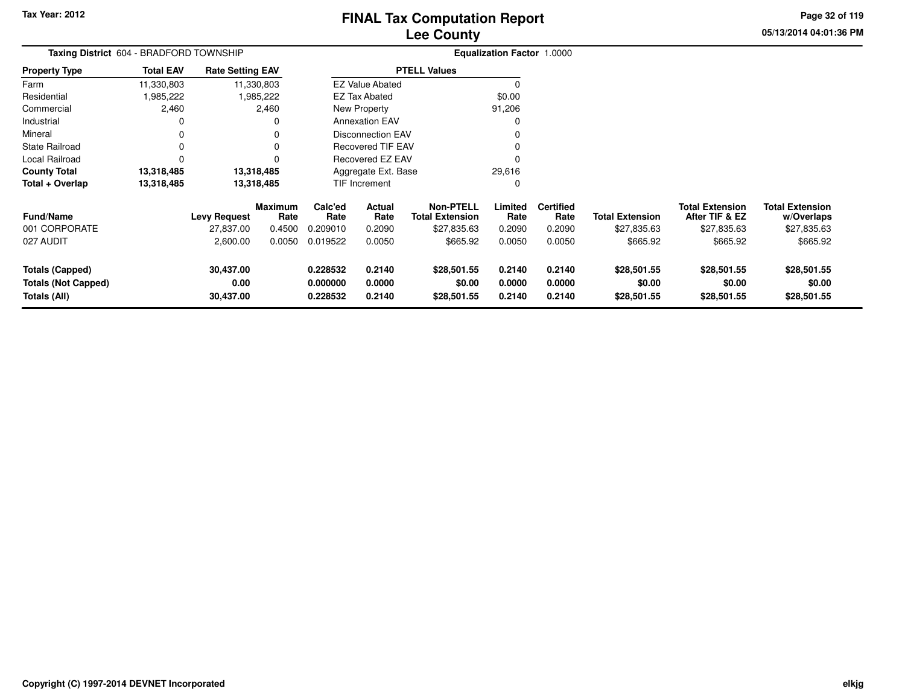**05/13/2014 04:01:36 PM Page 32 of 119**

| Taxing District 604 - BRADFORD TOWNSHIP<br><b>Rate Setting EAV</b>   |                  |                                |                        |                                  |                            |                                            | <b>Equalization Factor 1.0000</b> |                            |                                      |                                          |                                      |
|----------------------------------------------------------------------|------------------|--------------------------------|------------------------|----------------------------------|----------------------------|--------------------------------------------|-----------------------------------|----------------------------|--------------------------------------|------------------------------------------|--------------------------------------|
| <b>Property Type</b>                                                 | <b>Total EAV</b> |                                |                        |                                  |                            | <b>PTELL Values</b>                        |                                   |                            |                                      |                                          |                                      |
| Farm                                                                 | 11,330,803       |                                | 11,330,803             |                                  | <b>EZ Value Abated</b>     |                                            | 0                                 |                            |                                      |                                          |                                      |
| Residential                                                          | 985,222.         |                                | 1,985,222              |                                  | EZ Tax Abated              |                                            | \$0.00                            |                            |                                      |                                          |                                      |
| Commercial                                                           | 2,460            |                                | 2,460                  |                                  | New Property               |                                            | 91,206                            |                            |                                      |                                          |                                      |
| Industrial                                                           | 0                |                                | 0                      |                                  | <b>Annexation EAV</b>      |                                            | $\Omega$                          |                            |                                      |                                          |                                      |
| Mineral                                                              | 0                |                                | 0                      |                                  | <b>Disconnection EAV</b>   |                                            |                                   |                            |                                      |                                          |                                      |
| <b>State Railroad</b>                                                | 0                |                                | 0                      |                                  | <b>Recovered TIF EAV</b>   |                                            |                                   |                            |                                      |                                          |                                      |
| Local Railroad                                                       | 0                |                                |                        |                                  | Recovered EZ EAV           |                                            |                                   |                            |                                      |                                          |                                      |
| <b>County Total</b>                                                  | 13,318,485       |                                | 13,318,485             |                                  | Aggregate Ext. Base        |                                            | 29,616                            |                            |                                      |                                          |                                      |
| Total + Overlap                                                      | 13,318,485       | 13,318,485                     |                        | TIF Increment                    |                            |                                            | 0                                 |                            |                                      |                                          |                                      |
| <b>Fund/Name</b>                                                     |                  | <b>Levy Request</b>            | <b>Maximum</b><br>Rate | Calc'ed<br>Rate                  | Actual<br>Rate             | <b>Non-PTELL</b><br><b>Total Extension</b> | Limited<br>Rate                   | <b>Certified</b><br>Rate   | <b>Total Extension</b>               | <b>Total Extension</b><br>After TIF & EZ | <b>Total Extension</b><br>w/Overlaps |
| 001 CORPORATE                                                        |                  | 27,837.00                      | 0.4500                 | 0.209010                         | 0.2090                     | \$27,835.63                                | 0.2090                            | 0.2090                     | \$27,835.63                          | \$27,835.63                              | \$27,835.63                          |
| 027 AUDIT                                                            |                  | 2,600.00                       | 0.0050                 | 0.019522                         | 0.0050                     | \$665.92                                   | 0.0050                            | 0.0050                     | \$665.92                             | \$665.92                                 | \$665.92                             |
| <b>Totals (Capped)</b><br><b>Totals (Not Capped)</b><br>Totals (All) |                  | 30,437.00<br>0.00<br>30,437.00 |                        | 0.228532<br>0.000000<br>0.228532 | 0.2140<br>0.0000<br>0.2140 | \$28,501.55<br>\$0.00<br>\$28,501.55       | 0.2140<br>0.0000<br>0.2140        | 0.2140<br>0.0000<br>0.2140 | \$28,501.55<br>\$0.00<br>\$28,501.55 | \$28,501.55<br>\$0.00<br>\$28,501.55     | \$28,501.55<br>\$0.00<br>\$28,501.55 |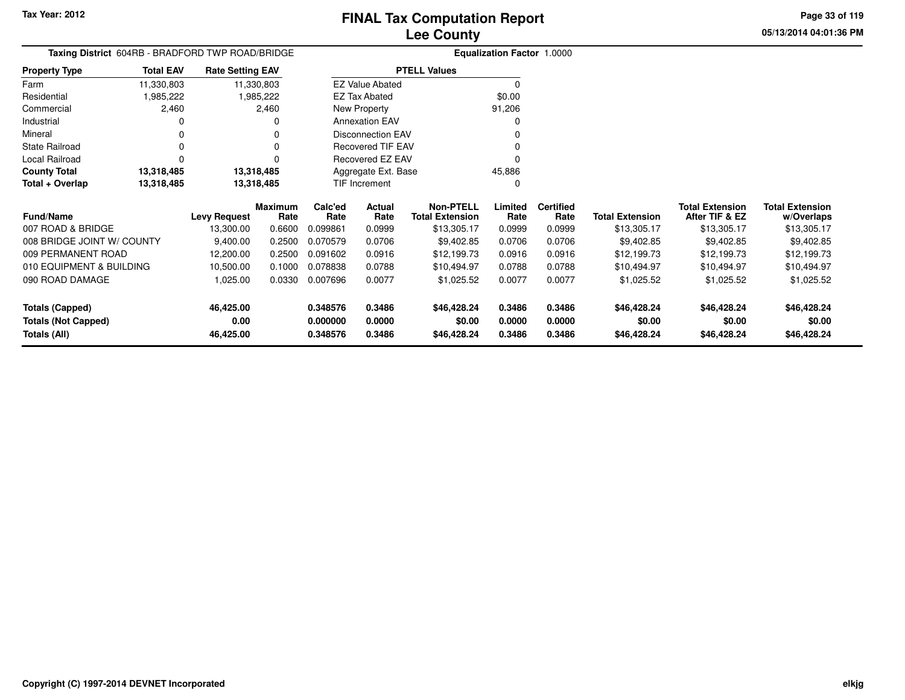**05/13/2014 04:01:36 PMPage 33 of 119**

| Taxing District 604RB - BRADFORD TWP ROAD/BRIDGE<br><b>Total EAV</b><br><b>Rate Setting EAV</b> |                          |                     |                 |                     |                          |                                            | <b>Equalization Factor 1.0000</b> |                          |                        |                                          |                                      |
|-------------------------------------------------------------------------------------------------|--------------------------|---------------------|-----------------|---------------------|--------------------------|--------------------------------------------|-----------------------------------|--------------------------|------------------------|------------------------------------------|--------------------------------------|
| <b>Property Type</b>                                                                            |                          |                     |                 |                     |                          | <b>PTELL Values</b>                        |                                   |                          |                        |                                          |                                      |
| Farm                                                                                            | 11,330,803               | 11,330,803          |                 |                     | <b>EZ Value Abated</b>   |                                            | 0                                 |                          |                        |                                          |                                      |
| Residential                                                                                     | 1,985,222                |                     | 1,985,222       |                     | <b>EZ Tax Abated</b>     |                                            | \$0.00                            |                          |                        |                                          |                                      |
| Commercial                                                                                      | 2,460                    |                     | 2,460           |                     | New Property             |                                            | 91,206                            |                          |                        |                                          |                                      |
| Industrial                                                                                      |                          |                     |                 |                     | <b>Annexation EAV</b>    |                                            |                                   |                          |                        |                                          |                                      |
| Mineral                                                                                         |                          |                     |                 |                     | <b>Disconnection EAV</b> |                                            |                                   |                          |                        |                                          |                                      |
| State Railroad                                                                                  |                          |                     |                 |                     | <b>Recovered TIF EAV</b> |                                            |                                   |                          |                        |                                          |                                      |
| Local Railroad                                                                                  |                          |                     |                 |                     | Recovered EZ EAV         |                                            |                                   |                          |                        |                                          |                                      |
| <b>County Total</b>                                                                             | 13,318,485<br>13,318,485 |                     |                 | Aggregate Ext. Base |                          | 45,886                                     |                                   |                          |                        |                                          |                                      |
| Total + Overlap                                                                                 | 13,318,485               | 13,318,485          |                 |                     | TIF Increment            |                                            | <sup>0</sup>                      |                          |                        |                                          |                                      |
| Fund/Name                                                                                       |                          | <b>Levy Request</b> | Maximum<br>Rate | Calc'ed<br>Rate     | Actual<br>Rate           | <b>Non-PTELL</b><br><b>Total Extension</b> | Limited<br>Rate                   | <b>Certified</b><br>Rate | <b>Total Extension</b> | <b>Total Extension</b><br>After TIF & EZ | <b>Total Extension</b><br>w/Overlaps |
| 007 ROAD & BRIDGE                                                                               |                          | 13,300.00           | 0.6600          | 0.099861            | 0.0999                   | \$13,305.17                                | 0.0999                            | 0.0999                   | \$13,305.17            | \$13,305.17                              | \$13,305.17                          |
| 008 BRIDGE JOINT W/ COUNTY                                                                      |                          | 9,400.00            | 0.2500          | 0.070579            | 0.0706                   | \$9,402.85                                 | 0.0706                            | 0.0706                   | \$9,402.85             | \$9,402.85                               | \$9,402.85                           |
| 009 PERMANENT ROAD                                                                              |                          | 12,200.00           | 0.2500          | 0.091602            | 0.0916                   | \$12,199.73                                | 0.0916                            | 0.0916                   | \$12,199.73            | \$12,199.73                              | \$12,199.73                          |
| 010 EQUIPMENT & BUILDING                                                                        |                          | 10,500.00           | 0.1000          | 0.078838            | 0.0788                   | \$10,494.97                                | 0.0788                            | 0.0788                   | \$10,494.97            | \$10,494.97                              | \$10,494.97                          |
| 090 ROAD DAMAGE                                                                                 |                          | 1,025.00            | 0.0330          | 0.007696            | 0.0077                   | \$1,025.52                                 | 0.0077                            | 0.0077                   | \$1,025.52             | \$1,025.52                               | \$1,025.52                           |
| <b>Totals (Capped)</b>                                                                          |                          | 46,425.00           |                 | 0.348576            | 0.3486                   | \$46,428.24                                | 0.3486                            | 0.3486                   | \$46,428.24            | \$46,428.24                              | \$46,428.24                          |
| <b>Totals (Not Capped)</b>                                                                      |                          | 0.00                |                 | 0.000000            | 0.0000                   | \$0.00                                     | 0.0000                            | 0.0000                   | \$0.00                 | \$0.00                                   | \$0.00                               |
| Totals (All)                                                                                    |                          | 46,425.00           |                 | 0.348576            | 0.3486                   | \$46,428.24                                | 0.3486                            | 0.3486                   | \$46,428.24            | \$46,428.24                              | \$46,428.24                          |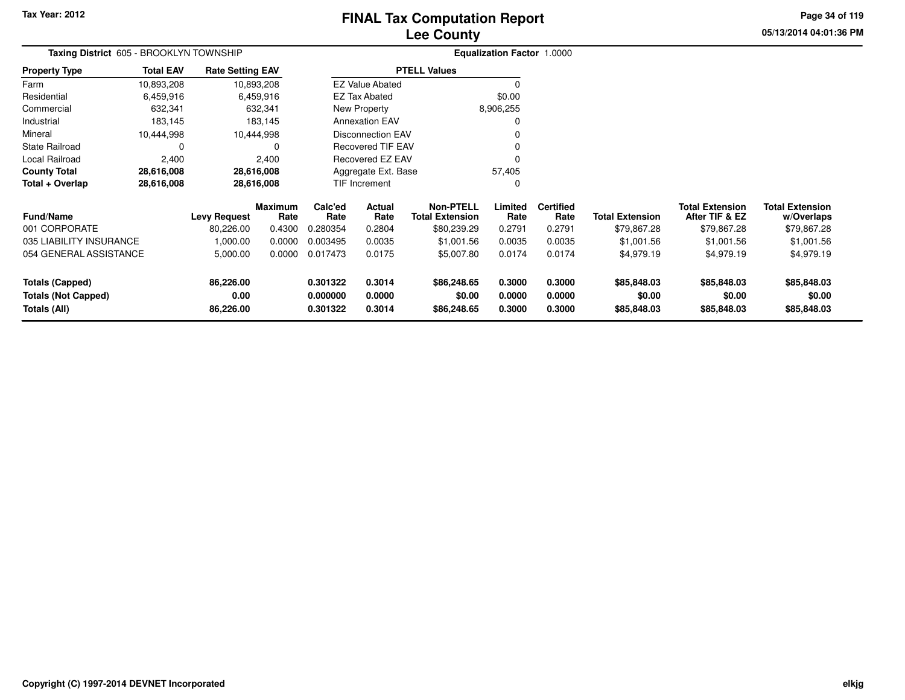# **Lee CountyFINAL Tax Computation Report**

**05/13/2014 04:01:36 PM Page 34 of 119**

| Taxing District 605 - BROOKLYN TOWNSHIP |                  |                         |                        |                 | <b>Equalization Factor 1.0000</b> |                                            |                 |                          |                        |                                          |                                      |  |
|-----------------------------------------|------------------|-------------------------|------------------------|-----------------|-----------------------------------|--------------------------------------------|-----------------|--------------------------|------------------------|------------------------------------------|--------------------------------------|--|
| <b>Property Type</b>                    | <b>Total EAV</b> | <b>Rate Setting EAV</b> |                        |                 |                                   | <b>PTELL Values</b>                        |                 |                          |                        |                                          |                                      |  |
| Farm                                    | 10,893,208       |                         | 10,893,208             |                 | <b>EZ Value Abated</b>            |                                            | $\Omega$        |                          |                        |                                          |                                      |  |
| Residential                             | 6,459,916        |                         | 6,459,916              |                 | <b>EZ Tax Abated</b>              |                                            | \$0.00          |                          |                        |                                          |                                      |  |
| Commercial                              | 632,341          |                         | 632,341                |                 | New Property                      |                                            | 8,906,255       |                          |                        |                                          |                                      |  |
| Industrial                              | 183,145          |                         | 183,145                |                 | <b>Annexation EAV</b>             |                                            | 0               |                          |                        |                                          |                                      |  |
| Mineral                                 | 10,444,998       |                         | 10,444,998             |                 | <b>Disconnection EAV</b>          |                                            |                 |                          |                        |                                          |                                      |  |
| State Railroad                          | 0                |                         |                        |                 | <b>Recovered TIF EAV</b>          |                                            |                 |                          |                        |                                          |                                      |  |
| Local Railroad                          | 2,400            |                         | 2,400                  |                 | Recovered EZ EAV                  |                                            | 0               |                          |                        |                                          |                                      |  |
| <b>County Total</b>                     | 28,616,008       |                         | 28,616,008             |                 | Aggregate Ext. Base               |                                            | 57,405          |                          |                        |                                          |                                      |  |
| Total + Overlap                         | 28,616,008       |                         | 28,616,008             |                 | TIF Increment                     |                                            | 0               |                          |                        |                                          |                                      |  |
| Fund/Name                               |                  | <b>Levy Request</b>     | <b>Maximum</b><br>Rate | Calc'ed<br>Rate | Actual<br>Rate                    | <b>Non-PTELL</b><br><b>Total Extension</b> | Limited<br>Rate | <b>Certified</b><br>Rate | <b>Total Extension</b> | <b>Total Extension</b><br>After TIF & EZ | <b>Total Extension</b><br>w/Overlaps |  |
| 001 CORPORATE                           |                  | 80,226.00               | 0.4300                 | 0.280354        | 0.2804                            | \$80,239.29                                | 0.2791          | 0.2791                   | \$79,867.28            | \$79,867.28                              | \$79,867.28                          |  |
| 035 LIABILITY INSURANCE                 |                  | 1,000.00                | 0.0000                 | 0.003495        | 0.0035                            | \$1,001.56                                 | 0.0035          | 0.0035                   | \$1,001.56             | \$1,001.56                               | \$1,001.56                           |  |
| 054 GENERAL ASSISTANCE                  |                  | 5,000.00                | 0.0000                 | 0.017473        | 0.0175                            | \$5,007.80                                 | 0.0174          | 0.0174                   | \$4,979.19             | \$4,979.19                               | \$4,979.19                           |  |
| <b>Totals (Capped)</b>                  |                  | 86,226.00               |                        | 0.301322        | 0.3014                            | \$86,248.65                                | 0.3000          | 0.3000                   | \$85,848.03            | \$85,848.03                              | \$85,848.03                          |  |
| 0.00<br><b>Totals (Not Capped)</b>      |                  |                         | 0.000000               | 0.0000          | \$0.00                            | 0.0000                                     | 0.0000          | \$0.00                   | \$0.00                 | \$0.00                                   |                                      |  |
| Totals (All)                            |                  | 86,226.00               |                        | 0.301322        | 0.3014                            | \$86,248.65                                | 0.3000          | 0.3000                   | \$85,848.03            | \$85,848.03                              | \$85,848.03                          |  |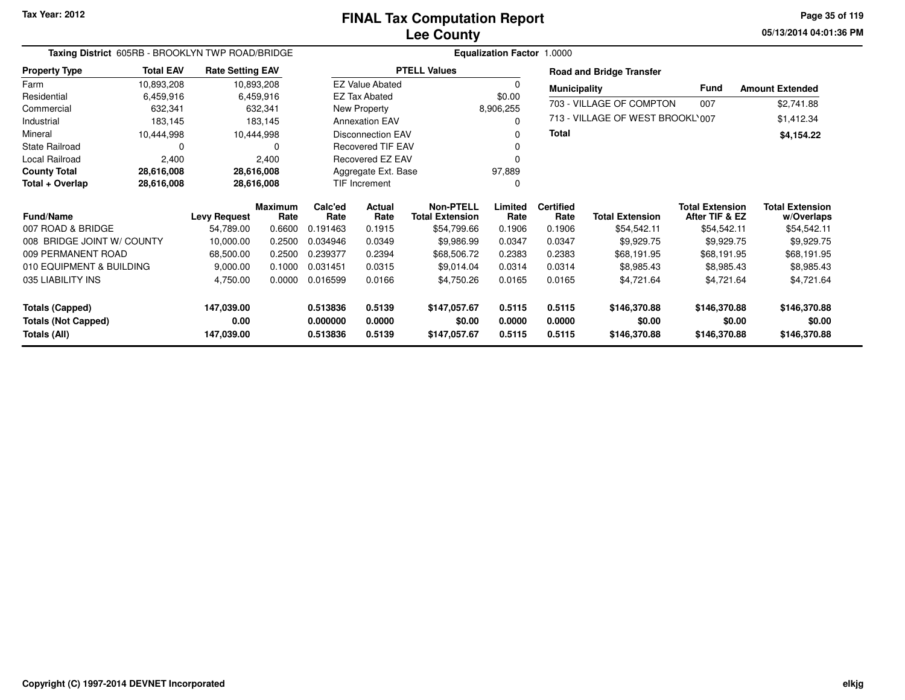**05/13/2014 04:01:36 PM Page 35 of 119**

| Taxing District 605RB - BROOKLYN TWP ROAD/BRIDGE<br><b>Total EAV</b><br><b>Rate Setting EAV</b> |            |                     |                 |                 |                          |                                            | <b>Equalization Factor 1.0000</b> |                          |                                  |                                          |                                      |
|-------------------------------------------------------------------------------------------------|------------|---------------------|-----------------|-----------------|--------------------------|--------------------------------------------|-----------------------------------|--------------------------|----------------------------------|------------------------------------------|--------------------------------------|
| <b>Property Type</b>                                                                            |            |                     |                 |                 |                          | <b>PTELL Values</b>                        |                                   |                          | <b>Road and Bridge Transfer</b>  |                                          |                                      |
| Farm                                                                                            | 10,893,208 |                     | 10,893,208      |                 | <b>EZ Value Abated</b>   |                                            | $\Omega$                          | <b>Municipality</b>      |                                  | Fund                                     | <b>Amount Extended</b>               |
| Residential                                                                                     | 6,459,916  |                     | 6,459,916       |                 | <b>EZ Tax Abated</b>     |                                            | \$0.00                            |                          |                                  |                                          |                                      |
| Commercial                                                                                      | 632,341    |                     | 632,341         |                 | New Property             |                                            | 8,906,255                         |                          | 703 - VILLAGE OF COMPTON         | 007                                      | \$2,741.88                           |
| Industrial                                                                                      | 183,145    |                     | 183,145         |                 | <b>Annexation EAV</b>    |                                            | $\Omega$                          |                          | 713 - VILLAGE OF WEST BROOKL'007 |                                          | \$1,412.34                           |
| Mineral                                                                                         | 10,444,998 |                     | 10,444,998      |                 | <b>Disconnection EAV</b> |                                            | 0                                 | Total                    |                                  |                                          | \$4,154.22                           |
| <b>State Railroad</b>                                                                           | $\Omega$   |                     |                 |                 | <b>Recovered TIF EAV</b> |                                            | 0                                 |                          |                                  |                                          |                                      |
| Local Railroad                                                                                  | 2,400      |                     | 2,400           |                 | Recovered EZ EAV         |                                            | $\Omega$                          |                          |                                  |                                          |                                      |
| <b>County Total</b>                                                                             | 28,616,008 |                     | 28,616,008      |                 | Aggregate Ext. Base      |                                            | 97,889                            |                          |                                  |                                          |                                      |
| Total + Overlap                                                                                 | 28,616,008 |                     | 28,616,008      |                 | TIF Increment            |                                            | 0                                 |                          |                                  |                                          |                                      |
| <b>Fund/Name</b>                                                                                |            | <b>Levy Request</b> | Maximum<br>Rate | Calc'ed<br>Rate | Actual<br>Rate           | <b>Non-PTELL</b><br><b>Total Extension</b> | Limited<br>Rate                   | <b>Certified</b><br>Rate | <b>Total Extension</b>           | <b>Total Extension</b><br>After TIF & EZ | <b>Total Extension</b><br>w/Overlaps |
| 007 ROAD & BRIDGE                                                                               |            | 54,789.00           | 0.6600          | 0.191463        | 0.1915                   | \$54,799.66                                | 0.1906                            | 0.1906                   | \$54,542.11                      | \$54,542.11                              | \$54,542.11                          |
| 008 BRIDGE JOINT W/ COUNTY                                                                      |            | 10,000.00           | 0.2500          | 0.034946        | 0.0349                   | \$9,986.99                                 | 0.0347                            | 0.0347                   | \$9,929.75                       | \$9,929.75                               | \$9,929.75                           |
| 009 PERMANENT ROAD                                                                              |            | 68,500.00           | 0.2500          | 0.239377        | 0.2394                   | \$68,506.72                                | 0.2383                            | 0.2383                   | \$68,191.95                      | \$68,191.95                              | \$68,191.95                          |
| 010 EQUIPMENT & BUILDING                                                                        |            | 9,000.00            | 0.1000          | 0.031451        | 0.0315                   | \$9,014.04                                 | 0.0314                            | 0.0314                   | \$8,985.43                       | \$8,985.43                               | \$8,985.43                           |
| 035 LIABILITY INS                                                                               |            | 4,750.00            | 0.0000          | 0.016599        | 0.0166                   | \$4,750.26                                 | 0.0165                            | 0.0165                   | \$4,721.64                       | \$4,721.64                               | \$4,721.64                           |
| <b>Totals (Capped)</b>                                                                          |            | 147,039.00          |                 | 0.513836        | 0.5139                   | \$147,057.67                               | 0.5115                            | 0.5115                   | \$146,370.88                     | \$146,370.88                             | \$146,370.88                         |
| <b>Totals (Not Capped)</b>                                                                      |            | 0.00                |                 | 0.000000        | 0.0000                   | \$0.00                                     | 0.0000                            | 0.0000                   | \$0.00                           | \$0.00                                   | \$0.00                               |
| Totals (All)                                                                                    |            | 147,039.00          |                 | 0.513836        | 0.5139                   | \$147,057.67                               | 0.5115                            | 0.5115                   | \$146,370.88                     | \$146,370.88                             | \$146,370.88                         |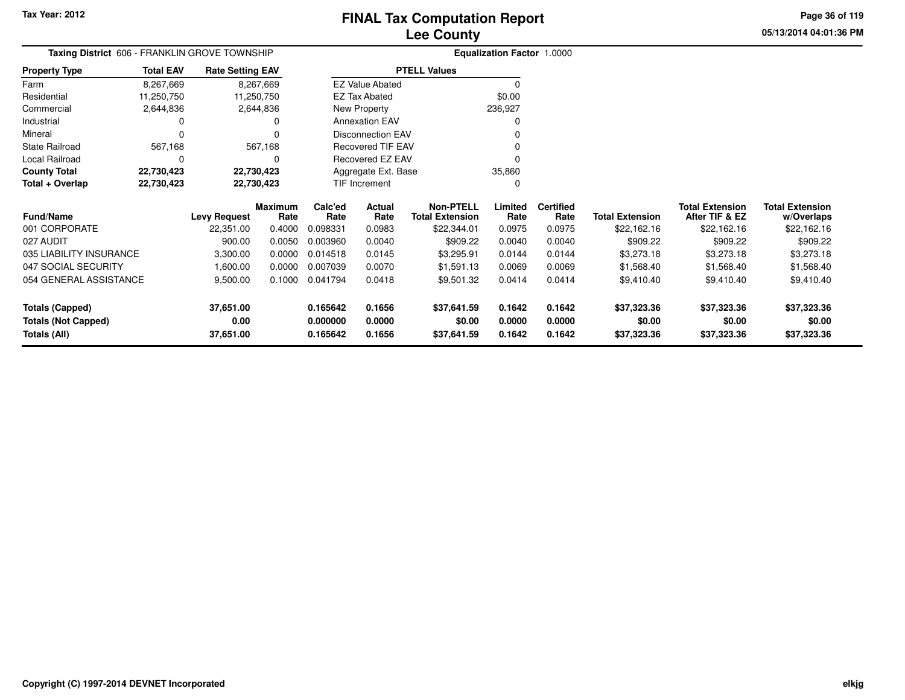**05/13/2014 04:01:36 PMPage 36 of 119**

| Taxing District 606 - FRANKLIN GROVE TOWNSHIP |                                                                                                                                                                                           |              |                |               |                          |                        | <b>Equalization Factor 1.0000</b> |                  |                        |                        |                        |
|-----------------------------------------------|-------------------------------------------------------------------------------------------------------------------------------------------------------------------------------------------|--------------|----------------|---------------|--------------------------|------------------------|-----------------------------------|------------------|------------------------|------------------------|------------------------|
| <b>Property Type</b>                          | <b>Total EAV</b><br><b>PTELL Values</b><br><b>Rate Setting EAV</b><br>8,267,669<br>8,267,669<br><b>EZ Value Abated</b><br>0<br>\$0.00<br>11,250,750<br><b>EZ Tax Abated</b><br>11,250,750 |              |                |               |                          |                        |                                   |                  |                        |                        |                        |
| Farm                                          |                                                                                                                                                                                           |              |                |               |                          |                        |                                   |                  |                        |                        |                        |
| Residential                                   |                                                                                                                                                                                           |              |                |               |                          |                        |                                   |                  |                        |                        |                        |
| Commercial                                    | 2,644,836                                                                                                                                                                                 |              | 2,644,836      |               | New Property             |                        | 236,927                           |                  |                        |                        |                        |
| Industrial                                    |                                                                                                                                                                                           |              | Ω              |               | <b>Annexation EAV</b>    |                        | <sup>0</sup>                      |                  |                        |                        |                        |
| Mineral                                       |                                                                                                                                                                                           |              |                |               | <b>Disconnection EAV</b> |                        |                                   |                  |                        |                        |                        |
| <b>State Railroad</b>                         | 567,168                                                                                                                                                                                   |              | 567,168        |               | Recovered TIF EAV        |                        |                                   |                  |                        |                        |                        |
| Local Railroad                                |                                                                                                                                                                                           |              | 0              |               | Recovered EZ EAV         |                        | $\Omega$                          |                  |                        |                        |                        |
| <b>County Total</b>                           | 22,730,423                                                                                                                                                                                | 22,730,423   |                |               | Aggregate Ext. Base      |                        | 35,860                            |                  |                        |                        |                        |
| Total + Overlap                               | 22,730,423                                                                                                                                                                                | 22,730,423   |                | TIF Increment |                          |                        | $\Omega$                          |                  |                        |                        |                        |
|                                               |                                                                                                                                                                                           |              | <b>Maximum</b> | Calc'ed       | Actual                   | <b>Non-PTELL</b>       | Limited                           | <b>Certified</b> |                        | <b>Total Extension</b> | <b>Total Extension</b> |
| Fund/Name                                     |                                                                                                                                                                                           | Levy Request | Rate           | Rate          | Rate                     | <b>Total Extension</b> | Rate                              | Rate             | <b>Total Extension</b> | After TIF & EZ         | w/Overlaps             |
| 001 CORPORATE                                 |                                                                                                                                                                                           | 22,351.00    | 0.4000         | 0.098331      | 0.0983                   | \$22,344.01            | 0.0975                            | 0.0975           | \$22,162.16            | \$22,162.16            | \$22,162.16            |
| 027 AUDIT                                     |                                                                                                                                                                                           | 900.00       | 0.0050         | 0.003960      | 0.0040                   | \$909.22               | 0.0040                            | 0.0040           | \$909.22               | \$909.22               | \$909.22               |
| 035 LIABILITY INSURANCE                       |                                                                                                                                                                                           | 3,300.00     | 0.0000         | 0.014518      | 0.0145                   | \$3,295.91             | 0.0144                            | 0.0144           | \$3,273.18             | \$3,273.18             | \$3,273.18             |
| 047 SOCIAL SECURITY                           |                                                                                                                                                                                           | 1,600.00     | 0.0000         | 0.007039      | 0.0070                   | \$1,591.13             | 0.0069                            | 0.0069           | \$1,568.40             | \$1,568.40             | \$1,568.40             |
| 054 GENERAL ASSISTANCE                        |                                                                                                                                                                                           | 9,500.00     | 0.1000         | 0.041794      | 0.0418                   | \$9,501.32             | 0.0414                            | 0.0414           | \$9,410.40             | \$9,410.40             | \$9,410.40             |
| <b>Totals (Capped)</b>                        |                                                                                                                                                                                           | 37,651.00    |                | 0.165642      | 0.1656                   | \$37,641.59            | 0.1642                            | 0.1642           | \$37,323.36            | \$37,323.36            | \$37,323.36            |
| <b>Totals (Not Capped)</b>                    |                                                                                                                                                                                           | 0.00         |                | 0.000000      | 0.0000                   | \$0.00                 | 0.0000                            | 0.0000           | \$0.00                 | \$0.00                 | \$0.00                 |
| Totals (All)                                  |                                                                                                                                                                                           | 37,651.00    |                | 0.165642      | 0.1656                   | \$37,641.59            | 0.1642                            | 0.1642           | \$37,323.36            | \$37,323.36            | \$37,323.36            |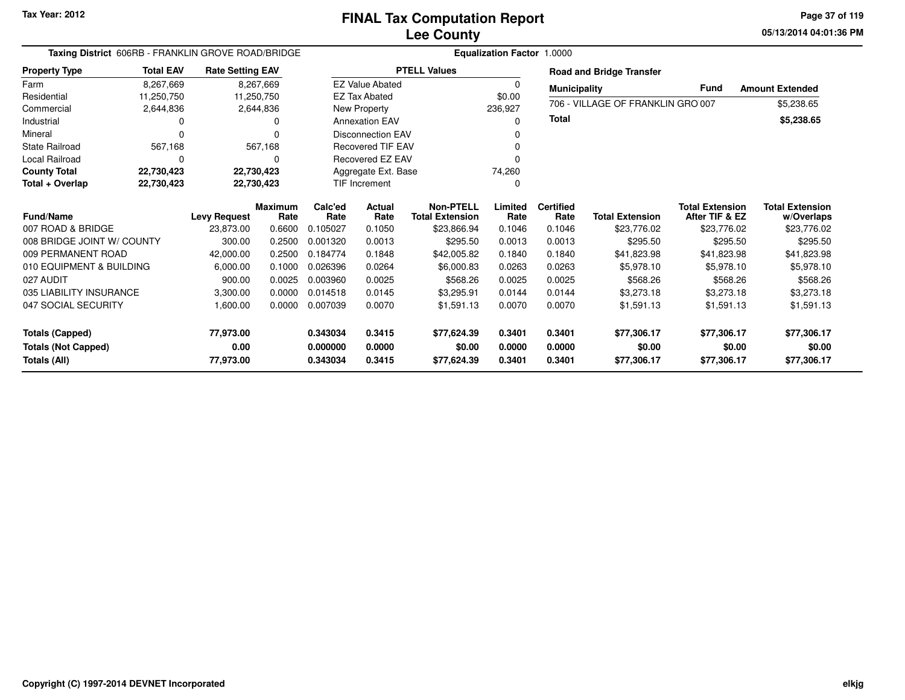| Taxing District 606RB - FRANKLIN GROVE ROAD/BRIDGE<br><b>Total EAV</b><br><b>Rate Setting EAV</b> |                  |                                  |                        |                 | <b>Equalization Factor 1.0000</b> |                                            |                 |                          |                                   |                                          |                                      |  |  |
|---------------------------------------------------------------------------------------------------|------------------|----------------------------------|------------------------|-----------------|-----------------------------------|--------------------------------------------|-----------------|--------------------------|-----------------------------------|------------------------------------------|--------------------------------------|--|--|
| <b>Property Type</b>                                                                              |                  |                                  |                        |                 |                                   | <b>PTELL Values</b>                        |                 |                          | <b>Road and Bridge Transfer</b>   |                                          |                                      |  |  |
| Farm                                                                                              | 8,267,669        |                                  | 8,267,669              |                 | <b>EZ Value Abated</b>            |                                            | $\Omega$        | <b>Municipality</b>      |                                   | <b>Fund</b>                              | <b>Amount Extended</b>               |  |  |
| Residential                                                                                       | 11,250,750       |                                  | 11,250,750             |                 | <b>EZ Tax Abated</b>              |                                            | \$0.00          |                          |                                   |                                          |                                      |  |  |
| Commercial                                                                                        | 2,644,836        |                                  | 2,644,836              |                 | New Property                      |                                            | 236,927         |                          | 706 - VILLAGE OF FRANKLIN GRO 007 |                                          | \$5,238.65                           |  |  |
| Industrial                                                                                        |                  |                                  | 0                      |                 | <b>Annexation EAV</b>             |                                            | $\Omega$        | <b>Total</b>             |                                   |                                          | \$5,238.65                           |  |  |
| Mineral                                                                                           |                  |                                  | 0                      |                 | <b>Disconnection EAV</b>          |                                            |                 |                          |                                   |                                          |                                      |  |  |
| <b>State Railroad</b>                                                                             | 567.168          |                                  | 567,168                |                 | <b>Recovered TIF EAV</b>          |                                            | ŋ               |                          |                                   |                                          |                                      |  |  |
| <b>Local Railroad</b>                                                                             |                  |                                  | $\Omega$               |                 | Recovered EZ EAV                  |                                            | ŋ               |                          |                                   |                                          |                                      |  |  |
| <b>County Total</b>                                                                               | 22,730,423       |                                  | 22,730,423             |                 | Aggregate Ext. Base               |                                            | 74,260          |                          |                                   |                                          |                                      |  |  |
| Total + Overlap                                                                                   | 22,730,423       |                                  | 22,730,423             |                 | TIF Increment                     |                                            | 0               |                          |                                   |                                          |                                      |  |  |
|                                                                                                   | <b>Fund/Name</b> |                                  | <b>Maximum</b><br>Rate | Calc'ed<br>Rate | Actual<br>Rate                    | <b>Non-PTELL</b><br><b>Total Extension</b> | Limited<br>Rate | <b>Certified</b><br>Rate | <b>Total Extension</b>            | <b>Total Extension</b><br>After TIF & EZ | <b>Total Extension</b><br>w/Overlaps |  |  |
| 007 ROAD & BRIDGE                                                                                 |                  | <b>Levy Request</b><br>23,873.00 | 0.6600                 | 0.105027        | 0.1050                            | \$23,866.94                                | 0.1046          | 0.1046                   | \$23,776.02                       | \$23,776.02                              | \$23,776.02                          |  |  |
| 008 BRIDGE JOINT W/ COUNTY                                                                        |                  | 300.00                           | 0.2500                 | 0.001320        | 0.0013                            | \$295.50                                   | 0.0013          | 0.0013                   | \$295.50                          | \$295.50                                 | \$295.50                             |  |  |
| 009 PERMANENT ROAD                                                                                |                  | 42,000.00                        | 0.2500                 | 0.184774        | 0.1848                            | \$42,005.82                                | 0.1840          | 0.1840                   | \$41,823.98                       | \$41,823.98                              | \$41,823.98                          |  |  |
| 010 EQUIPMENT & BUILDING                                                                          |                  | 6,000.00                         | 0.1000                 | 0.026396        | 0.0264                            | \$6,000.83                                 | 0.0263          | 0.0263                   | \$5,978.10                        | \$5,978.10                               | \$5,978.10                           |  |  |
| 027 AUDIT                                                                                         |                  | 900.00                           | 0.0025                 | 0.003960        | 0.0025                            | \$568.26                                   | 0.0025          | 0.0025                   | \$568.26                          | \$568.26                                 | \$568.26                             |  |  |
| 035 LIABILITY INSURANCE                                                                           |                  | 3,300.00                         | 0.0000                 | 0.014518        | 0.0145                            | \$3,295.91                                 | 0.0144          | 0.0144                   | \$3,273.18                        | \$3,273.18                               | \$3,273.18                           |  |  |
| 047 SOCIAL SECURITY                                                                               |                  | 1,600.00                         | 0.0000                 | 0.007039        | 0.0070                            | \$1,591.13                                 | 0.0070          | 0.0070                   | \$1,591.13                        | \$1,591.13                               |                                      |  |  |
|                                                                                                   |                  |                                  |                        |                 |                                   |                                            |                 |                          |                                   |                                          | \$1,591.13                           |  |  |
| <b>Totals (Capped)</b>                                                                            |                  | 77,973.00                        |                        | 0.343034        | 0.3415                            | \$77,624.39                                | 0.3401          | 0.3401                   | \$77,306.17                       | \$77,306.17                              | \$77,306.17                          |  |  |
| <b>Totals (Not Capped)</b>                                                                        |                  | 0.00                             |                        | 0.000000        | 0.0000                            | \$0.00                                     | 0.0000          | 0.0000                   | \$0.00                            | \$0.00                                   | \$0.00                               |  |  |
| <b>Totals (All)</b>                                                                               |                  | 77,973.00                        |                        | 0.343034        | 0.3415                            | \$77,624.39                                | 0.3401          | 0.3401                   | \$77,306.17                       | \$77,306.17                              | \$77,306.17                          |  |  |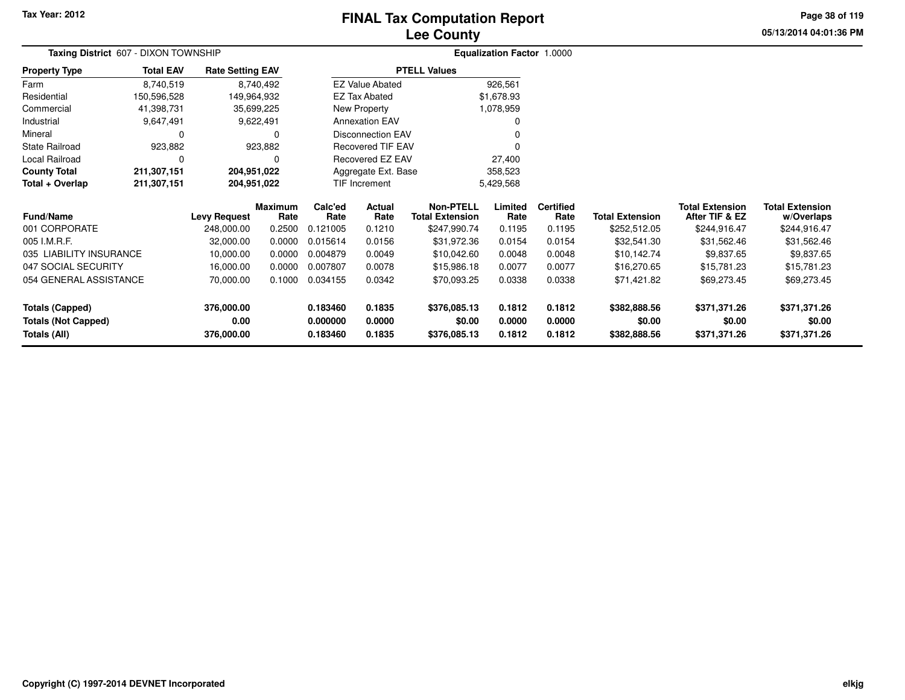# **Lee CountyFINAL Tax Computation Report**

**05/13/2014 04:01:36 PM Page 38 of 119**

| Taxing District 607 - DIXON TOWNSHIP |                                                                                                     |                     |                 |                                |                                   |                                            | Equalization Factor 1.0000 |                          |                        |                                          |                                      |  |
|--------------------------------------|-----------------------------------------------------------------------------------------------------|---------------------|-----------------|--------------------------------|-----------------------------------|--------------------------------------------|----------------------------|--------------------------|------------------------|------------------------------------------|--------------------------------------|--|
| <b>Property Type</b>                 | <b>Total EAV</b><br><b>Rate Setting EAV</b><br>8,740,519<br>8,740,492<br>150,596,528<br>149,964,932 |                     |                 |                                |                                   | <b>PTELL Values</b>                        |                            |                          |                        |                                          |                                      |  |
| Farm                                 |                                                                                                     |                     |                 |                                | <b>EZ Value Abated</b>            |                                            | 926,561                    |                          |                        |                                          |                                      |  |
| Residential                          |                                                                                                     |                     |                 |                                | EZ Tax Abated                     |                                            | \$1,678.93                 |                          |                        |                                          |                                      |  |
| Commercial                           | 41,398,731                                                                                          | 35,699,225          |                 |                                | New Property                      |                                            | 1,078,959                  |                          |                        |                                          |                                      |  |
| Industrial                           | 9,647,491                                                                                           |                     | 9,622,491       |                                | <b>Annexation EAV</b>             |                                            |                            |                          |                        |                                          |                                      |  |
| Mineral                              | 0                                                                                                   |                     | 0               |                                | <b>Disconnection EAV</b>          |                                            |                            |                          |                        |                                          |                                      |  |
| State Railroad                       | 923,882                                                                                             |                     | 923,882         |                                | <b>Recovered TIF EAV</b>          |                                            |                            |                          |                        |                                          |                                      |  |
| Local Railroad                       | 0                                                                                                   |                     | 0               |                                | <b>Recovered EZ EAV</b><br>27,400 |                                            |                            |                          |                        |                                          |                                      |  |
| <b>County Total</b>                  | 211,307,151                                                                                         | 204,951,022         |                 | Aggregate Ext. Base<br>358,523 |                                   |                                            |                            |                          |                        |                                          |                                      |  |
| Total + Overlap                      | 211,307,151                                                                                         | 204,951,022         |                 |                                | TIF Increment                     |                                            | 5,429,568                  |                          |                        |                                          |                                      |  |
| <b>Fund/Name</b>                     |                                                                                                     | <b>Levy Request</b> | Maximum<br>Rate | Calc'ed<br>Rate                | Actual<br>Rate                    | <b>Non-PTELL</b><br><b>Total Extension</b> | Limited<br>Rate            | <b>Certified</b><br>Rate | <b>Total Extension</b> | <b>Total Extension</b><br>After TIF & EZ | <b>Total Extension</b><br>w/Overlaps |  |
| 001 CORPORATE                        |                                                                                                     | 248,000.00          | 0.2500          | 0.121005                       | 0.1210                            | \$247,990.74                               | 0.1195                     | 0.1195                   | \$252,512.05           | \$244,916.47                             | \$244,916.47                         |  |
| 005 I.M.R.F.                         |                                                                                                     | 32,000.00           | 0.0000          | 0.015614                       | 0.0156                            | \$31,972.36                                | 0.0154                     | 0.0154                   | \$32,541.30            | \$31,562.46                              | \$31,562.46                          |  |
| 035 LIABILITY INSURANCE              |                                                                                                     | 10,000.00           | 0.0000          | 0.004879                       | 0.0049                            | \$10,042.60                                | 0.0048                     | 0.0048                   | \$10,142.74            | \$9,837.65                               | \$9,837.65                           |  |
| 047 SOCIAL SECURITY                  |                                                                                                     | 16,000.00           | 0.0000          | 0.007807                       | 0.0078                            | \$15,986.18                                | 0.0077                     | 0.0077                   | \$16,270.65            | \$15,781.23                              | \$15,781.23                          |  |
| 054 GENERAL ASSISTANCE               |                                                                                                     | 70,000.00           | 0.1000          | 0.034155                       | 0.0342                            | \$70,093.25                                | 0.0338                     | 0.0338                   | \$71,421.82            | \$69,273.45                              | \$69,273.45                          |  |
| <b>Totals (Capped)</b>               |                                                                                                     | 376,000.00          |                 | 0.183460                       | 0.1835                            | \$376,085.13                               | 0.1812                     | 0.1812                   | \$382,888.56           | \$371,371.26                             | \$371,371.26                         |  |
| <b>Totals (Not Capped)</b>           |                                                                                                     | 0.00                |                 | 0.000000                       | 0.0000                            | \$0.00                                     | 0.0000                     | 0.0000                   | \$0.00                 | \$0.00                                   | \$0.00                               |  |
| Totals (All)                         |                                                                                                     | 376,000.00          |                 | 0.183460                       | 0.1835                            | \$376,085.13                               | 0.1812                     | 0.1812                   | \$382,888.56           | \$371,371.26                             | \$371,371.26                         |  |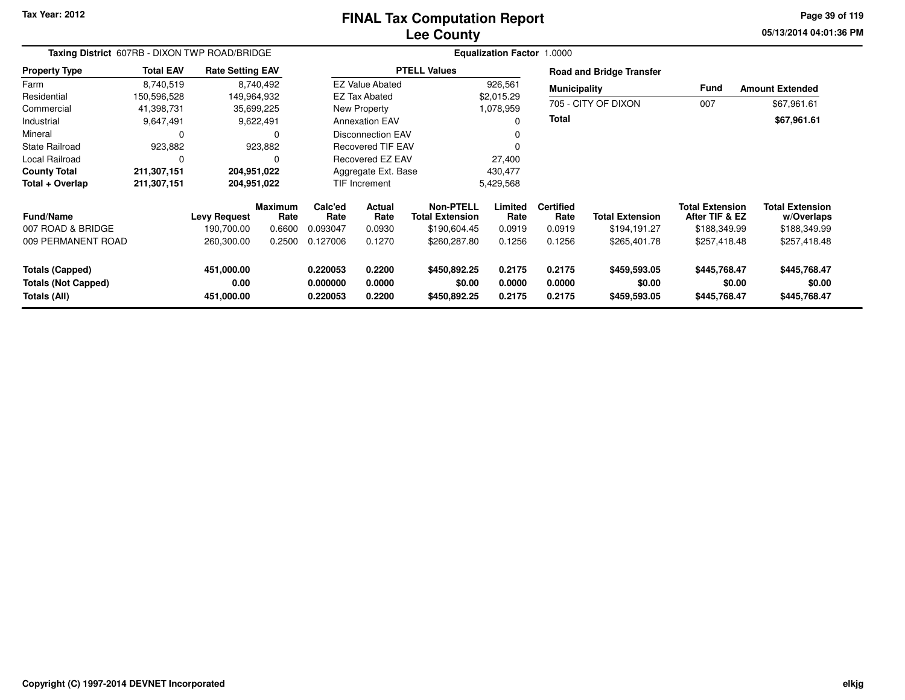#### **Lee CountyFINAL Tax Computation Report**

**05/13/2014 04:01:36 PM Page 39 of 119**

| Taxing District 607RB - DIXON TWP ROAD/BRIDGE                        |                  |                                  |                        | Equalization Factor 1.0000       |                            |                                        |                            |                            |                                        |                                          |                                        |  |
|----------------------------------------------------------------------|------------------|----------------------------------|------------------------|----------------------------------|----------------------------|----------------------------------------|----------------------------|----------------------------|----------------------------------------|------------------------------------------|----------------------------------------|--|
| <b>Property Type</b>                                                 | <b>Total EAV</b> | <b>Rate Setting EAV</b>          |                        |                                  |                            | <b>PTELL Values</b>                    |                            |                            | <b>Road and Bridge Transfer</b>        |                                          |                                        |  |
| Farm                                                                 | 8,740,519        |                                  | 8,740,492              |                                  | <b>EZ Value Abated</b>     |                                        | 926,561                    | <b>Municipality</b>        |                                        | <b>Fund</b>                              | <b>Amount Extended</b>                 |  |
| Residential                                                          | 150,596,528      | 149,964,932                      |                        |                                  | <b>EZ Tax Abated</b>       |                                        | \$2,015.29                 |                            |                                        |                                          |                                        |  |
| Commercial                                                           | 41,398,731       |                                  | 35,699,225             |                                  | New Property               |                                        | 1,078,959                  |                            | 705 - CITY OF DIXON                    | 007                                      | \$67,961.61                            |  |
| Industrial                                                           | 9,647,491        |                                  | 9,622,491              |                                  | <b>Annexation EAV</b>      |                                        | O                          | <b>Total</b>               |                                        |                                          | \$67,961.61                            |  |
| Mineral                                                              | 0                |                                  | 0                      | <b>Disconnection EAV</b>         |                            |                                        |                            |                            |                                        |                                          |                                        |  |
| <b>State Railroad</b>                                                | 923,882          |                                  | 923,882                | <b>Recovered TIF EAV</b>         |                            |                                        |                            |                            |                                        |                                          |                                        |  |
| Local Railroad                                                       | 0                |                                  |                        |                                  | Recovered EZ EAV           |                                        | 27,400                     |                            |                                        |                                          |                                        |  |
| <b>County Total</b>                                                  | 211,307,151      | 204,951,022                      |                        |                                  | Aggregate Ext. Base        |                                        | 430,477                    |                            |                                        |                                          |                                        |  |
| Total + Overlap                                                      | 211,307,151      | 204,951,022                      |                        |                                  | <b>TIF Increment</b>       |                                        | 5,429,568                  |                            |                                        |                                          |                                        |  |
| <b>Fund/Name</b>                                                     |                  | <b>Levy Request</b>              | <b>Maximum</b><br>Rate | Calc'ed<br>Rate                  | Actual<br>Rate             | Non-PTELL<br><b>Total Extension</b>    | Limited<br>Rate            | <b>Certified</b><br>Rate   | <b>Total Extension</b>                 | <b>Total Extension</b><br>After TIF & EZ | <b>Total Extension</b><br>w/Overlaps   |  |
| 007 ROAD & BRIDGE                                                    |                  | 190,700.00                       | 0.6600                 | 0.093047                         | 0.0930                     | \$190,604.45                           | 0.0919                     | 0.0919                     | \$194,191.27                           | \$188,349.99                             | \$188,349.99                           |  |
| 009 PERMANENT ROAD                                                   |                  | 260,300.00                       | 0.2500                 | 0.127006                         | 0.1270                     | \$260,287.80                           | 0.1256                     | 0.1256                     | \$265,401.78                           | \$257,418.48                             | \$257,418.48                           |  |
| <b>Totals (Capped)</b><br><b>Totals (Not Capped)</b><br>Totals (All) |                  | 451,000.00<br>0.00<br>451,000.00 |                        | 0.220053<br>0.000000<br>0.220053 | 0.2200<br>0.0000<br>0.2200 | \$450,892.25<br>\$0.00<br>\$450,892.25 | 0.2175<br>0.0000<br>0.2175 | 0.2175<br>0.0000<br>0.2175 | \$459,593.05<br>\$0.00<br>\$459,593.05 | \$445,768.47<br>\$0.00<br>\$445,768.47   | \$445,768.47<br>\$0.00<br>\$445,768.47 |  |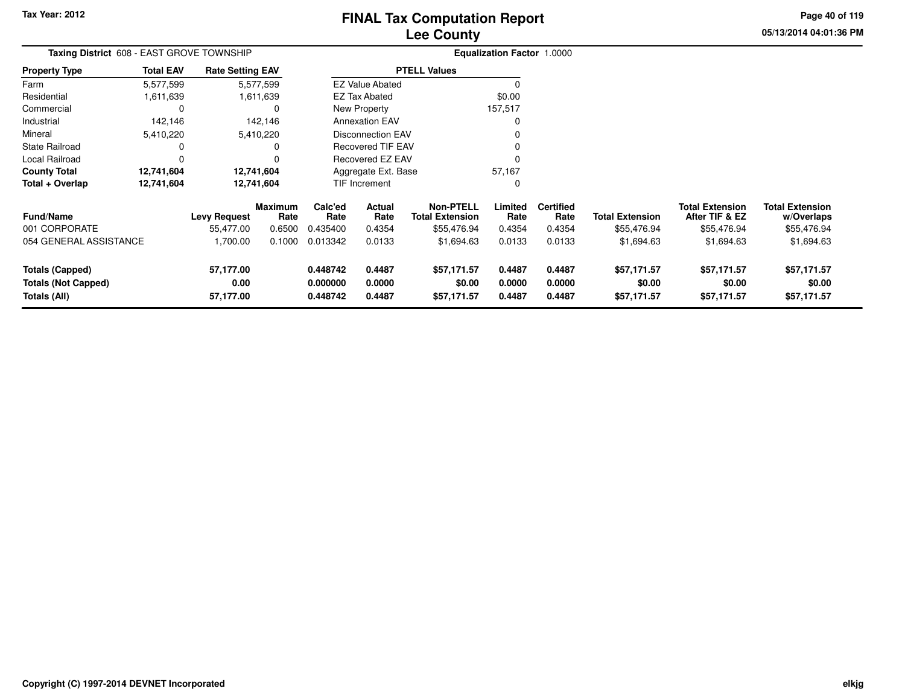**05/13/2014 04:01:36 PM Page 40 of 119**

| Taxing District 608 - EAST GROVE TOWNSHIP         |                  |                         |                 |                               |                          |                                            | <b>Equalization Factor 1.0000</b> |                          |                        |                                          |                                      |
|---------------------------------------------------|------------------|-------------------------|-----------------|-------------------------------|--------------------------|--------------------------------------------|-----------------------------------|--------------------------|------------------------|------------------------------------------|--------------------------------------|
| Property Type                                     | <b>Total EAV</b> | <b>Rate Setting EAV</b> |                 |                               |                          | <b>PTELL Values</b>                        |                                   |                          |                        |                                          |                                      |
| Farm                                              | 5,577,599        |                         | 5,577,599       |                               | <b>EZ Value Abated</b>   |                                            |                                   |                          |                        |                                          |                                      |
| Residential                                       | 1,611,639        |                         | 1,611,639       |                               | <b>EZ Tax Abated</b>     |                                            | \$0.00                            |                          |                        |                                          |                                      |
| Commercial                                        | 0                |                         |                 |                               | New Property             |                                            | 157,517                           |                          |                        |                                          |                                      |
| Industrial                                        | 142,146          |                         | 142,146         |                               | <b>Annexation EAV</b>    |                                            |                                   |                          |                        |                                          |                                      |
| Mineral                                           | 5,410,220        |                         | 5,410,220       |                               | <b>Disconnection EAV</b> |                                            |                                   |                          |                        |                                          |                                      |
| State Railroad                                    | 0                |                         |                 |                               | <b>Recovered TIF EAV</b> |                                            |                                   |                          |                        |                                          |                                      |
| Local Railroad                                    | 0                |                         |                 |                               | Recovered EZ EAV         |                                            |                                   |                          |                        |                                          |                                      |
| County Total                                      | 12,741,604       |                         | 12,741,604      | Aggregate Ext. Base<br>57,167 |                          |                                            |                                   |                          |                        |                                          |                                      |
| Total + Overlap                                   | 12,741,604       |                         | 12,741,604      |                               | TIF Increment            |                                            | O                                 |                          |                        |                                          |                                      |
| Fund/Name                                         |                  | <b>Levy Request</b>     | Maximum<br>Rate | Calc'ed<br>Rate               | Actual<br>Rate           | <b>Non-PTELL</b><br><b>Total Extension</b> | Limited<br>Rate                   | <b>Certified</b><br>Rate | <b>Total Extension</b> | <b>Total Extension</b><br>After TIF & EZ | <b>Total Extension</b><br>w/Overlaps |
| 001 CORPORATE                                     |                  | 55,477.00               | 0.6500          | 0.435400                      | 0.4354                   | \$55,476.94                                | 0.4354                            | 0.4354                   | \$55,476.94            | \$55,476.94                              | \$55,476.94                          |
| 054 GENERAL ASSISTANCE                            |                  | 1,700.00                | 0.1000          | 0.013342                      | 0.0133                   | \$1,694.63                                 | 0.0133                            | 0.0133                   | \$1,694.63             | \$1,694.63                               | \$1,694.63                           |
| <b>Totals (Capped)</b>                            |                  | 57,177.00               |                 | 0.448742                      | 0.4487                   | \$57,171.57                                | 0.4487                            | 0.4487                   | \$57,171.57            | \$57,171.57                              | \$57,171.57                          |
| <b>Totals (Not Capped)</b><br><b>Totals (All)</b> |                  | 0.00<br>57,177.00       |                 | 0.000000<br>0.448742          | 0.0000<br>0.4487         | \$0.00<br>\$57,171.57                      | 0.0000<br>0.4487                  | 0.0000<br>0.4487         | \$0.00<br>\$57,171.57  | \$0.00<br>\$57,171.57                    | \$0.00<br>\$57,171.57                |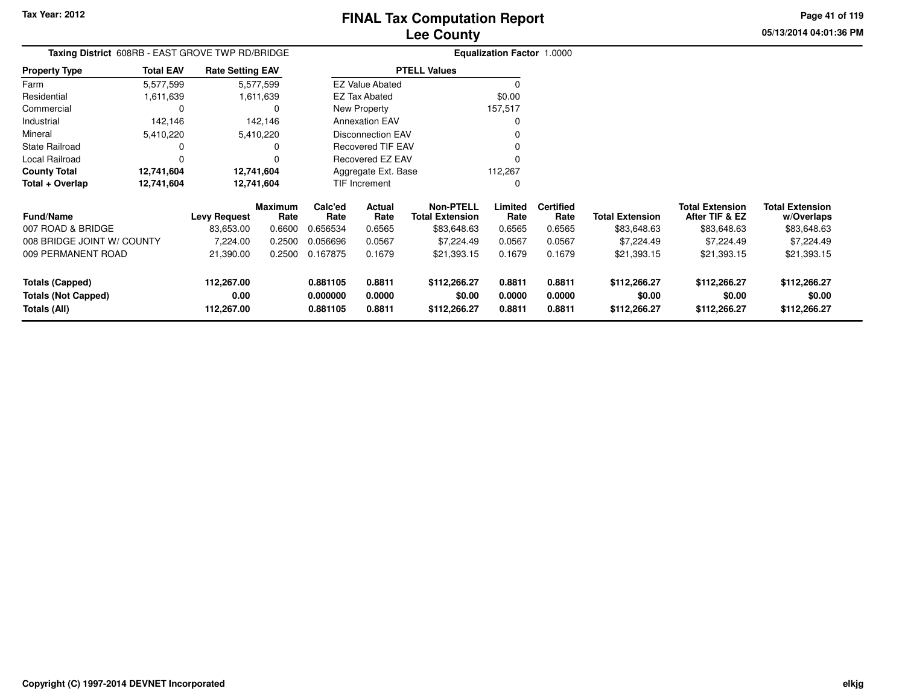**05/13/2014 04:01:36 PMPage 41 of 119**

| Taxing District 608RB - EAST GROVE TWP RD/BRIDGE |                  |                         |                 |                 |                          |                                            | Equalization Factor 1.0000 |                          |                        |                                          |                                      |
|--------------------------------------------------|------------------|-------------------------|-----------------|-----------------|--------------------------|--------------------------------------------|----------------------------|--------------------------|------------------------|------------------------------------------|--------------------------------------|
| <b>Property Type</b>                             | <b>Total EAV</b> | <b>Rate Setting EAV</b> |                 |                 |                          | <b>PTELL Values</b>                        |                            |                          |                        |                                          |                                      |
| Farm                                             | 5,577,599        |                         | 5,577,599       |                 | <b>EZ Value Abated</b>   |                                            |                            |                          |                        |                                          |                                      |
| Residential                                      | 1,611,639        |                         | 1,611,639       |                 | <b>EZ Tax Abated</b>     |                                            | \$0.00                     |                          |                        |                                          |                                      |
| Commercial                                       |                  |                         |                 |                 | New Property             |                                            | 157,517                    |                          |                        |                                          |                                      |
| Industrial                                       | 142,146          |                         | 142,146         |                 | <b>Annexation EAV</b>    |                                            |                            |                          |                        |                                          |                                      |
| Mineral                                          | 5,410,220        |                         | 5,410,220       |                 | <b>Disconnection EAV</b> |                                            |                            |                          |                        |                                          |                                      |
| <b>State Railroad</b>                            |                  |                         |                 |                 | <b>Recovered TIF EAV</b> |                                            |                            |                          |                        |                                          |                                      |
| Local Railroad                                   |                  |                         |                 |                 | Recovered EZ EAV         |                                            |                            |                          |                        |                                          |                                      |
| <b>County Total</b>                              | 12,741,604       |                         | 12,741,604      |                 | Aggregate Ext. Base      |                                            | 112,267                    |                          |                        |                                          |                                      |
| Total + Overlap                                  | 12,741,604       |                         | 12,741,604      |                 | TIF Increment            |                                            |                            |                          |                        |                                          |                                      |
| <b>Fund/Name</b>                                 |                  | Levy Request            | Maximum<br>Rate | Calc'ed<br>Rate | Actual<br>Rate           | <b>Non-PTELL</b><br><b>Total Extension</b> | Limited<br>Rate            | <b>Certified</b><br>Rate | <b>Total Extension</b> | <b>Total Extension</b><br>After TIF & EZ | <b>Total Extension</b><br>w/Overlaps |
| 007 ROAD & BRIDGE                                |                  | 83,653.00               | 0.6600          | 0.656534        | 0.6565                   | \$83,648.63                                | 0.6565                     | 0.6565                   | \$83,648.63            | \$83,648.63                              | \$83,648.63                          |
| 008 BRIDGE JOINT W/ COUNTY                       |                  | 7,224.00                | 0.2500          | 0.056696        | 0.0567                   | \$7,224.49                                 | 0.0567                     | 0.0567                   | \$7,224.49             | \$7,224.49                               | \$7,224.49                           |
| 009 PERMANENT ROAD                               |                  | 21,390.00               | 0.2500          | 0.167875        | 0.1679                   | \$21,393.15                                | 0.1679                     | 0.1679                   | \$21,393.15            | \$21,393.15                              | \$21,393.15                          |
| <b>Totals (Capped)</b>                           |                  | 112,267.00              |                 | 0.881105        | 0.8811                   | \$112,266.27                               | 0.8811                     | 0.8811                   | \$112,266.27           | \$112,266.27                             | \$112,266.27                         |
| <b>Totals (Not Capped)</b>                       |                  | 0.00                    |                 | 0.000000        | 0.0000                   | \$0.00                                     | 0.0000                     | 0.0000                   | \$0.00                 | \$0.00                                   | \$0.00                               |
| Totals (All)                                     |                  | 112,267.00              |                 | 0.881105        | 0.8811                   | \$112,266.27                               | 0.8811                     | 0.8811                   | \$112,266.27           | \$112,266.27                             | \$112,266.27                         |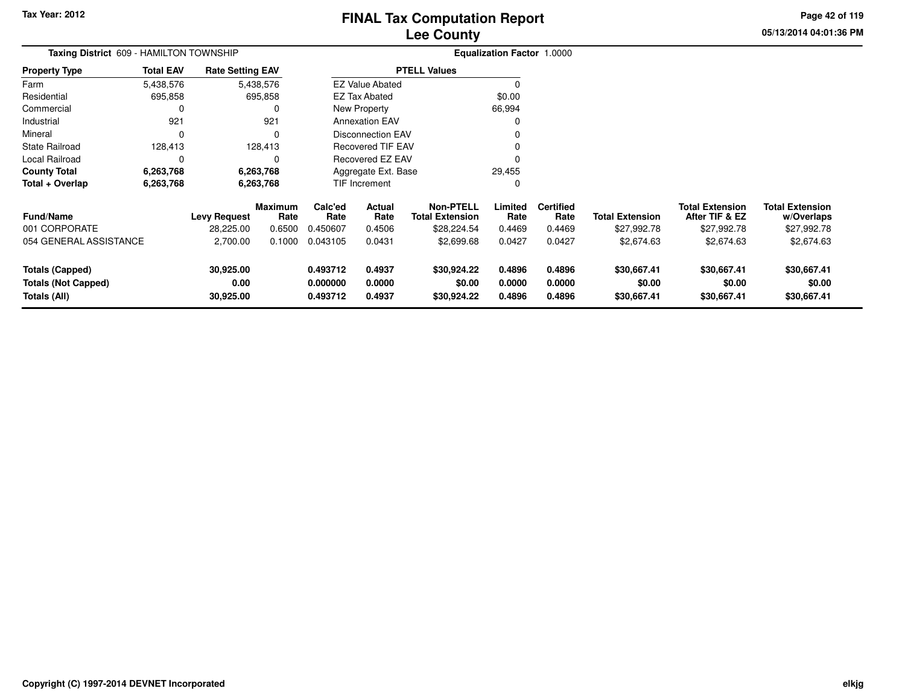**05/13/2014 04:01:36 PM Page 42 of 119**

| Taxing District 609 - HAMILTON TOWNSHIP                              |                  |                                |                        |                                  |                            |                                            | <b>Equalization Factor 1.0000</b> |                            |                                      |                                          |                                      |
|----------------------------------------------------------------------|------------------|--------------------------------|------------------------|----------------------------------|----------------------------|--------------------------------------------|-----------------------------------|----------------------------|--------------------------------------|------------------------------------------|--------------------------------------|
| <b>Property Type</b>                                                 | <b>Total EAV</b> | <b>Rate Setting EAV</b>        |                        |                                  |                            | <b>PTELL Values</b>                        |                                   |                            |                                      |                                          |                                      |
| Farm                                                                 | 5,438,576        |                                | 5,438,576              |                                  | <b>EZ Value Abated</b>     |                                            |                                   |                            |                                      |                                          |                                      |
| Residential                                                          | 695,858          |                                | 695,858                |                                  | <b>EZ Tax Abated</b>       |                                            | \$0.00                            |                            |                                      |                                          |                                      |
| Commercial                                                           | 0                |                                | 0                      |                                  | New Property               |                                            | 66,994                            |                            |                                      |                                          |                                      |
| Industrial                                                           | 921              |                                | 921                    |                                  | <b>Annexation EAV</b>      |                                            |                                   |                            |                                      |                                          |                                      |
| Mineral                                                              | 0                |                                | $\Omega$               |                                  | <b>Disconnection EAV</b>   |                                            |                                   |                            |                                      |                                          |                                      |
| <b>State Railroad</b>                                                | 128,413          |                                | 128,413                |                                  | <b>Recovered TIF EAV</b>   |                                            |                                   |                            |                                      |                                          |                                      |
| Local Railroad                                                       | 0                |                                | 0                      |                                  | <b>Recovered EZ EAV</b>    |                                            |                                   |                            |                                      |                                          |                                      |
| <b>County Total</b>                                                  | 6,263,768        |                                | 6,263,768              |                                  | Aggregate Ext. Base        |                                            | 29,455                            |                            |                                      |                                          |                                      |
| Total + Overlap                                                      | 6,263,768        |                                | 6,263,768              |                                  | TIF Increment              |                                            |                                   |                            |                                      |                                          |                                      |
| <b>Fund/Name</b>                                                     |                  | <b>Levy Request</b>            | <b>Maximum</b><br>Rate | Calc'ed<br>Rate                  | Actual<br>Rate             | <b>Non-PTELL</b><br><b>Total Extension</b> | Limited<br>Rate                   | <b>Certified</b><br>Rate   | <b>Total Extension</b>               | <b>Total Extension</b><br>After TIF & EZ | <b>Total Extension</b><br>w/Overlaps |
| 001 CORPORATE                                                        |                  | 28,225.00                      | 0.6500                 | 0.450607                         | 0.4506                     | \$28,224.54                                | 0.4469                            | 0.4469                     | \$27,992.78                          | \$27,992.78                              | \$27,992.78                          |
| 054 GENERAL ASSISTANCE                                               |                  | 2,700.00                       | 0.1000                 | 0.043105                         | 0.0431                     | \$2,699.68                                 | 0.0427                            | 0.0427                     | \$2,674.63                           | \$2,674.63                               | \$2,674.63                           |
| <b>Totals (Capped)</b><br><b>Totals (Not Capped)</b><br>Totals (All) |                  | 30,925.00<br>0.00<br>30,925.00 |                        | 0.493712<br>0.000000<br>0.493712 | 0.4937<br>0.0000<br>0.4937 | \$30,924.22<br>\$0.00<br>\$30,924.22       | 0.4896<br>0.0000<br>0.4896        | 0.4896<br>0.0000<br>0.4896 | \$30,667.41<br>\$0.00<br>\$30,667.41 | \$30,667.41<br>\$0.00<br>\$30,667.41     | \$30,667.41<br>\$0.00<br>\$30,667.41 |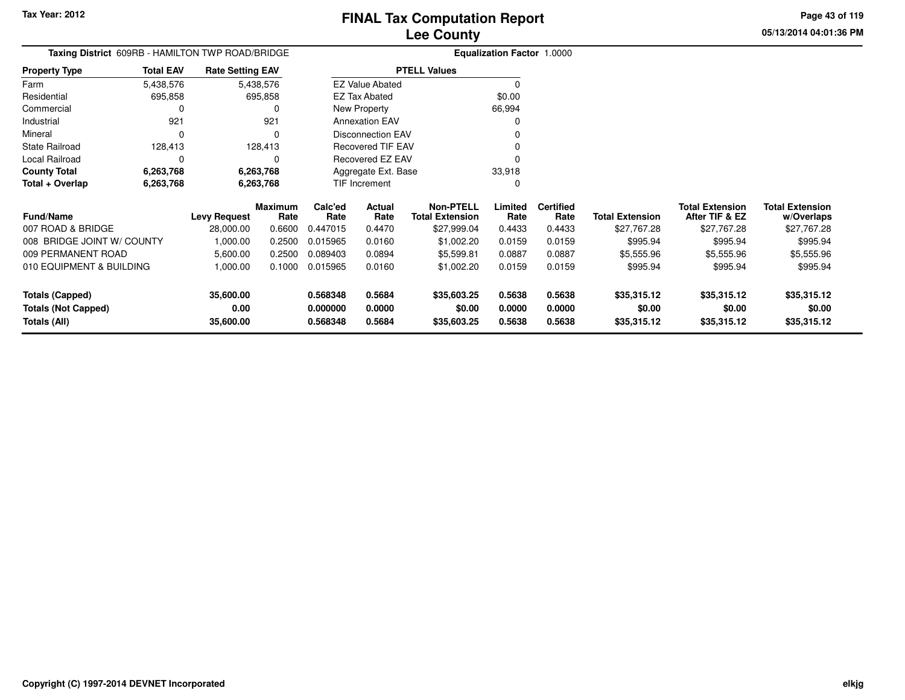**Totals (All)**

# **Lee CountyFINAL Tax Computation Report**

**0.568348 0.5684 \$35,603.25 0.5638 0.5638 \$35,315.12 \$35,315.12 \$35,315.12**

**05/13/2014 04:01:36 PMPage 43 of 119**

> **w/Overlaps** \$27,767.28

**Total Extension**

#### **Equalization Factor** 1.0000 **Taxing District** 609RB - HAMILTON TWP ROAD/BRIDGE**Property Type**695,858 695,858  $\mathbf 0$ Farm ResidentialCommercial 0 921 Industrial 921  $\Omega$ Mineral 0 0128,413 State Railroad 128,413  $\mathbf 0$ Local Railroad 0 0 6,263,768 **County Total 6,263,768 6,263,768**6,263,768 **Total + Overlap 6,263,768 6,263,768** 5,438,576695,858 **Fund/Name Levy Request Rate Limited**Rate **After TIF & EZ** \$27,767.28 **Total ExtensionRate Total Extension Rate Total Extension**\$27,767.28 **Maximum Calc'ed Rate**0.447015 **Actual RateNon-PTELL Certified** \$27,999.04 007 ROAD & BRIDGE 28,000.00 0.6600 0.447015 0.4470 \$27,999.04 0.4433 0.4433 \$27,767.28 \$27,767.28 \$27,767.28 008 BRIDGE JOINT W/ COUNTY 1,000.00 0.2500 0.015965 0.0160 \$1,002.20 0.0159 0.0159 \$995.94 \$995.94 \$995.94 009 PERMANENT ROAD 5,600.00 0.2500 0.089403 0.0894 \$5,599.81 0.0887 0.0887 \$5,555.96 \$5,555.96 \$5,555.96 010 EQUIPMENT & BUILDING 1,000.00 0.1000 0.015965 0.0160 \$1,002.20 0.0159 0.0159 \$995.94 \$995.94 \$995.94 **Totals (Capped) 35,600.00 0.568348 0.5684 \$35,603.25 0.5638 0.5638 \$35,315.12 \$35,315.12 \$35,315.12 Totals (Not Capped) 0.00 0.000000 0.0000 \$0.00 0.0000 0.0000 \$0.00 \$0.00 \$0.00** 5,438,576**Total EAVRate Setting EAV PTELL Values**  $\overline{\overline{0}}$  \$0.00 66,994 $\mathbf 0$ Annexation EAV v o Disconnection EAV $\sim$  0 Recovered TIF EAV0 v Recovered EZ EAV0<br>محمد محمد اللہ علاقات<br>محمد محمد اللہ علاقات 33,918 $\mathbf{0}$ New Property EZ Tax AbatedEZ Value AbatedAggregate Ext. BaseTIF Increment0

**35,600.00**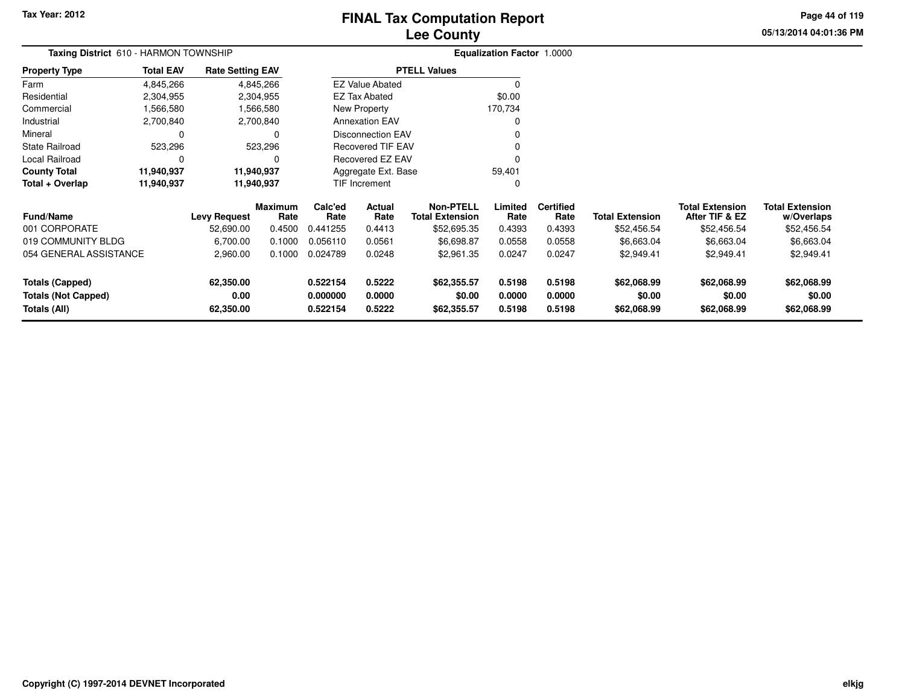# **Lee CountyFINAL Tax Computation Report**

**05/13/2014 04:01:36 PM Page 44 of 119**

| Taxing District 610 - HARMON TOWNSHIP |                  |                         |                        |                               |                          |                                            | <b>Equalization Factor 1.0000</b> |                          |                        |                                          |                                      |
|---------------------------------------|------------------|-------------------------|------------------------|-------------------------------|--------------------------|--------------------------------------------|-----------------------------------|--------------------------|------------------------|------------------------------------------|--------------------------------------|
| <b>Property Type</b>                  | <b>Total EAV</b> | <b>Rate Setting EAV</b> |                        |                               |                          | <b>PTELL Values</b>                        |                                   |                          |                        |                                          |                                      |
| Farm                                  | 4,845,266        |                         | 4,845,266              |                               | <b>EZ Value Abated</b>   |                                            | 0                                 |                          |                        |                                          |                                      |
| Residential                           | 2,304,955        |                         | 2,304,955              |                               | <b>EZ Tax Abated</b>     |                                            | \$0.00                            |                          |                        |                                          |                                      |
| Commercial                            | 1,566,580        |                         | 1,566,580              |                               | New Property             |                                            | 170,734                           |                          |                        |                                          |                                      |
| Industrial                            | 2,700,840        |                         | 2,700,840              |                               | <b>Annexation EAV</b>    |                                            | O                                 |                          |                        |                                          |                                      |
| Mineral                               | 0                |                         | 0                      |                               | <b>Disconnection EAV</b> |                                            |                                   |                          |                        |                                          |                                      |
| State Railroad                        | 523,296          |                         | 523,296                |                               | <b>Recovered TIF EAV</b> |                                            |                                   |                          |                        |                                          |                                      |
| Local Railroad                        | 0                |                         |                        |                               | Recovered EZ EAV         |                                            | 0                                 |                          |                        |                                          |                                      |
| <b>County Total</b>                   | 11,940,937       |                         | 11,940,937             | Aggregate Ext. Base<br>59,401 |                          |                                            |                                   |                          |                        |                                          |                                      |
| Total + Overlap                       | 11,940,937       | 11,940,937              |                        |                               | <b>TIF Increment</b>     |                                            | 0                                 |                          |                        |                                          |                                      |
| Fund/Name                             |                  | <b>Levy Request</b>     | <b>Maximum</b><br>Rate | Calc'ed<br>Rate               | Actual<br>Rate           | <b>Non-PTELL</b><br><b>Total Extension</b> | Limited<br>Rate                   | <b>Certified</b><br>Rate | <b>Total Extension</b> | <b>Total Extension</b><br>After TIF & EZ | <b>Total Extension</b><br>w/Overlaps |
| 001 CORPORATE                         |                  | 52,690.00               | 0.4500                 | 0.441255                      | 0.4413                   | \$52,695.35                                | 0.4393                            | 0.4393                   | \$52,456.54            | \$52,456.54                              | \$52,456.54                          |
| 019 COMMUNITY BLDG                    |                  | 6,700.00                | 0.1000                 | 0.056110                      | 0.0561                   | \$6,698.87                                 | 0.0558                            | 0.0558                   | \$6,663.04             | \$6,663.04                               | \$6,663.04                           |
| 054 GENERAL ASSISTANCE                |                  | 2,960.00                | 0.1000                 | 0.024789                      | 0.0248                   | \$2,961.35                                 | 0.0247                            | 0.0247                   | \$2,949.41             | \$2,949.41                               | \$2,949.41                           |
| <b>Totals (Capped)</b>                |                  | 62,350.00               |                        | 0.522154                      | 0.5222                   | \$62,355.57                                | 0.5198                            | 0.5198                   | \$62,068.99            | \$62,068.99                              | \$62,068.99                          |
| <b>Totals (Not Capped)</b>            |                  | 0.00                    |                        | 0.000000                      | 0.0000                   | \$0.00                                     | 0.0000                            | 0.0000                   | \$0.00                 | \$0.00                                   | \$0.00                               |
| Totals (All)                          |                  | 62,350.00               |                        | 0.522154                      | 0.5222                   | \$62,355.57                                | 0.5198                            | 0.5198                   | \$62,068.99            | \$62,068.99                              | \$62,068.99                          |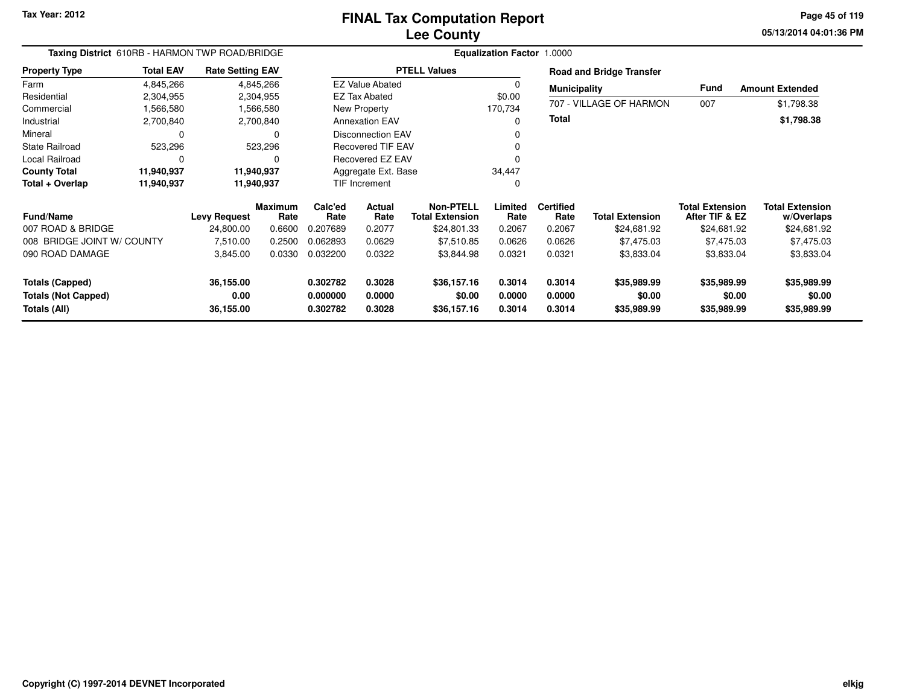**05/13/2014 04:01:36 PM Page 45 of 119**

| Taxing District 610RB - HARMON TWP ROAD/BRIDGE                       |                                                                                                                                                                                                      |                                |                        | Equalization Factor 1.0000       |                            |                                            |                            |                            |                                      |                                          |                                      |  |  |
|----------------------------------------------------------------------|------------------------------------------------------------------------------------------------------------------------------------------------------------------------------------------------------|--------------------------------|------------------------|----------------------------------|----------------------------|--------------------------------------------|----------------------------|----------------------------|--------------------------------------|------------------------------------------|--------------------------------------|--|--|
| <b>Property Type</b>                                                 | <b>Total EAV</b><br><b>PTELL Values</b><br><b>Rate Setting EAV</b><br><b>Road and Bridge Transfer</b><br>4,845,266<br>4,845,266<br><b>EZ Value Abated</b><br>$\Omega$<br>Fund<br><b>Municipality</b> |                                |                        |                                  |                            |                                            |                            |                            |                                      |                                          |                                      |  |  |
| Farm                                                                 |                                                                                                                                                                                                      |                                |                        |                                  |                            |                                            |                            |                            |                                      |                                          | <b>Amount Extended</b>               |  |  |
| Residential                                                          | 2,304,955                                                                                                                                                                                            |                                | 2,304,955              |                                  | <b>EZ Tax Abated</b>       |                                            | \$0.00                     |                            |                                      |                                          |                                      |  |  |
| Commercial                                                           | 1,566,580                                                                                                                                                                                            |                                | 1,566,580              |                                  | New Property               |                                            | 170,734                    |                            | 707 - VILLAGE OF HARMON              | 007                                      | \$1,798.38                           |  |  |
| Industrial                                                           | 2,700,840                                                                                                                                                                                            |                                | 2,700,840              |                                  | <b>Annexation EAV</b>      |                                            | 0                          | Total                      |                                      |                                          | \$1,798.38                           |  |  |
| Mineral                                                              |                                                                                                                                                                                                      |                                | 0                      |                                  | <b>Disconnection EAV</b>   |                                            | 0                          |                            |                                      |                                          |                                      |  |  |
| <b>State Railroad</b>                                                | 523,296                                                                                                                                                                                              |                                | 523,296                |                                  | <b>Recovered TIF EAV</b>   |                                            |                            |                            |                                      |                                          |                                      |  |  |
| Local Railroad                                                       | $\Omega$                                                                                                                                                                                             |                                | 0                      |                                  | Recovered EZ EAV           |                                            |                            |                            |                                      |                                          |                                      |  |  |
| <b>County Total</b>                                                  | 11,940,937                                                                                                                                                                                           |                                | 11,940,937             | Aggregate Ext. Base              |                            | 34,447                                     |                            |                            |                                      |                                          |                                      |  |  |
| Total + Overlap                                                      | 11,940,937                                                                                                                                                                                           |                                | 11,940,937             |                                  | TIF Increment              |                                            | 0                          |                            |                                      |                                          |                                      |  |  |
| Fund/Name                                                            |                                                                                                                                                                                                      | <b>Levy Request</b>            | <b>Maximum</b><br>Rate | Calc'ed<br>Rate                  | Actual<br>Rate             | <b>Non-PTELL</b><br><b>Total Extension</b> | Limited<br>Rate            | <b>Certified</b><br>Rate   | <b>Total Extension</b>               | <b>Total Extension</b><br>After TIF & EZ | <b>Total Extension</b><br>w/Overlaps |  |  |
| 007 ROAD & BRIDGE                                                    |                                                                                                                                                                                                      | 24,800.00                      | 0.6600                 | 0.207689                         | 0.2077                     | \$24,801.33                                | 0.2067                     | 0.2067                     | \$24,681.92                          | \$24,681.92                              | \$24,681.92                          |  |  |
| 008 BRIDGE JOINT W/ COUNTY                                           |                                                                                                                                                                                                      | 7,510.00                       | 0.2500                 | 0.062893                         | 0.0629                     | \$7,510.85                                 | 0.0626                     | 0.0626                     | \$7,475.03                           | \$7,475.03                               | \$7,475.03                           |  |  |
| 090 ROAD DAMAGE                                                      |                                                                                                                                                                                                      | 3,845.00                       | 0.0330                 | 0.032200                         | 0.0322                     | \$3,844.98                                 | 0.0321                     | 0.0321                     | \$3,833.04                           | \$3,833.04                               | \$3,833.04                           |  |  |
| <b>Totals (Capped)</b><br><b>Totals (Not Capped)</b><br>Totals (All) |                                                                                                                                                                                                      | 36,155.00<br>0.00<br>36,155.00 |                        | 0.302782<br>0.000000<br>0.302782 | 0.3028<br>0.0000<br>0.3028 | \$36,157.16<br>\$0.00<br>\$36,157.16       | 0.3014<br>0.0000<br>0.3014 | 0.3014<br>0.0000<br>0.3014 | \$35,989.99<br>\$0.00<br>\$35,989.99 | \$35,989.99<br>\$0.00<br>\$35,989.99     | \$35,989.99<br>\$0.00<br>\$35,989.99 |  |  |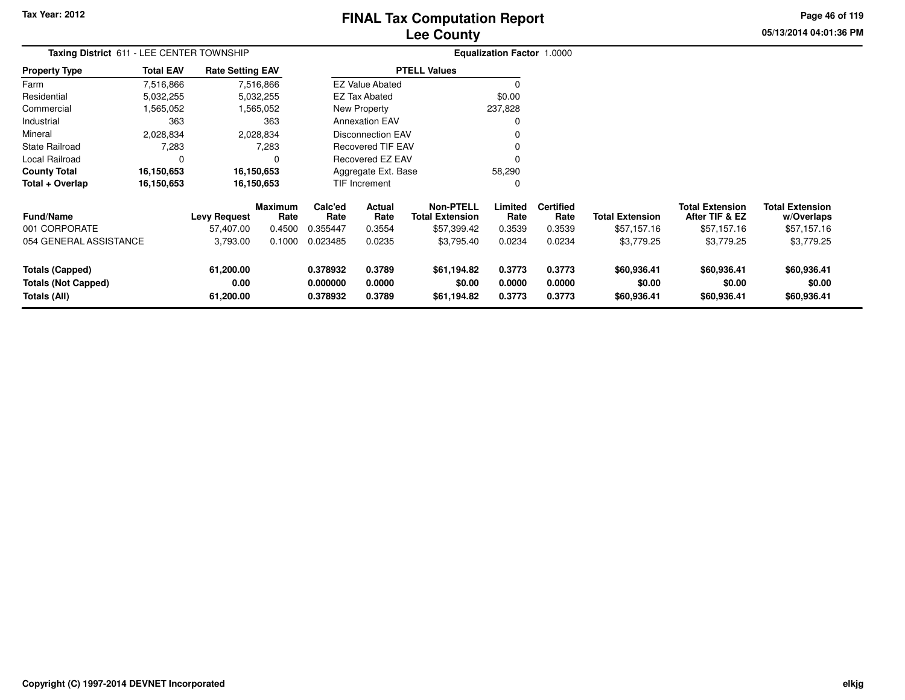# **Lee CountyFINAL Tax Computation Report**

**05/13/2014 04:01:36 PM Page 46 of 119**

| Taxing District 611 - LEE CENTER TOWNSHIP<br>Property Type |                   |                                  |                                                                                                                           |                  |                                                       |                                                                                                                                |                                             |                                   |                                          |                                      |
|------------------------------------------------------------|-------------------|----------------------------------|---------------------------------------------------------------------------------------------------------------------------|------------------|-------------------------------------------------------|--------------------------------------------------------------------------------------------------------------------------------|---------------------------------------------|-----------------------------------|------------------------------------------|--------------------------------------|
| <b>Total EAV</b>                                           |                   |                                  |                                                                                                                           |                  |                                                       |                                                                                                                                |                                             |                                   |                                          |                                      |
| 7,516,866                                                  |                   |                                  |                                                                                                                           |                  |                                                       | 0                                                                                                                              |                                             |                                   |                                          |                                      |
| 5,032,255                                                  |                   |                                  |                                                                                                                           |                  |                                                       | \$0.00                                                                                                                         |                                             |                                   |                                          |                                      |
| 1,565,052                                                  |                   |                                  |                                                                                                                           |                  |                                                       | 237,828                                                                                                                        |                                             |                                   |                                          |                                      |
| 363                                                        |                   | 363                              |                                                                                                                           |                  |                                                       |                                                                                                                                |                                             |                                   |                                          |                                      |
| 2,028,834                                                  |                   |                                  |                                                                                                                           |                  |                                                       |                                                                                                                                |                                             |                                   |                                          |                                      |
| 7,283                                                      |                   | 7,283                            |                                                                                                                           |                  |                                                       |                                                                                                                                |                                             |                                   |                                          |                                      |
| 0                                                          |                   |                                  | Recovered EZ EAV<br>Aggregate Ext. Base<br>58,290                                                                         |                  |                                                       |                                                                                                                                |                                             |                                   |                                          |                                      |
| 16,150,653                                                 |                   |                                  |                                                                                                                           |                  |                                                       |                                                                                                                                |                                             |                                   |                                          |                                      |
| 16,150,653                                                 |                   |                                  |                                                                                                                           |                  |                                                       | 0                                                                                                                              |                                             |                                   |                                          |                                      |
|                                                            |                   | Rate                             | Calc'ed<br>Rate                                                                                                           | Actual<br>Rate   | <b>Non-PTELL</b><br><b>Total Extension</b>            | Limited<br>Rate                                                                                                                | <b>Certified</b><br>Rate                    | <b>Total Extension</b>            | <b>Total Extension</b><br>After TIF & EZ | <b>Total Extension</b><br>w/Overlaps |
|                                                            | 57,407.00         | 0.4500                           | 0.355447                                                                                                                  | 0.3554           | \$57,399.42                                           | 0.3539                                                                                                                         | 0.3539                                      | \$57,157.16                       | \$57,157.16                              | \$57,157.16                          |
| 054 GENERAL ASSISTANCE                                     | 3,793.00          | 0.1000                           | 0.023485                                                                                                                  | 0.0235           | \$3,795.40                                            | 0.0234                                                                                                                         | 0.0234                                      | \$3,779.25                        | \$3,779.25                               | \$3,779.25                           |
|                                                            | 61,200.00<br>0.00 |                                  | 0.378932<br>0.000000                                                                                                      | 0.3789<br>0.0000 | \$61,194.82<br>\$0.00                                 | 0.3773<br>0.0000                                                                                                               | 0.3773<br>0.0000                            | \$60,936.41<br>\$0.00             | \$60,936.41<br>\$0.00                    | \$60,936.41<br>\$0.00<br>\$60,936.41 |
|                                                            |                   | <b>Levy Request</b><br>61,200.00 | <b>Rate Setting EAV</b><br>7,516,866<br>5,032,255<br>1,565,052<br>2,028,834<br>16,150,653<br>16,150,653<br><b>Maximum</b> |                  | <b>EZ Tax Abated</b><br>New Property<br>TIF Increment | <b>PTELL Values</b><br><b>EZ Value Abated</b><br><b>Annexation EAV</b><br><b>Disconnection EAV</b><br><b>Recovered TIF EAV</b> | 0.378932<br>0.3789<br>\$61,194.82<br>0.3773 | <b>Equalization Factor 1.0000</b> | 0.3773<br>\$60,936.41                    | \$60,936.41                          |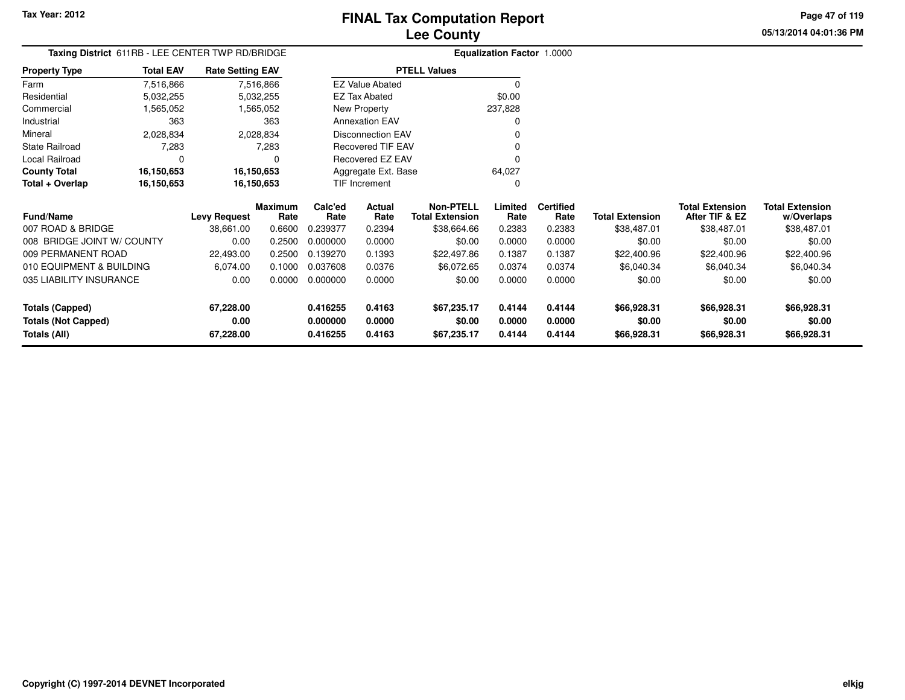**05/13/2014 04:01:36 PMPage 47 of 119**

| Taxing District 611RB - LEE CENTER TWP RD/BRIDGE |                  |                                                                                                       |                 |                 |                                              |                                            | <b>Equalization Factor 1.0000</b> |                          |                        |                                          |                                      |
|--------------------------------------------------|------------------|-------------------------------------------------------------------------------------------------------|-----------------|-----------------|----------------------------------------------|--------------------------------------------|-----------------------------------|--------------------------|------------------------|------------------------------------------|--------------------------------------|
| <b>Property Type</b>                             | <b>Total EAV</b> | <b>Rate Setting EAV</b><br>7,516,866<br>7,516,866<br>5,032,255<br>5,032,255<br>1,565,052<br>1,565,052 |                 |                 |                                              | <b>PTELL Values</b>                        |                                   |                          |                        |                                          |                                      |
| Farm                                             |                  |                                                                                                       |                 |                 | <b>EZ Value Abated</b>                       |                                            | 0                                 |                          |                        |                                          |                                      |
| Residential                                      |                  |                                                                                                       |                 |                 | <b>EZ Tax Abated</b>                         |                                            | \$0.00                            |                          |                        |                                          |                                      |
| Commercial                                       |                  |                                                                                                       |                 |                 | New Property                                 |                                            | 237,828                           |                          |                        |                                          |                                      |
| Industrial                                       | 363              |                                                                                                       | 363             |                 | <b>Annexation EAV</b>                        |                                            | O                                 |                          |                        |                                          |                                      |
| Mineral                                          | 2,028,834        |                                                                                                       | 2,028,834       |                 | <b>Disconnection EAV</b>                     |                                            |                                   |                          |                        |                                          |                                      |
| State Railroad                                   | 7,283            |                                                                                                       | 7,283           |                 | <b>Recovered TIF EAV</b><br>Recovered EZ EAV |                                            |                                   |                          |                        |                                          |                                      |
| Local Railroad                                   | 0                |                                                                                                       |                 |                 |                                              |                                            |                                   |                          |                        |                                          |                                      |
| <b>County Total</b>                              | 16,150,653       | 16,150,653                                                                                            |                 |                 | Aggregate Ext. Base                          |                                            | 64,027                            |                          |                        |                                          |                                      |
| Total + Overlap                                  | 16,150,653       | 16,150,653                                                                                            |                 | TIF Increment   |                                              |                                            | O                                 |                          |                        |                                          |                                      |
| <b>Fund/Name</b>                                 |                  | <b>Levy Request</b>                                                                                   | Maximum<br>Rate | Calc'ed<br>Rate | Actual<br>Rate                               | <b>Non-PTELL</b><br><b>Total Extension</b> | Limited<br>Rate                   | <b>Certified</b><br>Rate | <b>Total Extension</b> | <b>Total Extension</b><br>After TIF & EZ | <b>Total Extension</b><br>w/Overlaps |
| 007 ROAD & BRIDGE                                |                  | 38,661.00                                                                                             | 0.6600          | 0.239377        | 0.2394                                       | \$38,664.66                                | 0.2383                            | 0.2383                   | \$38,487.01            | \$38,487.01                              | \$38,487.01                          |
| 008 BRIDGE JOINT W/ COUNTY                       |                  | 0.00                                                                                                  | 0.2500          | 0.000000        | 0.0000                                       | \$0.00                                     | 0.0000                            | 0.0000                   | \$0.00                 | \$0.00                                   | \$0.00                               |
| 009 PERMANENT ROAD                               |                  | 22,493.00                                                                                             | 0.2500          | 0.139270        | 0.1393                                       | \$22,497.86                                | 0.1387                            | 0.1387                   | \$22,400.96            | \$22,400.96                              | \$22,400.96                          |
| 010 EQUIPMENT & BUILDING                         |                  | 6,074.00                                                                                              | 0.1000          | 0.037608        | 0.0376                                       | \$6,072.65                                 | 0.0374                            | 0.0374                   | \$6,040.34             | \$6,040.34                               | \$6,040.34                           |
| 035 LIABILITY INSURANCE                          |                  | 0.00                                                                                                  | 0.0000          | 0.000000        | 0.0000                                       | \$0.00                                     | 0.0000                            | 0.0000                   | \$0.00                 | \$0.00                                   | \$0.00                               |
| <b>Totals (Capped)</b>                           |                  | 67,228.00                                                                                             |                 | 0.416255        | 0.4163                                       | \$67,235.17                                | 0.4144                            | 0.4144                   | \$66,928.31            | \$66,928.31                              | \$66,928.31                          |
| <b>Totals (Not Capped)</b>                       |                  | 0.00                                                                                                  |                 | 0.000000        | 0.0000                                       | \$0.00                                     | 0.0000                            | 0.0000                   | \$0.00                 | \$0.00                                   | \$0.00                               |
| <b>Totals (All)</b>                              |                  | 67,228.00                                                                                             |                 | 0.416255        | 0.4163                                       | \$67,235.17                                | 0.4144                            | 0.4144                   | \$66,928.31            | \$66,928.31                              | \$66,928.31                          |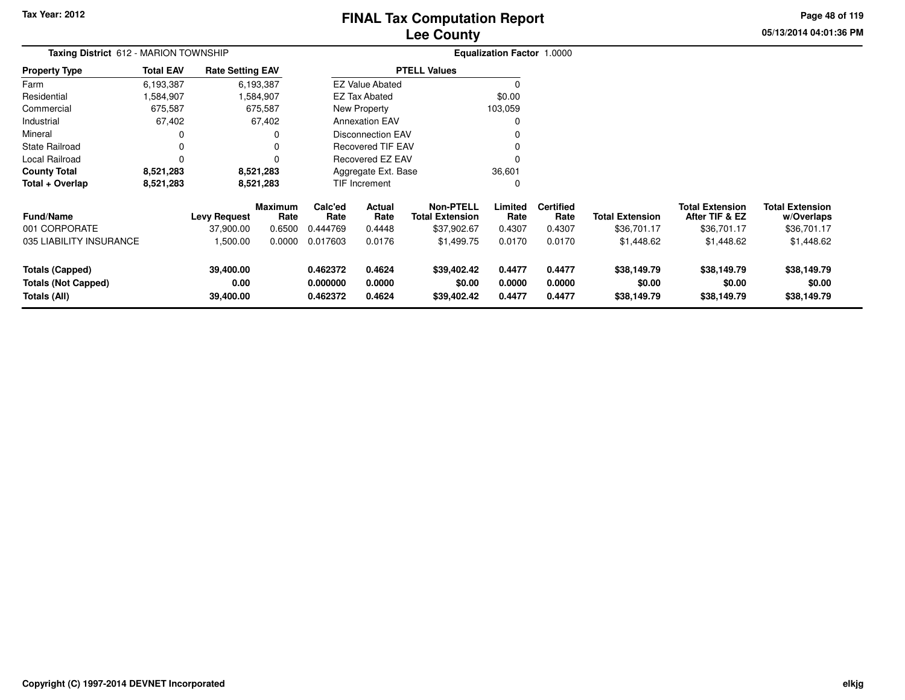# **Lee CountyFINAL Tax Computation Report**

**05/13/2014 04:01:36 PM Page 48 of 119**

| Taxing District 612 - MARION TOWNSHIP<br><b>Rate Setting EAV</b><br><b>Total EAV</b> |           |                     |                 |                               |                          |                                            | <b>Equalization Factor 1.0000</b> |                          |                        |                                          |                                      |
|--------------------------------------------------------------------------------------|-----------|---------------------|-----------------|-------------------------------|--------------------------|--------------------------------------------|-----------------------------------|--------------------------|------------------------|------------------------------------------|--------------------------------------|
| <b>Property Type</b>                                                                 |           |                     |                 |                               |                          | <b>PTELL Values</b>                        |                                   |                          |                        |                                          |                                      |
| Farm                                                                                 | 6,193,387 |                     | 6,193,387       |                               | <b>EZ Value Abated</b>   |                                            |                                   |                          |                        |                                          |                                      |
| Residential                                                                          | 1,584,907 |                     | 584,907         |                               | <b>EZ Tax Abated</b>     |                                            | \$0.00                            |                          |                        |                                          |                                      |
| Commercial                                                                           | 675,587   |                     | 675,587         |                               | New Property             |                                            | 103,059                           |                          |                        |                                          |                                      |
| Industrial                                                                           | 67,402    |                     | 67,402          |                               | <b>Annexation EAV</b>    |                                            |                                   |                          |                        |                                          |                                      |
| Mineral                                                                              |           |                     |                 |                               | <b>Disconnection EAV</b> |                                            |                                   |                          |                        |                                          |                                      |
| <b>State Railroad</b>                                                                |           |                     |                 |                               | <b>Recovered TIF EAV</b> |                                            |                                   |                          |                        |                                          |                                      |
| Local Railroad                                                                       |           |                     |                 | Recovered EZ EAV              |                          |                                            |                                   |                          |                        |                                          |                                      |
| <b>County Total</b>                                                                  | 8,521,283 |                     | 8,521,283       | Aggregate Ext. Base<br>36,601 |                          |                                            |                                   |                          |                        |                                          |                                      |
| Total + Overlap                                                                      | 8,521,283 |                     | 8,521,283       |                               | <b>TIF Increment</b>     |                                            | 0                                 |                          |                        |                                          |                                      |
| <b>Fund/Name</b>                                                                     |           | <b>Levy Request</b> | Maximum<br>Rate | Calc'ed<br>Rate               | Actual<br>Rate           | <b>Non-PTELL</b><br><b>Total Extension</b> | Limited<br>Rate                   | <b>Certified</b><br>Rate | <b>Total Extension</b> | <b>Total Extension</b><br>After TIF & EZ | <b>Total Extension</b><br>w/Overlaps |
| 001 CORPORATE                                                                        |           | 37,900.00           | 0.6500          | 0.444769                      | 0.4448                   | \$37,902.67                                | 0.4307                            | 0.4307                   | \$36,701.17            | \$36,701.17                              | \$36,701.17                          |
| 035 LIABILITY INSURANCE                                                              |           | 1,500.00            | 0.0000          | 0.017603                      | 0.0176                   | \$1,499.75                                 | 0.0170                            | 0.0170                   | \$1,448.62             | \$1,448.62                               | \$1,448.62                           |
| <b>Totals (Capped)</b>                                                               |           | 39,400.00           |                 | 0.462372                      | 0.4624                   | \$39,402.42                                | 0.4477                            | 0.4477                   | \$38,149.79            | \$38,149.79                              | \$38,149.79                          |
| <b>Totals (Not Capped)</b><br>Totals (All)                                           |           | 0.00<br>39,400.00   |                 | 0.000000<br>0.462372          | 0.0000<br>0.4624         | \$0.00<br>\$39,402.42                      | 0.0000<br>0.4477                  | 0.0000<br>0.4477         | \$0.00<br>\$38,149.79  | \$0.00<br>\$38,149.79                    | \$0.00<br>\$38,149.79                |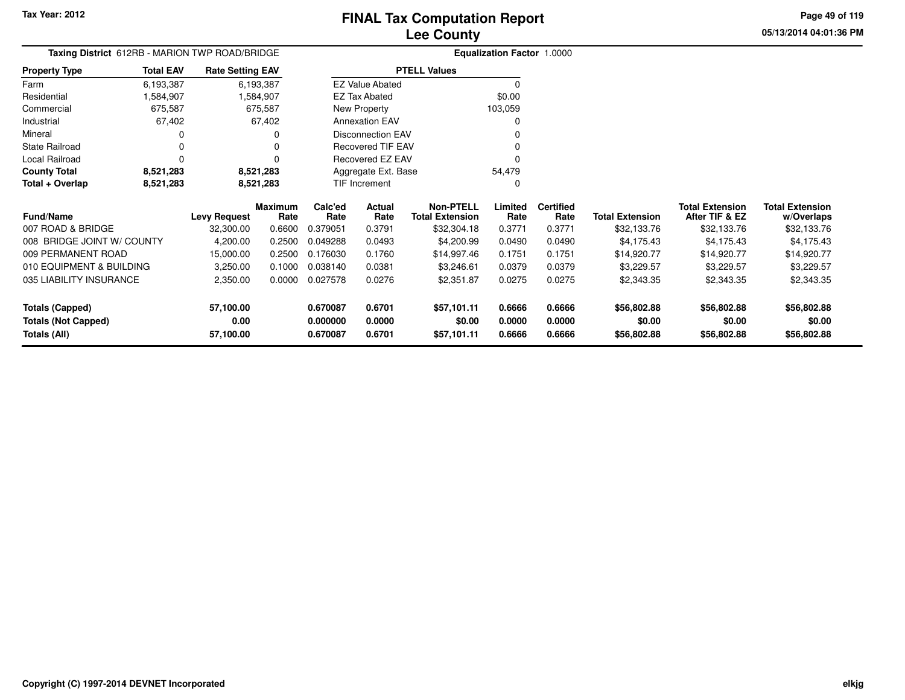**05/13/2014 04:01:36 PMPage 49 of 119**

| Taxing District 612RB - MARION TWP ROAD/BRIDGE |                  |                         |                 |                                              |                          |                                            | <b>Equalization Factor 1.0000</b> |                          |                        |                                          |                                      |
|------------------------------------------------|------------------|-------------------------|-----------------|----------------------------------------------|--------------------------|--------------------------------------------|-----------------------------------|--------------------------|------------------------|------------------------------------------|--------------------------------------|
| Property Type                                  | <b>Total EAV</b> | <b>Rate Setting EAV</b> |                 |                                              |                          | <b>PTELL Values</b>                        |                                   |                          |                        |                                          |                                      |
| Farm                                           | 6,193,387        |                         | 6,193,387       |                                              | <b>EZ Value Abated</b>   |                                            | $\Omega$                          |                          |                        |                                          |                                      |
| Residential                                    | 1,584,907        |                         | 1,584,907       |                                              | <b>EZ Tax Abated</b>     |                                            | \$0.00                            |                          |                        |                                          |                                      |
| Commercial                                     | 675,587          |                         | 675,587         |                                              | New Property             |                                            | 103,059                           |                          |                        |                                          |                                      |
| Industrial                                     | 67,402           |                         | 67,402          |                                              | <b>Annexation EAV</b>    |                                            | O                                 |                          |                        |                                          |                                      |
| Mineral                                        | 0                |                         |                 |                                              | <b>Disconnection EAV</b> |                                            |                                   |                          |                        |                                          |                                      |
| State Railroad                                 | 0                |                         |                 | <b>Recovered TIF EAV</b><br>Recovered EZ EAV |                          |                                            |                                   |                          |                        |                                          |                                      |
| Local Railroad                                 | 0                |                         |                 |                                              |                          |                                            |                                   |                          |                        |                                          |                                      |
| <b>County Total</b>                            | 8,521,283        |                         | 8,521,283       |                                              | Aggregate Ext. Base      |                                            | 54,479                            |                          |                        |                                          |                                      |
| Total + Overlap                                | 8,521,283        | 8,521,283               |                 | <b>TIF Increment</b>                         |                          |                                            | O                                 |                          |                        |                                          |                                      |
| <b>Fund/Name</b>                               |                  | <b>Levy Request</b>     | Maximum<br>Rate | Calc'ed<br>Rate                              | Actual<br>Rate           | <b>Non-PTELL</b><br><b>Total Extension</b> | Limited<br>Rate                   | <b>Certified</b><br>Rate | <b>Total Extension</b> | <b>Total Extension</b><br>After TIF & EZ | <b>Total Extension</b><br>w/Overlaps |
| 007 ROAD & BRIDGE                              |                  | 32,300.00               | 0.6600          | 0.379051                                     | 0.3791                   | \$32,304.18                                | 0.3771                            | 0.3771                   | \$32,133.76            | \$32,133.76                              | \$32,133.76                          |
| 008 BRIDGE JOINT W/ COUNTY                     |                  | 4,200.00                | 0.2500          | 0.049288                                     | 0.0493                   | \$4,200.99                                 | 0.0490                            | 0.0490                   | \$4,175.43             | \$4,175.43                               | \$4,175.43                           |
| 009 PERMANENT ROAD                             |                  | 15,000.00               | 0.2500          | 0.176030                                     | 0.1760                   | \$14,997.46                                | 0.1751                            | 0.1751                   | \$14,920.77            | \$14,920.77                              | \$14,920.77                          |
| 010 EQUIPMENT & BUILDING                       |                  | 3,250.00                | 0.1000          | 0.038140                                     | 0.0381                   | \$3,246.61                                 | 0.0379                            | 0.0379                   | \$3,229.57             | \$3,229.57                               | \$3,229.57                           |
| 035 LIABILITY INSURANCE                        |                  | 2,350.00                | 0.0000          | 0.027578                                     | 0.0276                   | \$2,351.87                                 | 0.0275                            | 0.0275                   | \$2,343.35             | \$2,343.35                               | \$2,343.35                           |
| <b>Totals (Capped)</b>                         |                  | 57,100.00               |                 | 0.670087                                     | 0.6701                   | \$57,101.11                                | 0.6666                            | 0.6666                   | \$56,802.88            | \$56,802.88                              | \$56,802.88                          |
| <b>Totals (Not Capped)</b>                     |                  | 0.00                    |                 | 0.000000                                     | 0.0000                   | \$0.00                                     | 0.0000                            | 0.0000                   | \$0.00                 | \$0.00                                   | \$0.00                               |
| <b>Totals (All)</b>                            |                  | 57,100.00               |                 | 0.670087                                     | 0.6701                   | \$57,101.11                                | 0.6666                            | 0.6666                   | \$56,802.88            | \$56,802.88                              | \$56,802.88                          |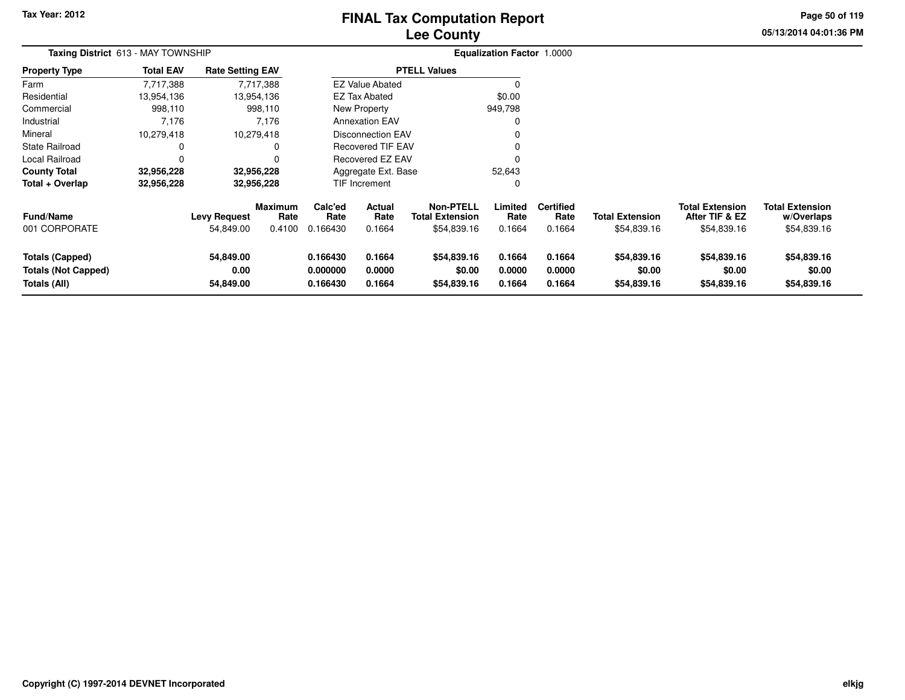# **Lee CountyFINAL Tax Computation Report**

**05/13/2014 04:01:36 PM Page 50 of 119**

| <b>Taxing District</b> 613 - MAY TOWNSHIP                            |                  |                                  |                                  | Equalization Factor 1.0000       |                            |                                                           |                            |                                    |                                       |                                                         |                                                     |
|----------------------------------------------------------------------|------------------|----------------------------------|----------------------------------|----------------------------------|----------------------------|-----------------------------------------------------------|----------------------------|------------------------------------|---------------------------------------|---------------------------------------------------------|-----------------------------------------------------|
| Property Type                                                        | <b>Total EAV</b> | <b>Rate Setting EAV</b>          |                                  |                                  |                            | <b>PTELL Values</b>                                       |                            |                                    |                                       |                                                         |                                                     |
| Farm                                                                 | 7,717,388        |                                  | 7,717,388                        |                                  | <b>EZ Value Abated</b>     |                                                           | $\Omega$                   |                                    |                                       |                                                         |                                                     |
| Residential                                                          | 13,954,136       |                                  | 13,954,136                       |                                  | <b>EZ Tax Abated</b>       |                                                           | \$0.00                     |                                    |                                       |                                                         |                                                     |
| Commercial                                                           | 998,110          |                                  | 998,110                          |                                  | New Property               |                                                           | 949,798                    |                                    |                                       |                                                         |                                                     |
| Industrial                                                           | 7,176            |                                  | 7,176                            |                                  | <b>Annexation EAV</b>      |                                                           |                            |                                    |                                       |                                                         |                                                     |
| Mineral                                                              | 10,279,418       |                                  | 10,279,418                       |                                  | <b>Disconnection EAV</b>   |                                                           |                            |                                    |                                       |                                                         |                                                     |
| State Railroad                                                       | 0                |                                  | 0                                |                                  | <b>Recovered TIF EAV</b>   |                                                           |                            |                                    |                                       |                                                         |                                                     |
| Local Railroad                                                       | 0                |                                  |                                  | <b>Recovered EZ EAV</b>          |                            |                                                           |                            |                                    |                                       |                                                         |                                                     |
| <b>County Total</b>                                                  | 32,956,228       |                                  | 32,956,228                       | Aggregate Ext. Base<br>52,643    |                            |                                                           |                            |                                    |                                       |                                                         |                                                     |
| Total + Overlap                                                      | 32,956,228       |                                  | 32,956,228                       |                                  | <b>TIF Increment</b>       |                                                           | 0                          |                                    |                                       |                                                         |                                                     |
| Fund/Name<br>001 CORPORATE                                           |                  | <b>Levy Request</b><br>54,849.00 | <b>Maximum</b><br>Rate<br>0.4100 | Calc'ed<br>Rate<br>0.166430      | Actual<br>Rate<br>0.1664   | <b>Non-PTELL</b><br><b>Total Extension</b><br>\$54,839.16 | Limited<br>Rate<br>0.1664  | <b>Certified</b><br>Rate<br>0.1664 | <b>Total Extension</b><br>\$54,839.16 | <b>Total Extension</b><br>After TIF & EZ<br>\$54,839.16 | <b>Total Extension</b><br>w/Overlaps<br>\$54,839.16 |
| <b>Totals (Capped)</b><br><b>Totals (Not Capped)</b><br>Totals (All) |                  | 54,849.00<br>0.00<br>54,849.00   |                                  | 0.166430<br>0.000000<br>0.166430 | 0.1664<br>0.0000<br>0.1664 | \$54,839.16<br>\$0.00<br>\$54,839.16                      | 0.1664<br>0.0000<br>0.1664 | 0.1664<br>0.0000<br>0.1664         | \$54,839.16<br>\$0.00<br>\$54,839.16  | \$54,839.16<br>\$0.00<br>\$54,839.16                    | \$54,839.16<br>\$0.00<br>\$54,839.16                |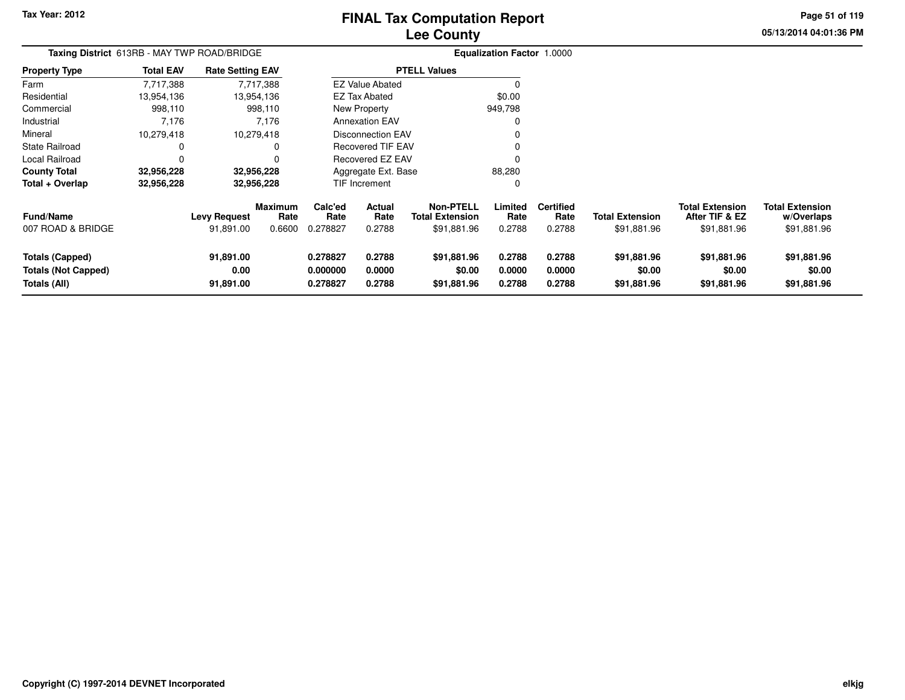# **Lee CountyFINAL Tax Computation Report**

**05/13/2014 04:01:36 PM Page 51 of 119**

| <b>Taxing District</b> 613RB - MAY TWP ROAD/BRIDGE            |                  |                                  |                           |                                  |                            |                                                           | <b>Equalization Factor 1.0000</b> |                                    |                                       |                                                         |                                                     |
|---------------------------------------------------------------|------------------|----------------------------------|---------------------------|----------------------------------|----------------------------|-----------------------------------------------------------|-----------------------------------|------------------------------------|---------------------------------------|---------------------------------------------------------|-----------------------------------------------------|
| <b>Property Type</b>                                          | <b>Total EAV</b> | <b>Rate Setting EAV</b>          |                           |                                  |                            | <b>PTELL Values</b>                                       |                                   |                                    |                                       |                                                         |                                                     |
| Farm                                                          | 7,717,388        |                                  | 7,717,388                 |                                  | <b>EZ Value Abated</b>     |                                                           |                                   |                                    |                                       |                                                         |                                                     |
| Residential                                                   | 13,954,136       |                                  | 13,954,136                |                                  | EZ Tax Abated              |                                                           | \$0.00                            |                                    |                                       |                                                         |                                                     |
| Commercial                                                    | 998,110          |                                  | 998,110                   |                                  | New Property               |                                                           | 949,798                           |                                    |                                       |                                                         |                                                     |
| Industrial                                                    | 7,176            |                                  | 7,176                     |                                  | <b>Annexation EAV</b>      |                                                           |                                   |                                    |                                       |                                                         |                                                     |
| Mineral                                                       | 10,279,418       |                                  | 10,279,418                |                                  | Disconnection EAV          |                                                           |                                   |                                    |                                       |                                                         |                                                     |
| <b>State Railroad</b>                                         |                  |                                  |                           |                                  | <b>Recovered TIF EAV</b>   |                                                           |                                   |                                    |                                       |                                                         |                                                     |
| Local Railroad                                                | $\Omega$         |                                  |                           | <b>Recovered EZ EAV</b>          |                            |                                                           |                                   |                                    |                                       |                                                         |                                                     |
| <b>County Total</b>                                           | 32,956,228       |                                  | 32,956,228                |                                  | Aggregate Ext. Base        |                                                           | 88,280                            |                                    |                                       |                                                         |                                                     |
| Total + Overlap                                               | 32,956,228       |                                  | 32,956,228                |                                  | TIF Increment              |                                                           | $\Omega$                          |                                    |                                       |                                                         |                                                     |
| <b>Fund/Name</b><br>007 ROAD & BRIDGE                         |                  | <b>Levy Request</b><br>91,891.00 | Maximum<br>Rate<br>0.6600 | Calc'ed<br>Rate<br>0.278827      | Actual<br>Rate<br>0.2788   | <b>Non-PTELL</b><br><b>Total Extension</b><br>\$91,881.96 | Limited<br>Rate<br>0.2788         | <b>Certified</b><br>Rate<br>0.2788 | <b>Total Extension</b><br>\$91,881.96 | <b>Total Extension</b><br>After TIF & EZ<br>\$91,881.96 | <b>Total Extension</b><br>w/Overlaps<br>\$91,881.96 |
| Totals (Capped)<br><b>Totals (Not Capped)</b><br>Totals (All) |                  | 91,891.00<br>0.00<br>91,891.00   |                           | 0.278827<br>0.000000<br>0.278827 | 0.2788<br>0.0000<br>0.2788 | \$91,881.96<br>\$0.00<br>\$91,881.96                      | 0.2788<br>0.0000<br>0.2788        | 0.2788<br>0.0000<br>0.2788         | \$91,881.96<br>\$0.00<br>\$91,881.96  | \$91,881.96<br>\$0.00<br>\$91,881.96                    | \$91,881.96<br>\$0.00<br>\$91,881.96                |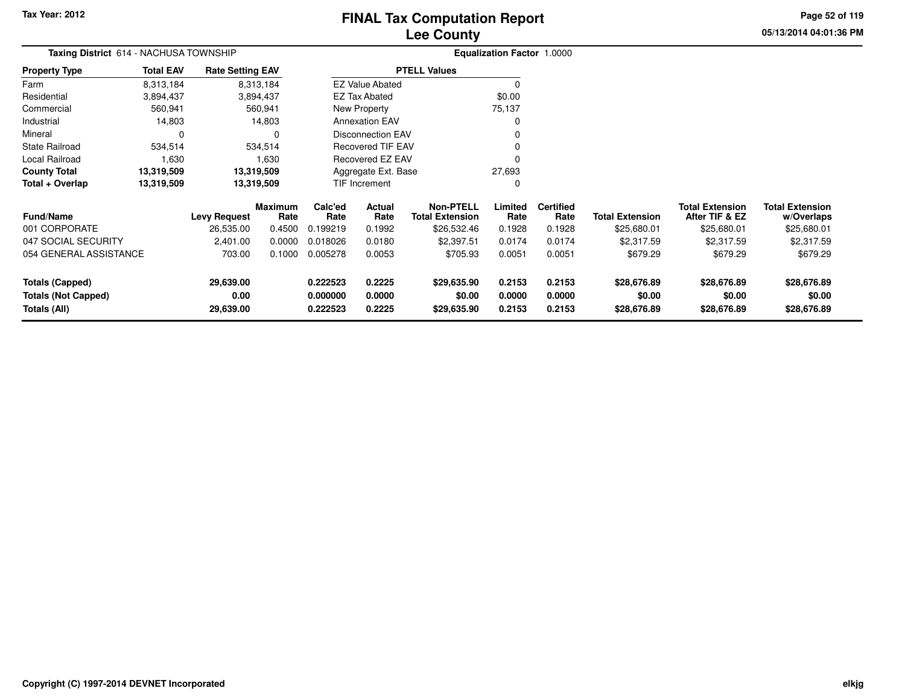**05/13/2014 04:01:36 PM Page 52 of 119**

| Taxing District 614 - NACHUSA TOWNSHIP |                  |                         |                        |                 | Equalization Factor 1.0000 |                                            |                 |                          |                        |                                          |                                      |
|----------------------------------------|------------------|-------------------------|------------------------|-----------------|----------------------------|--------------------------------------------|-----------------|--------------------------|------------------------|------------------------------------------|--------------------------------------|
| <b>Property Type</b>                   | <b>Total EAV</b> | <b>Rate Setting EAV</b> |                        |                 |                            | <b>PTELL Values</b>                        |                 |                          |                        |                                          |                                      |
| Farm                                   | 8,313,184        |                         | 8,313,184              |                 | <b>EZ Value Abated</b>     |                                            | 0               |                          |                        |                                          |                                      |
| Residential                            | 3,894,437        |                         | 3,894,437              |                 | <b>EZ Tax Abated</b>       |                                            | \$0.00          |                          |                        |                                          |                                      |
| Commercial                             | 560,941          |                         | 560,941                |                 | New Property               |                                            | 75,137          |                          |                        |                                          |                                      |
| Industrial                             | 14,803           |                         | 14,803                 |                 | <b>Annexation EAV</b>      |                                            | 0               |                          |                        |                                          |                                      |
| Mineral                                | $\Omega$         |                         | 0                      |                 | <b>Disconnection EAV</b>   |                                            |                 |                          |                        |                                          |                                      |
| <b>State Railroad</b>                  | 534,514          |                         | 534,514                |                 | <b>Recovered TIF EAV</b>   |                                            |                 |                          |                        |                                          |                                      |
| Local Railroad                         | 1,630            |                         | 1,630                  |                 | Recovered EZ EAV           |                                            | $\Omega$        |                          |                        |                                          |                                      |
| <b>County Total</b>                    | 13,319,509       |                         | 13,319,509             |                 | Aggregate Ext. Base        |                                            | 27,693          |                          |                        |                                          |                                      |
| Total + Overlap                        | 13,319,509       |                         | 13,319,509             |                 | TIF Increment              |                                            | C               |                          |                        |                                          |                                      |
| <b>Fund/Name</b>                       |                  | Levy Request            | <b>Maximum</b><br>Rate | Calc'ed<br>Rate | Actual<br>Rate             | <b>Non-PTELL</b><br><b>Total Extension</b> | Limited<br>Rate | <b>Certified</b><br>Rate | <b>Total Extension</b> | <b>Total Extension</b><br>After TIF & EZ | <b>Total Extension</b><br>w/Overlaps |
| 001 CORPORATE                          |                  | 26,535.00               | 0.4500                 | 0.199219        | 0.1992                     | \$26,532.46                                | 0.1928          | 0.1928                   | \$25,680.01            | \$25,680.01                              | \$25,680.01                          |
| 047 SOCIAL SECURITY                    |                  | 2,401.00                | 0.0000                 | 0.018026        | 0.0180                     | \$2,397.51                                 | 0.0174          | 0.0174                   | \$2,317.59             | \$2,317.59                               | \$2,317.59                           |
| 054 GENERAL ASSISTANCE                 |                  | 703.00                  | 0.1000                 | 0.005278        | 0.0053                     | \$705.93                                   | 0.0051          | 0.0051                   | \$679.29               | \$679.29                                 | \$679.29                             |
| <b>Totals (Capped)</b>                 |                  | 29,639.00               |                        | 0.222523        | 0.2225                     | \$29,635.90                                | 0.2153          | 0.2153                   | \$28,676.89            | \$28,676.89                              | \$28,676.89                          |
| <b>Totals (Not Capped)</b>             |                  | 0.00                    |                        | 0.000000        | 0.0000                     | \$0.00                                     | 0.0000          | 0.0000                   | \$0.00                 | \$0.00                                   | \$0.00                               |
| Totals (All)                           |                  | 29,639.00               |                        | 0.222523        | 0.2225                     | \$29,635.90                                | 0.2153          | 0.2153                   | \$28,676.89            | \$28,676.89                              | \$28,676.89                          |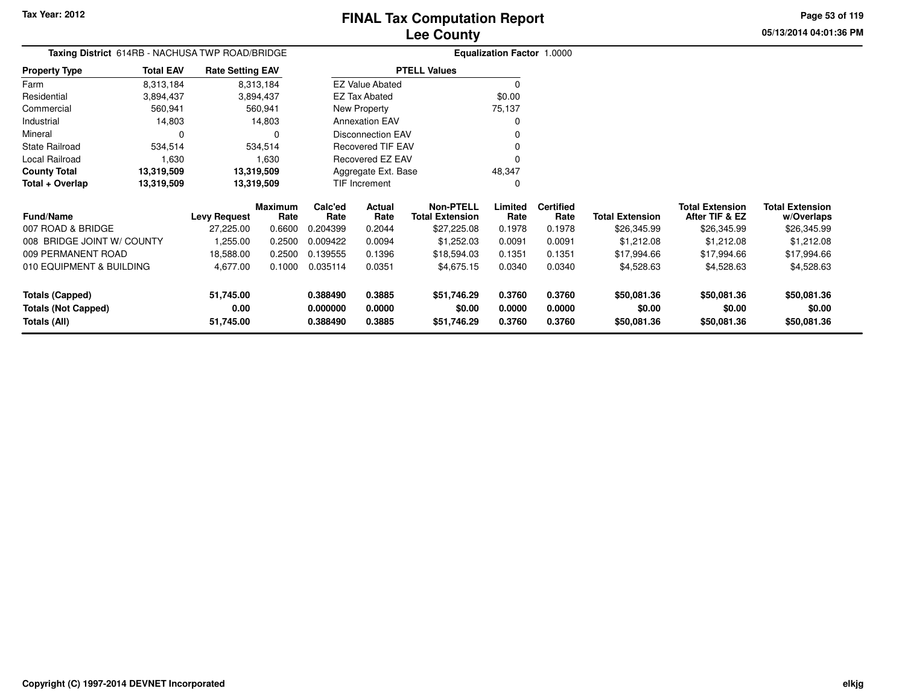**Totals (Not Capped)**

**Totals (All)**

# **Lee CountyFINAL Tax Computation Report**

**0.000000 0.0000 \$0.00 0.0000 0.0000 \$0.00 \$0.00 \$0.00**

**0.388490 0.3885 \$51,746.29 0.3760 0.3760 \$50,081.36 \$50,081.36 \$50,081.36**

**05/13/2014 04:01:36 PMPage 53 of 119**

> **w/Overlaps** \$26,345.99

| Taxing District 614RB - NACHUSA TWP ROAD/BRIDGE |                  |                         |                 |                 | <b>Equalization Factor 1.0000</b> |                                            |                 |                          |                        |                                          |                                      |
|-------------------------------------------------|------------------|-------------------------|-----------------|-----------------|-----------------------------------|--------------------------------------------|-----------------|--------------------------|------------------------|------------------------------------------|--------------------------------------|
| <b>Property Type</b>                            | <b>Total EAV</b> | <b>Rate Setting EAV</b> |                 |                 |                                   | <b>PTELL Values</b>                        |                 |                          |                        |                                          |                                      |
| Farm                                            | 8,313,184        |                         | 8,313,184       |                 | <b>EZ Value Abated</b>            |                                            | $\Omega$        |                          |                        |                                          |                                      |
| Residential                                     | 3,894,437        |                         | 3,894,437       |                 | EZ Tax Abated                     |                                            | \$0.00          |                          |                        |                                          |                                      |
| Commercial                                      | 560,941          |                         | 560,941         |                 | New Property                      |                                            | 75,137          |                          |                        |                                          |                                      |
| Industrial                                      | 14,803           |                         | 14,803          |                 | <b>Annexation EAV</b>             |                                            | 0               |                          |                        |                                          |                                      |
| Mineral                                         | 0                |                         |                 |                 | Disconnection EAV                 |                                            | 0               |                          |                        |                                          |                                      |
| <b>State Railroad</b>                           | 534,514          |                         | 534,514         |                 | <b>Recovered TIF EAV</b>          |                                            | 0               |                          |                        |                                          |                                      |
| Local Railroad                                  | 1,630            |                         | 1,630           |                 | Recovered EZ EAV                  |                                            | 0               |                          |                        |                                          |                                      |
| <b>County Total</b>                             | 13,319,509       |                         | 13,319,509      |                 | Aggregate Ext. Base               |                                            | 48,347          |                          |                        |                                          |                                      |
| Total + Overlap                                 | 13,319,509       | 13,319,509              |                 |                 | TIF Increment                     |                                            | 0               |                          |                        |                                          |                                      |
| <b>Fund/Name</b>                                |                  | <b>Levy Request</b>     | Maximum<br>Rate | Calc'ed<br>Rate | <b>Actual</b><br>Rate             | <b>Non-PTELL</b><br><b>Total Extension</b> | Limited<br>Rate | <b>Certified</b><br>Rate | <b>Total Extension</b> | <b>Total Extension</b><br>After TIF & EZ | <b>Total Extension</b><br>w/Overlaps |
| 007 ROAD & BRIDGE                               |                  | 27,225.00               | 0.6600          | 0.204399        | 0.2044                            | \$27,225.08                                | 0.1978          | 0.1978                   | \$26,345.99            | \$26,345.99                              | \$26,345.99                          |
| 008 BRIDGE JOINT W/ COUNTY                      |                  | 255.00, ا               | 0.2500          | 0.009422        | 0.0094                            | \$1,252.03                                 | 0.0091          | 0.0091                   | \$1,212.08             | \$1,212.08                               | \$1,212.08                           |
| 009 PERMANENT ROAD                              |                  | 18,588.00               | 0.2500          | 0.139555        | 0.1396                            | \$18,594.03                                | 0.1351          | 0.1351                   | \$17,994.66            | \$17,994.66                              | \$17,994.66                          |
| 010 EQUIPMENT & BUILDING<br>4,677.00            |                  | 0.1000                  | 0.035114        | 0.0351          | \$4,675.15                        | 0.0340                                     | 0.0340          | \$4,528.63               | \$4,528.63             | \$4,528.63                               |                                      |
| <b>Totals (Capped)</b>                          |                  | 51,745.00               |                 | 0.388490        | 0.3885                            | \$51,746.29                                | 0.3760          | 0.3760                   | \$50,081.36            | \$50,081.36                              | \$50,081.36                          |

**0.00**

**51,745.00**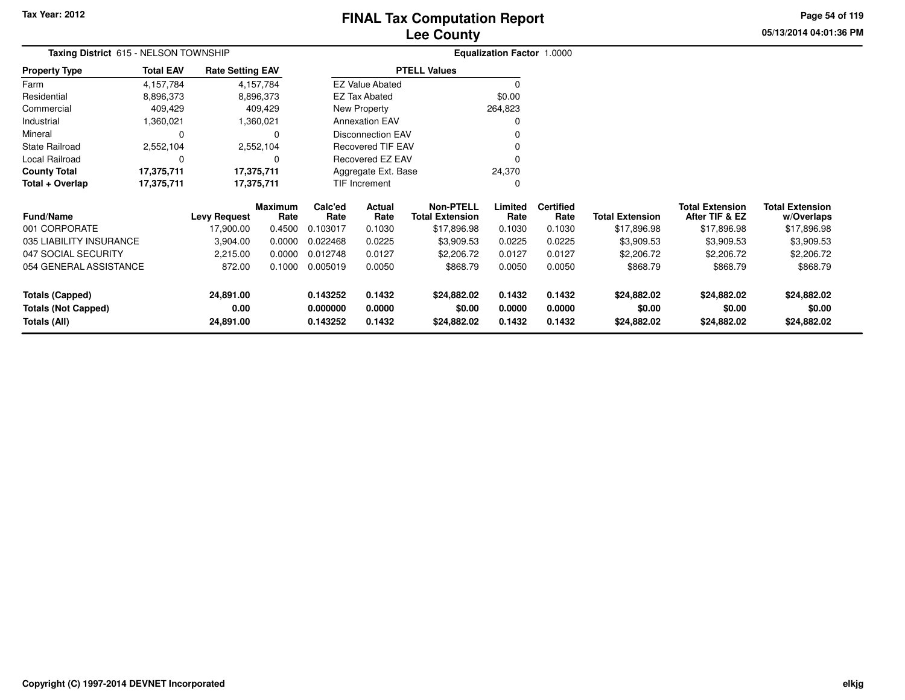# **Lee CountyFINAL Tax Computation Report**

**05/13/2014 04:01:36 PM Page 54 of 119**

| <b>Taxing District 615 - NELSON TOWNSHIP</b> |                  |                         |                 |                      | <b>Equalization Factor 1.0000</b> |                                            |                  |                          |                        |                                          |                                      |
|----------------------------------------------|------------------|-------------------------|-----------------|----------------------|-----------------------------------|--------------------------------------------|------------------|--------------------------|------------------------|------------------------------------------|--------------------------------------|
| Property Type                                | <b>Total EAV</b> | <b>Rate Setting EAV</b> |                 |                      |                                   | <b>PTELL Values</b>                        |                  |                          |                        |                                          |                                      |
| Farm                                         | 4,157,784        |                         | 4,157,784       |                      | <b>EZ Value Abated</b>            |                                            | $\Omega$         |                          |                        |                                          |                                      |
| Residential                                  | 8,896,373        |                         | 8,896,373       |                      | <b>EZ Tax Abated</b>              |                                            | \$0.00           |                          |                        |                                          |                                      |
| Commercial                                   | 409,429          |                         | 409,429         |                      | New Property                      |                                            | 264,823          |                          |                        |                                          |                                      |
| Industrial                                   | 1,360,021        |                         | 1,360,021       |                      | <b>Annexation EAV</b>             |                                            | ŋ                |                          |                        |                                          |                                      |
| Mineral                                      | 0                |                         |                 |                      | <b>Disconnection EAV</b>          |                                            |                  |                          |                        |                                          |                                      |
| State Railroad                               | 2,552,104        |                         | 2,552,104       |                      | <b>Recovered TIF EAV</b>          |                                            |                  |                          |                        |                                          |                                      |
| Local Railroad                               | 0                |                         |                 |                      | Recovered EZ EAV                  |                                            |                  |                          |                        |                                          |                                      |
| County Total                                 | 17,375,711       | 17,375,711              |                 |                      | 24,370<br>Aggregate Ext. Base     |                                            |                  |                          |                        |                                          |                                      |
| Total + Overlap<br>17,375,711                |                  | 17,375,711              |                 |                      | TIF Increment                     |                                            | 0                |                          |                        |                                          |                                      |
| <b>Fund/Name</b>                             |                  | <b>Levy Request</b>     | Maximum<br>Rate | Calc'ed<br>Rate      | Actual<br>Rate                    | <b>Non-PTELL</b><br><b>Total Extension</b> | Limited<br>Rate  | <b>Certified</b><br>Rate | <b>Total Extension</b> | <b>Total Extension</b><br>After TIF & EZ | <b>Total Extension</b><br>w/Overlaps |
| 001 CORPORATE                                |                  | 17,900.00               | 0.4500          | 0.103017             | 0.1030                            | \$17,896.98                                | 0.1030           | 0.1030                   | \$17,896.98            | \$17,896.98                              | \$17,896.98                          |
| 035 LIABILITY INSURANCE                      |                  | 3,904.00                | 0.0000          | 0.022468             | 0.0225                            | \$3,909.53                                 | 0.0225           | 0.0225                   | \$3,909.53             | \$3,909.53                               | \$3,909.53                           |
| 047 SOCIAL SECURITY                          |                  | 2,215.00                | 0.0000          | 0.012748             | 0.0127                            | \$2,206.72                                 | 0.0127           | 0.0127                   | \$2,206.72             | \$2,206.72                               | \$2,206.72                           |
| 054 GENERAL ASSISTANCE                       |                  | 872.00                  | 0.1000          | 0.005019             | 0.0050                            | \$868.79                                   | 0.0050           | 0.0050                   | \$868.79               | \$868.79                                 | \$868.79                             |
| <b>Totals (Capped)</b>                       |                  | 24,891.00               |                 | 0.143252             | 0.1432                            | \$24,882.02                                | 0.1432           | 0.1432                   | \$24,882.02            | \$24,882.02                              | \$24,882.02                          |
| <b>Totals (Not Capped)</b><br>Totals (All)   |                  | 0.00<br>24,891.00       |                 | 0.000000<br>0.143252 | 0.0000<br>0.1432                  | \$0.00<br>\$24,882.02                      | 0.0000<br>0.1432 | 0.0000<br>0.1432         | \$0.00<br>\$24,882.02  | \$0.00<br>\$24,882.02                    | \$0.00<br>\$24,882.02                |
|                                              |                  |                         |                 |                      |                                   |                                            |                  |                          |                        |                                          |                                      |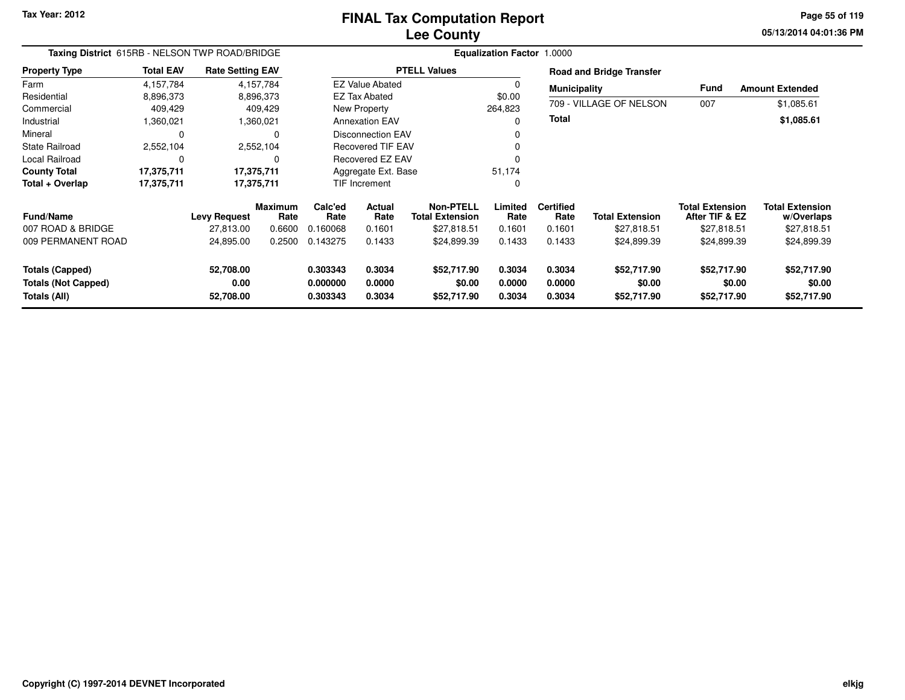**05/13/2014 04:01:36 PM Page 55 of 119**

| Taxing District 615RB - NELSON TWP ROAD/BRIDGE                       |                  |                                |                        | <b>Equalization Factor 1.0000</b> |                            |                                            |                            |                            |                                      |                                          |                                      |  |
|----------------------------------------------------------------------|------------------|--------------------------------|------------------------|-----------------------------------|----------------------------|--------------------------------------------|----------------------------|----------------------------|--------------------------------------|------------------------------------------|--------------------------------------|--|
| <b>Property Type</b>                                                 | <b>Total EAV</b> | <b>Rate Setting EAV</b>        |                        |                                   |                            | <b>PTELL Values</b>                        |                            |                            | <b>Road and Bridge Transfer</b>      |                                          |                                      |  |
| Farm                                                                 | 4,157,784        |                                | 4,157,784              |                                   | <b>EZ Value Abated</b>     |                                            | $\Omega$                   | <b>Municipality</b>        |                                      | Fund                                     | <b>Amount Extended</b>               |  |
| Residential                                                          | 8,896,373        |                                | 8,896,373              |                                   | <b>EZ Tax Abated</b>       |                                            | \$0.00                     |                            |                                      |                                          |                                      |  |
| Commercial                                                           | 409,429          |                                | 409,429                |                                   | New Property               |                                            | 264,823                    |                            | 709 - VILLAGE OF NELSON              | 007                                      | \$1,085.61                           |  |
| Industrial                                                           | 1,360,021        |                                | 1,360,021              |                                   | <b>Annexation EAV</b>      |                                            |                            | <b>Total</b>               |                                      |                                          | \$1,085.61                           |  |
| Mineral                                                              | $\mathbf 0$      |                                | 0                      |                                   | <b>Disconnection EAV</b>   |                                            |                            |                            |                                      |                                          |                                      |  |
| <b>State Railroad</b>                                                | 2,552,104        |                                | 2,552,104              | <b>Recovered TIF EAV</b>          |                            |                                            |                            |                            |                                      |                                          |                                      |  |
| Local Railroad                                                       | 0                |                                | 0                      | <b>Recovered EZ EAV</b>           |                            |                                            |                            |                            |                                      |                                          |                                      |  |
| <b>County Total</b>                                                  | 17,375,711       |                                | 17,375,711             | Aggregate Ext. Base               |                            |                                            | 51,174                     |                            |                                      |                                          |                                      |  |
| Total + Overlap                                                      | 17,375,711       |                                | 17,375,711             | <b>TIF Increment</b><br>0         |                            |                                            |                            |                            |                                      |                                          |                                      |  |
| <b>Fund/Name</b>                                                     |                  | <b>Levy Request</b>            | <b>Maximum</b><br>Rate | Calc'ed<br>Rate                   | Actual<br>Rate             | <b>Non-PTELL</b><br><b>Total Extension</b> | Limited<br>Rate            | <b>Certified</b><br>Rate   | <b>Total Extension</b>               | <b>Total Extension</b><br>After TIF & EZ | <b>Total Extension</b><br>w/Overlaps |  |
| 007 ROAD & BRIDGE                                                    |                  | 27,813.00                      | 0.6600                 | 0.160068                          | 0.1601                     | \$27,818.51                                | 0.1601                     | 0.1601                     | \$27,818.51                          | \$27,818.51                              | \$27,818.51                          |  |
| 009 PERMANENT ROAD                                                   |                  | 24,895.00                      | 0.2500                 | 0.143275                          | 0.1433                     | \$24,899.39                                | 0.1433                     | 0.1433                     | \$24,899.39                          | \$24,899.39                              | \$24,899.39                          |  |
| <b>Totals (Capped)</b><br><b>Totals (Not Capped)</b><br>Totals (All) |                  | 52,708.00<br>0.00<br>52,708.00 |                        | 0.303343<br>0.000000<br>0.303343  | 0.3034<br>0.0000<br>0.3034 | \$52,717.90<br>\$0.00<br>\$52,717.90       | 0.3034<br>0.0000<br>0.3034 | 0.3034<br>0.0000<br>0.3034 | \$52,717.90<br>\$0.00<br>\$52,717.90 | \$52,717.90<br>\$0.00<br>\$52,717.90     | \$52,717.90<br>\$0.00<br>\$52,717.90 |  |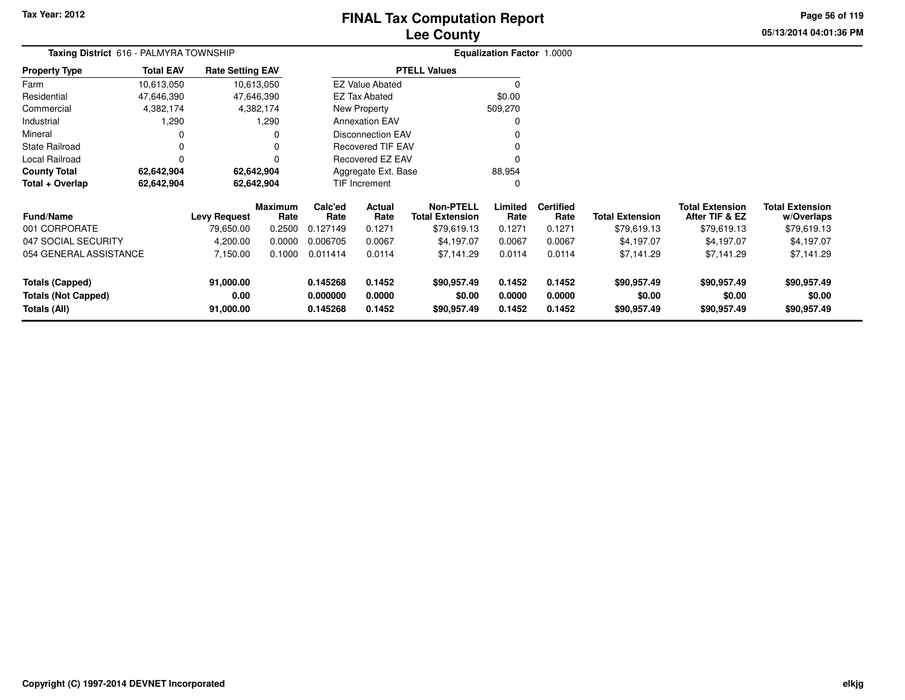# **Lee CountyFINAL Tax Computation Report**

**05/13/2014 04:01:36 PM Page 56 of 119**

| <b>Taxing District</b> 616 - PALMYRA TOWNSHIP        |                  |                         |                        | <b>Equalization Factor 1.0000</b> |                          |                                            |                  |                          |                        |                                          |                                      |
|------------------------------------------------------|------------------|-------------------------|------------------------|-----------------------------------|--------------------------|--------------------------------------------|------------------|--------------------------|------------------------|------------------------------------------|--------------------------------------|
| Property Type                                        | <b>Total EAV</b> | <b>Rate Setting EAV</b> |                        |                                   |                          | <b>PTELL Values</b>                        |                  |                          |                        |                                          |                                      |
| Farm                                                 | 10,613,050       |                         | 10,613,050             |                                   | <b>EZ Value Abated</b>   |                                            | 0                |                          |                        |                                          |                                      |
| Residential                                          | 47,646,390       |                         | 47,646,390             |                                   | EZ Tax Abated            |                                            | \$0.00           |                          |                        |                                          |                                      |
| Commercial                                           | 4,382,174        |                         | 4,382,174              |                                   | <b>New Property</b>      |                                            | 509,270          |                          |                        |                                          |                                      |
| Industrial                                           | 1,290            |                         | 1,290                  |                                   | <b>Annexation EAV</b>    |                                            | 0                |                          |                        |                                          |                                      |
| Mineral                                              |                  |                         | 0                      |                                   | <b>Disconnection EAV</b> |                                            |                  |                          |                        |                                          |                                      |
| State Railroad                                       |                  |                         |                        |                                   | <b>Recovered TIF EAV</b> |                                            |                  |                          |                        |                                          |                                      |
| Local Railroad                                       | O                |                         |                        |                                   | Recovered EZ EAV         |                                            |                  |                          |                        |                                          |                                      |
| <b>County Total</b>                                  | 62,642,904       |                         | 62,642,904             |                                   | Aggregate Ext. Base      |                                            | 88,954           |                          |                        |                                          |                                      |
| Total + Overlap                                      | 62,642,904       | 62,642,904              |                        |                                   | <b>TIF Increment</b>     |                                            | 0                |                          |                        |                                          |                                      |
| <b>Fund/Name</b>                                     |                  | <b>Levy Request</b>     | <b>Maximum</b><br>Rate | Calc'ed<br>Rate                   | Actual<br>Rate           | <b>Non-PTELL</b><br><b>Total Extension</b> | Limited<br>Rate  | <b>Certified</b><br>Rate | <b>Total Extension</b> | <b>Total Extension</b><br>After TIF & EZ | <b>Total Extension</b><br>w/Overlaps |
| 001 CORPORATE                                        |                  | 79,650.00               | 0.2500                 | 0.127149                          | 0.1271                   | \$79,619.13                                | 0.1271           | 0.1271                   | \$79,619.13            | \$79,619.13                              | \$79,619.13                          |
| 047 SOCIAL SECURITY                                  |                  | 4,200.00                | 0.0000                 | 0.006705                          | 0.0067                   | \$4,197.07                                 | 0.0067           | 0.0067                   | \$4,197.07             | \$4,197.07                               | \$4,197.07                           |
| 054 GENERAL ASSISTANCE                               |                  | 7,150.00                | 0.1000                 | 0.011414                          | 0.0114                   | \$7,141.29                                 | 0.0114           | 0.0114                   | \$7,141.29             | \$7,141.29                               | \$7,141.29                           |
| <b>Totals (Capped)</b><br><b>Totals (Not Capped)</b> |                  | 91,000.00<br>0.00       |                        | 0.145268<br>0.000000              | 0.1452<br>0.0000         | \$90,957.49<br>\$0.00                      | 0.1452<br>0.0000 | 0.1452<br>0.0000         | \$90,957.49<br>\$0.00  | \$90,957.49<br>\$0.00                    | \$90,957.49<br>\$0.00<br>\$90,957.49 |
| Totals (All)                                         |                  | 91,000.00               |                        | 0.145268                          | 0.1452                   | \$90,957.49                                | 0.1452           | 0.1452                   | \$90,957.49            | \$90,957.49                              |                                      |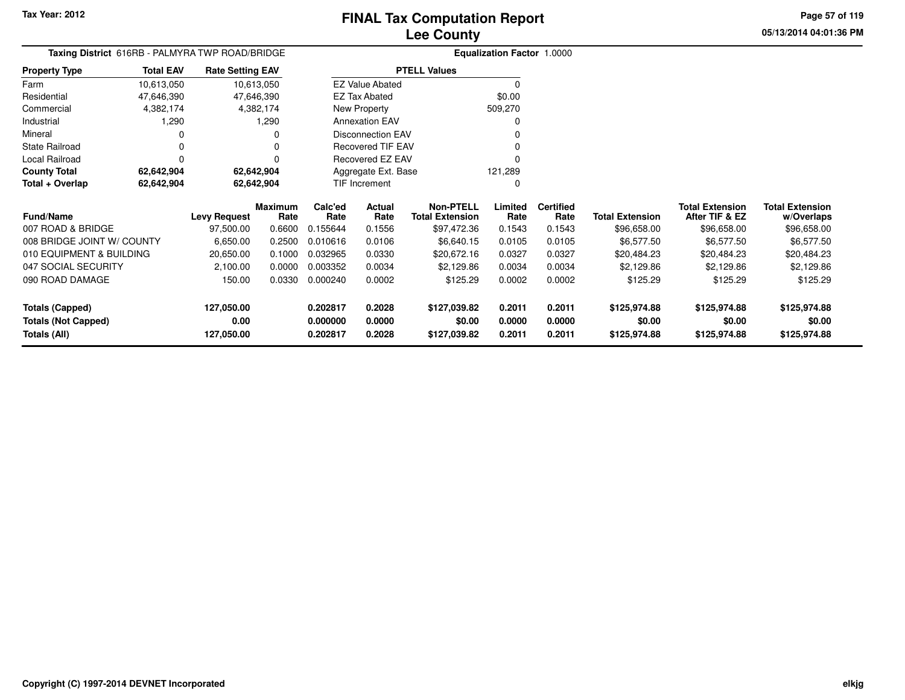**05/13/2014 04:01:36 PMPage 57 of 119**

| <b>Taxing District</b> 616RB - PALMYRA TWP ROAD/BRIDGE |                  |                         |                 |                 |                          |                                            | <b>Equalization Factor 1.0000</b> |                          |                        |                                          |                                      |
|--------------------------------------------------------|------------------|-------------------------|-----------------|-----------------|--------------------------|--------------------------------------------|-----------------------------------|--------------------------|------------------------|------------------------------------------|--------------------------------------|
| <b>Property Type</b>                                   | <b>Total EAV</b> | <b>Rate Setting EAV</b> |                 |                 |                          | <b>PTELL Values</b>                        |                                   |                          |                        |                                          |                                      |
| Farm                                                   | 10,613,050       | 10,613,050              |                 |                 | <b>EZ Value Abated</b>   |                                            | 0                                 |                          |                        |                                          |                                      |
| Residential                                            | 47,646,390       | 47,646,390              |                 |                 | <b>EZ Tax Abated</b>     |                                            | \$0.00                            |                          |                        |                                          |                                      |
| Commercial                                             | 4,382,174        |                         | 4,382,174       |                 | New Property             |                                            | 509,270                           |                          |                        |                                          |                                      |
| Industrial                                             | 1,290            |                         | 1,290           |                 | <b>Annexation EAV</b>    |                                            | 0                                 |                          |                        |                                          |                                      |
| Mineral                                                | C                |                         | O               |                 | <b>Disconnection EAV</b> |                                            |                                   |                          |                        |                                          |                                      |
| State Railroad                                         | 0                |                         | 0               |                 | <b>Recovered TIF EAV</b> |                                            |                                   |                          |                        |                                          |                                      |
| Local Railroad                                         | $\Omega$         |                         | 0               |                 | Recovered EZ EAV         |                                            |                                   |                          |                        |                                          |                                      |
| <b>County Total</b>                                    | 62,642,904       | 62,642,904              |                 |                 | Aggregate Ext. Base      |                                            |                                   |                          |                        |                                          |                                      |
| Total + Overlap                                        | 62,642,904       | 62,642,904              |                 |                 | TIF Increment            |                                            | 0                                 |                          |                        |                                          |                                      |
| Fund/Name                                              |                  | <b>Levy Request</b>     | Maximum<br>Rate | Calc'ed<br>Rate | Actual<br>Rate           | <b>Non-PTELL</b><br><b>Total Extension</b> | Limited<br>Rate                   | <b>Certified</b><br>Rate | <b>Total Extension</b> | <b>Total Extension</b><br>After TIF & EZ | <b>Total Extension</b><br>w/Overlaps |
| 007 ROAD & BRIDGE                                      |                  | 97,500.00               | 0.6600          | 0.155644        | 0.1556                   | \$97,472.36                                | 0.1543                            | 0.1543                   | \$96,658.00            | \$96,658.00                              | \$96,658.00                          |
| 008 BRIDGE JOINT W/ COUNTY                             |                  | 6,650.00                | 0.2500          | 0.010616        | 0.0106                   | \$6,640.15                                 | 0.0105                            | 0.0105                   | \$6,577.50             | \$6,577.50                               | \$6,577.50                           |
| 010 EQUIPMENT & BUILDING                               |                  | 20,650.00               | 0.1000          | 0.032965        | 0.0330                   | \$20,672.16                                | 0.0327                            | 0.0327                   | \$20,484.23            | \$20,484.23                              | \$20,484.23                          |
| 047 SOCIAL SECURITY                                    |                  | 2,100.00                | 0.0000          | 0.003352        | 0.0034                   | \$2,129.86                                 | 0.0034                            | 0.0034                   | \$2,129.86             | \$2,129.86                               | \$2,129.86                           |
| 090 ROAD DAMAGE                                        |                  | 150.00                  | 0.0330          | 0.000240        | 0.0002                   | \$125.29                                   | 0.0002                            | 0.0002                   | \$125.29               | \$125.29                                 | \$125.29                             |
| <b>Totals (Capped)</b>                                 |                  | 127,050.00              |                 | 0.202817        | 0.2028                   | \$127,039.82                               | 0.2011                            | 0.2011                   | \$125,974.88           | \$125,974.88                             | \$125,974.88                         |
| <b>Totals (Not Capped)</b>                             |                  | 0.00                    |                 | 0.000000        | 0.0000                   | \$0.00                                     | 0.0000                            | 0.0000                   | \$0.00                 | \$0.00                                   | \$0.00                               |
| Totals (All)                                           |                  | 127,050.00              |                 | 0.202817        | 0.2028                   | \$127,039.82                               | 0.2011                            | 0.2011                   | \$125,974.88           | \$125,974.88                             | \$125,974.88                         |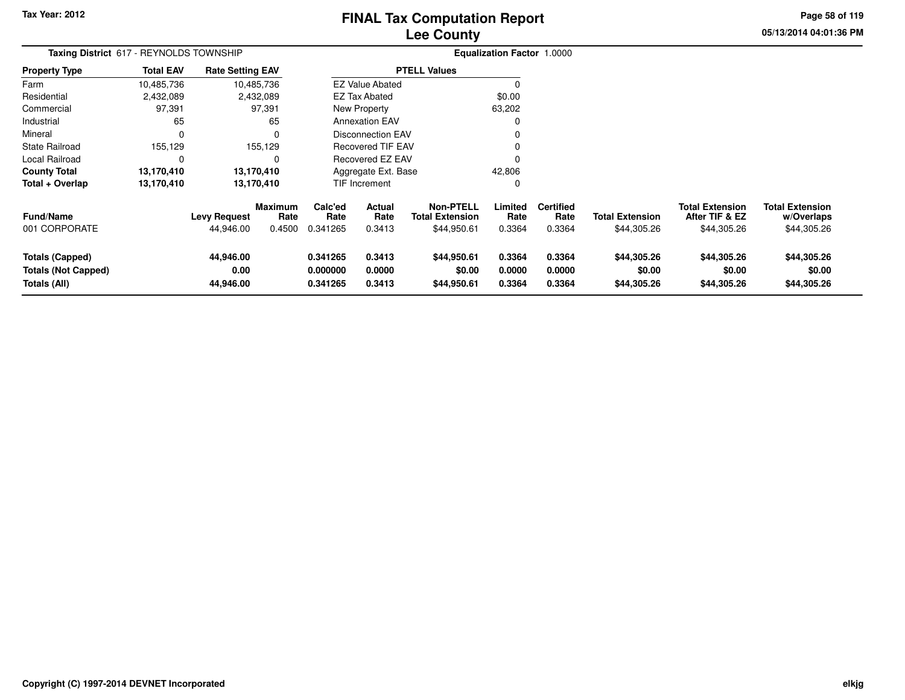# **Lee CountyFINAL Tax Computation Report**

**05/13/2014 04:01:36 PMPage 58 of 119**

|                                                                      | Taxing District 617 - REYNOLDS TOWNSHIP |                                  |                                  |                                  |                                 |                                                           | Equalization Factor 1.0000 |                                    |                                       |                                                         |                                                     |
|----------------------------------------------------------------------|-----------------------------------------|----------------------------------|----------------------------------|----------------------------------|---------------------------------|-----------------------------------------------------------|----------------------------|------------------------------------|---------------------------------------|---------------------------------------------------------|-----------------------------------------------------|
| Property Type                                                        | <b>Total EAV</b>                        | <b>Rate Setting EAV</b>          |                                  |                                  |                                 | <b>PTELL Values</b>                                       |                            |                                    |                                       |                                                         |                                                     |
| Farm                                                                 | 10,485,736                              | 10,485,736                       |                                  |                                  | <b>EZ Value Abated</b>          |                                                           |                            |                                    |                                       |                                                         |                                                     |
| Residential                                                          | 2,432,089                               |                                  | 2,432,089                        |                                  | <b>EZ Tax Abated</b>            |                                                           | \$0.00                     |                                    |                                       |                                                         |                                                     |
| Commercial                                                           | 97,391                                  |                                  | 97,391                           |                                  | New Property                    |                                                           | 63,202                     |                                    |                                       |                                                         |                                                     |
| Industrial                                                           | 65                                      |                                  | 65                               |                                  | <b>Annexation EAV</b>           |                                                           |                            |                                    |                                       |                                                         |                                                     |
| Mineral                                                              | $\mathbf 0$                             |                                  | 0                                |                                  | Disconnection EAV               |                                                           |                            |                                    |                                       |                                                         |                                                     |
| State Railroad                                                       | 155,129                                 |                                  | 155,129                          |                                  | <b>Recovered TIF EAV</b>        |                                                           |                            |                                    |                                       |                                                         |                                                     |
| Local Railroad                                                       | 0                                       |                                  | 0                                | <b>Recovered EZ EAV</b>          |                                 |                                                           |                            |                                    |                                       |                                                         |                                                     |
| County Total                                                         | 13,170,410                              | 13,170,410                       |                                  | 42,806<br>Aggregate Ext. Base    |                                 |                                                           |                            |                                    |                                       |                                                         |                                                     |
| Total + Overlap                                                      | 13,170,410                              | 13,170,410                       |                                  |                                  | TIF Increment                   |                                                           |                            |                                    |                                       |                                                         |                                                     |
| Fund/Name<br>001 CORPORATE                                           |                                         | <b>Levy Request</b><br>44,946.00 | <b>Maximum</b><br>Rate<br>0.4500 | Calc'ed<br>Rate<br>0.341265      | <b>Actual</b><br>Rate<br>0.3413 | <b>Non-PTELL</b><br><b>Total Extension</b><br>\$44,950.61 | Limited<br>Rate<br>0.3364  | <b>Certified</b><br>Rate<br>0.3364 | <b>Total Extension</b><br>\$44,305.26 | <b>Total Extension</b><br>After TIF & EZ<br>\$44,305.26 | <b>Total Extension</b><br>w/Overlaps<br>\$44,305.26 |
| <b>Totals (Capped)</b><br><b>Totals (Not Capped)</b><br>Totals (All) |                                         | 44,946.00<br>0.00<br>44,946.00   |                                  | 0.341265<br>0.000000<br>0.341265 | 0.3413<br>0.0000<br>0.3413      | \$44,950.61<br>\$0.00<br>\$44,950.61                      | 0.3364<br>0.0000<br>0.3364 | 0.3364<br>0.0000<br>0.3364         | \$44,305.26<br>\$0.00<br>\$44,305.26  | \$44,305.26<br>\$0.00<br>\$44,305.26                    | \$44,305.26<br>\$0.00<br>\$44,305.26                |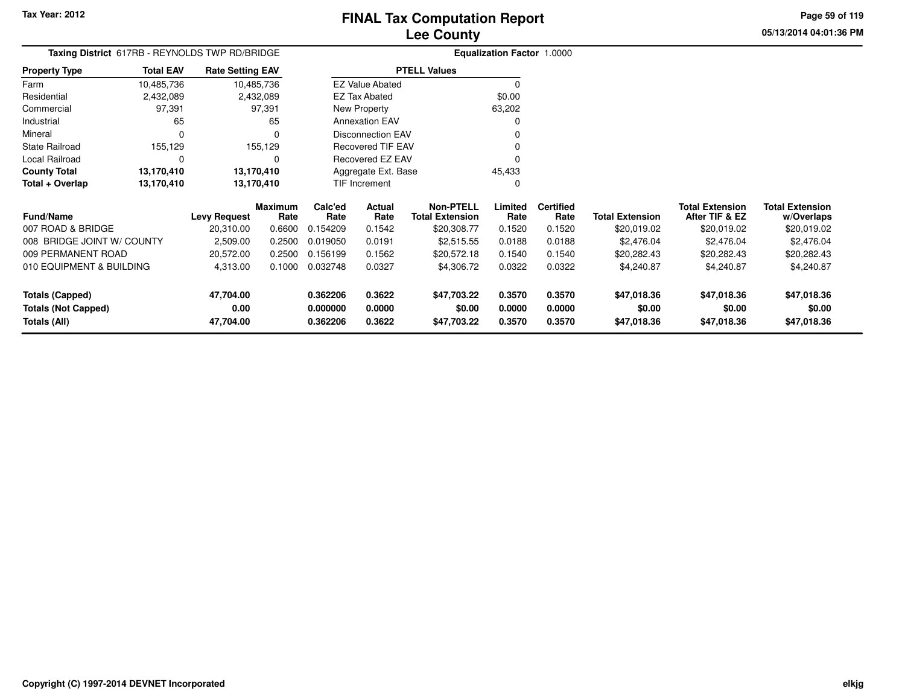**05/13/2014 04:01:36 PMPage 59 of 119**

> **w/Overlaps**\$20,019.02

| Taxing District 617RB - REYNOLDS TWP RD/BRIDGE |                  |                         | <b>Equalization Factor 1.0000</b> |                      |                          |                                            |                  |                          |                        |                                          |                                      |
|------------------------------------------------|------------------|-------------------------|-----------------------------------|----------------------|--------------------------|--------------------------------------------|------------------|--------------------------|------------------------|------------------------------------------|--------------------------------------|
| <b>Property Type</b>                           | <b>Total EAV</b> | <b>Rate Setting EAV</b> |                                   |                      |                          | <b>PTELL Values</b>                        |                  |                          |                        |                                          |                                      |
| Farm                                           | 10,485,736       | 10,485,736              |                                   |                      | <b>EZ Value Abated</b>   |                                            | $\Omega$         |                          |                        |                                          |                                      |
| Residential                                    | 2,432,089        |                         | 2,432,089                         |                      | EZ Tax Abated            |                                            | \$0.00           |                          |                        |                                          |                                      |
| Commercial                                     | 97,391           |                         | 97,391                            |                      | New Property             |                                            | 63,202           |                          |                        |                                          |                                      |
| Industrial                                     | 65               |                         | 65                                |                      | <b>Annexation EAV</b>    |                                            | 0                |                          |                        |                                          |                                      |
| Mineral                                        | 0                |                         | 0                                 |                      | <b>Disconnection EAV</b> |                                            |                  |                          |                        |                                          |                                      |
| <b>State Railroad</b>                          | 155,129          |                         | 155,129                           | Recovered TIF EAV    |                          |                                            |                  |                          |                        |                                          |                                      |
| Local Railroad                                 | 0                |                         | 0                                 |                      | Recovered EZ EAV         |                                            | $\Omega$         |                          |                        |                                          |                                      |
| <b>County Total</b>                            | 13,170,410       | 13,170,410              |                                   |                      | Aggregate Ext. Base      |                                            | 45,433           |                          |                        |                                          |                                      |
| Total + Overlap                                | 13,170,410       | 13,170,410              |                                   |                      | TIF Increment            |                                            | $\Omega$         |                          |                        |                                          |                                      |
| <b>Fund/Name</b>                               |                  | <b>Levy Request</b>     | <b>Maximum</b><br>Rate            | Calc'ed<br>Rate      | Actual<br>Rate           | <b>Non-PTELL</b><br><b>Total Extension</b> | Limited<br>Rate  | <b>Certified</b><br>Rate | <b>Total Extension</b> | <b>Total Extension</b><br>After TIF & EZ | <b>Total Extension</b><br>w/Overlaps |
| 007 ROAD & BRIDGE                              |                  | 20,310.00               | 0.6600                            | 0.154209             | 0.1542                   | \$20,308.77                                | 0.1520           | 0.1520                   | \$20,019.02            | \$20,019.02                              | \$20,019.02                          |
| 008 BRIDGE JOINT W/ COUNTY                     |                  | 2,509.00                | 0.2500                            | 0.019050             | 0.0191                   | \$2,515.55                                 | 0.0188           | 0.0188                   | \$2,476.04             | \$2,476.04                               | \$2,476.04                           |
| 009 PERMANENT ROAD                             |                  | 20,572.00               | 0.2500                            | 0.156199             | 0.1562                   | \$20,572.18                                | 0.1540           | 0.1540                   | \$20,282.43            | \$20,282.43                              | \$20,282.43                          |
| 010 EQUIPMENT & BUILDING                       |                  | 4,313.00                | 0.1000                            | 0.032748             | 0.0327                   | \$4,306.72                                 | 0.0322           | 0.0322                   | \$4,240.87             | \$4,240.87                               | \$4,240.87                           |
| <b>Totals (Capped)</b>                         |                  | 47,704.00               |                                   | 0.362206             | 0.3622                   | \$47,703.22                                | 0.3570           | 0.3570                   | \$47,018.36            | \$47,018.36                              | \$47,018.36                          |
| <b>Totals (Not Capped)</b><br>Totals (All)     |                  | 0.00<br>47,704.00       |                                   | 0.000000<br>0.362206 | 0.0000<br>0.3622         | \$0.00<br>\$47,703.22                      | 0.0000<br>0.3570 | 0.0000<br>0.3570         | \$0.00<br>\$47,018.36  | \$0.00<br>\$47,018.36                    | \$0.00<br>\$47,018.36                |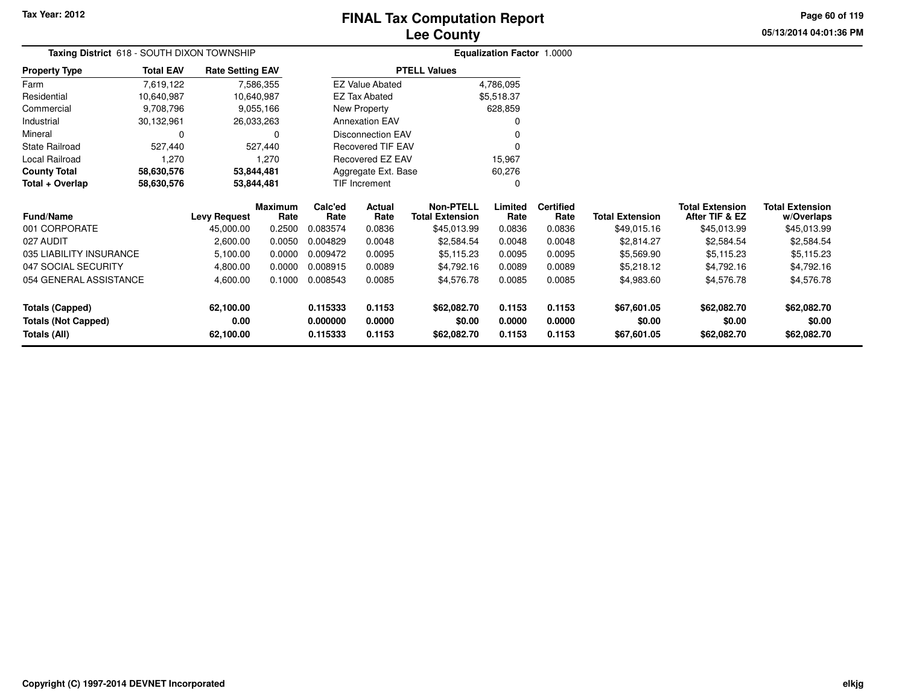# **Lee CountyFINAL Tax Computation Report**

**05/13/2014 04:01:36 PM Page 60 of 119**

| <b>Taxing District</b> 618 - SOUTH DIXON TOWNSHIP |                  |                         |                 |                        | <b>Equalization Factor 1.0000</b> |                                            |                  |                          |                        |                                          |                                      |
|---------------------------------------------------|------------------|-------------------------|-----------------|------------------------|-----------------------------------|--------------------------------------------|------------------|--------------------------|------------------------|------------------------------------------|--------------------------------------|
| Property Type                                     | <b>Total EAV</b> | <b>Rate Setting EAV</b> |                 | <b>EZ Value Abated</b> |                                   | <b>PTELL Values</b>                        |                  |                          |                        |                                          |                                      |
| Farm                                              | 7,619,122        |                         | 7,586,355       |                        |                                   |                                            | 4,786,095        |                          |                        |                                          |                                      |
| Residential                                       | 10,640,987       |                         | 10,640,987      |                        | <b>EZ Tax Abated</b>              |                                            | \$5,518.37       |                          |                        |                                          |                                      |
| Commercial                                        | 9,708,796        |                         | 9,055,166       |                        | New Property                      |                                            | 628,859          |                          |                        |                                          |                                      |
| Industrial                                        | 30,132,961       |                         | 26,033,263      |                        | <b>Annexation EAV</b>             |                                            |                  |                          |                        |                                          |                                      |
| Mineral                                           | 0                |                         | 0               |                        | Disconnection EAV                 |                                            |                  |                          |                        |                                          |                                      |
| State Railroad                                    | 527,440          |                         | 527,440         |                        | Recovered TIF EAV                 |                                            |                  |                          |                        |                                          |                                      |
| Local Railroad                                    | 1,270            |                         | 1,270           |                        | Recovered EZ EAV                  |                                            | 15,967           |                          |                        |                                          |                                      |
| <b>County Total</b>                               | 58,630,576       |                         | 53,844,481      |                        | Aggregate Ext. Base               |                                            | 60,276           |                          |                        |                                          |                                      |
| Total + Overlap                                   | 58,630,576       |                         | 53,844,481      |                        | TIF Increment                     |                                            | 0                |                          |                        |                                          |                                      |
| Fund/Name                                         |                  | <b>Levy Request</b>     | Maximum<br>Rate | Calc'ed<br>Rate        | Actual<br>Rate                    | <b>Non-PTELL</b><br><b>Total Extension</b> | Limited<br>Rate  | <b>Certified</b><br>Rate | <b>Total Extension</b> | <b>Total Extension</b><br>After TIF & EZ | <b>Total Extension</b><br>w/Overlaps |
| 001 CORPORATE                                     |                  | 45,000.00               | 0.2500          | 0.083574               | 0.0836                            | \$45,013.99                                | 0.0836           | 0.0836                   | \$49,015.16            | \$45,013.99                              | \$45,013.99                          |
| 027 AUDIT                                         |                  | 2,600.00                | 0.0050          | 0.004829               | 0.0048                            | \$2,584.54                                 | 0.0048           | 0.0048                   | \$2,814.27             | \$2,584.54                               | \$2,584.54                           |
| 035 LIABILITY INSURANCE                           |                  | 5,100.00                | 0.0000          | 0.009472               | 0.0095                            | \$5,115.23                                 | 0.0095           | 0.0095                   | \$5,569.90             | \$5,115.23                               | \$5,115.23                           |
| 047 SOCIAL SECURITY                               |                  | 4,800.00                | 0.0000          | 0.008915               | 0.0089                            | \$4,792.16                                 | 0.0089           | 0.0089                   | \$5,218.12             | \$4,792.16                               | \$4,792.16                           |
| 054 GENERAL ASSISTANCE                            |                  | 4,600.00                | 0.1000          | 0.008543               | 0.0085                            | \$4,576.78                                 | 0.0085           | 0.0085                   | \$4,983.60             | \$4,576.78                               | \$4,576.78                           |
| <b>Totals (Capped)</b>                            |                  | 62,100.00               |                 | 0.115333               | 0.1153                            | \$62,082.70                                | 0.1153           | 0.1153                   | \$67,601.05            | \$62,082.70                              | \$62,082.70                          |
| <b>Totals (Not Capped)</b><br>Totals (All)        |                  | 0.00<br>62,100.00       |                 | 0.000000<br>0.115333   | 0.0000<br>0.1153                  | \$0.00<br>\$62,082.70                      | 0.0000<br>0.1153 | 0.0000<br>0.1153         | \$0.00<br>\$67,601.05  | \$0.00<br>\$62,082.70                    | \$0.00<br>\$62,082.70                |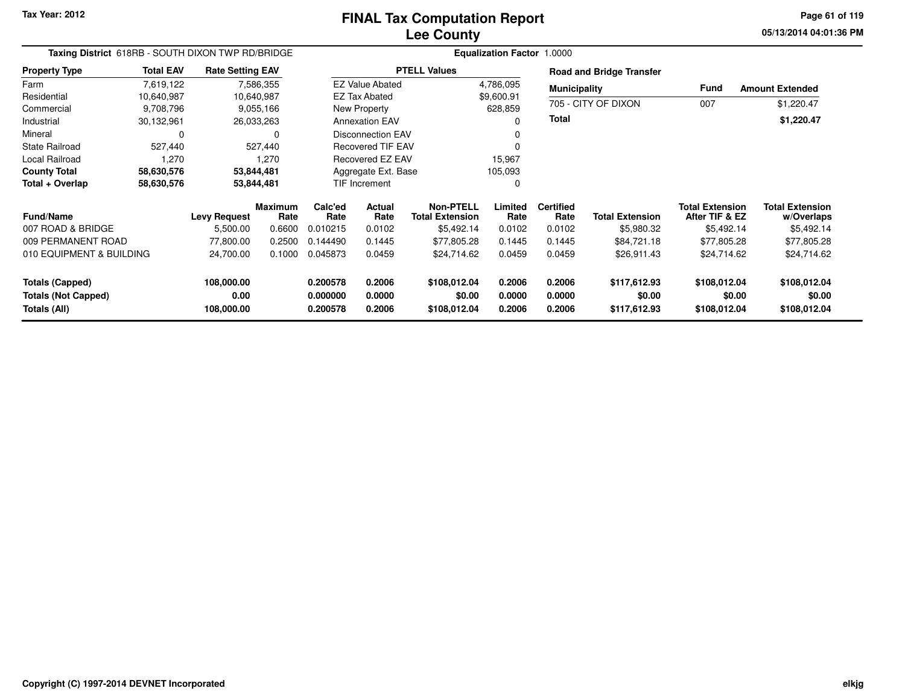**05/13/2014 04:01:36 PM Page 61 of 119**

| Taxing District 618RB - SOUTH DIXON TWP RD/BRIDGE |                  |                         |                        |                 |                                | Equalization Factor 1.0000                 |                 |                          |                                 |                                          |                                      |
|---------------------------------------------------|------------------|-------------------------|------------------------|-----------------|--------------------------------|--------------------------------------------|-----------------|--------------------------|---------------------------------|------------------------------------------|--------------------------------------|
| <b>Property Type</b>                              | <b>Total EAV</b> | <b>Rate Setting EAV</b> |                        |                 |                                | <b>PTELL Values</b>                        |                 |                          | <b>Road and Bridge Transfer</b> |                                          |                                      |
| Farm                                              | 7,619,122        |                         | 7,586,355              |                 | <b>EZ Value Abated</b>         |                                            | 4,786,095       | <b>Municipality</b>      |                                 | <b>Fund</b>                              | <b>Amount Extended</b>               |
| Residential                                       | 10,640,987       |                         | 10,640,987             |                 | <b>EZ Tax Abated</b>           |                                            | \$9,600.91      |                          |                                 |                                          |                                      |
| Commercial                                        | 9,708,796        |                         | 9,055,166              |                 | New Property                   |                                            | 628,859         |                          | 705 - CITY OF DIXON             | 007                                      | \$1,220.47                           |
| Industrial                                        | 30,132,961       |                         | 26,033,263             |                 | <b>Annexation EAV</b>          |                                            |                 | Total                    |                                 |                                          | \$1,220.47                           |
| Mineral                                           | 0                |                         | 0                      |                 | <b>Disconnection EAV</b>       |                                            |                 |                          |                                 |                                          |                                      |
| State Railroad                                    | 527,440          |                         | 527,440                |                 | <b>Recovered TIF EAV</b>       |                                            |                 |                          |                                 |                                          |                                      |
| Local Railroad                                    | 1,270            |                         | 1,270                  |                 | Recovered EZ EAV               |                                            | 15,967          |                          |                                 |                                          |                                      |
| <b>County Total</b>                               | 58,630,576       |                         | 53,844,481             |                 | Aggregate Ext. Base<br>105,093 |                                            |                 |                          |                                 |                                          |                                      |
| Total + Overlap                                   | 58,630,576       |                         | 53,844,481             |                 | TIF Increment                  |                                            |                 |                          |                                 |                                          |                                      |
| <b>Fund/Name</b>                                  |                  | <b>Levy Request</b>     | <b>Maximum</b><br>Rate | Calc'ed<br>Rate | Actual<br>Rate                 | <b>Non-PTELL</b><br><b>Total Extension</b> | Limited<br>Rate | <b>Certified</b><br>Rate | <b>Total Extension</b>          | <b>Total Extension</b><br>After TIF & EZ | <b>Total Extension</b><br>w/Overlaps |
| 007 ROAD & BRIDGE                                 |                  | 5,500.00                | 0.6600                 | 0.010215        | 0.0102                         | \$5,492.14                                 | 0.0102          | 0.0102                   | \$5,980.32                      | \$5,492.14                               | \$5,492.14                           |
| 009 PERMANENT ROAD                                |                  | 77,800.00               | 0.2500                 | 0.144490        | 0.1445                         | \$77,805.28                                | 0.1445          | 0.1445                   | \$84,721.18                     | \$77,805.28                              | \$77,805.28                          |
| 010 EQUIPMENT & BUILDING                          |                  | 24,700.00               | 0.1000                 | 0.045873        | 0.0459                         | \$24,714.62                                | 0.0459          | 0.0459                   | \$26,911.43                     | \$24,714.62                              | \$24,714.62                          |
| <b>Totals (Capped)</b>                            |                  | 108,000.00              |                        | 0.200578        | 0.2006                         | \$108,012.04                               | 0.2006          | 0.2006                   | \$117,612.93                    | \$108,012.04                             | \$108,012.04                         |
| <b>Totals (Not Capped)</b>                        |                  | 0.00                    |                        | 0.000000        | 0.0000                         | \$0.00                                     | 0.0000          | 0.0000                   | \$0.00                          | \$0.00                                   | \$0.00                               |
| Totals (All)                                      |                  | 108,000.00              |                        | 0.200578        | 0.2006                         | \$108,012.04                               | 0.2006          | 0.2006                   | \$117,612.93                    | \$108,012.04                             | \$108,012.04                         |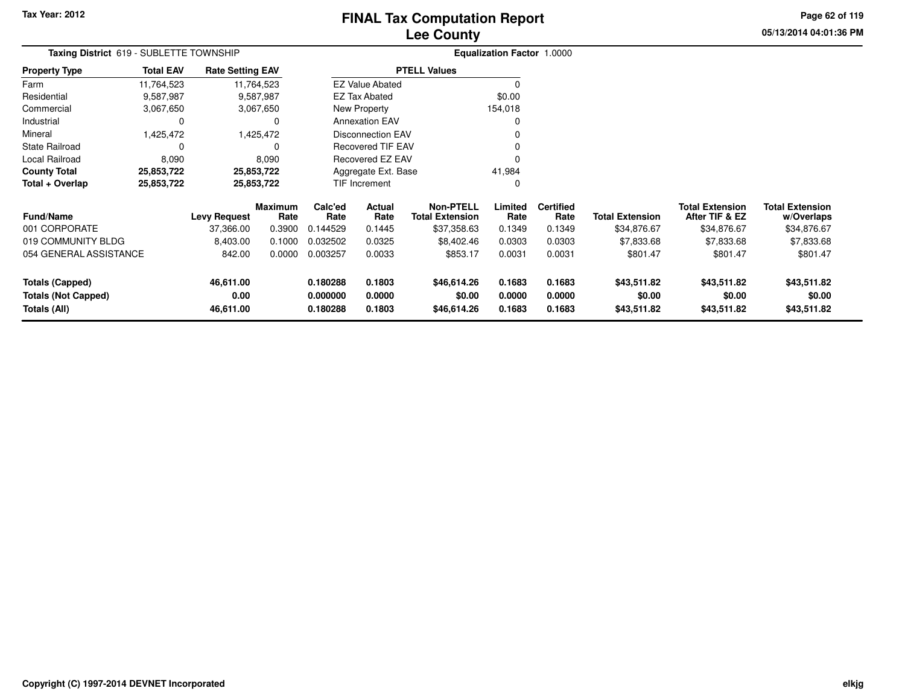# **Lee CountyFINAL Tax Computation Report**

**05/13/2014 04:01:36 PM Page 62 of 119**

| Taxing District 619 - SUBLETTE TOWNSHIP                         |                        |                         |                      |                  |                          |                                            | <b>Equalization Factor 1.0000</b> |                          |                        |                                          |                                      |
|-----------------------------------------------------------------|------------------------|-------------------------|----------------------|------------------|--------------------------|--------------------------------------------|-----------------------------------|--------------------------|------------------------|------------------------------------------|--------------------------------------|
| <b>Property Type</b>                                            | <b>Total EAV</b>       | <b>Rate Setting EAV</b> |                      |                  |                          | <b>PTELL Values</b>                        |                                   |                          |                        |                                          |                                      |
| Farm                                                            | 11,764,523             | 11,764,523              |                      |                  | <b>EZ Value Abated</b>   |                                            | O                                 |                          |                        |                                          |                                      |
| Residential                                                     | 9,587,987              |                         | 9,587,987            |                  | <b>EZ Tax Abated</b>     |                                            | \$0.00                            |                          |                        |                                          |                                      |
| Commercial                                                      | 3,067,650<br>3,067,650 |                         |                      |                  | New Property             |                                            | 154,018                           |                          |                        |                                          |                                      |
| Industrial                                                      | 0                      |                         |                      |                  | <b>Annexation EAV</b>    |                                            | 0                                 |                          |                        |                                          |                                      |
| Mineral                                                         | 1,425,472<br>1,425,472 |                         |                      |                  | Disconnection EAV        |                                            |                                   |                          |                        |                                          |                                      |
| State Railroad<br>$\Omega$                                      |                        |                         |                      |                  | <b>Recovered TIF EAV</b> |                                            |                                   |                          |                        |                                          |                                      |
| Local Railroad<br>8,090<br>8,090                                |                        |                         |                      |                  | Recovered EZ EAV         |                                            | O                                 |                          |                        |                                          |                                      |
| <b>County Total</b>                                             | 25,853,722             | 25,853,722              |                      |                  | Aggregate Ext. Base      |                                            | 41,984                            |                          |                        |                                          |                                      |
| Total + Overlap                                                 | 25,853,722             | 25,853,722              |                      |                  | TIF Increment            |                                            | 0                                 |                          |                        |                                          |                                      |
| <b>Fund/Name</b>                                                |                        | <b>Levy Request</b>     | Maximum<br>Rate      | Calc'ed<br>Rate  | Actual<br>Rate           | <b>Non-PTELL</b><br><b>Total Extension</b> | Limited<br>Rate                   | <b>Certified</b><br>Rate | <b>Total Extension</b> | <b>Total Extension</b><br>After TIF & EZ | <b>Total Extension</b><br>w/Overlaps |
| 001 CORPORATE                                                   |                        | 37,366.00               | 0.3900               | 0.144529         | 0.1445                   | \$37,358.63                                | 0.1349                            | 0.1349                   | \$34,876.67            | \$34,876.67                              | \$34,876.67                          |
| 019 COMMUNITY BLDG                                              |                        | 8,403.00                | 0.1000               | 0.032502         | 0.0325                   | \$8,402.46                                 | 0.0303                            | 0.0303                   | \$7,833.68             | \$7,833.68                               | \$7,833.68                           |
| 054 GENERAL ASSISTANCE<br>842.00                                |                        | 0.0000                  | 0.003257             | 0.0033           | \$853.17                 | 0.0031                                     | 0.0031                            | \$801.47                 | \$801.47               | \$801.47                                 |                                      |
| <b>Totals (Capped)</b>                                          |                        | 46,611.00               |                      | 0.180288         | 0.1803                   | \$46,614.26                                | 0.1683                            | 0.1683                   | \$43,511.82            | \$43,511.82                              | \$43,511.82                          |
| 0.00<br><b>Totals (Not Capped)</b><br>Totals (All)<br>46,611.00 |                        |                         | 0.000000<br>0.180288 | 0.0000<br>0.1803 | \$0.00<br>\$46,614.26    | 0.0000<br>0.1683                           | 0.0000<br>0.1683                  | \$0.00<br>\$43,511.82    | \$0.00<br>\$43,511.82  | \$0.00<br>\$43,511.82                    |                                      |
|                                                                 |                        |                         |                      |                  |                          |                                            |                                   |                          |                        |                                          |                                      |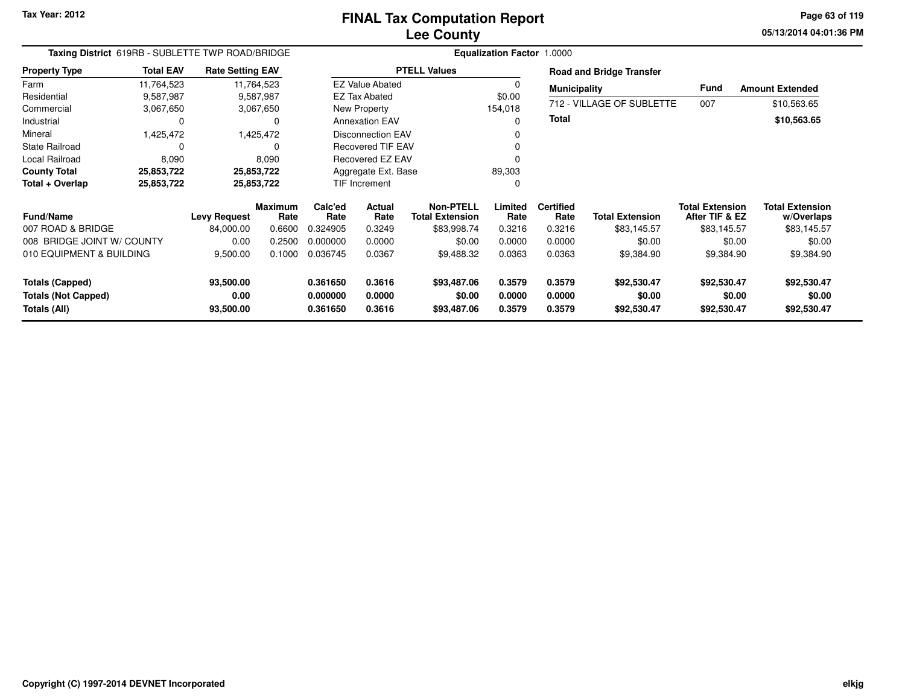**05/13/2014 04:01:36 PM Page 63 of 119**

| Taxing District 619RB - SUBLETTE TWP ROAD/BRIDGE |                  |                         |                        |                 |                          |                                            |                 |                          |                                 |                                          |                                      |
|--------------------------------------------------|------------------|-------------------------|------------------------|-----------------|--------------------------|--------------------------------------------|-----------------|--------------------------|---------------------------------|------------------------------------------|--------------------------------------|
| <b>Property Type</b>                             | <b>Total EAV</b> | <b>Rate Setting EAV</b> |                        |                 |                          | <b>PTELL Values</b>                        |                 |                          | <b>Road and Bridge Transfer</b> |                                          |                                      |
| Farm                                             | 11,764,523       |                         | 11,764,523             |                 | <b>EZ Value Abated</b>   |                                            | 0               | <b>Municipality</b>      |                                 | <b>Fund</b>                              | <b>Amount Extended</b>               |
| Residential                                      | 9,587,987        |                         | 9,587,987              |                 | EZ Tax Abated            |                                            | \$0.00          |                          |                                 |                                          |                                      |
| Commercial                                       | 3,067,650        |                         | 3,067,650              |                 | New Property             |                                            | 154,018         |                          | 712 - VILLAGE OF SUBLETTE       | 007                                      | \$10,563.65                          |
| Industrial                                       | 0                |                         | 0                      |                 | <b>Annexation EAV</b>    |                                            | 0               | Total                    |                                 |                                          | \$10,563.65                          |
| Mineral                                          | 1,425,472        |                         | 1,425,472              |                 | <b>Disconnection EAV</b> |                                            | 0               |                          |                                 |                                          |                                      |
| <b>State Railroad</b>                            | 0                |                         | 0                      |                 | <b>Recovered TIF EAV</b> |                                            | 0               |                          |                                 |                                          |                                      |
| Local Railroad                                   | 8,090            |                         | 8,090                  |                 | Recovered EZ EAV         |                                            | 0               |                          |                                 |                                          |                                      |
| <b>County Total</b>                              | 25,853,722       |                         | 25,853,722             |                 | Aggregate Ext. Base      |                                            | 89,303          |                          |                                 |                                          |                                      |
| Total + Overlap                                  | 25,853,722       |                         | 25,853,722             |                 | TIF Increment            |                                            | 0               |                          |                                 |                                          |                                      |
| <b>Fund/Name</b>                                 |                  | <b>Levy Request</b>     | <b>Maximum</b><br>Rate | Calc'ed<br>Rate | <b>Actual</b><br>Rate    | <b>Non-PTELL</b><br><b>Total Extension</b> | Limited<br>Rate | <b>Certified</b><br>Rate | <b>Total Extension</b>          | <b>Total Extension</b><br>After TIF & EZ | <b>Total Extension</b><br>w/Overlaps |
| 007 ROAD & BRIDGE                                |                  | 84,000.00               | 0.6600                 | 0.324905        | 0.3249                   | \$83,998.74                                | 0.3216          | 0.3216                   | \$83,145.57                     | \$83,145.57                              | \$83,145.57                          |
| 008 BRIDGE JOINT W/ COUNTY                       |                  | 0.00                    | 0.2500                 | 0.000000        | 0.0000                   | \$0.00                                     | 0.0000          | 0.0000                   | \$0.00                          | \$0.00                                   | \$0.00                               |
| 010 EQUIPMENT & BUILDING                         |                  | 9,500.00                | 0.1000                 | 0.036745        | 0.0367                   | \$9,488.32                                 | 0.0363          | 0.0363                   | \$9,384.90                      | \$9,384.90                               | \$9,384.90                           |
| <b>Totals (Capped)</b>                           |                  | 93,500.00               |                        | 0.361650        | 0.3616                   | \$93,487.06                                | 0.3579          | 0.3579                   | \$92,530.47                     | \$92,530.47                              | \$92,530.47                          |
| <b>Totals (Not Capped)</b>                       |                  | 0.00                    |                        | 0.000000        | 0.0000                   | \$0.00                                     | 0.0000          | 0.0000                   | \$0.00                          | \$0.00                                   | \$0.00                               |
| Totals (All)<br>93,500.00                        |                  |                         | 0.361650               | 0.3616          | \$93,487.06              | 0.3579                                     | 0.3579          | \$92,530.47              | \$92,530.47                     | \$92,530.47                              |                                      |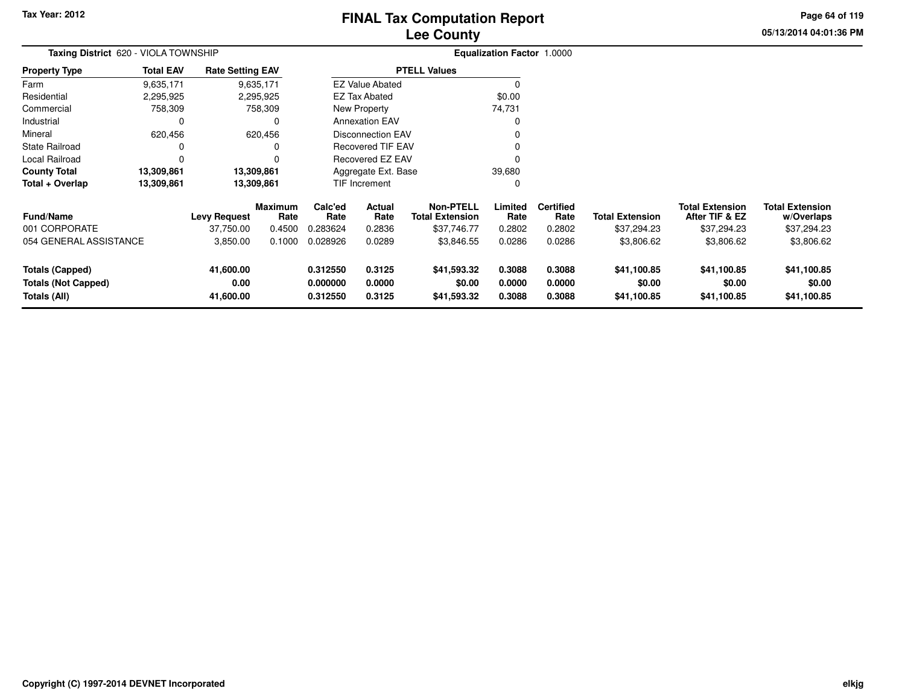# **Lee CountyFINAL Tax Computation Report**

**05/13/2014 04:01:36 PM Page 64 of 119**

| Taxing District 620 - VIOLA TOWNSHIP       |                    |                         |                        |                      | <b>Equalization Factor 1.0000</b> |                                            |                  |                          |                        |                                          |                                      |  |
|--------------------------------------------|--------------------|-------------------------|------------------------|----------------------|-----------------------------------|--------------------------------------------|------------------|--------------------------|------------------------|------------------------------------------|--------------------------------------|--|
| <b>Property Type</b>                       | <b>Total EAV</b>   | <b>Rate Setting EAV</b> |                        |                      |                                   | <b>PTELL Values</b>                        |                  |                          |                        |                                          |                                      |  |
| Farm                                       | 9,635,171          |                         | 9,635,171              |                      | <b>EZ Value Abated</b>            |                                            |                  |                          |                        |                                          |                                      |  |
| Residential                                | 2,295,925          |                         | 2,295,925              |                      | <b>EZ Tax Abated</b>              |                                            | \$0.00           |                          |                        |                                          |                                      |  |
| Commercial                                 | 758,309            |                         | 758,309                |                      | New Property                      |                                            | 74,731           |                          |                        |                                          |                                      |  |
| Industrial                                 |                    |                         |                        |                      | <b>Annexation EAV</b>             |                                            |                  |                          |                        |                                          |                                      |  |
| Mineral                                    | 620,456<br>620,456 |                         |                        |                      | <b>Disconnection EAV</b>          |                                            |                  |                          |                        |                                          |                                      |  |
| State Railroad                             |                    |                         | O                      |                      | <b>Recovered TIF EAV</b>          |                                            |                  |                          |                        |                                          |                                      |  |
| Local Railroad                             |                    |                         |                        |                      | <b>Recovered EZ EAV</b>           |                                            |                  |                          |                        |                                          |                                      |  |
| <b>County Total</b>                        | 13,309,861         |                         | 13,309,861             |                      | Aggregate Ext. Base               |                                            | 39,680           |                          |                        |                                          |                                      |  |
| Total + Overlap                            | 13,309,861         |                         | 13,309,861             |                      | TIF Increment                     |                                            |                  |                          |                        |                                          |                                      |  |
| <b>Fund/Name</b>                           |                    | <b>Levy Request</b>     | <b>Maximum</b><br>Rate | Calc'ed<br>Rate      | Actual<br>Rate                    | <b>Non-PTELL</b><br><b>Total Extension</b> | Limited<br>Rate  | <b>Certified</b><br>Rate | <b>Total Extension</b> | <b>Total Extension</b><br>After TIF & EZ | <b>Total Extension</b><br>w/Overlaps |  |
| 001 CORPORATE                              |                    | 37,750.00               | 0.4500                 | 0.283624             | 0.2836                            | \$37,746.77                                | 0.2802           | 0.2802                   | \$37,294.23            | \$37,294.23                              | \$37,294.23                          |  |
| 054 GENERAL ASSISTANCE                     |                    | 3,850.00                | 0.1000                 | 0.028926             | 0.0289                            | \$3,846.55                                 | 0.0286           | 0.0286                   | \$3,806.62             | \$3,806.62                               | \$3,806.62                           |  |
| <b>Totals (Capped)</b>                     |                    | 41,600.00               |                        | 0.312550             | 0.3125                            | \$41,593.32                                | 0.3088           | 0.3088                   | \$41,100.85            | \$41,100.85                              | \$41,100.85                          |  |
| <b>Totals (Not Capped)</b><br>Totals (All) |                    | 0.00<br>41,600.00       |                        | 0.000000<br>0.312550 | 0.0000<br>0.3125                  | \$0.00<br>\$41,593.32                      | 0.0000<br>0.3088 | 0.0000<br>0.3088         | \$0.00<br>\$41,100.85  | \$0.00<br>\$41,100.85                    | \$0.00<br>\$41,100.85                |  |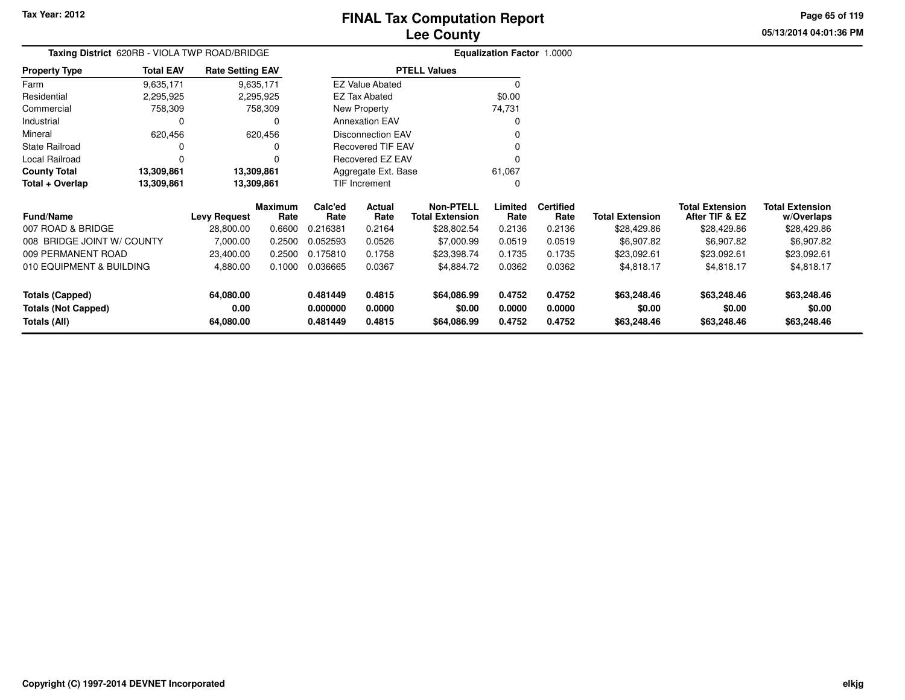**Totals (All)**

# **Lee CountyFINAL Tax Computation Report**

**0.000000 0.0000 \$0.00 0.0000 0.0000 \$0.00 \$0.00 \$0.00**

**0.481449 0.4815 \$64,086.99 0.4752 0.4752 \$63,248.46 \$63,248.46 \$63,248.46**

**05/13/2014 04:01:36 PMPage 65 of 119**

| Taxing District 620RB - VIOLA TWP ROAD/BRIDGE |                    |                         |                        |                         |                        |                                            | Equalization Factor 1.0000 |                          |                        |                                          |                                      |
|-----------------------------------------------|--------------------|-------------------------|------------------------|-------------------------|------------------------|--------------------------------------------|----------------------------|--------------------------|------------------------|------------------------------------------|--------------------------------------|
| <b>Property Type</b>                          | <b>Total EAV</b>   | <b>Rate Setting EAV</b> |                        |                         |                        | <b>PTELL Values</b>                        |                            |                          |                        |                                          |                                      |
| Farm                                          | 9,635,171          |                         | 9,635,171              |                         | <b>EZ Value Abated</b> |                                            |                            |                          |                        |                                          |                                      |
| Residential                                   | 2,295,925          |                         | 2,295,925              |                         | <b>EZ Tax Abated</b>   |                                            | \$0.00                     |                          |                        |                                          |                                      |
| Commercial                                    | 758,309            |                         | 758,309                |                         | New Property           |                                            | 74,731                     |                          |                        |                                          |                                      |
| Industrial                                    | 0                  |                         |                        |                         | <b>Annexation EAV</b>  |                                            |                            |                          |                        |                                          |                                      |
| Mineral                                       | 620,456<br>620,456 |                         |                        |                         | Disconnection EAV      |                                            |                            |                          |                        |                                          |                                      |
| <b>State Railroad</b>                         |                    |                         |                        |                         | Recovered TIF EAV      |                                            |                            |                          |                        |                                          |                                      |
| Local Railroad                                |                    |                         |                        | <b>Recovered EZ EAV</b> |                        |                                            |                            |                          |                        |                                          |                                      |
| 13,309,861<br><b>County Total</b>             |                    |                         | 13,309,861             |                         | Aggregate Ext. Base    |                                            | 61,067                     |                          |                        |                                          |                                      |
| Total + Overlap                               | 13,309,861         |                         | 13,309,861             |                         | TIF Increment          |                                            |                            |                          |                        |                                          |                                      |
| <b>Fund/Name</b>                              |                    | <b>Levy Request</b>     | <b>Maximum</b><br>Rate | Calc'ed<br>Rate         | Actual<br>Rate         | <b>Non-PTELL</b><br><b>Total Extension</b> | Limited<br>Rate            | <b>Certified</b><br>Rate | <b>Total Extension</b> | <b>Total Extension</b><br>After TIF & EZ | <b>Total Extension</b><br>w/Overlaps |
| 007 ROAD & BRIDGE                             |                    | 28,800.00               | 0.6600                 | 0.216381                | 0.2164                 | \$28,802.54                                | 0.2136                     | 0.2136                   | \$28,429.86            | \$28,429.86                              | \$28,429.86                          |
| 008 BRIDGE JOINT W/ COUNTY                    |                    | 7,000.00                | 0.2500                 | 0.052593                | 0.0526                 | \$7,000.99                                 | 0.0519                     | 0.0519                   | \$6,907.82             | \$6,907.82                               | \$6,907.82                           |
| 009 PERMANENT ROAD                            |                    | 23,400.00               | 0.2500                 | 0.175810                | 0.1758                 | \$23,398.74                                | 0.1735                     | 0.1735                   | \$23,092.61            | \$23,092.61                              | \$23,092.61                          |
| 010 EQUIPMENT & BUILDING                      |                    | 4,880.00                | 0.1000                 | 0.036665                | 0.0367                 | \$4,884.72                                 | 0.0362                     | 0.0362                   | \$4,818.17             | \$4,818.17                               | \$4,818.17                           |
| Totals (Capped)                               |                    | 64,080.00               |                        | 0.481449                | 0.4815                 | \$64,086.99                                | 0.4752                     | 0.4752                   | \$63,248.46            | \$63,248.46                              | \$63,248.46                          |
| <b>Totals (Not Capped)</b>                    |                    | 0.00                    |                        | 0.000000                | 0.0000                 | \$0.00                                     | 0.0000                     | 0.0000                   | \$0.00                 | \$0.00                                   | \$0.00                               |

**64,080.00**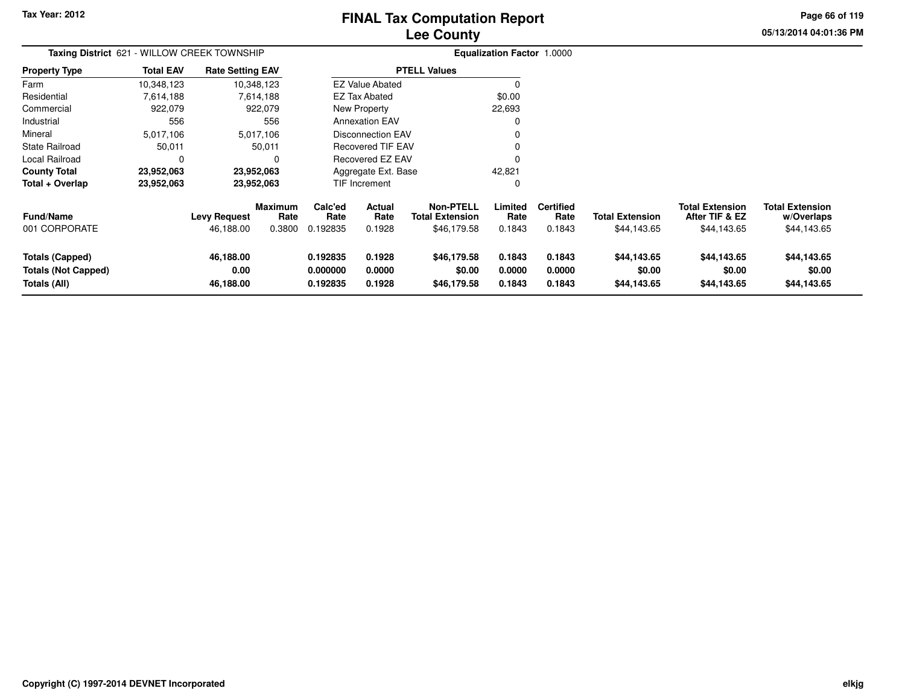# **Lee CountyFINAL Tax Computation Report**

**05/13/2014 04:01:36 PM Page 66 of 119**

| Taxing District 621 - WILLOW CREEK TOWNSHIP                          |                  |                                |                 |                                  |                            |                                            | <b>Equalization Factor 1.0000</b> |                            |                                      |                                          |                                      |
|----------------------------------------------------------------------|------------------|--------------------------------|-----------------|----------------------------------|----------------------------|--------------------------------------------|-----------------------------------|----------------------------|--------------------------------------|------------------------------------------|--------------------------------------|
| Property Type                                                        | <b>Total EAV</b> | <b>Rate Setting EAV</b>        |                 |                                  |                            | <b>PTELL Values</b>                        |                                   |                            |                                      |                                          |                                      |
| Farm                                                                 | 10,348,123       |                                | 10,348,123      |                                  | <b>EZ Value Abated</b>     |                                            | 0                                 |                            |                                      |                                          |                                      |
| Residential                                                          | 7,614,188        |                                | 7,614,188       |                                  | <b>EZ Tax Abated</b>       |                                            | \$0.00                            |                            |                                      |                                          |                                      |
| Commercial                                                           | 922,079          |                                | 922,079         |                                  | New Property               |                                            | 22,693                            |                            |                                      |                                          |                                      |
| Industrial                                                           | 556              |                                | 556             |                                  | <b>Annexation EAV</b>      |                                            | 0                                 |                            |                                      |                                          |                                      |
| Mineral                                                              | 5,017,106        |                                | 5,017,106       |                                  | <b>Disconnection EAV</b>   |                                            |                                   |                            |                                      |                                          |                                      |
| State Railroad                                                       | 50,011           |                                | 50,011          |                                  | <b>Recovered TIF EAV</b>   |                                            |                                   |                            |                                      |                                          |                                      |
| Local Railroad                                                       | 0                |                                |                 |                                  | Recovered EZ EAV           |                                            | 0                                 |                            |                                      |                                          |                                      |
| County Total                                                         | 23,952,063       |                                | 23,952,063      |                                  | Aggregate Ext. Base        |                                            | 42,821                            |                            |                                      |                                          |                                      |
| Total + Overlap                                                      | 23,952,063       |                                | 23,952,063      |                                  | <b>TIF Increment</b>       |                                            | 0                                 |                            |                                      |                                          |                                      |
| Fund/Name<br>001 CORPORATE                                           |                  | <b>Levy Request</b>            | Maximum<br>Rate | Calc'ed<br>Rate                  | Actual<br>Rate             | <b>Non-PTELL</b><br><b>Total Extension</b> | Limited<br>Rate                   | <b>Certified</b><br>Rate   | <b>Total Extension</b>               | <b>Total Extension</b><br>After TIF & EZ | <b>Total Extension</b><br>w/Overlaps |
|                                                                      |                  | 46,188.00                      | 0.3800          | 0.192835                         | 0.1928                     | \$46,179.58                                | 0.1843                            | 0.1843                     | \$44,143.65                          | \$44,143.65                              | \$44,143.65                          |
| <b>Totals (Capped)</b><br><b>Totals (Not Capped)</b><br>Totals (All) |                  | 46,188.00<br>0.00<br>46,188.00 |                 | 0.192835<br>0.000000<br>0.192835 | 0.1928<br>0.0000<br>0.1928 | \$46,179.58<br>\$0.00<br>\$46,179.58       | 0.1843<br>0.0000<br>0.1843        | 0.1843<br>0.0000<br>0.1843 | \$44,143.65<br>\$0.00<br>\$44,143.65 | \$44,143.65<br>\$0.00<br>\$44,143.65     | \$44,143.65<br>\$0.00<br>\$44,143.65 |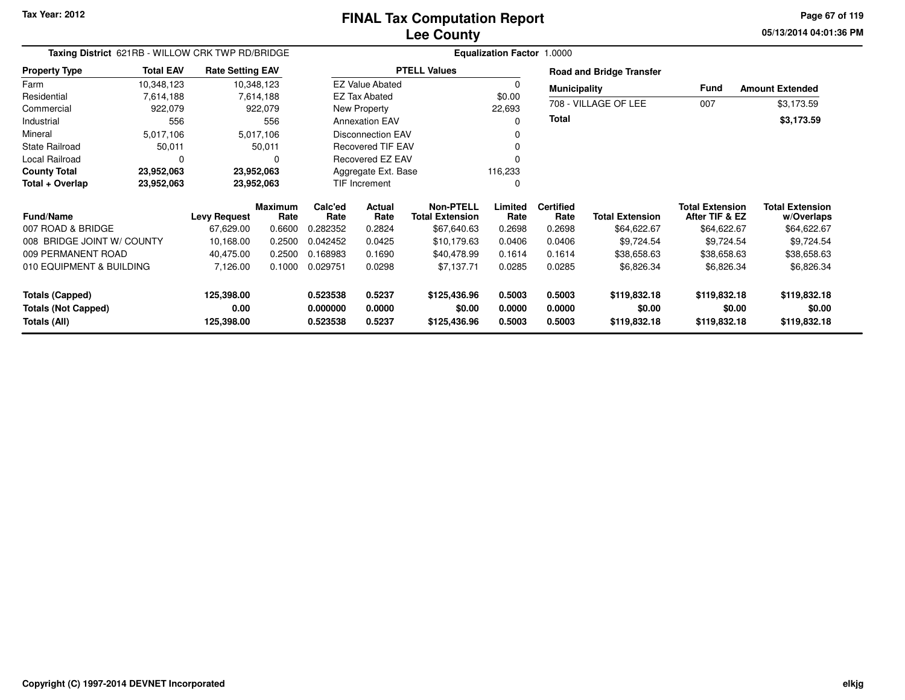**05/13/2014 04:01:36 PM Page 67 of 119**

| Taxing District 621RB - WILLOW CRK TWP RD/BRIDGE    |                    |                                   |                                                                                                                       | <b>Equalization Factor 1.0000</b> |                                                                                                 |                                                                                                                                                                         |                          |                        |                                                                                                |                                        |  |  |
|-----------------------------------------------------|--------------------|-----------------------------------|-----------------------------------------------------------------------------------------------------------------------|-----------------------------------|-------------------------------------------------------------------------------------------------|-------------------------------------------------------------------------------------------------------------------------------------------------------------------------|--------------------------|------------------------|------------------------------------------------------------------------------------------------|----------------------------------------|--|--|
| <b>Total EAV</b>                                    |                    |                                   |                                                                                                                       |                                   |                                                                                                 |                                                                                                                                                                         |                          |                        |                                                                                                |                                        |  |  |
| 10,348,123                                          |                    |                                   |                                                                                                                       |                                   |                                                                                                 | 0                                                                                                                                                                       |                          |                        |                                                                                                | <b>Amount Extended</b>                 |  |  |
| Residential<br>7,614,188<br>7,614,188<br>Commercial |                    |                                   |                                                                                                                       |                                   |                                                                                                 | \$0.00                                                                                                                                                                  |                          |                        |                                                                                                |                                        |  |  |
| 922,079                                             |                    |                                   |                                                                                                                       |                                   |                                                                                                 | 22,693                                                                                                                                                                  |                          |                        |                                                                                                | \$3,173.59                             |  |  |
| 556                                                 |                    | 556                               |                                                                                                                       |                                   |                                                                                                 | O                                                                                                                                                                       |                          |                        |                                                                                                | \$3,173.59                             |  |  |
| 5,017,106                                           |                    |                                   |                                                                                                                       |                                   |                                                                                                 |                                                                                                                                                                         |                          |                        |                                                                                                |                                        |  |  |
| 50,011                                              |                    |                                   |                                                                                                                       |                                   |                                                                                                 |                                                                                                                                                                         |                          |                        |                                                                                                |                                        |  |  |
| 0                                                   |                    | 0                                 |                                                                                                                       |                                   |                                                                                                 |                                                                                                                                                                         |                          |                        |                                                                                                |                                        |  |  |
| 23,952,063                                          |                    |                                   |                                                                                                                       |                                   |                                                                                                 | 116,233                                                                                                                                                                 |                          |                        |                                                                                                |                                        |  |  |
| 23,952,063                                          |                    |                                   |                                                                                                                       |                                   |                                                                                                 | 0                                                                                                                                                                       |                          |                        |                                                                                                |                                        |  |  |
|                                                     |                    | Rate                              | Calc'ed<br>Rate                                                                                                       | <b>Actual</b><br>Rate             | <b>Non-PTELL</b><br><b>Total Extension</b>                                                      | Limited<br>Rate                                                                                                                                                         | <b>Certified</b><br>Rate | <b>Total Extension</b> | <b>Total Extension</b><br>After TIF & EZ                                                       | <b>Total Extension</b><br>w/Overlaps   |  |  |
|                                                     | 67,629.00          | 0.6600                            | 0.282352                                                                                                              | 0.2824                            | \$67,640.63                                                                                     | 0.2698                                                                                                                                                                  | 0.2698                   | \$64,622.67            | \$64,622.67                                                                                    | \$64,622.67                            |  |  |
| 008 BRIDGE JOINT W/ COUNTY                          | 10,168.00          | 0.2500                            | 0.042452                                                                                                              | 0.0425                            | \$10,179.63                                                                                     | 0.0406                                                                                                                                                                  | 0.0406                   | \$9,724.54             | \$9,724.54                                                                                     | \$9,724.54                             |  |  |
| 009 PERMANENT ROAD                                  | 40,475.00          | 0.2500                            | 0.168983                                                                                                              | 0.1690                            | \$40,478.99                                                                                     | 0.1614                                                                                                                                                                  | 0.1614                   | \$38,658.63            | \$38,658.63                                                                                    | \$38,658.63                            |  |  |
| 010 EQUIPMENT & BUILDING                            | 7,126.00           | 0.1000                            | 0.029751                                                                                                              | 0.0298                            | \$7,137.71                                                                                      | 0.0285                                                                                                                                                                  | 0.0285                   | \$6,826.34             | \$6,826.34                                                                                     | \$6,826.34                             |  |  |
|                                                     | 125,398.00<br>0.00 |                                   | 0.523538<br>0.000000                                                                                                  | 0.5237<br>0.0000                  | \$125,436.96<br>\$0.00                                                                          | 0.5003<br>0.0000                                                                                                                                                        | 0.5003<br>0.0000         | \$119,832.18<br>\$0.00 | \$119,832.18<br>\$0.00                                                                         | \$119,832.18<br>\$0.00<br>\$119,832.18 |  |  |
|                                                     |                    | <b>Levy Request</b><br>125,398.00 | <b>Rate Setting EAV</b><br>10,348,123<br>922,079<br>5,017,106<br>50,011<br>23,952,063<br>23,952,063<br><b>Maximum</b> | 0.523538                          | <b>EZ Tax Abated</b><br>New Property<br><b>Annexation EAV</b><br><b>TIF Increment</b><br>0.5237 | <b>PTELL Values</b><br><b>EZ Value Abated</b><br><b>Disconnection EAV</b><br><b>Recovered TIF EAV</b><br><b>Recovered EZ EAV</b><br>Aggregate Ext. Base<br>\$125,436.96 | 0.5003                   | <b>Total</b><br>0.5003 | <b>Road and Bridge Transfer</b><br><b>Municipality</b><br>708 - VILLAGE OF LEE<br>\$119,832.18 | <b>Fund</b><br>007<br>\$119,832.18     |  |  |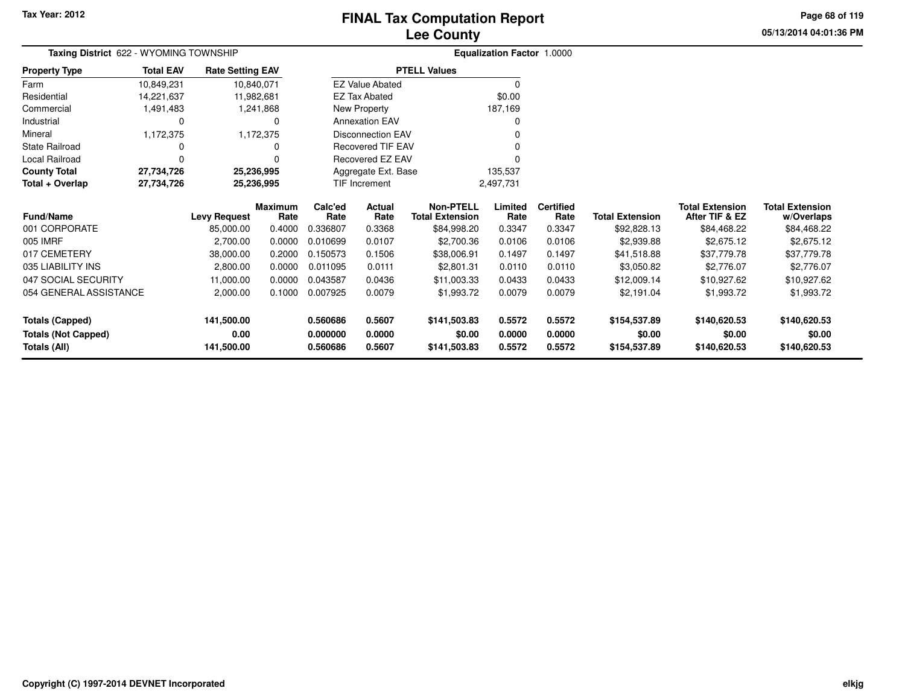# **Lee CountyFINAL Tax Computation Report**

**05/13/2014 04:01:36 PM Page 68 of 119**

| Taxing District 622 - WYOMING TOWNSHIP |                            |                         |                        | <b>Equalization Factor 1.0000</b> |                          |                                            |                 |                          |                        |                                          |                                      |
|----------------------------------------|----------------------------|-------------------------|------------------------|-----------------------------------|--------------------------|--------------------------------------------|-----------------|--------------------------|------------------------|------------------------------------------|--------------------------------------|
| <b>Property Type</b>                   | <b>Total EAV</b>           | <b>Rate Setting EAV</b> |                        |                                   |                          | <b>PTELL Values</b>                        |                 |                          |                        |                                          |                                      |
| Farm                                   | 10,849,231                 | 10,840,071              |                        |                                   | <b>EZ Value Abated</b>   |                                            | 0               |                          |                        |                                          |                                      |
| Residential                            | 14,221,637                 | 11,982,681              |                        |                                   | <b>EZ Tax Abated</b>     |                                            | \$0.00          |                          |                        |                                          |                                      |
| Commercial                             | 1,491,483                  |                         | 1,241,868              |                                   | New Property             |                                            | 187,169         |                          |                        |                                          |                                      |
| Industrial                             | 0                          |                         |                        |                                   | <b>Annexation EAV</b>    |                                            |                 |                          |                        |                                          |                                      |
| Mineral                                | 1,172,375                  |                         | 1,172,375              |                                   | <b>Disconnection EAV</b> |                                            |                 |                          |                        |                                          |                                      |
| State Railroad                         |                            |                         |                        |                                   | Recovered TIF EAV        |                                            |                 |                          |                        |                                          |                                      |
| Local Railroad                         |                            |                         |                        |                                   | Recovered EZ EAV         |                                            |                 |                          |                        |                                          |                                      |
| <b>County Total</b>                    | 27,734,726                 | 25,236,995              |                        |                                   | Aggregate Ext. Base      |                                            | 135,537         |                          |                        |                                          |                                      |
| Total + Overlap                        | 27,734,726                 | 25,236,995              |                        |                                   | <b>TIF Increment</b>     |                                            | 2,497,731       |                          |                        |                                          |                                      |
| Fund/Name                              |                            | <b>Levy Request</b>     | <b>Maximum</b><br>Rate | Calc'ed<br>Rate                   | Actual<br>Rate           | <b>Non-PTELL</b><br><b>Total Extension</b> | Limited<br>Rate | <b>Certified</b><br>Rate | <b>Total Extension</b> | <b>Total Extension</b><br>After TIF & EZ | <b>Total Extension</b><br>w/Overlaps |
| 001 CORPORATE                          |                            | 85,000.00               | 0.4000                 | 0.336807                          | 0.3368                   | \$84,998.20                                | 0.3347          | 0.3347                   | \$92,828.13            | \$84,468.22                              | \$84,468.22                          |
| 005 IMRF                               |                            | 2,700.00                | 0.0000                 | 0.010699                          | 0.0107                   | \$2,700.36                                 | 0.0106          | 0.0106                   | \$2,939.88             | \$2,675.12                               | \$2,675.12                           |
| 017 CEMETERY                           |                            | 38,000.00               | 0.2000                 | 0.150573                          | 0.1506                   | \$38,006.91                                | 0.1497          | 0.1497                   | \$41,518.88            | \$37,779.78                              | \$37,779.78                          |
| 035 LIABILITY INS                      |                            | 2,800.00                | 0.0000                 | 0.011095                          | 0.0111                   | \$2,801.31                                 | 0.0110          | 0.0110                   | \$3,050.82             | \$2,776.07                               | \$2,776.07                           |
| 047 SOCIAL SECURITY                    |                            | 11,000.00               | 0.0000                 | 0.043587                          | 0.0436                   | \$11,003.33                                | 0.0433          | 0.0433                   | \$12,009.14            | \$10,927.62                              | \$10,927.62                          |
| 054 GENERAL ASSISTANCE                 |                            | 2,000.00                | 0.1000                 | 0.007925<br>0.0079                |                          | \$1,993.72                                 | 0.0079          | 0.0079                   | \$2,191.04             | \$1,993.72                               | \$1,993.72                           |
| 141,500.00<br><b>Totals (Capped)</b>   |                            |                         | 0.560686               | 0.5607                            | \$141,503.83             | 0.5572                                     | 0.5572          | \$154,537.89             | \$140,620.53           | \$140,620.53                             |                                      |
| <b>Totals (Not Capped)</b>             | 0.00<br>0.000000<br>0.0000 |                         |                        | \$0.00                            | 0.0000                   | 0.0000                                     | \$0.00          | \$0.00                   | \$0.00                 |                                          |                                      |
| Totals (All)<br>141,500.00             |                            |                         | 0.560686               | 0.5607                            | \$141,503.83             | 0.5572                                     | 0.5572          | \$154,537.89             | \$140,620.53           | \$140,620.53                             |                                      |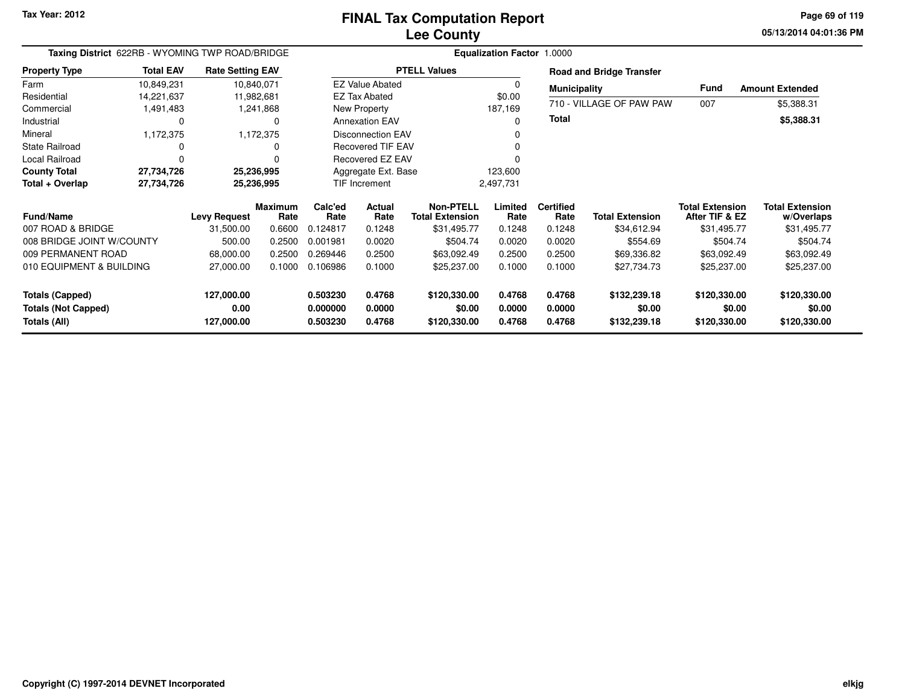**05/13/2014 04:01:36 PM Page 69 of 119**

| Taxing District 622RB - WYOMING TWP ROAD/BRIDGE                      |                        |                                  |                 |                                  |                            |                                            | Equalization Factor 1.0000 |                            |                                        |                                          |                                        |  |
|----------------------------------------------------------------------|------------------------|----------------------------------|-----------------|----------------------------------|----------------------------|--------------------------------------------|----------------------------|----------------------------|----------------------------------------|------------------------------------------|----------------------------------------|--|
| <b>Property Type</b>                                                 | <b>Total EAV</b>       | <b>Rate Setting EAV</b>          |                 |                                  |                            | <b>PTELL Values</b>                        |                            |                            | <b>Road and Bridge Transfer</b>        |                                          |                                        |  |
| Farm                                                                 | 10,849,231             | 10,840,071                       |                 |                                  | <b>EZ Value Abated</b>     |                                            | $\Omega$                   | <b>Municipality</b>        |                                        | Fund                                     | <b>Amount Extended</b>                 |  |
| Residential                                                          | 14,221,637             | 11,982,681                       |                 |                                  | <b>EZ Tax Abated</b>       |                                            | \$0.00                     |                            |                                        |                                          |                                        |  |
| Commercial                                                           | 1,491,483<br>1,241,868 |                                  |                 | New Property                     |                            | 187,169                                    |                            | 710 - VILLAGE OF PAW PAW   | 007                                    | \$5,388.31                               |                                        |  |
| Industrial                                                           | 0                      |                                  |                 |                                  | <b>Annexation EAV</b>      |                                            | 0                          | Total                      |                                        |                                          | \$5,388.31                             |  |
| Mineral                                                              | 1,172,375              |                                  | 1,172,375       |                                  | <b>Disconnection EAV</b>   |                                            |                            |                            |                                        |                                          |                                        |  |
| <b>State Railroad</b>                                                | 0                      |                                  |                 |                                  | <b>Recovered TIF EAV</b>   |                                            |                            |                            |                                        |                                          |                                        |  |
| Local Railroad                                                       | 0                      |                                  |                 |                                  | <b>Recovered EZ EAV</b>    |                                            |                            |                            |                                        |                                          |                                        |  |
| <b>County Total</b>                                                  | 27,734,726             | 25,236,995                       |                 |                                  | Aggregate Ext. Base        |                                            | 123,600                    |                            |                                        |                                          |                                        |  |
| Total + Overlap                                                      | 27,734,726             | 25,236,995                       |                 |                                  | TIF Increment              |                                            | 2,497,731                  |                            |                                        |                                          |                                        |  |
| <b>Fund/Name</b>                                                     |                        | <b>Levy Request</b>              | Maximum<br>Rate | Calc'ed<br>Rate                  | Actual<br>Rate             | <b>Non-PTELL</b><br><b>Total Extension</b> | Limited<br>Rate            | <b>Certified</b><br>Rate   | <b>Total Extension</b>                 | <b>Total Extension</b><br>After TIF & EZ | <b>Total Extension</b><br>w/Overlaps   |  |
| 007 ROAD & BRIDGE                                                    |                        | 31,500.00                        | 0.6600          | 0.124817                         | 0.1248                     | \$31,495.77                                | 0.1248                     | 0.1248                     | \$34,612.94                            | \$31,495.77                              | \$31,495.77                            |  |
| 008 BRIDGE JOINT W/COUNTY                                            |                        | 500.00                           | 0.2500          | 0.001981                         | 0.0020                     | \$504.74                                   | 0.0020                     | 0.0020                     | \$554.69                               | \$504.74                                 | \$504.74                               |  |
| 009 PERMANENT ROAD                                                   |                        | 68,000.00                        | 0.2500          | 0.269446                         | 0.2500                     | \$63,092.49                                | 0.2500                     | 0.2500                     | \$69,336.82                            | \$63,092.49                              | \$63,092.49                            |  |
| 010 EQUIPMENT & BUILDING                                             |                        | 27,000.00                        | 0.1000          | 0.106986                         | 0.1000                     | \$25,237.00                                | 0.1000                     | 0.1000                     | \$27,734.73                            | \$25,237.00                              | \$25,237.00                            |  |
| <b>Totals (Capped)</b><br><b>Totals (Not Capped)</b><br>Totals (All) |                        | 127,000.00<br>0.00<br>127,000.00 |                 | 0.503230<br>0.000000<br>0.503230 | 0.4768<br>0.0000<br>0.4768 | \$120,330.00<br>\$0.00<br>\$120,330.00     | 0.4768<br>0.0000<br>0.4768 | 0.4768<br>0.0000<br>0.4768 | \$132,239.18<br>\$0.00<br>\$132,239.18 | \$120,330.00<br>\$0.00<br>\$120,330.00   | \$120,330.00<br>\$0.00<br>\$120,330.00 |  |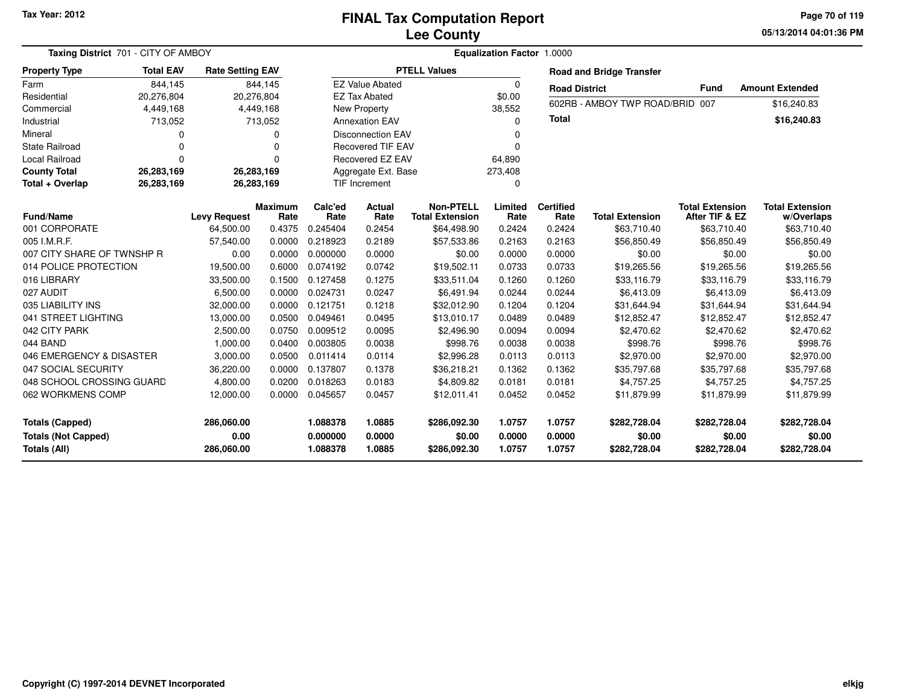**05/13/2014 04:01:36 PM Page 70 of 119**

| Taxing District 701 - CITY OF AMBOY                                                                      | Equalization Factor 1.0000 |                                  |                            |                                        |                            |                                            |                                        |                                        |                                        |                                          |                                      |
|----------------------------------------------------------------------------------------------------------|----------------------------|----------------------------------|----------------------------|----------------------------------------|----------------------------|--------------------------------------------|----------------------------------------|----------------------------------------|----------------------------------------|------------------------------------------|--------------------------------------|
| <b>Property Type</b>                                                                                     | <b>Total EAV</b>           | <b>Rate Setting EAV</b>          |                            |                                        |                            | <b>PTELL Values</b>                        |                                        |                                        | <b>Road and Bridge Transfer</b>        |                                          |                                      |
| Farm                                                                                                     | 844,145                    |                                  | 844,145                    |                                        | <b>EZ Value Abated</b>     |                                            | $\Omega$                               | <b>Road District</b>                   |                                        | <b>Fund</b>                              | <b>Amount Extended</b>               |
| Residential                                                                                              | 20,276,804                 |                                  | 20,276,804                 |                                        | <b>EZ Tax Abated</b>       |                                            | \$0.00                                 |                                        | 602RB - AMBOY TWP ROAD/BRID 007        |                                          |                                      |
| Commercial                                                                                               | 4,449,168                  |                                  | 4,449,168                  |                                        | <b>New Property</b>        |                                            | 38,552                                 |                                        |                                        |                                          | \$16,240.83                          |
| Industrial                                                                                               | 713,052                    |                                  | 713,052                    |                                        | <b>Annexation EAV</b>      |                                            | $\Omega$                               | <b>Total</b>                           |                                        |                                          | \$16,240.83                          |
| Mineral                                                                                                  |                            |                                  | 0                          |                                        | <b>Disconnection EAV</b>   |                                            | $\Omega$                               |                                        |                                        |                                          |                                      |
| <b>State Railroad</b>                                                                                    | $\Omega$                   |                                  | $\Omega$                   |                                        | <b>Recovered TIF EAV</b>   |                                            | $\Omega$                               |                                        |                                        |                                          |                                      |
| <b>Local Railroad</b>                                                                                    | $\Omega$                   |                                  | $\Omega$                   |                                        | <b>Recovered EZ EAV</b>    |                                            | 64,890                                 |                                        |                                        |                                          |                                      |
| <b>County Total</b>                                                                                      | 26,283,169<br>26,283,169   |                                  |                            |                                        | Aggregate Ext. Base        |                                            | 273,408                                |                                        |                                        |                                          |                                      |
| Total + Overlap                                                                                          | 26,283,169                 |                                  | 26,283,169                 |                                        | TIF Increment              |                                            | $\Omega$                               |                                        |                                        |                                          |                                      |
| <b>Fund/Name</b>                                                                                         |                            | <b>Levy Request</b>              | <b>Maximum</b><br>Rate     | Calc'ed<br>Rate                        | <b>Actual</b><br>Rate      | <b>Non-PTELL</b><br><b>Total Extension</b> | Limited<br>Rate                        | <b>Certified</b><br>Rate               | <b>Total Extension</b>                 | <b>Total Extension</b><br>After TIF & EZ | <b>Total Extension</b><br>w/Overlaps |
| 001 CORPORATE                                                                                            |                            | 64,500.00                        | 0.4375                     | 0.245404                               | 0.2454                     | \$64,498.90                                | 0.2424                                 | 0.2424                                 | \$63,710.40                            | \$63,710.40                              | \$63,710.40                          |
| 005 I.M.R.F.                                                                                             |                            | 57,540.00                        | 0.0000                     | 0.218923                               | 0.2189                     | \$57,533.86                                | 0.2163                                 | 0.2163                                 | \$56,850.49                            | \$56,850.49                              | \$56,850.49                          |
| 007 CITY SHARE OF TWNSHP R                                                                               |                            | 0.00                             | 0.0000                     | 0.000000                               | 0.0000                     | \$0.00                                     | 0.0000                                 | 0.0000                                 | \$0.00                                 | \$0.00                                   | \$0.00                               |
| 014 POLICE PROTECTION                                                                                    |                            | 19,500.00                        | 0.6000                     | 0.074192                               | 0.0742                     | \$19,502.11                                | 0.0733                                 | 0.0733                                 | \$19,265.56                            | \$19,265.56                              | \$19,265.56                          |
| 016 LIBRARY                                                                                              |                            | 33,500.00                        | 0.1500                     | 0.127458                               | 0.1275                     | \$33,511.04                                | 0.1260                                 | 0.1260                                 | \$33,116.79                            | \$33,116.79                              | \$33,116.79                          |
| 027 AUDIT                                                                                                |                            | 6,500.00                         | 0.0000                     | 0.024731                               | 0.0247                     | \$6,491.94                                 | 0.0244                                 | 0.0244                                 | \$6,413.09                             | \$6,413.09                               | \$6,413.09                           |
| 035 LIABILITY INS                                                                                        |                            | 32,000.00                        | 0.0000                     | 0.121751                               | 0.1218                     | \$32,012.90                                | 0.1204                                 | 0.1204                                 | \$31,644.94                            | \$31,644.94                              | \$31,644.94                          |
| 041 STREET LIGHTING                                                                                      |                            | 13,000.00                        | 0.0500                     | 0.049461                               | 0.0495                     | \$13,010.17                                | 0.0489                                 | 0.0489                                 | \$12,852.47                            | \$12,852.47                              | \$12,852.47                          |
| 042 CITY PARK                                                                                            |                            | 2,500.00                         | 0.0750                     | 0.009512                               | 0.0095                     | \$2,496.90                                 | 0.0094                                 | 0.0094                                 | \$2,470.62                             | \$2,470.62                               | \$2,470.62                           |
| 044 BAND                                                                                                 |                            | 1,000.00                         | 0.0400                     | 0.003805                               | 0.0038                     | \$998.76                                   | 0.0038                                 | 0.0038                                 | \$998.76                               | \$998.76                                 | \$998.76                             |
| 046 EMERGENCY & DISASTER                                                                                 |                            | 3,000.00                         | 0.0500                     | 0.011414                               | 0.0114                     | \$2,996.28                                 | 0.0113                                 | 0.0113                                 | \$2,970.00                             | \$2,970.00                               | \$2,970.00                           |
| 047 SOCIAL SECURITY                                                                                      |                            | 36,220.00                        | 0.0000                     | 0.137807                               | 0.1378                     | \$36,218.21                                | 0.1362                                 | 0.1362                                 | \$35,797.68                            | \$35,797.68                              | \$35,797.68                          |
| 048 SCHOOL CROSSING GUARD                                                                                |                            | 4,800.00                         | 0.0200                     | 0.018263                               | 0.0183                     | \$4,809.82                                 | 0.0181                                 | 0.0181                                 | \$4,757.25                             | \$4,757.25                               | \$4,757.25                           |
| 062 WORKMENS COMP                                                                                        |                            | 12,000.00                        | 0.0000                     | 0.045657                               | 0.0457                     | \$12,011.41                                | 0.0452                                 | 0.0452                                 | \$11,879.99                            | \$11,879.99                              | \$11,879.99                          |
| 286,060.00<br><b>Totals (Capped)</b><br><b>Totals (Not Capped)</b><br>0.00<br>Totals (All)<br>286,060.00 |                            | 1.088378<br>0.000000<br>1.088378 | 1.0885<br>0.0000<br>1.0885 | \$286,092.30<br>\$0.00<br>\$286,092.30 | 1.0757<br>0.0000<br>1.0757 | 1.0757<br>0.0000<br>1.0757                 | \$282,728.04<br>\$0.00<br>\$282,728.04 | \$282,728.04<br>\$0.00<br>\$282,728.04 | \$282,728.04<br>\$0.00<br>\$282,728.04 |                                          |                                      |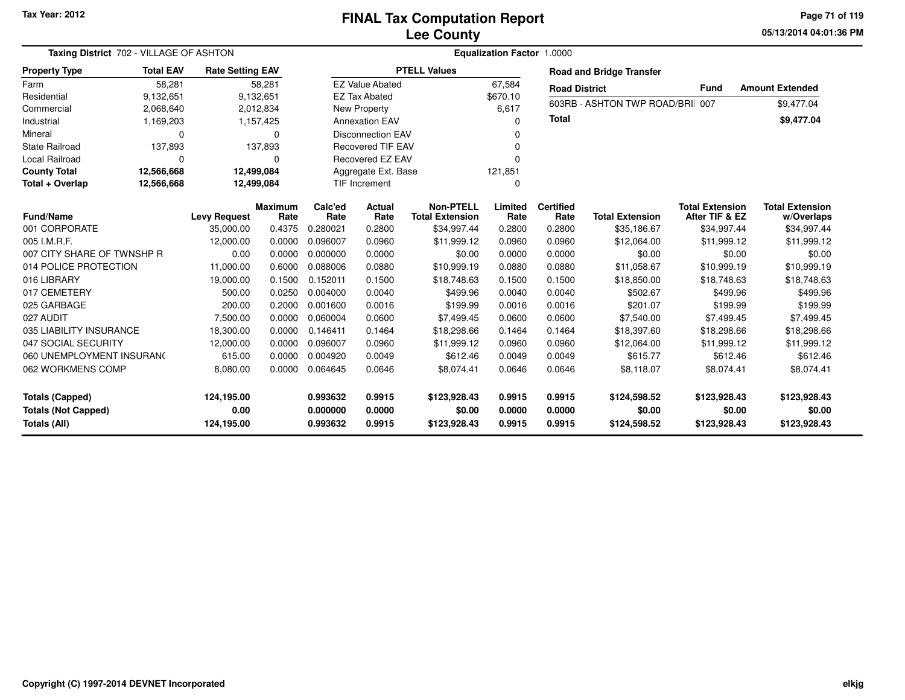**05/13/2014 04:01:36 PM Page 71 of 119**

| Taxing District 702 - VILLAGE OF ASHTON                                                                  |                          |                         |                                  |                            |                                        |                                            | Equalization Factor 1.0000 |                                        |                                        |                                          |                                      |
|----------------------------------------------------------------------------------------------------------|--------------------------|-------------------------|----------------------------------|----------------------------|----------------------------------------|--------------------------------------------|----------------------------|----------------------------------------|----------------------------------------|------------------------------------------|--------------------------------------|
| <b>Property Type</b>                                                                                     | <b>Total EAV</b>         | <b>Rate Setting EAV</b> |                                  |                            |                                        | <b>PTELL Values</b>                        |                            |                                        | <b>Road and Bridge Transfer</b>        |                                          |                                      |
| Farm                                                                                                     | 58,281                   |                         | 58,281                           |                            | <b>EZ Value Abated</b>                 |                                            | 67,584                     | <b>Road District</b>                   |                                        | <b>Fund</b>                              | <b>Amount Extended</b>               |
| Residential                                                                                              | 9,132,651                |                         | 9,132,651                        |                            | <b>EZ Tax Abated</b>                   |                                            | \$670.10                   |                                        | 603RB - ASHTON TWP ROAD/BRII 007       |                                          |                                      |
| Commercial                                                                                               | 2,068,640                |                         | 2,012,834                        |                            | <b>New Property</b>                    |                                            | 6,617                      |                                        |                                        |                                          | \$9,477.04                           |
| Industrial                                                                                               | 1,169,203                |                         | 1,157,425                        |                            | <b>Annexation EAV</b>                  |                                            | O                          | <b>Total</b>                           |                                        |                                          | \$9,477.04                           |
| Mineral                                                                                                  | $\Omega$<br>0            |                         |                                  |                            | <b>Disconnection EAV</b>               |                                            |                            |                                        |                                        |                                          |                                      |
| <b>State Railroad</b>                                                                                    | 137,893<br>137,893       |                         |                                  |                            | <b>Recovered TIF EAV</b>               |                                            | $\Omega$                   |                                        |                                        |                                          |                                      |
| Local Railroad                                                                                           | $\Omega$<br>0            |                         |                                  |                            | <b>Recovered EZ EAV</b>                |                                            | O                          |                                        |                                        |                                          |                                      |
| <b>County Total</b>                                                                                      | 12,566,668<br>12,499,084 |                         |                                  |                            | Aggregate Ext. Base                    |                                            | 121,851                    |                                        |                                        |                                          |                                      |
| Total + Overlap                                                                                          | 12,566,668               |                         | 12,499,084                       |                            | <b>TIF Increment</b>                   |                                            | $\Omega$                   |                                        |                                        |                                          |                                      |
| <b>Fund/Name</b>                                                                                         |                          | <b>Levy Request</b>     | <b>Maximum</b><br>Rate           | Calc'ed<br>Rate            | Actual<br>Rate                         | <b>Non-PTELL</b><br><b>Total Extension</b> | Limited<br>Rate            | <b>Certified</b><br>Rate               | <b>Total Extension</b>                 | <b>Total Extension</b><br>After TIF & EZ | <b>Total Extension</b><br>w/Overlaps |
| 001 CORPORATE                                                                                            |                          | 35,000.00               | 0.4375                           | 0.280021                   | 0.2800                                 | \$34,997.44                                | 0.2800                     | 0.2800                                 | \$35,186.67                            | \$34,997.44                              | \$34,997.44                          |
| 005 I.M.R.F.                                                                                             |                          | 12,000.00               | 0.0000                           | 0.096007                   | 0.0960                                 | \$11,999.12                                | 0.0960                     | 0.0960                                 | \$12,064.00                            | \$11,999.12                              | \$11,999.12                          |
| 007 CITY SHARE OF TWNSHP R                                                                               |                          | 0.00                    | 0.0000                           | 0.000000                   | 0.0000                                 | \$0.00                                     | 0.0000                     | 0.0000                                 | \$0.00                                 | \$0.00                                   | \$0.00                               |
| 014 POLICE PROTECTION                                                                                    |                          | 11,000.00               | 0.6000                           | 0.088006                   | 0.0880                                 | \$10,999.19                                | 0.0880                     | 0.0880                                 | \$11,058.67                            | \$10,999.19                              | \$10,999.19                          |
| 016 LIBRARY                                                                                              |                          | 19,000.00               | 0.1500                           | 0.152011                   | 0.1500                                 | \$18,748.63                                | 0.1500                     | 0.1500                                 | \$18,850.00                            | \$18,748.63                              | \$18,748.63                          |
| 017 CEMETERY                                                                                             |                          | 500.00                  | 0.0250                           | 0.004000                   | 0.0040                                 | \$499.96                                   | 0.0040                     | 0.0040                                 | \$502.67                               | \$499.96                                 | \$499.96                             |
| 025 GARBAGE                                                                                              |                          | 200.00                  | 0.2000                           | 0.001600                   | 0.0016                                 | \$199.99                                   | 0.0016                     | 0.0016                                 | \$201.07                               | \$199.99                                 | \$199.99                             |
| 027 AUDIT                                                                                                |                          | 7,500.00                | 0.0000                           | 0.060004                   | 0.0600                                 | \$7,499.45                                 | 0.0600                     | 0.0600                                 | \$7,540.00                             | \$7,499.45                               | \$7,499.45                           |
| 035 LIABILITY INSURANCE                                                                                  |                          | 18,300.00               | 0.0000                           | 0.146411                   | 0.1464                                 | \$18,298.66                                | 0.1464                     | 0.1464                                 | \$18,397.60                            | \$18,298.66                              | \$18,298.66                          |
| 047 SOCIAL SECURITY                                                                                      |                          | 12,000.00               | 0.0000                           | 0.096007                   | 0.0960                                 | \$11,999.12                                | 0.0960                     | 0.0960                                 | \$12,064.00                            | \$11,999.12                              | \$11,999.12                          |
| 060 UNEMPLOYMENT INSURANO                                                                                |                          | 615.00                  | 0.0000                           | 0.004920                   | 0.0049                                 | \$612.46                                   | 0.0049                     | 0.0049                                 | \$615.77                               | \$612.46                                 | \$612.46                             |
| 062 WORKMENS COMP                                                                                        |                          | 8,080.00                | 0.0000                           | 0.064645                   | 0.0646                                 | \$8,074.41                                 | 0.0646                     | 0.0646                                 | \$8,118.07                             | \$8,074.41                               | \$8,074.41                           |
| 124,195.00<br><b>Totals (Capped)</b><br><b>Totals (Not Capped)</b><br>0.00<br>Totals (All)<br>124,195.00 |                          |                         | 0.993632<br>0.000000<br>0.993632 | 0.9915<br>0.0000<br>0.9915 | \$123,928.43<br>\$0.00<br>\$123,928.43 | 0.9915<br>0.0000<br>0.9915                 | 0.9915<br>0.0000<br>0.9915 | \$124,598.52<br>\$0.00<br>\$124,598.52 | \$123,928.43<br>\$0.00<br>\$123,928.43 | \$123,928.43<br>\$0.00<br>\$123,928.43   |                                      |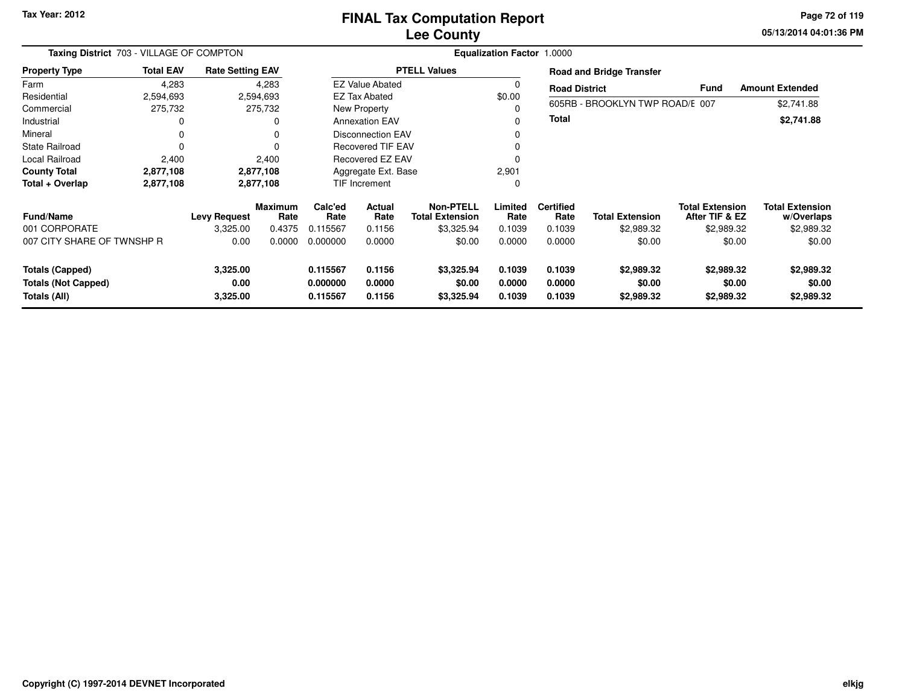**05/13/2014 04:01:36 PM Page 72 of 119**

| Taxing District 703 - VILLAGE OF COMPTON                             |                  |                              |                 | <b>Equalization Factor 1.0000</b> |                            |                                            |                            |                            |                                    |                                          |                                      |  |  |
|----------------------------------------------------------------------|------------------|------------------------------|-----------------|-----------------------------------|----------------------------|--------------------------------------------|----------------------------|----------------------------|------------------------------------|------------------------------------------|--------------------------------------|--|--|
| <b>Property Type</b>                                                 | <b>Total EAV</b> | <b>Rate Setting EAV</b>      |                 |                                   |                            | <b>PTELL Values</b>                        |                            |                            | <b>Road and Bridge Transfer</b>    |                                          |                                      |  |  |
| Farm                                                                 | 4,283            |                              | 4,283           |                                   | <b>EZ Value Abated</b>     |                                            | 0                          | <b>Road District</b>       |                                    | <b>Fund</b>                              | <b>Amount Extended</b>               |  |  |
| Residential                                                          | 2,594,693        |                              | 2,594,693       |                                   | EZ Tax Abated              |                                            | \$0.00                     |                            |                                    |                                          |                                      |  |  |
| Commercial                                                           | 275,732          |                              | 275,732         |                                   | New Property               |                                            |                            |                            | 605RB - BROOKLYN TWP ROAD/E 007    |                                          | \$2,741.88                           |  |  |
| Industrial                                                           | 0                |                              | 0               |                                   | <b>Annexation EAV</b>      |                                            |                            | Total                      |                                    |                                          | \$2,741.88                           |  |  |
| Mineral                                                              | 0                |                              | 0               |                                   | <b>Disconnection EAV</b>   |                                            | $\mathbf 0$                |                            |                                    |                                          |                                      |  |  |
| <b>State Railroad</b>                                                | 0                |                              | 0               |                                   | <b>Recovered TIF EAV</b>   |                                            | 0                          |                            |                                    |                                          |                                      |  |  |
| Local Railroad                                                       | 2,400            |                              | 2,400           |                                   | Recovered EZ EAV           |                                            | $\Omega$                   |                            |                                    |                                          |                                      |  |  |
| <b>County Total</b>                                                  | 2,877,108        |                              | 2,877,108       |                                   | Aggregate Ext. Base        |                                            | 2,901                      |                            |                                    |                                          |                                      |  |  |
| Total + Overlap                                                      | 2,877,108        |                              | 2,877,108       |                                   | <b>TIF Increment</b>       |                                            | 0                          |                            |                                    |                                          |                                      |  |  |
| <b>Fund/Name</b>                                                     |                  | <b>Levy Request</b>          | Maximum<br>Rate | Calc'ed<br>Rate                   | <b>Actual</b><br>Rate      | <b>Non-PTELL</b><br><b>Total Extension</b> | Limited<br>Rate            | <b>Certified</b><br>Rate   | <b>Total Extension</b>             | <b>Total Extension</b><br>After TIF & EZ | <b>Total Extension</b><br>w/Overlaps |  |  |
| 001 CORPORATE                                                        |                  | 3,325.00                     | 0.4375          | 0.115567                          | 0.1156                     | \$3,325.94                                 | 0.1039                     | 0.1039                     | \$2,989.32                         | \$2,989.32                               | \$2,989.32                           |  |  |
| 007 CITY SHARE OF TWNSHP R                                           |                  | 0.00                         | 0.0000          | 0.000000                          | 0.0000                     | \$0.00                                     | 0.0000                     | 0.0000                     | \$0.00                             | \$0.00                                   | \$0.00                               |  |  |
| <b>Totals (Capped)</b><br><b>Totals (Not Capped)</b><br>Totals (All) |                  | 3,325.00<br>0.00<br>3,325.00 |                 | 0.115567<br>0.000000<br>0.115567  | 0.1156<br>0.0000<br>0.1156 | \$3,325.94<br>\$0.00<br>\$3,325.94         | 0.1039<br>0.0000<br>0.1039 | 0.1039<br>0.0000<br>0.1039 | \$2,989.32<br>\$0.00<br>\$2,989.32 | \$2,989.32<br>\$0.00<br>\$2,989.32       | \$2,989.32<br>\$0.00<br>\$2,989.32   |  |  |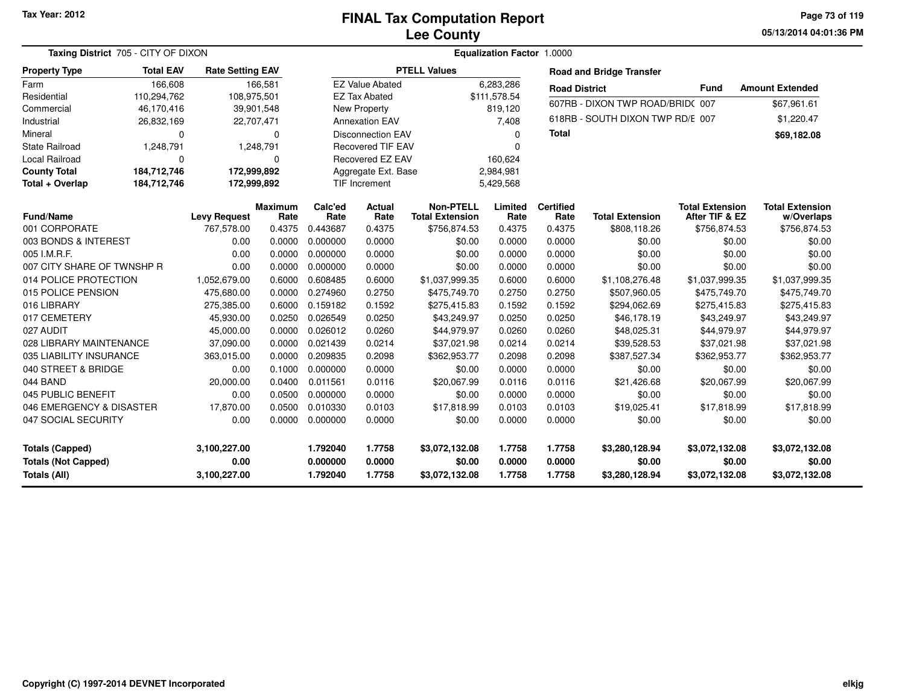**05/13/2014 04:01:36 PM Page 73 of 119**

| Taxing District 705 - CITY OF DIXON |                  |                         |                        |                 |                          |                                            | Equalization Factor 1.0000 |                          |                                  |                                          |                                      |
|-------------------------------------|------------------|-------------------------|------------------------|-----------------|--------------------------|--------------------------------------------|----------------------------|--------------------------|----------------------------------|------------------------------------------|--------------------------------------|
| <b>Property Type</b>                | <b>Total EAV</b> | <b>Rate Setting EAV</b> |                        |                 |                          | <b>PTELL Values</b>                        |                            |                          | <b>Road and Bridge Transfer</b>  |                                          |                                      |
| Farm                                | 166,608          |                         | 166.581                |                 | <b>EZ Value Abated</b>   |                                            | 6.283.286                  | <b>Road District</b>     |                                  | <b>Fund</b>                              | <b>Amount Extended</b>               |
| Residential                         | 110,294,762      | 108,975,501             |                        |                 | <b>EZ Tax Abated</b>     |                                            | \$111,578.54               |                          | 607RB - DIXON TWP ROAD/BRID(007  |                                          | \$67,961.61                          |
| Commercial                          | 46,170,416       | 39,901,548              |                        |                 | New Property             |                                            | 819,120                    |                          |                                  |                                          |                                      |
| Industrial                          | 26,832,169       | 22,707,471              |                        |                 | <b>Annexation EAV</b>    |                                            | 7,408                      |                          | 618RB - SOUTH DIXON TWP RD/E 007 |                                          | \$1,220.47                           |
| Mineral                             | $\mathbf 0$      |                         | 0                      |                 | <b>Disconnection EAV</b> |                                            | 0                          | <b>Total</b>             |                                  |                                          | \$69,182.08                          |
| <b>State Railroad</b>               | 1,248,791        |                         | 1,248,791              |                 | <b>Recovered TIF EAV</b> |                                            | $\Omega$                   |                          |                                  |                                          |                                      |
| Local Railroad                      | $\Omega$         |                         | $\Omega$               |                 | Recovered EZ EAV         |                                            | 160,624                    |                          |                                  |                                          |                                      |
| <b>County Total</b>                 | 184,712,746      | 172,999,892             |                        |                 | Aggregate Ext. Base      |                                            | 2,984,981                  |                          |                                  |                                          |                                      |
| Total + Overlap                     | 184,712,746      | 172,999,892             |                        |                 | TIF Increment            |                                            | 5,429,568                  |                          |                                  |                                          |                                      |
| Fund/Name                           |                  | <b>Levy Request</b>     | <b>Maximum</b><br>Rate | Calc'ed<br>Rate | <b>Actual</b><br>Rate    | <b>Non-PTELL</b><br><b>Total Extension</b> | Limited<br>Rate            | <b>Certified</b><br>Rate | <b>Total Extension</b>           | <b>Total Extension</b><br>After TIF & EZ | <b>Total Extension</b><br>w/Overlaps |
| 001 CORPORATE                       |                  | 767,578.00              | 0.4375                 | 0.443687        | 0.4375                   | \$756,874.53                               | 0.4375                     | 0.4375                   | \$808,118.26                     | \$756,874.53                             | \$756,874.53                         |
| 003 BONDS & INTEREST                |                  | 0.00                    | 0.0000                 | 0.000000        | 0.0000                   | \$0.00                                     | 0.0000                     | 0.0000                   | \$0.00                           | \$0.00                                   | \$0.00                               |
| 005 I.M.R.F.                        |                  | 0.00                    | 0.0000                 | 0.000000        | 0.0000                   | \$0.00                                     | 0.0000                     | 0.0000                   | \$0.00                           | \$0.00                                   | \$0.00                               |
| 007 CITY SHARE OF TWNSHP R          |                  | 0.00                    | 0.0000                 | 0.000000        | 0.0000                   | \$0.00                                     | 0.0000                     | 0.0000                   | \$0.00                           | \$0.00                                   | \$0.00                               |
| 014 POLICE PROTECTION               |                  | 1,052,679.00            | 0.6000                 | 0.608485        | 0.6000                   | \$1,037,999.35                             | 0.6000                     | 0.6000                   | \$1,108,276.48                   | \$1,037,999.35                           | \$1,037,999.35                       |
| 015 POLICE PENSION                  |                  | 475,680.00              | 0.0000                 | 0.274960        | 0.2750                   | \$475,749.70                               | 0.2750                     | 0.2750                   | \$507,960.05                     | \$475,749.70                             | \$475,749.70                         |
| 016 LIBRARY                         |                  | 275,385.00              | 0.6000                 | 0.159182        | 0.1592                   | \$275,415.83                               | 0.1592                     | 0.1592                   | \$294,062.69                     | \$275,415.83                             | \$275,415.83                         |
| 017 CEMETERY                        |                  | 45,930.00               | 0.0250                 | 0.026549        | 0.0250                   | \$43,249.97                                | 0.0250                     | 0.0250                   | \$46,178.19                      | \$43,249.97                              | \$43,249.97                          |
| 027 AUDIT                           |                  | 45,000.00               | 0.0000                 | 0.026012        | 0.0260                   | \$44,979.97                                | 0.0260                     | 0.0260                   | \$48,025.31                      | \$44,979.97                              | \$44,979.97                          |
| 028 LIBRARY MAINTENANCE             |                  | 37,090.00               | 0.0000                 | 0.021439        | 0.0214                   | \$37,021.98                                | 0.0214                     | 0.0214                   | \$39,528.53                      | \$37,021.98                              | \$37,021.98                          |
| 035 LIABILITY INSURANCE             |                  | 363,015.00              | 0.0000                 | 0.209835        | 0.2098                   | \$362,953.77                               | 0.2098                     | 0.2098                   | \$387,527.34                     | \$362,953.77                             | \$362,953.77                         |
| 040 STREET & BRIDGE                 |                  | 0.00                    | 0.1000                 | 0.000000        | 0.0000                   | \$0.00                                     | 0.0000                     | 0.0000                   | \$0.00                           | \$0.00                                   | \$0.00                               |
| 044 BAND                            |                  | 20,000.00               | 0.0400                 | 0.011561        | 0.0116                   | \$20,067.99                                | 0.0116                     | 0.0116                   | \$21,426.68                      | \$20,067.99                              | \$20,067.99                          |
| 045 PUBLIC BENEFIT                  |                  | 0.00                    | 0.0500                 | 0.000000        | 0.0000                   | \$0.00                                     | 0.0000                     | 0.0000                   | \$0.00                           | \$0.00                                   | \$0.00                               |
| 046 EMERGENCY & DISASTER            |                  | 17,870.00               | 0.0500                 | 0.010330        | 0.0103                   | \$17,818.99                                | 0.0103                     | 0.0103                   | \$19,025.41                      | \$17,818.99                              | \$17,818.99                          |
| 047 SOCIAL SECURITY                 |                  | 0.00                    | 0.0000                 | 0.000000        | 0.0000                   | \$0.00                                     | 0.0000                     | 0.0000                   | \$0.00                           | \$0.00                                   | \$0.00                               |
| <b>Totals (Capped)</b>              |                  | 3,100,227.00            |                        | 1.792040        | 1.7758                   | \$3,072,132.08                             | 1.7758                     | 1.7758                   | \$3,280,128.94                   | \$3,072,132.08                           | \$3,072,132.08                       |
| <b>Totals (Not Capped)</b>          |                  | 0.00                    |                        | 0.000000        | 0.0000                   | \$0.00                                     | 0.0000                     | 0.0000                   | \$0.00                           | \$0.00                                   | \$0.00                               |
| Totals (All)                        |                  | 3,100,227.00            |                        | 1.792040        | 1.7758                   | \$3,072,132.08                             | 1.7758                     | 1.7758                   | \$3,280,128.94                   | \$3,072,132.08                           | \$3,072,132.08                       |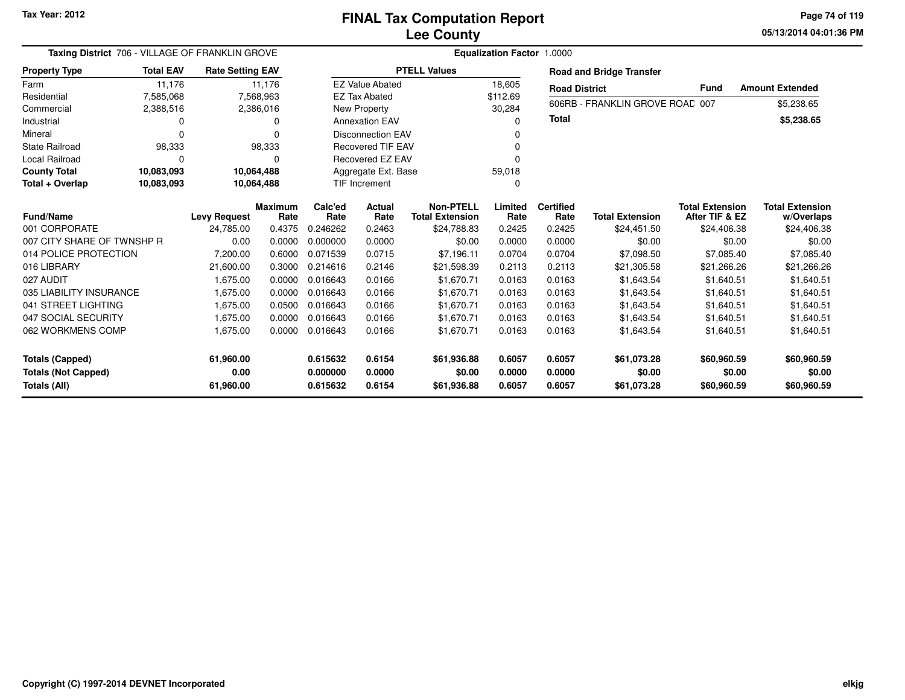**05/13/2014 04:01:36 PM Page 74 of 119**

| Taxing District 706 - VILLAGE OF FRANKLIN GROVE |            |                         |            |          | <b>Equalization Factor 1.0000</b><br><b>PTELL Values</b> |                        |          |                      |                                 |                        |                        |
|-------------------------------------------------|------------|-------------------------|------------|----------|----------------------------------------------------------|------------------------|----------|----------------------|---------------------------------|------------------------|------------------------|
| <b>Total EAV</b><br><b>Property Type</b>        |            | <b>Rate Setting EAV</b> |            |          |                                                          |                        |          |                      | <b>Road and Bridge Transfer</b> |                        |                        |
| Farm                                            | 11,176     |                         | 11,176     |          | <b>EZ Value Abated</b>                                   |                        | 18,605   | <b>Road District</b> |                                 | Fund                   | <b>Amount Extended</b> |
| Residential                                     | 7,585,068  |                         | 7,568,963  |          | <b>EZ Tax Abated</b>                                     |                        | \$112.69 |                      |                                 |                        |                        |
| Commercial                                      | 2,388,516  |                         | 2,386,016  |          | New Property                                             |                        | 30,284   |                      | 606RB - FRANKLIN GROVE ROAD 007 |                        | \$5,238.65             |
| Industrial                                      | 0          |                         | 0          |          | <b>Annexation EAV</b>                                    |                        | 0        | <b>Total</b>         |                                 |                        | \$5,238.65             |
| Mineral                                         | O          |                         | U          |          | <b>Disconnection EAV</b>                                 |                        |          |                      |                                 |                        |                        |
| <b>State Railroad</b>                           | 98,333     |                         | 98,333     |          | <b>Recovered TIF EAV</b>                                 |                        |          |                      |                                 |                        |                        |
| <b>Local Railroad</b>                           | O          |                         | 0          |          | <b>Recovered EZ EAV</b>                                  |                        | 0        |                      |                                 |                        |                        |
| <b>County Total</b>                             | 10,083,093 |                         | 10,064,488 |          | Aggregate Ext. Base                                      |                        | 59,018   |                      |                                 |                        |                        |
| Total + Overlap                                 | 10,083,093 |                         | 10,064,488 |          | <b>TIF Increment</b>                                     |                        | $\Omega$ |                      |                                 |                        |                        |
|                                                 |            |                         | Maximum    | Calc'ed  | Actual                                                   | <b>Non-PTELL</b>       | Limited  | <b>Certified</b>     |                                 | <b>Total Extension</b> | <b>Total Extension</b> |
| <b>Fund/Name</b>                                |            | <b>Levy Request</b>     | Rate       | Rate     | Rate                                                     | <b>Total Extension</b> | Rate     | Rate                 | <b>Total Extension</b>          | After TIF & EZ         | w/Overlaps             |
| 001 CORPORATE                                   |            | 24,785.00               | 0.4375     | 0.246262 | 0.2463                                                   | \$24,788.83            | 0.2425   | 0.2425               | \$24,451.50                     | \$24,406.38            | \$24,406.38            |
| 007 CITY SHARE OF TWNSHP R                      |            | 0.00                    | 0.0000     | 0.000000 | 0.0000                                                   | \$0.00                 | 0.0000   | 0.0000               | \$0.00                          | \$0.00                 | \$0.00                 |
| 014 POLICE PROTECTION                           |            | 7,200.00                | 0.6000     | 0.071539 | 0.0715                                                   | \$7,196.11             | 0.0704   | 0.0704               | \$7,098.50                      | \$7,085.40             | \$7,085.40             |
| 016 LIBRARY                                     |            | 21,600.00               | 0.3000     | 0.214616 | 0.2146                                                   | \$21,598.39            | 0.2113   | 0.2113               | \$21,305.58                     | \$21,266.26            | \$21,266.26            |
| 027 AUDIT                                       |            | 1,675.00                | 0.0000     | 0.016643 | 0.0166                                                   | \$1,670.71             | 0.0163   | 0.0163               | \$1,643.54                      | \$1,640.51             | \$1,640.51             |
| 035 LIABILITY INSURANCE                         |            | 1,675.00                | 0.0000     | 0.016643 | 0.0166                                                   | \$1,670.71             | 0.0163   | 0.0163               | \$1,643.54                      | \$1,640.51             | \$1,640.51             |
| 041 STREET LIGHTING                             |            | 1,675.00                | 0.0500     | 0.016643 | 0.0166                                                   | \$1,670.71             | 0.0163   | 0.0163               | \$1,643.54                      | \$1,640.51             | \$1,640.51             |
| 047 SOCIAL SECURITY                             |            | 1.675.00                | 0.0000     | 0.016643 | 0.0166                                                   | \$1.670.71             | 0.0163   | 0.0163               | \$1,643.54                      | \$1.640.51             | \$1,640.51             |
| 062 WORKMENS COMP                               |            | 1,675.00                | 0.0000     | 0.016643 | 0.0166                                                   | \$1,670.71             | 0.0163   | 0.0163               | \$1,643.54                      | \$1,640.51             | \$1,640.51             |
| <b>Totals (Capped)</b>                          |            | 61,960.00               |            | 0.615632 | 0.6154                                                   | \$61,936.88            | 0.6057   | 0.6057               | \$61,073.28                     | \$60,960.59            | \$60,960.59            |
| <b>Totals (Not Capped)</b>                      |            | 0.00                    |            | 0.000000 | 0.0000                                                   | \$0.00                 | 0.0000   | 0.0000               | \$0.00                          | \$0.00                 | \$0.00                 |
| Totals (All)                                    |            | 61,960.00               |            | 0.615632 | 0.6154                                                   | \$61,936.88            | 0.6057   | 0.6057               | \$61,073.28                     | \$60,960.59            | \$60,960.59            |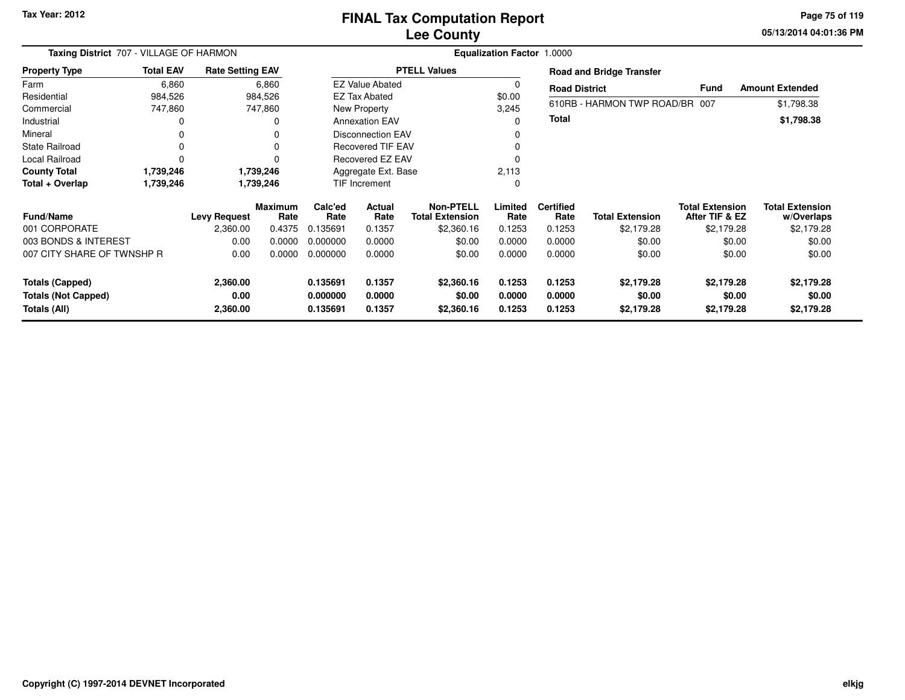**05/13/2014 04:01:36 PM Page 75 of 119**

| Taxing District 707 - VILLAGE OF HARMON              |                  |                         |                        |                      |                          |                                            | <b>Equalization Factor 1.0000</b> |                          |                                 |                                          |                                      |
|------------------------------------------------------|------------------|-------------------------|------------------------|----------------------|--------------------------|--------------------------------------------|-----------------------------------|--------------------------|---------------------------------|------------------------------------------|--------------------------------------|
| <b>Property Type</b>                                 | <b>Total EAV</b> | <b>Rate Setting EAV</b> |                        |                      |                          | <b>PTELL Values</b>                        |                                   |                          | <b>Road and Bridge Transfer</b> |                                          |                                      |
| Farm                                                 | 6,860            |                         | 6,860                  |                      | <b>EZ Value Abated</b>   |                                            |                                   | <b>Road District</b>     |                                 | <b>Fund</b>                              | <b>Amount Extended</b>               |
| Residential                                          | 984,526          |                         | 984,526                |                      | <b>EZ Tax Abated</b>     |                                            | \$0.00                            |                          |                                 |                                          |                                      |
| Commercial                                           | 747,860          |                         | 747,860                |                      | New Property             |                                            | 3,245                             |                          | 610RB - HARMON TWP ROAD/BR 007  |                                          | \$1,798.38                           |
| Industrial                                           |                  |                         | 0                      |                      | <b>Annexation EAV</b>    |                                            | 0                                 | Total                    |                                 |                                          | \$1,798.38                           |
| Mineral                                              |                  |                         | 0                      |                      | <b>Disconnection EAV</b> |                                            |                                   |                          |                                 |                                          |                                      |
| State Railroad                                       | 0                |                         |                        |                      | <b>Recovered TIF EAV</b> |                                            |                                   |                          |                                 |                                          |                                      |
| Local Railroad                                       | $\Omega$         |                         |                        |                      | Recovered EZ EAV         |                                            |                                   |                          |                                 |                                          |                                      |
| <b>County Total</b>                                  | 1,739,246        |                         | 1,739,246              | Aggregate Ext. Base  |                          |                                            | 2,113                             |                          |                                 |                                          |                                      |
| Total + Overlap                                      | 1,739,246        |                         | 1,739,246              | <b>TIF Increment</b> |                          |                                            | 0                                 |                          |                                 |                                          |                                      |
| <b>Fund/Name</b>                                     |                  | <b>Levy Request</b>     | <b>Maximum</b><br>Rate | Calc'ed<br>Rate      | <b>Actual</b><br>Rate    | <b>Non-PTELL</b><br><b>Total Extension</b> | Limited<br>Rate                   | <b>Certified</b><br>Rate | <b>Total Extension</b>          | <b>Total Extension</b><br>After TIF & EZ | <b>Total Extension</b><br>w/Overlaps |
| 001 CORPORATE                                        |                  | 2,360.00                | 0.4375                 | 0.135691             | 0.1357                   | \$2,360.16                                 | 0.1253                            | 0.1253                   | \$2,179.28                      | \$2,179.28                               | \$2,179.28                           |
| 003 BONDS & INTEREST                                 |                  | 0.00                    | 0.0000                 | 0.000000             | 0.0000                   | \$0.00                                     | 0.0000                            | 0.0000                   | \$0.00                          | \$0.00                                   | \$0.00                               |
| 007 CITY SHARE OF TWNSHP R                           |                  | 0.00                    | 0.0000                 | 0.000000             | 0.0000                   | \$0.00                                     | 0.0000                            | 0.0000                   | \$0.00                          | \$0.00                                   | \$0.00                               |
| <b>Totals (Capped)</b><br><b>Totals (Not Capped)</b> |                  | 2,360.00<br>0.00        |                        | 0.135691<br>0.000000 | 0.1357<br>0.0000         | \$2,360.16<br>\$0.00                       | 0.1253<br>0.0000                  | 0.1253<br>0.0000         | \$2,179.28<br>\$0.00            | \$2,179.28<br>\$0.00                     | \$2,179.28<br>\$0.00                 |
| Totals (All)                                         |                  | 2,360.00                |                        | 0.135691             | 0.1357                   | \$2,360.16                                 | 0.1253                            | 0.1253                   | \$2,179.28                      | \$2,179.28                               | \$2,179.28                           |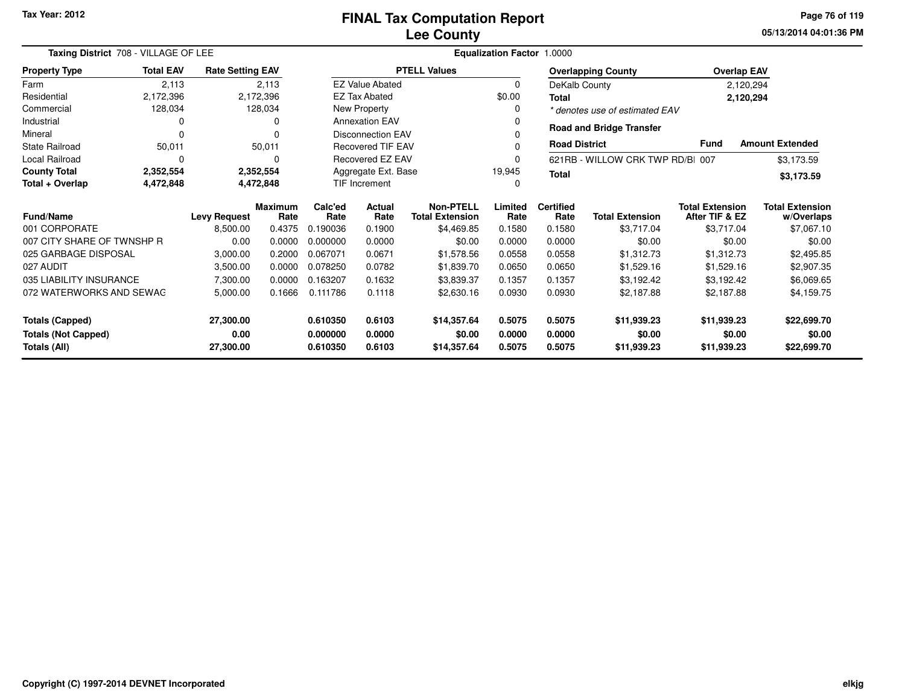**05/13/2014 04:01:36 PM Page 76 of 119**

| Taxing District 708 - VILLAGE OF LEE    |                  |                         |                 |                                                  | Equalization Factor 1.0000                 |                     |                          |                        |                                          |                                      |                    |
|-----------------------------------------|------------------|-------------------------|-----------------|--------------------------------------------------|--------------------------------------------|---------------------|--------------------------|------------------------|------------------------------------------|--------------------------------------|--------------------|
| <b>Property Type</b>                    | <b>Total EAV</b> | <b>Rate Setting EAV</b> |                 |                                                  |                                            | <b>PTELL Values</b> |                          |                        | <b>Overlapping County</b>                |                                      | <b>Overlap EAV</b> |
| Farm                                    | 2,113            |                         | 2,113           |                                                  | <b>EZ Value Abated</b>                     |                     | $\Omega$                 | DeKalb County          |                                          |                                      | 2,120,294          |
| Residential                             | 2,172,396        |                         | 2,172,396       |                                                  | <b>EZ Tax Abated</b>                       |                     | \$0.00                   | Total                  |                                          |                                      | 2,120,294          |
| Commercial                              | 128,034          |                         | 128,034         |                                                  | New Property                               |                     |                          |                        | * denotes use of estimated EAV           |                                      |                    |
| Industrial                              | 0                |                         | 0               |                                                  | <b>Annexation EAV</b>                      |                     |                          |                        |                                          |                                      |                    |
| Mineral                                 | O                |                         | O               |                                                  | <b>Disconnection EAV</b>                   |                     |                          |                        | <b>Road and Bridge Transfer</b>          |                                      |                    |
| <b>State Railroad</b>                   | 50,011           |                         | 50,011          | <b>Road District</b><br><b>Recovered TIF EAV</b> |                                            |                     |                          |                        | <b>Fund</b>                              | <b>Amount Extended</b>               |                    |
| Local Railroad                          | $\Omega$         |                         | 0               |                                                  | Recovered EZ EAV                           |                     |                          |                        | 621RB - WILLOW CRK TWP RD/BI 007         |                                      | \$3,173.59         |
| <b>County Total</b>                     | 2,352,554        |                         | 2,352,554       | 19,945<br>Aggregate Ext. Base                    |                                            |                     | <b>Total</b>             |                        |                                          | \$3,173.59                           |                    |
| Total + Overlap                         | 4,472,848        |                         | 4,472,848       | <b>TIF Increment</b>                             |                                            |                     |                          |                        |                                          |                                      |                    |
| <b>Fund/Name</b><br><b>Levy Request</b> |                  | <b>Maximum</b><br>Rate  | Calc'ed<br>Rate | <b>Actual</b><br>Rate                            | <b>Non-PTELL</b><br><b>Total Extension</b> | Limited<br>Rate     | <b>Certified</b><br>Rate | <b>Total Extension</b> | <b>Total Extension</b><br>After TIF & EZ | <b>Total Extension</b><br>w/Overlaps |                    |
| 001 CORPORATE                           |                  | 8,500.00                | 0.4375          | 0.190036                                         | 0.1900                                     | \$4,469.85          | 0.1580                   | 0.1580                 | \$3,717.04                               | \$3,717.04                           | \$7,067.10         |
| 007 CITY SHARE OF TWNSHP R              |                  | 0.00                    | 0.0000          | 0.000000                                         | 0.0000                                     | \$0.00              | 0.0000                   | 0.0000                 | \$0.00                                   | \$0.00                               | \$0.00             |
| 025 GARBAGE DISPOSAL                    |                  | 3,000.00                | 0.2000          | 0.067071                                         | 0.0671                                     | \$1,578.56          | 0.0558                   | 0.0558                 | \$1,312.73                               | \$1,312.73                           | \$2,495.85         |
| 027 AUDIT                               |                  | 3,500.00                | 0.0000          | 0.078250                                         | 0.0782                                     | \$1,839.70          | 0.0650                   | 0.0650                 | \$1,529.16                               | \$1,529.16                           | \$2,907.35         |
| 035 LIABILITY INSURANCE                 |                  | 7,300.00                | 0.0000          | 0.163207                                         | 0.1632                                     | \$3,839.37          | 0.1357                   | 0.1357                 | \$3,192.42                               | \$3,192.42                           | \$6,069.65         |
| 072 WATERWORKS AND SEWAG                |                  | 5,000.00                | 0.1666          | 0.111786                                         | 0.1118                                     | \$2,630.16          | 0.0930                   | 0.0930                 | \$2,187.88                               | \$2,187.88                           | \$4,159.75         |
| 27,300.00<br><b>Totals (Capped)</b>     |                  |                         | 0.610350        | 0.6103                                           | \$14,357.64                                | 0.5075              | 0.5075                   | \$11,939.23            | \$11,939.23                              | \$22,699.70                          |                    |
| <b>Totals (Not Capped)</b><br>0.00      |                  |                         | 0.000000        | 0.0000                                           | \$0.00                                     | 0.0000              | 0.0000                   | \$0.00                 | \$0.00                                   | \$0.00                               |                    |
| <b>Totals (All)</b><br>27,300.00        |                  |                         |                 | 0.610350                                         | 0.6103                                     | \$14,357.64         | 0.5075                   | 0.5075                 | \$11,939.23                              | \$11,939.23                          | \$22,699.70        |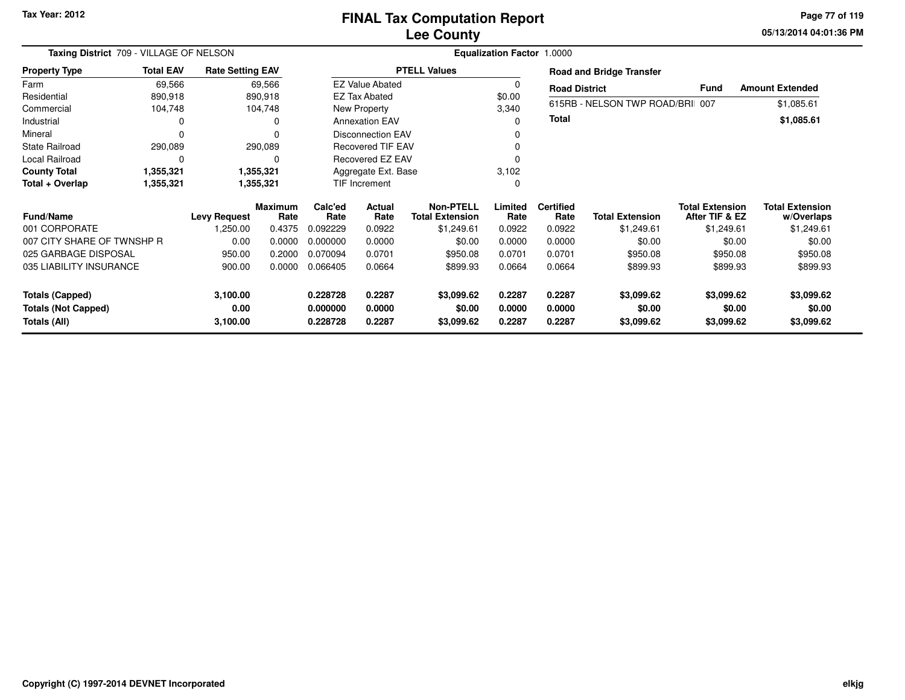**05/13/2014 04:01:36 PM Page 77 of 119**

| Taxing District 709 - VILLAGE OF NELSON    |                  | Equalization Factor 1.0000 |                        |                      |                          |                                            |                  |                          |                                 |                                          |                                      |
|--------------------------------------------|------------------|----------------------------|------------------------|----------------------|--------------------------|--------------------------------------------|------------------|--------------------------|---------------------------------|------------------------------------------|--------------------------------------|
| <b>Property Type</b>                       | <b>Total EAV</b> | <b>Rate Setting EAV</b>    |                        |                      |                          | <b>PTELL Values</b>                        |                  |                          | <b>Road and Bridge Transfer</b> |                                          |                                      |
| Farm                                       | 69,566           |                            | 69,566                 |                      | <b>EZ Value Abated</b>   |                                            | 0                | <b>Road District</b>     |                                 | <b>Fund</b>                              | <b>Amount Extended</b>               |
| Residential                                | 890,918          |                            | 890,918                |                      | <b>EZ Tax Abated</b>     |                                            | \$0.00           |                          |                                 |                                          |                                      |
| Commercial                                 | 104,748          |                            | 104,748                |                      | New Property             |                                            | 3,340            |                          | 615RB - NELSON TWP ROAD/BRI 007 |                                          | \$1,085.61                           |
| Industrial                                 | 0                |                            | 0                      |                      | <b>Annexation EAV</b>    |                                            | 0                | Total                    |                                 |                                          | \$1,085.61                           |
| Mineral                                    | 0                |                            |                        |                      | <b>Disconnection EAV</b> |                                            |                  |                          |                                 |                                          |                                      |
| <b>State Railroad</b>                      | 290,089          |                            | 290,089                |                      | <b>Recovered TIF EAV</b> |                                            | 0                |                          |                                 |                                          |                                      |
| <b>Local Railroad</b>                      | 0                |                            | 0                      |                      | Recovered EZ EAV         |                                            |                  |                          |                                 |                                          |                                      |
| <b>County Total</b>                        | 1,355,321        |                            | 1,355,321              | Aggregate Ext. Base  |                          |                                            | 3,102            |                          |                                 |                                          |                                      |
| Total + Overlap                            | 1,355,321        |                            | 1,355,321              | TIF Increment        |                          |                                            | 0                |                          |                                 |                                          |                                      |
| <b>Fund/Name</b>                           |                  | <b>Levy Request</b>        | <b>Maximum</b><br>Rate | Calc'ed<br>Rate      | Actual<br>Rate           | <b>Non-PTELL</b><br><b>Total Extension</b> | Limited<br>Rate  | <b>Certified</b><br>Rate | <b>Total Extension</b>          | <b>Total Extension</b><br>After TIF & EZ | <b>Total Extension</b><br>w/Overlaps |
| 001 CORPORATE                              |                  | 1,250.00                   | 0.4375                 | 0.092229             | 0.0922                   | \$1,249.61                                 | 0.0922           | 0.0922                   | \$1,249.61                      | \$1,249.61                               | \$1,249.61                           |
| 007 CITY SHARE OF TWNSHP R                 |                  | 0.00                       | 0.0000                 | 0.000000             | 0.0000                   | \$0.00                                     | 0.0000           | 0.0000                   | \$0.00                          | \$0.00                                   | \$0.00                               |
| 025 GARBAGE DISPOSAL                       |                  | 950.00                     | 0.2000                 | 0.070094             | 0.0701                   | \$950.08                                   | 0.0701           | 0.0701                   | \$950.08                        | \$950.08                                 | \$950.08                             |
| 035 LIABILITY INSURANCE                    |                  | 900.00                     | 0.0000                 | 0.066405             | 0.0664                   | \$899.93                                   | 0.0664           | 0.0664                   | \$899.93                        | \$899.93                                 | \$899.93                             |
| <b>Totals (Capped)</b>                     |                  | 3,100.00                   |                        | 0.228728             | 0.2287                   | \$3,099.62                                 | 0.2287           | 0.2287                   | \$3,099.62                      | \$3,099.62                               | \$3,099.62                           |
| <b>Totals (Not Capped)</b><br>Totals (All) |                  | 0.00<br>3,100.00           |                        | 0.000000<br>0.228728 | 0.0000<br>0.2287         | \$0.00<br>\$3,099.62                       | 0.0000<br>0.2287 | 0.0000<br>0.2287         | \$0.00<br>\$3,099.62            | \$0.00<br>\$3,099.62                     | \$0.00<br>\$3,099.62                 |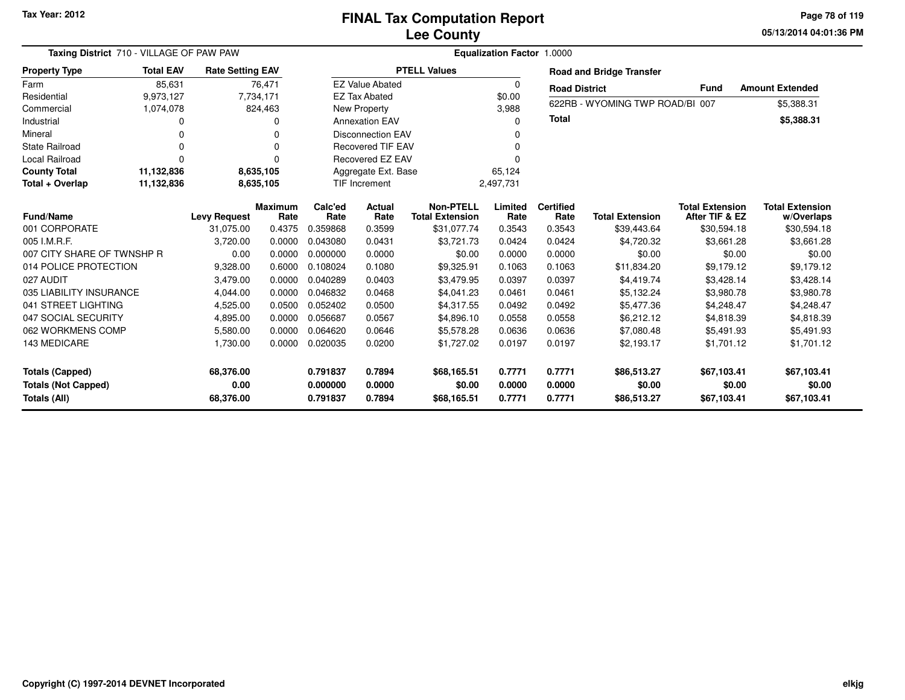**05/13/2014 04:01:36 PMPage 78 of 119**

| Taxing District 710 - VILLAGE OF PAW PAW |                  |                         |                 |                 | <b>Equalization Factor 1.0000</b> |                                            |                 |                          |                                 |                                          |                                      |
|------------------------------------------|------------------|-------------------------|-----------------|-----------------|-----------------------------------|--------------------------------------------|-----------------|--------------------------|---------------------------------|------------------------------------------|--------------------------------------|
| <b>Property Type</b>                     | <b>Total EAV</b> | <b>Rate Setting EAV</b> |                 |                 |                                   | <b>PTELL Values</b>                        |                 |                          | <b>Road and Bridge Transfer</b> |                                          |                                      |
| Farm                                     | 85,631           |                         | 76,471          |                 | <b>EZ Value Abated</b>            |                                            | 0               | <b>Road District</b>     |                                 | <b>Fund</b>                              | <b>Amount Extended</b>               |
| Residential                              | 9,973,127        | 7,734,171               |                 |                 | <b>EZ Tax Abated</b>              |                                            | \$0.00          |                          |                                 |                                          |                                      |
| Commercial                               | 1,074,078        |                         | 824,463         |                 | New Property                      |                                            | 3,988           |                          | 622RB - WYOMING TWP ROAD/BI 007 |                                          | \$5,388.31                           |
| Industrial                               | <sup>0</sup>     |                         | O               |                 | <b>Annexation EAV</b>             |                                            | O               | <b>Total</b>             |                                 |                                          | \$5,388.31                           |
| Mineral                                  | $\Omega$         |                         | $\Omega$        |                 | <b>Disconnection EAV</b>          |                                            | 0               |                          |                                 |                                          |                                      |
| <b>State Railroad</b>                    | $\Omega$         |                         | O               |                 | <b>Recovered TIF EAV</b>          |                                            | O               |                          |                                 |                                          |                                      |
| <b>Local Railroad</b>                    | $\Omega$         |                         | $\Omega$        |                 | <b>Recovered EZ EAV</b>           |                                            | 0               |                          |                                 |                                          |                                      |
| <b>County Total</b>                      | 11,132,836       |                         | 8,635,105       |                 | Aggregate Ext. Base               |                                            | 65,124          |                          |                                 |                                          |                                      |
| Total + Overlap                          | 11,132,836       |                         | 8,635,105       |                 | <b>TIF Increment</b>              |                                            | 2,497,731       |                          |                                 |                                          |                                      |
| <b>Fund/Name</b>                         |                  | <b>Levy Request</b>     | Maximum<br>Rate | Calc'ed<br>Rate | Actual<br>Rate                    | <b>Non-PTELL</b><br><b>Total Extension</b> | Limited<br>Rate | <b>Certified</b><br>Rate | <b>Total Extension</b>          | <b>Total Extension</b><br>After TIF & EZ | <b>Total Extension</b><br>w/Overlaps |
| 001 CORPORATE                            |                  | 31,075.00               | 0.4375          | 0.359868        | 0.3599                            | \$31,077.74                                | 0.3543          | 0.3543                   | \$39,443.64                     | \$30,594.18                              | \$30,594.18                          |
| 005 I.M.R.F.                             |                  | 3,720.00                | 0.0000          | 0.043080        | 0.0431                            | \$3,721.73                                 | 0.0424          | 0.0424                   | \$4,720.32                      | \$3,661.28                               | \$3,661.28                           |
| 007 CITY SHARE OF TWNSHP R               |                  | 0.00                    | 0.0000          | 0.000000        | 0.0000                            | \$0.00                                     | 0.0000          | 0.0000                   | \$0.00                          | \$0.00                                   | \$0.00                               |
| 014 POLICE PROTECTION                    |                  | 9,328.00                | 0.6000          | 0.108024        | 0.1080                            | \$9,325.91                                 | 0.1063          | 0.1063                   | \$11,834.20                     | \$9,179.12                               | \$9,179.12                           |
| 027 AUDIT                                |                  | 3,479.00                | 0.0000          | 0.040289        | 0.0403                            | \$3,479.95                                 | 0.0397          | 0.0397                   | \$4,419.74                      | \$3,428.14                               | \$3,428.14                           |
| 035 LIABILITY INSURANCE                  |                  | 4,044.00                | 0.0000          | 0.046832        | 0.0468                            | \$4,041.23                                 | 0.0461          | 0.0461                   | \$5,132.24                      | \$3,980.78                               | \$3,980.78                           |
| 041 STREET LIGHTING                      |                  | 4,525.00                | 0.0500          | 0.052402        | 0.0500                            | \$4,317.55                                 | 0.0492          | 0.0492                   | \$5,477.36                      | \$4,248.47                               | \$4,248.47                           |
| 047 SOCIAL SECURITY                      |                  | 4,895.00                | 0.0000          | 0.056687        | 0.0567                            | \$4,896.10                                 | 0.0558          | 0.0558                   | \$6,212.12                      | \$4,818.39                               | \$4,818.39                           |
| 062 WORKMENS COMP                        |                  | 5,580.00                | 0.0000          | 0.064620        | 0.0646                            | \$5,578.28                                 | 0.0636          | 0.0636                   | \$7,080.48                      | \$5,491.93                               | \$5,491.93                           |
| 143 MEDICARE                             |                  | 1,730.00                | 0.0000          | 0.020035        | 0.0200                            | \$1,727.02                                 | 0.0197          | 0.0197                   | \$2,193.17                      | \$1,701.12                               | \$1,701.12                           |
| <b>Totals (Capped)</b>                   |                  | 68,376.00               |                 | 0.791837        | 0.7894                            | \$68,165.51                                | 0.7771          | 0.7771                   | \$86,513.27                     | \$67,103.41                              | \$67,103.41                          |
| <b>Totals (Not Capped)</b>               |                  | 0.00                    |                 | 0.000000        | 0.0000                            | \$0.00                                     | 0.0000          | 0.0000                   | \$0.00                          | \$0.00                                   | \$0.00                               |
| Totals (All)                             |                  | 68,376.00               |                 | 0.791837        | 0.7894                            | \$68,165.51                                | 0.7771          | 0.7771                   | \$86,513.27                     | \$67,103.41                              | \$67,103.41                          |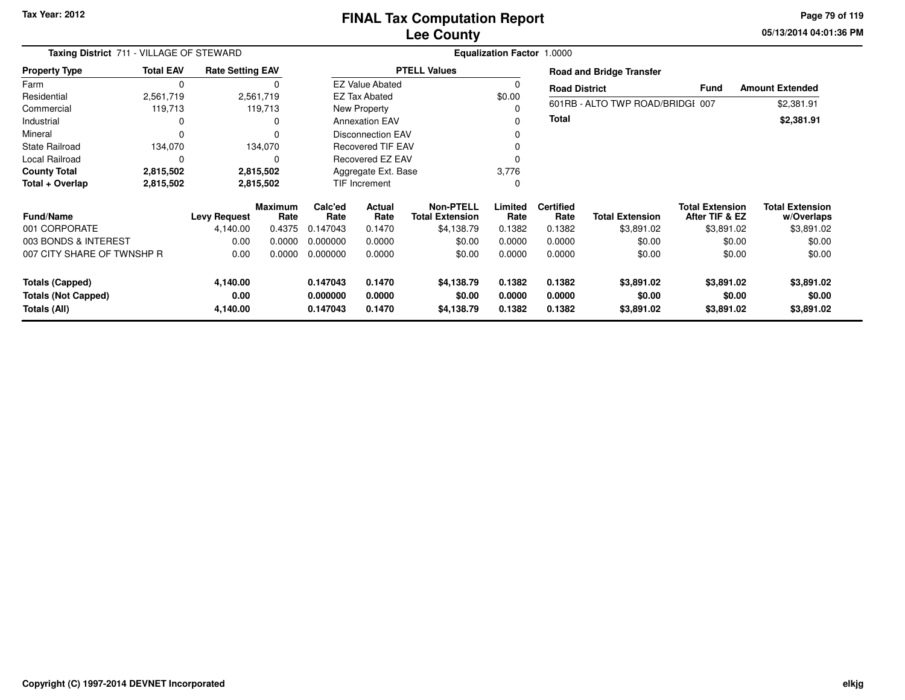**05/13/2014 04:01:36 PM Page 79 of 119**

| Taxing District 711 - VILLAGE OF STEWARD   |                  |                         |                        |                      | <b>Equalization Factor 1.0000</b> |                                            |                  |                          |                                  |                                          |                                      |
|--------------------------------------------|------------------|-------------------------|------------------------|----------------------|-----------------------------------|--------------------------------------------|------------------|--------------------------|----------------------------------|------------------------------------------|--------------------------------------|
| <b>Property Type</b>                       | <b>Total EAV</b> | <b>Rate Setting EAV</b> |                        |                      |                                   | <b>PTELL Values</b>                        |                  |                          | <b>Road and Bridge Transfer</b>  |                                          |                                      |
| Farm                                       | 0                |                         |                        |                      | <b>EZ Value Abated</b>            |                                            |                  | <b>Road District</b>     |                                  | Fund                                     | <b>Amount Extended</b>               |
| Residential                                | 2,561,719        |                         | 2,561,719              |                      | <b>EZ Tax Abated</b>              |                                            | \$0.00           |                          |                                  |                                          |                                      |
| Commercial                                 | 119,713          |                         | 119,713                |                      | New Property                      |                                            |                  |                          | 601RB - ALTO TWP ROAD/BRIDGI 007 |                                          | \$2,381.91                           |
| Industrial                                 | 0                |                         | $\Omega$               |                      | <b>Annexation EAV</b>             |                                            |                  | <b>Total</b>             |                                  |                                          | \$2,381.91                           |
| Mineral                                    | $\Omega$         |                         | $\Omega$               |                      | <b>Disconnection EAV</b>          |                                            |                  |                          |                                  |                                          |                                      |
| <b>State Railroad</b>                      | 134,070          |                         | 134,070                |                      | <b>Recovered TIF EAV</b>          |                                            |                  |                          |                                  |                                          |                                      |
| <b>Local Railroad</b>                      | $\Omega$         |                         | $\Omega$               | Recovered EZ EAV     |                                   |                                            |                  |                          |                                  |                                          |                                      |
| <b>County Total</b>                        | 2,815,502        |                         | 2,815,502              | Aggregate Ext. Base  |                                   |                                            | 3,776            |                          |                                  |                                          |                                      |
| Total + Overlap                            | 2,815,502        |                         | 2,815,502              | TIF Increment        |                                   |                                            |                  |                          |                                  |                                          |                                      |
| <b>Fund/Name</b>                           |                  | <b>Levy Request</b>     | <b>Maximum</b><br>Rate | Calc'ed<br>Rate      | Actual<br>Rate                    | <b>Non-PTELL</b><br><b>Total Extension</b> | Limited<br>Rate  | <b>Certified</b><br>Rate | <b>Total Extension</b>           | <b>Total Extension</b><br>After TIF & EZ | <b>Total Extension</b><br>w/Overlaps |
| 001 CORPORATE                              |                  | 4,140.00                | 0.4375                 | 0.147043             | 0.1470                            | \$4,138.79                                 | 0.1382           | 0.1382                   | \$3,891.02                       | \$3,891.02                               | \$3,891.02                           |
| 003 BONDS & INTEREST                       |                  | 0.00                    | 0.0000                 | 0.000000             | 0.0000                            | \$0.00                                     | 0.0000           | 0.0000                   | \$0.00                           | \$0.00                                   | \$0.00                               |
| 007 CITY SHARE OF TWNSHP R                 |                  | 0.00                    | 0.0000                 | 0.000000             | 0.0000                            | \$0.00                                     | 0.0000           | 0.0000                   | \$0.00                           | \$0.00                                   | \$0.00                               |
| <b>Totals (Capped)</b>                     |                  | 4,140.00                |                        | 0.147043             | 0.1470                            | \$4,138.79                                 | 0.1382           | 0.1382                   | \$3,891.02                       | \$3,891.02                               | \$3,891.02                           |
| <b>Totals (Not Capped)</b><br>Totals (All) |                  | 0.00<br>4,140.00        |                        | 0.000000<br>0.147043 | 0.0000<br>0.1470                  | \$0.00<br>\$4,138.79                       | 0.0000<br>0.1382 | 0.0000<br>0.1382         | \$0.00<br>\$3,891.02             | \$0.00<br>\$3,891.02                     | \$0.00<br>\$3,891.02                 |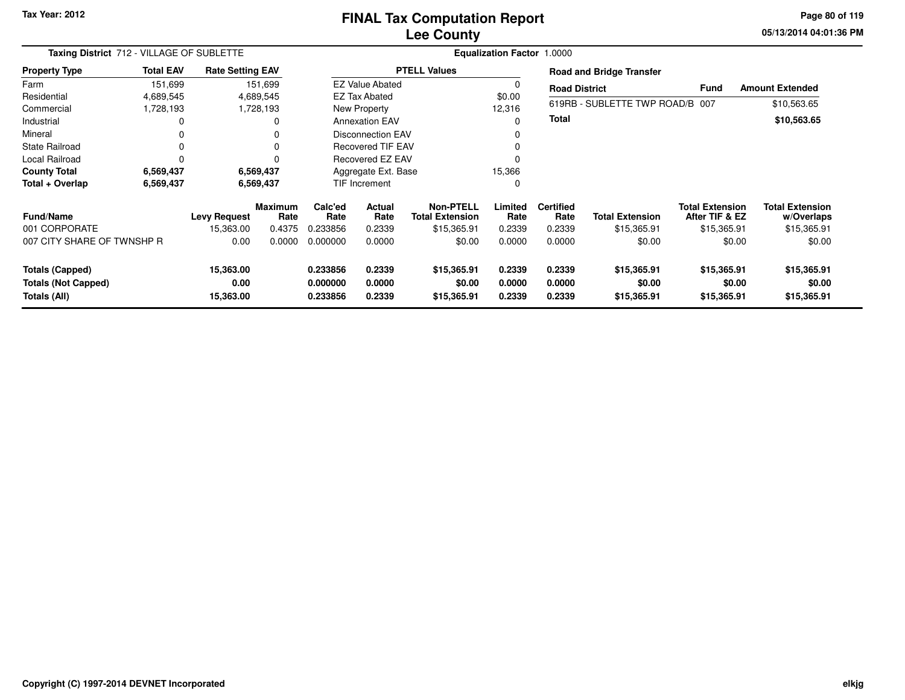#### **Lee CountyFINAL Tax Computation Report**

**05/13/2014 04:01:36 PM Page 80 of 119**

| Taxing District 712 - VILLAGE OF SUBLETTE |                  |                         |                        |                               | Equalization Factor 1.0000 |                                     |                 |                          |                                 |                                          |                                      |
|-------------------------------------------|------------------|-------------------------|------------------------|-------------------------------|----------------------------|-------------------------------------|-----------------|--------------------------|---------------------------------|------------------------------------------|--------------------------------------|
| <b>Property Type</b>                      | <b>Total EAV</b> | <b>Rate Setting EAV</b> |                        |                               |                            | <b>PTELL Values</b>                 |                 |                          | <b>Road and Bridge Transfer</b> |                                          |                                      |
| Farm                                      | 151,699          |                         | 151,699                |                               | <b>EZ Value Abated</b>     |                                     |                 | <b>Road District</b>     |                                 | <b>Fund</b>                              | <b>Amount Extended</b>               |
| Residential                               | 4,689,545        |                         | 4,689,545              |                               | EZ Tax Abated              |                                     | \$0.00          |                          |                                 |                                          |                                      |
| Commercial                                | 1,728,193        |                         | 1,728,193              |                               | New Property               |                                     | 12,316          |                          | 619RB - SUBLETTE TWP ROAD/B 007 |                                          | \$10,563.65                          |
| Industrial                                | 0                |                         | 0                      |                               | <b>Annexation EAV</b>      |                                     | $\Omega$        | Total                    |                                 |                                          | \$10,563.65                          |
| Mineral                                   | 0                |                         | 0                      | <b>Disconnection EAV</b><br>0 |                            |                                     |                 |                          |                                 |                                          |                                      |
| <b>State Railroad</b>                     | 0                |                         | 0                      |                               | <b>Recovered TIF EAV</b>   |                                     | $\Omega$        |                          |                                 |                                          |                                      |
| Local Railroad                            | 0                |                         | $\Omega$               | <b>Recovered EZ EAV</b>       |                            |                                     | $\Omega$        |                          |                                 |                                          |                                      |
| <b>County Total</b>                       | 6,569,437        |                         | 6,569,437              | Aggregate Ext. Base           |                            |                                     | 15,366          |                          |                                 |                                          |                                      |
| Total + Overlap                           | 6,569,437        |                         | 6,569,437              |                               | TIF Increment              |                                     | 0               |                          |                                 |                                          |                                      |
| <b>Fund/Name</b>                          |                  | <b>Levy Request</b>     | <b>Maximum</b><br>Rate | Calc'ed<br>Rate               | Actual<br>Rate             | Non-PTELL<br><b>Total Extension</b> | Limited<br>Rate | <b>Certified</b><br>Rate | <b>Total Extension</b>          | <b>Total Extension</b><br>After TIF & EZ | <b>Total Extension</b><br>w/Overlaps |
| 001 CORPORATE                             |                  | 15,363.00               | 0.4375                 | 0.233856                      | 0.2339                     | \$15,365.91                         | 0.2339          | 0.2339                   | \$15,365.91                     | \$15,365.91                              | \$15,365.91                          |
| 007 CITY SHARE OF TWNSHP R                |                  | 0.00                    | 0.0000                 | 0.000000                      | 0.0000                     | \$0.00                              | 0.0000          | 0.0000                   | \$0.00                          | \$0.00                                   | \$0.00                               |
| <b>Totals (Capped)</b>                    |                  | 15,363.00               |                        | 0.233856                      | 0.2339                     | \$15,365.91                         | 0.2339          | 0.2339                   | \$15,365.91                     | \$15,365.91                              | \$15,365.91                          |
| <b>Totals (Not Capped)</b>                |                  | 0.00                    |                        | 0.000000                      | 0.0000                     | \$0.00                              | 0.0000          | 0.0000                   | \$0.00                          | \$0.00                                   | \$0.00                               |
| Totals (All)                              |                  | 15,363.00               |                        | 0.233856                      | 0.2339                     | \$15,365.91                         | 0.2339          | 0.2339                   | \$15,365.91                     | \$15,365.91                              | \$15,365.91                          |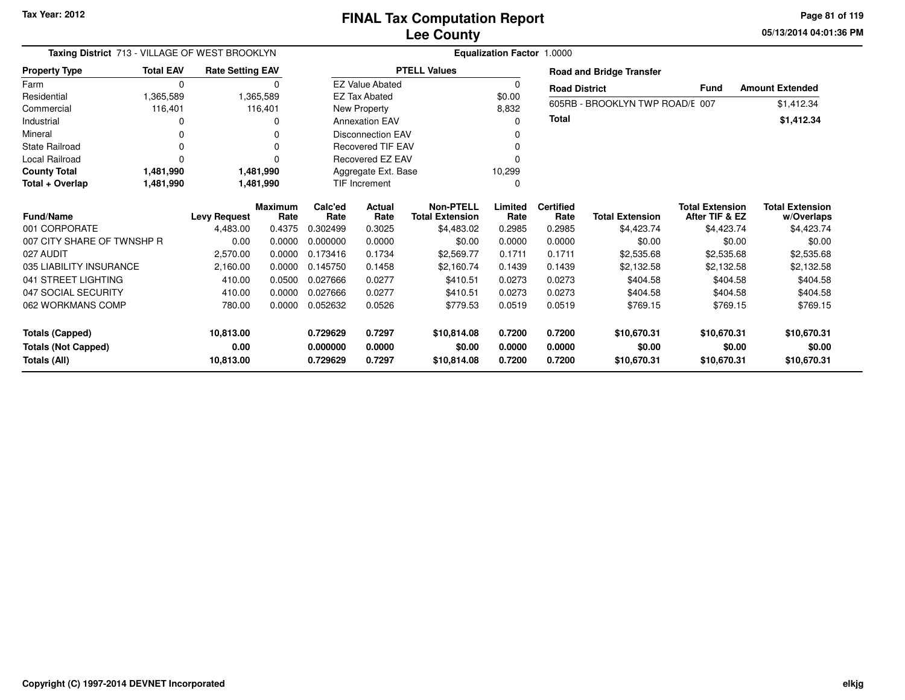**05/13/2014 04:01:36 PM Page 81 of 119**

|                            | Taxing District 713 - VILLAGE OF WEST BROOKLYN<br>Equalization Factor 1.0000<br><b>Rate Setting EAV</b><br><b>PTELL Values</b> |                     |                        |                      |                          |                                            |                 |                          |                                 |                                          |                                      |
|----------------------------|--------------------------------------------------------------------------------------------------------------------------------|---------------------|------------------------|----------------------|--------------------------|--------------------------------------------|-----------------|--------------------------|---------------------------------|------------------------------------------|--------------------------------------|
| <b>Property Type</b>       | <b>Total EAV</b>                                                                                                               |                     |                        |                      |                          |                                            |                 |                          | <b>Road and Bridge Transfer</b> |                                          |                                      |
| Farm                       | 0                                                                                                                              |                     | $\Omega$               |                      | <b>EZ Value Abated</b>   |                                            | 0               | <b>Road District</b>     |                                 | <b>Fund</b>                              | <b>Amount Extended</b>               |
| Residential                | 1,365,589                                                                                                                      |                     | 1,365,589              |                      | <b>EZ Tax Abated</b>     |                                            | \$0.00          |                          |                                 |                                          |                                      |
| Commercial                 | 116,401                                                                                                                        |                     | 116,401                |                      | New Property             |                                            | 8,832           |                          | 605RB - BROOKLYN TWP ROAD/E 007 |                                          | \$1,412.34                           |
| Industrial                 |                                                                                                                                |                     | 0                      |                      | <b>Annexation EAV</b>    |                                            | n               | Total                    |                                 |                                          | \$1,412.34                           |
| Mineral                    |                                                                                                                                |                     | 0                      |                      | <b>Disconnection EAV</b> |                                            |                 |                          |                                 |                                          |                                      |
| State Railroad             |                                                                                                                                |                     |                        |                      | <b>Recovered TIF EAV</b> |                                            |                 |                          |                                 |                                          |                                      |
| <b>Local Railroad</b>      |                                                                                                                                |                     |                        |                      | Recovered EZ EAV         |                                            |                 |                          |                                 |                                          |                                      |
| <b>County Total</b>        | 1,481,990                                                                                                                      |                     | 1,481,990              |                      | Aggregate Ext. Base      |                                            | 10,299          |                          |                                 |                                          |                                      |
| Total + Overlap            | 1,481,990                                                                                                                      |                     | 1,481,990              | <b>TIF Increment</b> |                          |                                            |                 |                          |                                 |                                          |                                      |
| <b>Fund/Name</b>           |                                                                                                                                | <b>Levy Request</b> | <b>Maximum</b><br>Rate | Calc'ed<br>Rate      | Actual<br>Rate           | <b>Non-PTELL</b><br><b>Total Extension</b> | Limited<br>Rate | <b>Certified</b><br>Rate | <b>Total Extension</b>          | <b>Total Extension</b><br>After TIF & EZ | <b>Total Extension</b><br>w/Overlaps |
| 001 CORPORATE              |                                                                                                                                | 4,483.00            | 0.4375                 | 0.302499             | 0.3025                   | \$4,483.02                                 | 0.2985          | 0.2985                   | \$4,423.74                      | \$4,423.74                               | \$4,423.74                           |
| 007 CITY SHARE OF TWNSHP R |                                                                                                                                | 0.00                | 0.0000                 | 0.000000             | 0.0000                   | \$0.00                                     | 0.0000          | 0.0000                   | \$0.00                          | \$0.00                                   | \$0.00                               |
| 027 AUDIT                  |                                                                                                                                | 2,570.00            | 0.0000                 | 0.173416             | 0.1734                   | \$2,569.77                                 | 0.1711          | 0.1711                   | \$2,535.68                      | \$2,535.68                               | \$2,535.68                           |
| 035 LIABILITY INSURANCE    |                                                                                                                                | 2,160.00            | 0.0000                 | 0.145750             | 0.1458                   | \$2.160.74                                 | 0.1439          | 0.1439                   | \$2,132.58                      | \$2,132.58                               | \$2,132.58                           |
| 041 STREET LIGHTING        |                                                                                                                                | 410.00              | 0.0500                 | 0.027666             | 0.0277                   | \$410.51                                   | 0.0273          | 0.0273                   | \$404.58                        | \$404.58                                 | \$404.58                             |
| 047 SOCIAL SECURITY        |                                                                                                                                | 410.00              | 0.0000                 | 0.027666             | 0.0277                   | \$410.51                                   | 0.0273          | 0.0273                   | \$404.58                        | \$404.58                                 | \$404.58                             |
| 062 WORKMANS COMP          |                                                                                                                                | 780.00              | 0.0000                 | 0.052632             | 0.0526                   | \$779.53                                   | 0.0519          | 0.0519                   | \$769.15                        | \$769.15                                 | \$769.15                             |
| <b>Totals (Capped)</b>     |                                                                                                                                | 10,813.00           |                        | 0.729629             | 0.7297                   | \$10,814.08                                | 0.7200          | 0.7200                   | \$10,670.31                     | \$10,670.31                              | \$10,670.31                          |
| <b>Totals (Not Capped)</b> |                                                                                                                                | 0.00                |                        | 0.000000             | 0.0000                   | \$0.00                                     | 0.0000          | 0.0000                   | \$0.00                          | \$0.00                                   | \$0.00                               |
| Totals (All)               |                                                                                                                                | 10,813.00           |                        | 0.729629             | 0.7297                   | \$10,814.08                                | 0.7200          | 0.7200                   | \$10,670.31                     | \$10,670.31                              | \$10,670.31                          |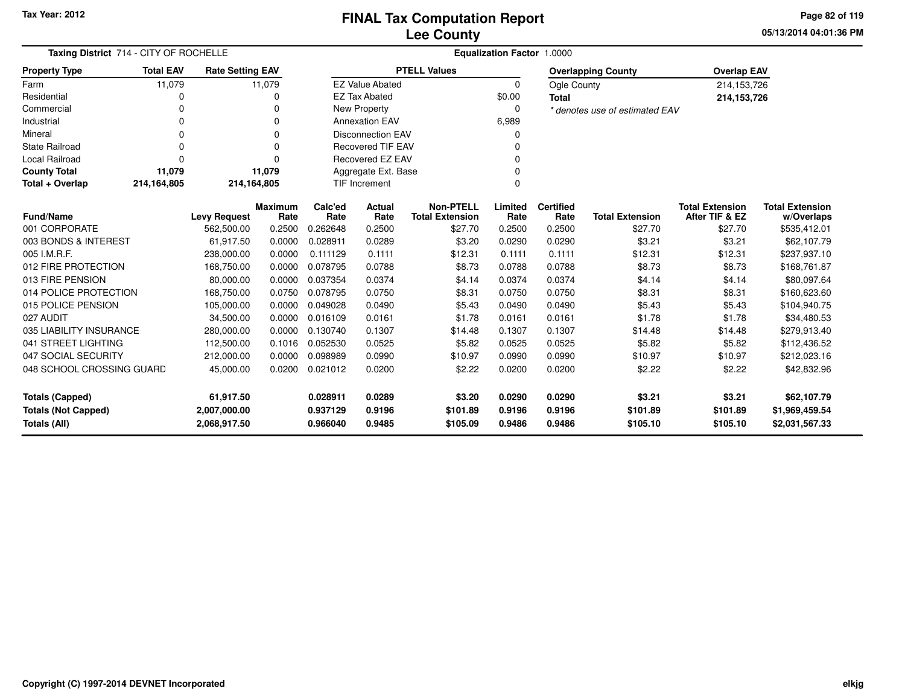**05/13/2014 04:01:36 PM Page 82 of 119**

| Taxing District 714 - CITY OF ROCHELLE<br><b>Rate Setting EAV</b>                                                                                                                           |                  |                     |                        | Equalization Factor 1.0000 |                           |                                            |                 |                          |                                |                                          |                                      |
|---------------------------------------------------------------------------------------------------------------------------------------------------------------------------------------------|------------------|---------------------|------------------------|----------------------------|---------------------------|--------------------------------------------|-----------------|--------------------------|--------------------------------|------------------------------------------|--------------------------------------|
| <b>Property Type</b>                                                                                                                                                                        | <b>Total EAV</b> |                     |                        |                            |                           | <b>PTELL Values</b>                        |                 |                          | <b>Overlapping County</b>      | <b>Overlap EAV</b>                       |                                      |
| Farm                                                                                                                                                                                        | 11,079           |                     | 11,079                 |                            | <b>EZ Value Abated</b>    |                                            | 0               | Ogle County              |                                | 214,153,726                              |                                      |
| Residential                                                                                                                                                                                 | 0                |                     | 0                      |                            | <b>EZ Tax Abated</b>      |                                            | \$0.00          | <b>Total</b>             |                                | 214,153,726                              |                                      |
| Commercial                                                                                                                                                                                  | 0                |                     | 0                      |                            | New Property              |                                            | 0               |                          | * denotes use of estimated EAV |                                          |                                      |
| Industrial                                                                                                                                                                                  | 0                |                     | 0                      |                            | <b>Annexation EAV</b>     |                                            | 6,989           |                          |                                |                                          |                                      |
| Mineral                                                                                                                                                                                     | $\Omega$         |                     | ŋ                      |                            | <b>Disconnection EAV</b>  |                                            | 0               |                          |                                |                                          |                                      |
| <b>State Railroad</b>                                                                                                                                                                       | $\Omega$         |                     | $\Omega$               |                            | <b>Recovered TIF EAV</b>  |                                            | 0               |                          |                                |                                          |                                      |
| <b>Local Railroad</b>                                                                                                                                                                       | $\Omega$         |                     | $\Omega$               |                            | <b>Recovered EZ EAV</b>   |                                            | 0               |                          |                                |                                          |                                      |
| <b>County Total</b>                                                                                                                                                                         | 11,079           |                     | 11,079                 |                            | Aggregate Ext. Base       |                                            | 0               |                          |                                |                                          |                                      |
| Total + Overlap                                                                                                                                                                             | 214,164,805      | 214,164,805         |                        |                            | <b>TIF Increment</b><br>0 |                                            |                 |                          |                                |                                          |                                      |
| <b>Fund/Name</b>                                                                                                                                                                            |                  | <b>Levy Request</b> | <b>Maximum</b><br>Rate | Calc'ed<br>Rate            | Actual<br>Rate            | <b>Non-PTELL</b><br><b>Total Extension</b> | Limited<br>Rate | <b>Certified</b><br>Rate | <b>Total Extension</b>         | <b>Total Extension</b><br>After TIF & EZ | <b>Total Extension</b><br>w/Overlaps |
| 001 CORPORATE                                                                                                                                                                               |                  | 562,500.00          | 0.2500                 | 0.262648                   | 0.2500                    | \$27.70                                    | 0.2500          | 0.2500                   | \$27.70                        | \$27.70                                  | \$535,412.01                         |
| 003 BONDS & INTEREST                                                                                                                                                                        |                  | 61,917.50           | 0.0000                 | 0.028911                   | 0.0289                    | \$3.20                                     | 0.0290          | 0.0290                   | \$3.21                         | \$3.21                                   | \$62,107.79                          |
| 005 I.M.R.F.                                                                                                                                                                                |                  | 238,000.00          | 0.0000                 | 0.111129                   | 0.1111                    | \$12.31                                    | 0.1111          | 0.1111                   | \$12.31                        | \$12.31                                  | \$237,937.10                         |
| 012 FIRE PROTECTION                                                                                                                                                                         |                  | 168,750.00          | 0.0000                 | 0.078795                   | 0.0788                    | \$8.73                                     | 0.0788          | 0.0788                   | \$8.73                         | \$8.73                                   | \$168,761.87                         |
| 013 FIRE PENSION                                                                                                                                                                            |                  | 80,000.00           | 0.0000                 | 0.037354                   | 0.0374                    | \$4.14                                     | 0.0374          | 0.0374                   | \$4.14                         | \$4.14                                   | \$80,097.64                          |
| 014 POLICE PROTECTION                                                                                                                                                                       |                  | 168,750.00          | 0.0750                 | 0.078795                   | 0.0750                    | \$8.31                                     | 0.0750          | 0.0750                   | \$8.31                         | \$8.31                                   | \$160,623.60                         |
| 015 POLICE PENSION                                                                                                                                                                          |                  | 105,000.00          | 0.0000                 | 0.049028                   | 0.0490                    | \$5.43                                     | 0.0490          | 0.0490                   | \$5.43                         | \$5.43                                   | \$104,940.75                         |
| 027 AUDIT                                                                                                                                                                                   |                  | 34,500.00           | 0.0000                 | 0.016109                   | 0.0161                    | \$1.78                                     | 0.0161          | 0.0161                   | \$1.78                         | \$1.78                                   | \$34,480.53                          |
| 035 LIABILITY INSURANCE                                                                                                                                                                     |                  | 280.000.00          | 0.0000                 | 0.130740                   | 0.1307                    | \$14.48                                    | 0.1307          | 0.1307                   | \$14.48                        | \$14.48                                  | \$279,913.40                         |
| 041 STREET LIGHTING                                                                                                                                                                         |                  | 112,500.00          | 0.1016                 | 0.052530                   | 0.0525                    | \$5.82                                     | 0.0525          | 0.0525                   | \$5.82                         | \$5.82                                   | \$112,436.52                         |
| 047 SOCIAL SECURITY                                                                                                                                                                         |                  | 212,000.00          | 0.0000                 | 0.098989                   | 0.0990                    | \$10.97                                    | 0.0990          | 0.0990                   | \$10.97                        | \$10.97                                  | \$212,023.16                         |
| 048 SCHOOL CROSSING GUARD<br>45,000.00                                                                                                                                                      |                  | 0.0200              | 0.021012               | 0.0200                     | \$2.22                    | 0.0200                                     | 0.0200          | \$2.22                   | \$2.22                         | \$42,832.96                              |                                      |
| 61,917.50<br>0.028911<br>0.0289<br>\$3.20<br>0.0290<br>0.0290<br><b>Totals (Capped)</b><br><b>Totals (Not Capped)</b><br>0.9196<br>0.9196<br>0.9196<br>2,007,000.00<br>0.937129<br>\$101.89 |                  |                     |                        | \$3.21<br>\$101.89         | \$3.21<br>\$101.89        | \$62,107.79<br>\$1,969,459.54              |                 |                          |                                |                                          |                                      |
| Totals (All)                                                                                                                                                                                | 2,068,917.50     |                     | 0.966040               | 0.9485                     | \$105.09                  | 0.9486                                     | 0.9486          | \$105.10                 | \$105.10                       | \$2,031,567.33                           |                                      |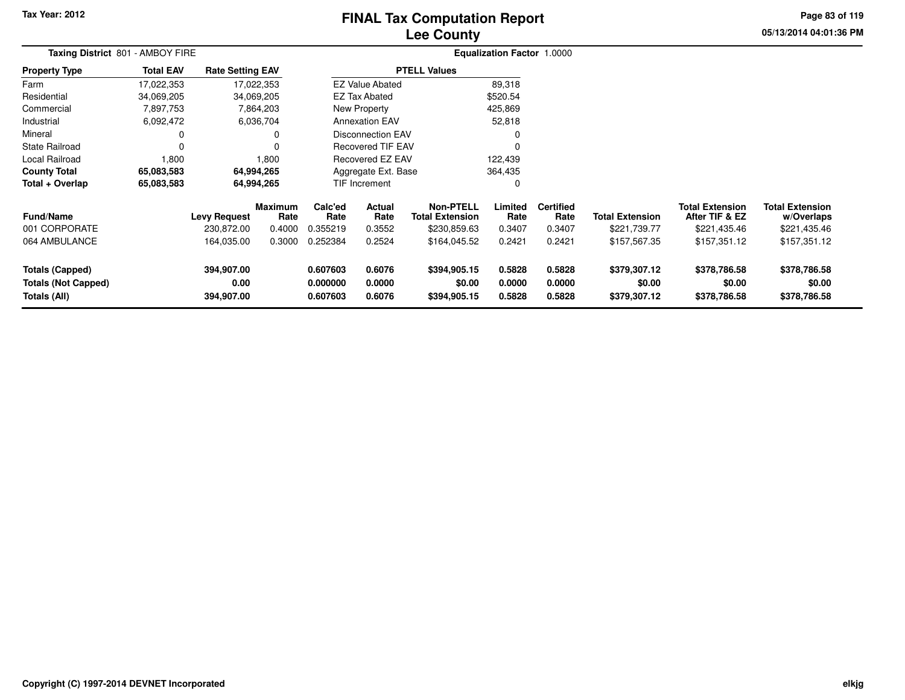# **Lee CountyFINAL Tax Computation Report**

**05/13/2014 04:01:36 PM Page 83 of 119**

| Taxing District 801 - AMBOY FIRE                                     |                  |                                  |                        | <b>Equalization Factor 1.0000</b> |                            |                                            |                            |                            |                                        |                                          |                                        |  |
|----------------------------------------------------------------------|------------------|----------------------------------|------------------------|-----------------------------------|----------------------------|--------------------------------------------|----------------------------|----------------------------|----------------------------------------|------------------------------------------|----------------------------------------|--|
| <b>Property Type</b>                                                 | <b>Total EAV</b> | <b>Rate Setting EAV</b>          |                        |                                   |                            | <b>PTELL Values</b>                        |                            |                            |                                        |                                          |                                        |  |
| Farm                                                                 | 17,022,353       | 17,022,353                       |                        |                                   | <b>EZ Value Abated</b>     |                                            | 89,318                     |                            |                                        |                                          |                                        |  |
| Residential                                                          | 34,069,205       | 34,069,205                       |                        |                                   | <b>EZ Tax Abated</b>       |                                            | \$520.54                   |                            |                                        |                                          |                                        |  |
| Commercial                                                           | 7,897,753        |                                  | 7,864,203              |                                   | <b>New Property</b>        |                                            | 425,869                    |                            |                                        |                                          |                                        |  |
| Industrial                                                           | 6,092,472        |                                  | 6,036,704              |                                   | <b>Annexation EAV</b>      |                                            | 52,818                     |                            |                                        |                                          |                                        |  |
| Mineral                                                              |                  |                                  |                        |                                   | Disconnection EAV          |                                            | 0                          |                            |                                        |                                          |                                        |  |
| <b>State Railroad</b>                                                |                  |                                  |                        |                                   | <b>Recovered TIF EAV</b>   |                                            | 0                          |                            |                                        |                                          |                                        |  |
| Local Railroad                                                       | 1,800            |                                  | 1,800                  | Recovered EZ EAV                  |                            |                                            | 122,439                    |                            |                                        |                                          |                                        |  |
| <b>County Total</b>                                                  | 65,083,583       | 64,994,265                       |                        | Aggregate Ext. Base<br>364,435    |                            |                                            |                            |                            |                                        |                                          |                                        |  |
| Total + Overlap                                                      | 65,083,583       | 64,994,265                       |                        |                                   | <b>TIF Increment</b>       |                                            | 0                          |                            |                                        |                                          |                                        |  |
| <b>Fund/Name</b>                                                     |                  | <b>Levy Request</b>              | <b>Maximum</b><br>Rate | Calc'ed<br>Rate                   | Actual<br>Rate             | <b>Non-PTELL</b><br><b>Total Extension</b> | Limited<br>Rate            | <b>Certified</b><br>Rate   | <b>Total Extension</b>                 | <b>Total Extension</b><br>After TIF & EZ | <b>Total Extension</b><br>w/Overlaps   |  |
| 001 CORPORATE                                                        |                  | 230,872.00                       | 0.4000                 | 0.355219                          | 0.3552                     | \$230,859.63                               | 0.3407                     | 0.3407                     | \$221,739.77                           | \$221,435.46                             | \$221,435.46                           |  |
| 064 AMBULANCE                                                        |                  | 164,035.00                       | 0.3000                 | 0.252384                          | 0.2524                     | \$164,045.52                               | 0.2421                     | 0.2421                     | \$157,567.35                           | \$157,351.12                             | \$157,351.12                           |  |
| <b>Totals (Capped)</b><br><b>Totals (Not Capped)</b><br>Totals (All) |                  | 394,907.00<br>0.00<br>394,907.00 |                        | 0.607603<br>0.000000<br>0.607603  | 0.6076<br>0.0000<br>0.6076 | \$394,905.15<br>\$0.00<br>\$394,905.15     | 0.5828<br>0.0000<br>0.5828 | 0.5828<br>0.0000<br>0.5828 | \$379,307.12<br>\$0.00<br>\$379,307.12 | \$378,786.58<br>\$0.00<br>\$378,786.58   | \$378,786.58<br>\$0.00<br>\$378,786.58 |  |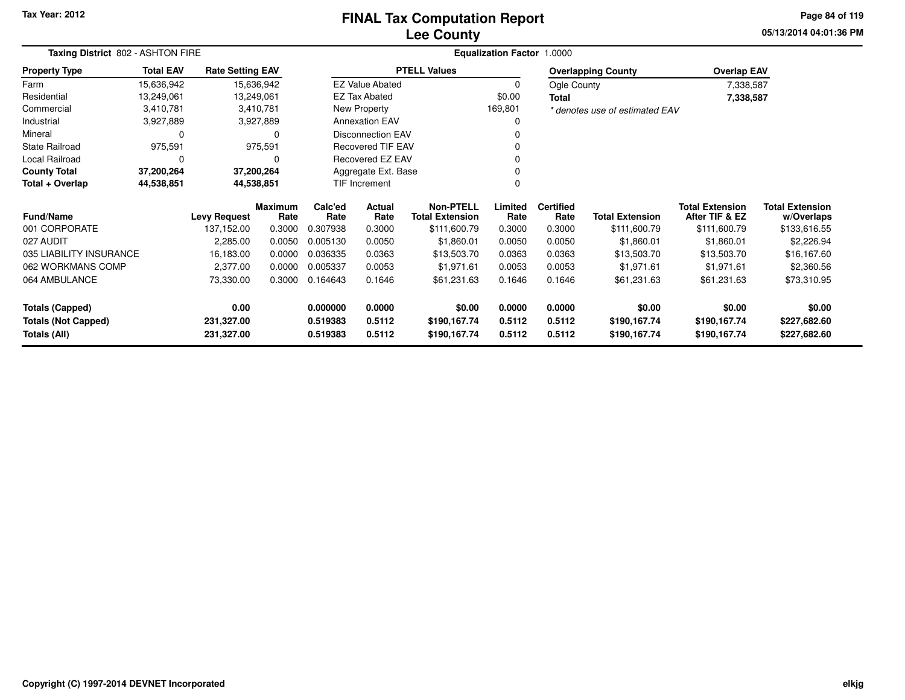#### **Lee CountyFINAL Tax Computation Report**

**05/13/2014 04:01:36 PM Page 84 of 119**

| Taxing District 802 - ASHTON FIRE |                          |                         |                        | Equalization Factor 1.0000 |                               |                                            |                 |                          |                                |                                          |                                      |
|-----------------------------------|--------------------------|-------------------------|------------------------|----------------------------|-------------------------------|--------------------------------------------|-----------------|--------------------------|--------------------------------|------------------------------------------|--------------------------------------|
| <b>Property Type</b>              | <b>Total EAV</b>         | <b>Rate Setting EAV</b> |                        |                            |                               | <b>PTELL Values</b>                        |                 |                          | <b>Overlapping County</b>      | <b>Overlap EAV</b>                       |                                      |
| Farm                              | 15,636,942               |                         | 15,636,942             |                            | <b>EZ Value Abated</b>        |                                            | 0               | Ogle County              |                                | 7,338,587                                |                                      |
| Residential                       | 13,249,061               |                         | 13,249,061             |                            | EZ Tax Abated                 |                                            | \$0.00          | <b>Total</b>             |                                | 7,338,587                                |                                      |
| Commercial                        | 3,410,781                |                         | 3,410,781              |                            | New Property                  |                                            | 169,801         |                          | * denotes use of estimated EAV |                                          |                                      |
| Industrial                        | 3,927,889                |                         | 3,927,889              |                            | <b>Annexation EAV</b>         |                                            | 0               |                          |                                |                                          |                                      |
| Mineral                           | 0                        |                         | 0                      |                            | <b>Disconnection EAV</b>      |                                            |                 |                          |                                |                                          |                                      |
| <b>State Railroad</b>             | 975,591                  |                         | 975,591                |                            | <b>Recovered TIF EAV</b><br>0 |                                            |                 |                          |                                |                                          |                                      |
| Local Railroad                    | 0                        |                         | 0                      |                            | Recovered EZ EAV              |                                            | 0               |                          |                                |                                          |                                      |
| <b>County Total</b>               | 37,200,264<br>37,200,264 |                         |                        |                            | Aggregate Ext. Base           |                                            | 0               |                          |                                |                                          |                                      |
| Total + Overlap                   | 44,538,851               |                         | 44,538,851             |                            | TIF Increment                 |                                            | $\Omega$        |                          |                                |                                          |                                      |
| <b>Fund/Name</b>                  |                          | <b>Levy Request</b>     | <b>Maximum</b><br>Rate | Calc'ed<br>Rate            | <b>Actual</b><br>Rate         | <b>Non-PTELL</b><br><b>Total Extension</b> | Limited<br>Rate | <b>Certified</b><br>Rate | <b>Total Extension</b>         | <b>Total Extension</b><br>After TIF & EZ | <b>Total Extension</b><br>w/Overlaps |
| 001 CORPORATE                     |                          | 137,152.00              | 0.3000                 | 0.307938                   | 0.3000                        | \$111,600.79                               | 0.3000          | 0.3000                   | \$111,600.79                   | \$111,600.79                             | \$133,616.55                         |
| 027 AUDIT                         |                          | 2,285.00                | 0.0050                 | 0.005130                   | 0.0050                        | \$1,860.01                                 | 0.0050          | 0.0050                   | \$1,860.01                     | \$1,860.01                               | \$2,226.94                           |
| 035 LIABILITY INSURANCE           |                          | 16,183.00               | 0.0000                 | 0.036335                   | 0.0363                        | \$13,503.70                                | 0.0363          | 0.0363                   | \$13,503.70                    | \$13,503.70                              | \$16,167.60                          |
| 062 WORKMANS COMP                 |                          | 2,377.00                | 0.0000                 | 0.005337                   | 0.0053                        | \$1,971.61                                 | 0.0053          | 0.0053                   | \$1,971.61                     | \$1,971.61                               | \$2,360.56                           |
| 064 AMBULANCE                     |                          | 73,330.00               | 0.3000                 | 0.164643                   | 0.1646                        | \$61,231.63                                | 0.1646          | 0.1646                   | \$61,231.63                    | \$61,231.63                              | \$73,310.95                          |
| <b>Totals (Capped)</b>            |                          | 0.00                    |                        | 0.000000                   | 0.0000                        | \$0.00                                     | 0.0000          | 0.0000                   | \$0.00                         | \$0.00                                   | \$0.00                               |
| <b>Totals (Not Capped)</b>        |                          | 231,327.00              |                        | 0.519383                   | 0.5112                        | \$190,167.74                               | 0.5112          | 0.5112                   | \$190,167.74                   | \$190,167.74                             | \$227,682.60                         |
| Totals (All)                      |                          | 231,327.00              |                        | 0.519383                   | 0.5112                        | \$190,167.74                               | 0.5112          | 0.5112                   | \$190,167.74                   | \$190,167.74                             | \$227,682.60                         |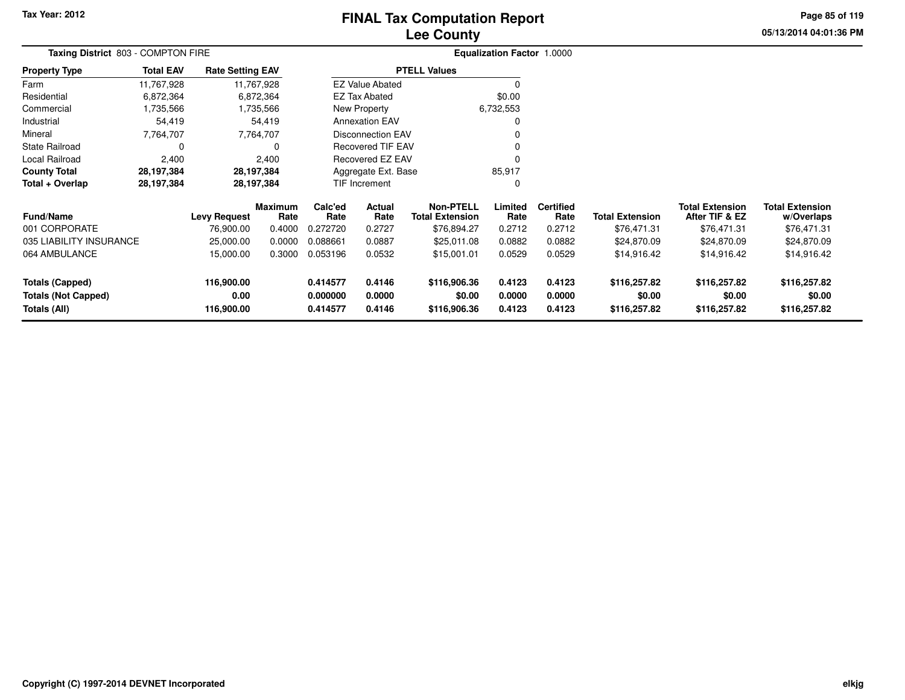# **Lee CountyFINAL Tax Computation Report**

**05/13/2014 04:01:36 PM Page 85 of 119**

| Taxing District 803 - COMPTON FIRE |                  |                         |                        |                                   | Equalization Factor 1.0000 |                                            |                 |                          |                        |                                          |                                      |
|------------------------------------|------------------|-------------------------|------------------------|-----------------------------------|----------------------------|--------------------------------------------|-----------------|--------------------------|------------------------|------------------------------------------|--------------------------------------|
| <b>Property Type</b>               | <b>Total EAV</b> | <b>Rate Setting EAV</b> |                        |                                   |                            | <b>PTELL Values</b>                        |                 |                          |                        |                                          |                                      |
| Farm                               | 11,767,928       |                         | 11,767,928             |                                   | <b>EZ Value Abated</b>     |                                            |                 |                          |                        |                                          |                                      |
| Residential                        | 6,872,364        |                         | 6,872,364              |                                   | <b>EZ Tax Abated</b>       |                                            | \$0.00          |                          |                        |                                          |                                      |
| Commercial                         | 1,735,566        |                         | 1,735,566              |                                   | New Property               |                                            | 6,732,553       |                          |                        |                                          |                                      |
| Industrial                         | 54,419           |                         | 54,419                 |                                   | <b>Annexation EAV</b>      |                                            | 0               |                          |                        |                                          |                                      |
| Mineral                            | 7,764,707        |                         | 7,764,707              |                                   | <b>Disconnection EAV</b>   |                                            |                 |                          |                        |                                          |                                      |
| <b>State Railroad</b>              | $\Omega$         |                         | 0                      |                                   | <b>Recovered TIF EAV</b>   |                                            |                 |                          |                        |                                          |                                      |
| Local Railroad                     | 2,400            |                         | 2,400                  |                                   | <b>Recovered EZ EAV</b>    |                                            | $\Omega$        |                          |                        |                                          |                                      |
| <b>County Total</b>                | 28,197,384       |                         | 28,197,384             | Aggregate Ext. Base               |                            |                                            | 85,917          |                          |                        |                                          |                                      |
| Total + Overlap                    | 28,197,384       |                         | 28,197,384             |                                   | TIF Increment              |                                            | 0               |                          |                        |                                          |                                      |
| <b>Fund/Name</b>                   |                  | <b>Levy Request</b>     | <b>Maximum</b><br>Rate | Calc'ed<br>Actual<br>Rate<br>Rate |                            | <b>Non-PTELL</b><br><b>Total Extension</b> | Limited<br>Rate | <b>Certified</b><br>Rate | <b>Total Extension</b> | <b>Total Extension</b><br>After TIF & EZ | <b>Total Extension</b><br>w/Overlaps |
| 001 CORPORATE                      |                  | 76,900.00               | 0.4000                 | 0.272720                          | 0.2727                     | \$76,894.27                                | 0.2712          | 0.2712                   | \$76,471.31            | \$76,471.31                              | \$76,471.31                          |
| 035 LIABILITY INSURANCE            |                  | 25,000.00               | 0.0000                 | 0.088661                          | 0.0887                     | \$25,011.08                                | 0.0882          | 0.0882                   | \$24,870.09            | \$24,870.09                              | \$24,870.09                          |
| 064 AMBULANCE                      |                  | 15,000.00               | 0.3000                 | 0.053196                          | 0.0532                     | \$15,001.01                                | 0.0529          | 0.0529                   | \$14,916.42            | \$14,916.42                              | \$14,916.42                          |
| <b>Totals (Capped)</b>             |                  | 116,900.00              |                        | 0.414577                          | 0.4146                     | \$116,906.36                               | 0.4123          | 0.4123                   | \$116,257.82           | \$116,257.82                             | \$116,257.82                         |
| <b>Totals (Not Capped)</b>         |                  | 0.00                    |                        | 0.000000                          | 0.0000                     | \$0.00                                     | 0.0000          | 0.0000                   | \$0.00                 | \$0.00                                   | \$0.00                               |
| Totals (All)                       |                  | 116,900.00              |                        | 0.414577                          | 0.4146                     | \$116,906.36                               | 0.4123          | 0.4123                   | \$116,257.82           | \$116,257.82                             | \$116,257.82                         |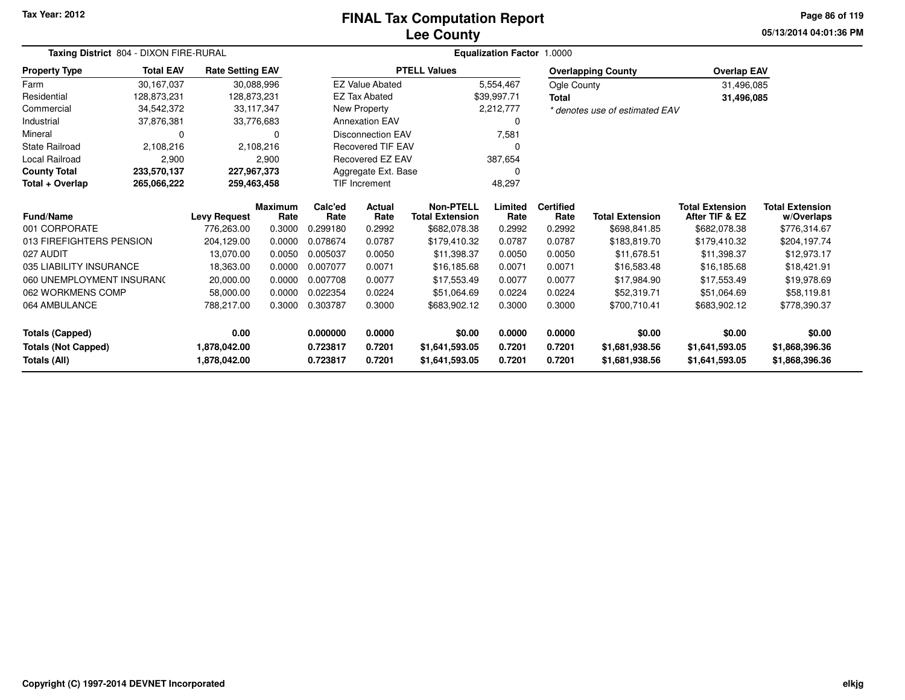# **Lee CountyFINAL Tax Computation Report**

**05/13/2014 04:01:36 PM Page 86 of 119**

|                            | Taxing District 804 - DIXON FIRE-RURAL |                         |                        | <b>Equalization Factor 1.0000</b> |                          |                                            |                 |                          |                                |                                          |                                      |  |  |
|----------------------------|----------------------------------------|-------------------------|------------------------|-----------------------------------|--------------------------|--------------------------------------------|-----------------|--------------------------|--------------------------------|------------------------------------------|--------------------------------------|--|--|
| <b>Property Type</b>       | <b>Total EAV</b>                       | <b>Rate Setting EAV</b> |                        |                                   |                          | <b>PTELL Values</b>                        |                 |                          | <b>Overlapping County</b>      | <b>Overlap EAV</b>                       |                                      |  |  |
| Farm                       | 30,167,037                             |                         | 30,088,996             |                                   | <b>EZ Value Abated</b>   |                                            | 5,554,467       | Ogle County              |                                | 31,496,085                               |                                      |  |  |
| Residential                | 128,873,231                            | 128,873,231             |                        |                                   | <b>EZ Tax Abated</b>     |                                            | \$39,997.71     | Total                    |                                | 31,496,085                               |                                      |  |  |
| Commercial                 | 34,542,372                             |                         | 33,117,347             |                                   | New Property             |                                            | 2,212,777       |                          | * denotes use of estimated EAV |                                          |                                      |  |  |
| Industrial                 | 37,876,381                             |                         | 33,776,683             |                                   | <b>Annexation EAV</b>    |                                            | 0               |                          |                                |                                          |                                      |  |  |
| Mineral                    | 0                                      |                         | 0                      |                                   | <b>Disconnection EAV</b> |                                            | 7,581           |                          |                                |                                          |                                      |  |  |
| <b>State Railroad</b>      | 2,108,216                              |                         | 2,108,216              |                                   | <b>Recovered TIF EAV</b> |                                            |                 |                          |                                |                                          |                                      |  |  |
| Local Railroad             | 2,900                                  |                         | 2,900                  |                                   | Recovered EZ EAV         |                                            | 387,654         |                          |                                |                                          |                                      |  |  |
| <b>County Total</b>        | 233,570,137                            |                         | 227,967,373            | Aggregate Ext. Base               |                          |                                            | 0               |                          |                                |                                          |                                      |  |  |
| Total + Overlap            | 265,066,222                            |                         | 259,463,458            | <b>TIF Increment</b>              |                          |                                            | 48,297          |                          |                                |                                          |                                      |  |  |
| <b>Fund/Name</b>           | <b>Levy Request</b>                    |                         | <b>Maximum</b><br>Rate | Calc'ed<br>Rate                   | <b>Actual</b><br>Rate    | <b>Non-PTELL</b><br><b>Total Extension</b> | Limited<br>Rate | <b>Certified</b><br>Rate | <b>Total Extension</b>         | <b>Total Extension</b><br>After TIF & EZ | <b>Total Extension</b><br>w/Overlaps |  |  |
| 001 CORPORATE              |                                        | 776,263.00              | 0.3000                 | 0.299180                          | 0.2992                   | \$682,078.38                               | 0.2992          | 0.2992                   | \$698,841.85                   | \$682,078.38                             | \$776,314.67                         |  |  |
| 013 FIREFIGHTERS PENSION   |                                        | 204,129.00              | 0.0000                 | 0.078674                          | 0.0787                   | \$179,410.32                               | 0.0787          | 0.0787                   | \$183,819.70                   | \$179,410.32                             | \$204,197.74                         |  |  |
| 027 AUDIT                  |                                        | 13,070.00               | 0.0050                 | 0.005037                          | 0.0050                   | \$11,398.37                                | 0.0050          | 0.0050                   | \$11,678.51                    | \$11,398.37                              | \$12,973.17                          |  |  |
| 035 LIABILITY INSURANCE    |                                        | 18,363.00               | 0.0000                 | 0.007077                          | 0.0071                   | \$16,185.68                                | 0.0071          | 0.0071                   | \$16,583.48                    | \$16,185,68                              | \$18,421.91                          |  |  |
| 060 UNEMPLOYMENT INSURANC  |                                        | 20,000.00               | 0.0000                 | 0.007708                          | 0.0077                   | \$17,553.49                                | 0.0077          | 0.0077                   | \$17,984.90                    | \$17,553.49                              | \$19,978.69                          |  |  |
| 062 WORKMENS COMP          |                                        | 58,000.00               | 0.0000                 | 0.022354                          | 0.0224                   | \$51,064.69                                | 0.0224          | 0.0224                   | \$52,319.71                    | \$51,064.69                              | \$58,119.81                          |  |  |
| 064 AMBULANCE              |                                        | 788,217.00              | 0.3000                 | 0.303787<br>0.3000                |                          | \$683,902.12                               | 0.3000          | 0.3000                   | \$700,710.41                   | \$683,902.12                             | \$778,390.37                         |  |  |
| <b>Totals (Capped)</b>     |                                        | 0.00                    |                        | 0.000000                          | 0.0000                   | \$0.00                                     | 0.0000          | 0.0000                   | \$0.00                         | \$0.00                                   | \$0.00                               |  |  |
| <b>Totals (Not Capped)</b> |                                        | 1,878,042.00            |                        | 0.723817                          | 0.7201                   | \$1,641,593.05                             | 0.7201          | 0.7201                   | \$1,681,938.56                 | \$1,641,593.05                           | \$1,868,396.36                       |  |  |
| <b>Totals (All)</b>        |                                        | 1,878,042.00            |                        | 0.723817                          | 0.7201                   | \$1,641,593.05                             | 0.7201          | 0.7201                   | \$1,681,938.56                 | \$1,641,593.05                           | \$1,868,396.36                       |  |  |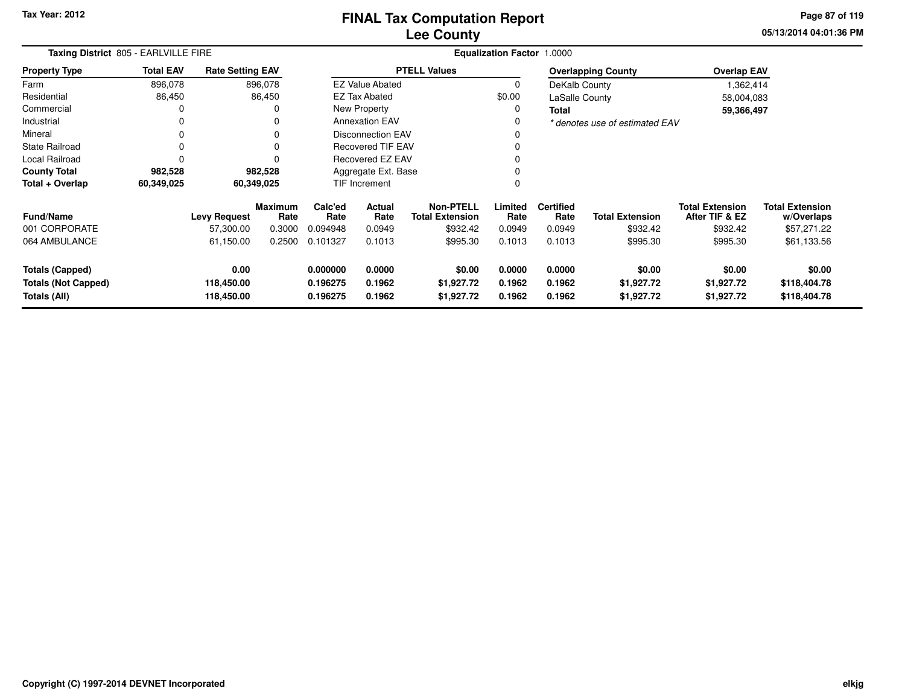**05/13/2014 04:01:36 PM Page 87 of 119**

| Taxing District 805 - EARLVILLE FIRE                                 | <b>Equalization Factor 1.0000</b> |                                  |                 |                                  |                                                              |                                    |                            |                            |                                    |                                          |                                        |
|----------------------------------------------------------------------|-----------------------------------|----------------------------------|-----------------|----------------------------------|--------------------------------------------------------------|------------------------------------|----------------------------|----------------------------|------------------------------------|------------------------------------------|----------------------------------------|
| <b>Property Type</b>                                                 | <b>Total EAV</b>                  | <b>Rate Setting EAV</b>          |                 |                                  |                                                              | <b>PTELL Values</b>                |                            |                            | <b>Overlapping County</b>          | <b>Overlap EAV</b>                       |                                        |
| Farm                                                                 | 896,078                           |                                  | 896,078         |                                  | <b>EZ Value Abated</b>                                       |                                    | 0                          | DeKalb County              |                                    | 1,362,414                                |                                        |
| Residential                                                          | 86,450                            |                                  | 86,450          |                                  | <b>EZ Tax Abated</b>                                         |                                    | \$0.00                     | LaSalle County             |                                    | 58,004,083                               |                                        |
| Commercial                                                           | 0                                 |                                  | 0               |                                  | New Property                                                 |                                    | 0                          | Total                      |                                    | 59,366,497                               |                                        |
| Industrial                                                           | 0                                 |                                  |                 |                                  | <b>Annexation EAV</b>                                        |                                    |                            |                            | * denotes use of estimated EAV     |                                          |                                        |
| Mineral                                                              | 0                                 |                                  |                 |                                  | Disconnection EAV                                            |                                    |                            |                            |                                    |                                          |                                        |
| <b>State Railroad</b>                                                | 0                                 |                                  |                 |                                  | <b>Recovered TIF EAV</b>                                     |                                    |                            |                            |                                    |                                          |                                        |
| Local Railroad                                                       | 0                                 |                                  |                 | Recovered EZ EAV                 |                                                              |                                    |                            |                            |                                    |                                          |                                        |
| <b>County Total</b>                                                  | 982,528                           |                                  | 982,528         |                                  | Aggregate Ext. Base                                          |                                    |                            |                            |                                    |                                          |                                        |
| Total + Overlap                                                      | 60,349,025                        |                                  | 60,349,025      |                                  | <b>TIF Increment</b>                                         |                                    | $\Omega$                   |                            |                                    |                                          |                                        |
| <b>Fund/Name</b>                                                     |                                   | <b>Levy Request</b>              | Maximum<br>Rate | Calc'ed<br>Rate                  | <b>Non-PTELL</b><br>Actual<br>Rate<br><b>Total Extension</b> |                                    | Limited<br>Rate            | <b>Certified</b><br>Rate   | <b>Total Extension</b>             | <b>Total Extension</b><br>After TIF & EZ | <b>Total Extension</b><br>w/Overlaps   |
| 001 CORPORATE                                                        |                                   | 57,300.00                        | 0.3000          | 0.094948                         | 0.0949                                                       | \$932.42                           | 0.0949                     | 0.0949                     | \$932.42                           | \$932.42                                 | \$57,271.22                            |
| 064 AMBULANCE                                                        |                                   | 61,150.00                        | 0.2500          | 0.101327                         | 0.1013                                                       | \$995.30                           | 0.1013                     | 0.1013                     | \$995.30                           | \$995.30                                 | \$61,133.56                            |
| <b>Totals (Capped)</b><br><b>Totals (Not Capped)</b><br>Totals (All) |                                   | 0.00<br>118,450.00<br>118,450.00 |                 | 0.000000<br>0.196275<br>0.196275 | 0.0000<br>0.1962<br>0.1962                                   | \$0.00<br>\$1,927.72<br>\$1,927.72 | 0.0000<br>0.1962<br>0.1962 | 0.0000<br>0.1962<br>0.1962 | \$0.00<br>\$1,927.72<br>\$1,927.72 | \$0.00<br>\$1,927.72<br>\$1,927.72       | \$0.00<br>\$118,404.78<br>\$118,404.78 |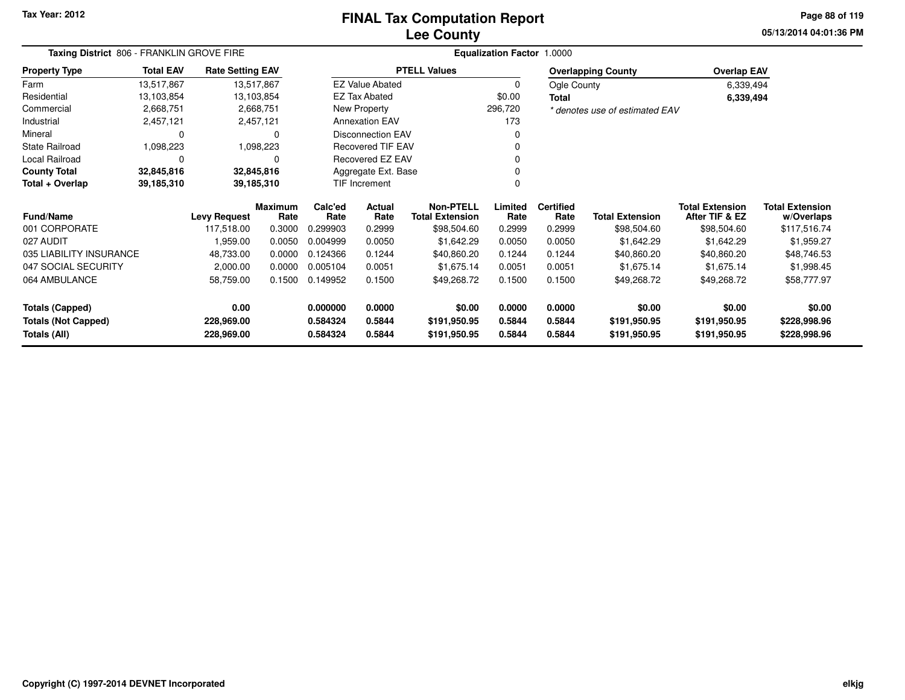#### **Lee CountyFINAL Tax Computation Report**

**05/13/2014 04:01:36 PM Page 88 of 119**

|                                            | Taxing District 806 - FRANKLIN GROVE FIRE |                          |                 |                      |                          | Equalization Factor 1.0000                 |                  |                          |                                |                                          |                                      |  |  |  |
|--------------------------------------------|-------------------------------------------|--------------------------|-----------------|----------------------|--------------------------|--------------------------------------------|------------------|--------------------------|--------------------------------|------------------------------------------|--------------------------------------|--|--|--|
| <b>Property Type</b>                       | <b>Total EAV</b>                          | <b>Rate Setting EAV</b>  |                 |                      |                          | <b>PTELL Values</b>                        |                  |                          | <b>Overlapping County</b>      | <b>Overlap EAV</b>                       |                                      |  |  |  |
| Farm                                       | 13,517,867                                | 13,517,867               |                 |                      | <b>EZ Value Abated</b>   |                                            | $\mathbf 0$      | Ogle County              |                                | 6,339,494                                |                                      |  |  |  |
| Residential                                | 13,103,854                                | 13,103,854               |                 |                      | <b>EZ Tax Abated</b>     |                                            | \$0.00           | <b>Total</b>             |                                | 6,339,494                                |                                      |  |  |  |
| Commercial                                 | 2,668,751                                 |                          | 2,668,751       |                      | New Property             |                                            | 296,720          |                          | * denotes use of estimated EAV |                                          |                                      |  |  |  |
| Industrial                                 | 2,457,121                                 |                          | 2,457,121       |                      | <b>Annexation EAV</b>    |                                            | 173              |                          |                                |                                          |                                      |  |  |  |
| Mineral                                    |                                           |                          | 0               |                      | <b>Disconnection EAV</b> |                                            | $\Omega$         |                          |                                |                                          |                                      |  |  |  |
| <b>State Railroad</b>                      | 1,098,223                                 |                          | 1,098,223       |                      | <b>Recovered TIF EAV</b> |                                            |                  |                          |                                |                                          |                                      |  |  |  |
| Local Railroad                             |                                           |                          | 0               |                      | Recovered EZ EAV         |                                            |                  |                          |                                |                                          |                                      |  |  |  |
| <b>County Total</b>                        | 32,845,816                                | 32,845,816               |                 |                      | Aggregate Ext. Base      |                                            |                  |                          |                                |                                          |                                      |  |  |  |
| Total + Overlap                            | 39,185,310                                | 39,185,310               |                 | TIF Increment        |                          |                                            |                  |                          |                                |                                          |                                      |  |  |  |
| <b>Fund/Name</b>                           |                                           | <b>Levy Request</b>      | Maximum<br>Rate | Calc'ed<br>Rate      | Actual<br>Rate           | <b>Non-PTELL</b><br><b>Total Extension</b> | Limited<br>Rate  | <b>Certified</b><br>Rate | <b>Total Extension</b>         | <b>Total Extension</b><br>After TIF & EZ | <b>Total Extension</b><br>w/Overlaps |  |  |  |
| 001 CORPORATE                              |                                           | 117,518.00               | 0.3000          | 0.299903             | 0.2999                   | \$98,504.60                                | 0.2999           | 0.2999                   | \$98,504.60                    | \$98,504.60                              | \$117,516.74                         |  |  |  |
| 027 AUDIT                                  |                                           | 1,959.00                 | 0.0050          | 0.004999             | 0.0050                   | \$1,642.29                                 | 0.0050           | 0.0050                   | \$1,642.29                     | \$1,642.29                               | \$1,959.27                           |  |  |  |
| 035 LIABILITY INSURANCE                    |                                           | 48,733.00                | 0.0000          | 0.124366             | 0.1244                   | \$40,860.20                                | 0.1244           | 0.1244                   | \$40,860.20                    | \$40,860.20                              | \$48,746.53                          |  |  |  |
| 047 SOCIAL SECURITY                        |                                           | 2,000.00                 | 0.0000          | 0.005104             | 0.0051                   | \$1,675.14                                 | 0.0051           | 0.0051                   | \$1,675.14                     | \$1,675.14                               | \$1,998.45                           |  |  |  |
| 064 AMBULANCE                              |                                           | 58,759.00                | 0.1500          | 0.149952             | 0.1500                   | \$49,268.72                                | 0.1500           | 0.1500                   | \$49,268.72                    | \$49,268.72                              | \$58,777.97                          |  |  |  |
| <b>Totals (Capped)</b>                     |                                           | 0.00                     |                 | 0.000000             | 0.0000                   | \$0.00                                     | 0.0000           | 0.0000                   | \$0.00                         | \$0.00                                   | \$0.00                               |  |  |  |
| <b>Totals (Not Capped)</b><br>Totals (All) |                                           | 228,969.00<br>228,969.00 |                 | 0.584324<br>0.584324 | 0.5844<br>0.5844         | \$191,950.95<br>\$191,950.95               | 0.5844<br>0.5844 | 0.5844<br>0.5844         | \$191,950.95<br>\$191,950.95   | \$191,950.95<br>\$191,950.95             | \$228,998.96<br>\$228,998.96         |  |  |  |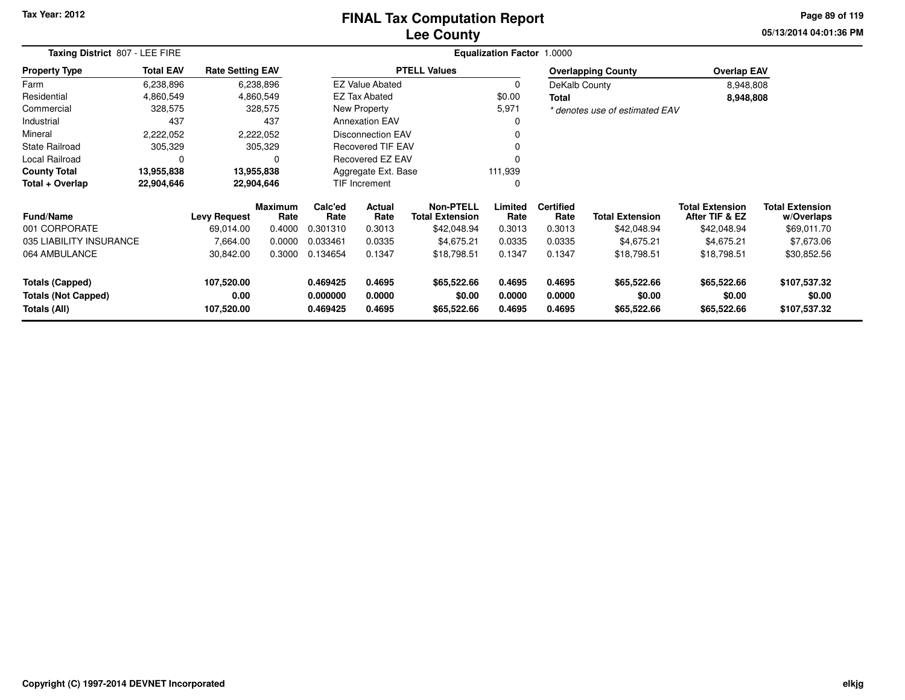#### **Lee CountyFINAL Tax Computation Report**

**05/13/2014 04:01:36 PM Page 89 of 119**

| Taxing District 807 - LEE FIRE                                   |                  |                         | <b>Equalization Factor 1.0000</b> |                      |                          |                                     |                  |                          |                                |                                          |                                      |  |  |
|------------------------------------------------------------------|------------------|-------------------------|-----------------------------------|----------------------|--------------------------|-------------------------------------|------------------|--------------------------|--------------------------------|------------------------------------------|--------------------------------------|--|--|
| <b>Property Type</b>                                             | <b>Total EAV</b> | <b>Rate Setting EAV</b> |                                   |                      |                          | <b>PTELL Values</b>                 |                  |                          | <b>Overlapping County</b>      | <b>Overlap EAV</b>                       |                                      |  |  |
| Farm                                                             | 6,238,896        |                         | 6,238,896                         |                      | <b>EZ Value Abated</b>   |                                     | $\Omega$         | DeKalb County            |                                | 8,948,808                                |                                      |  |  |
| Residential                                                      | 4,860,549        |                         | 4,860,549                         |                      | EZ Tax Abated            |                                     | \$0.00           | <b>Total</b>             |                                | 8,948,808                                |                                      |  |  |
| Commercial                                                       | 328,575          |                         | 328,575                           |                      | New Property             |                                     | 5,971            |                          | * denotes use of estimated EAV |                                          |                                      |  |  |
| Industrial                                                       | 437              |                         | 437                               |                      | <b>Annexation EAV</b>    |                                     | 0                |                          |                                |                                          |                                      |  |  |
| Mineral                                                          | 2,222,052        |                         | 2,222,052                         |                      | Disconnection EAV        |                                     | 0                |                          |                                |                                          |                                      |  |  |
| <b>State Railroad</b>                                            | 305,329          |                         | 305,329                           |                      | <b>Recovered TIF EAV</b> |                                     |                  |                          |                                |                                          |                                      |  |  |
| Local Railroad                                                   | $\Omega$         |                         | 0                                 |                      | Recovered EZ EAV         |                                     |                  |                          |                                |                                          |                                      |  |  |
| <b>County Total</b>                                              | 13,955,838       |                         | 13.955,838                        |                      | Aggregate Ext. Base      |                                     | 111,939          |                          |                                |                                          |                                      |  |  |
| Total + Overlap                                                  | 22,904,646       |                         | 22,904,646                        | <b>TIF Increment</b> |                          |                                     | 0                |                          |                                |                                          |                                      |  |  |
| <b>Fund/Name</b>                                                 |                  | <b>Levy Request</b>     | <b>Maximum</b><br>Rate            | Calc'ed<br>Rate      | <b>Actual</b><br>Rate    | Non-PTELL<br><b>Total Extension</b> | Limited<br>Rate  | <b>Certified</b><br>Rate | <b>Total Extension</b>         | <b>Total Extension</b><br>After TIF & EZ | <b>Total Extension</b><br>w/Overlaps |  |  |
| 001 CORPORATE                                                    |                  | 69,014.00               | 0.4000                            | 0.301310             | 0.3013                   | \$42,048.94                         | 0.3013           | 0.3013                   | \$42,048.94                    | \$42,048.94                              | \$69,011.70                          |  |  |
| 035 LIABILITY INSURANCE                                          |                  | 7,664.00                | 0.0000                            | 0.033461             | 0.0335                   | \$4,675.21                          | 0.0335           | 0.0335                   | \$4,675.21                     | \$4,675.21                               | \$7,673.06                           |  |  |
| 064 AMBULANCE                                                    |                  | 30,842.00               | 0.3000                            | 0.134654             | 0.1347                   | \$18,798.51                         | 0.1347           | 0.1347                   | \$18,798.51                    | \$18,798.51                              | \$30,852.56                          |  |  |
| <b>Totals (Capped)</b>                                           |                  | 107,520.00              |                                   | 0.469425             | 0.4695                   | \$65,522.66                         | 0.4695           | 0.4695                   | \$65,522.66                    | \$65,522.66                              | \$107,537.32                         |  |  |
| 0.00<br><b>Totals (Not Capped)</b><br>Totals (All)<br>107,520.00 |                  |                         | 0.000000<br>0.469425              | 0.0000<br>0.4695     | \$0.00<br>\$65,522.66    | 0.0000<br>0.4695                    | 0.0000<br>0.4695 | \$0.00<br>\$65,522.66    | \$0.00<br>\$65,522.66          | \$0.00<br>\$107,537.32                   |                                      |  |  |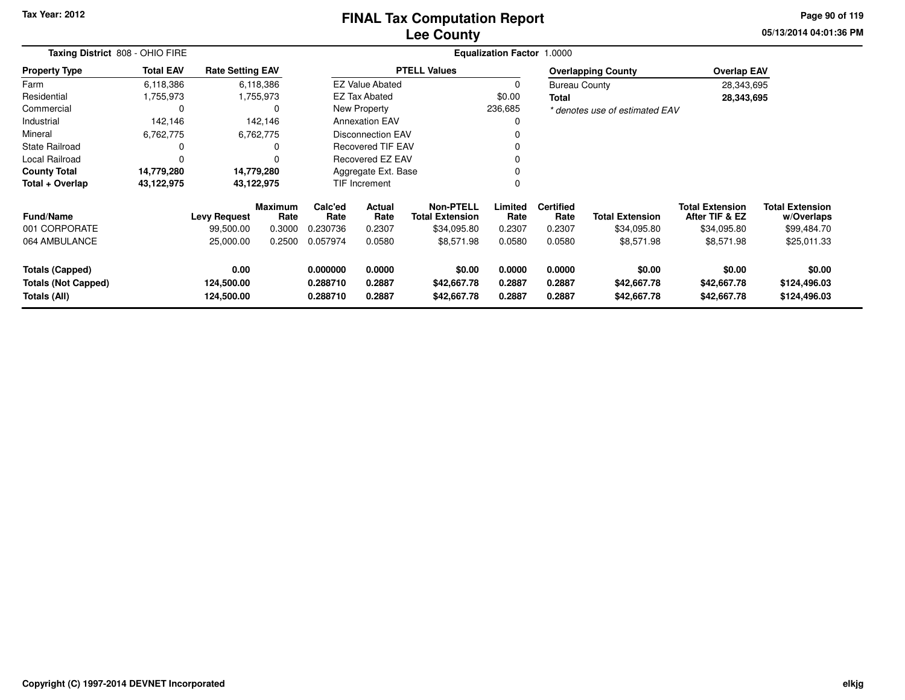#### **Lee CountyFINAL Tax Computation Report**

**05/13/2014 04:01:36 PM Page 90 of 119**

| Taxing District 808 - OHIO FIRE |                  |                         |                        |                 |                                               |                                            | <b>Equalization Factor</b> | 1.0000                   |                                |                                          |                                      |
|---------------------------------|------------------|-------------------------|------------------------|-----------------|-----------------------------------------------|--------------------------------------------|----------------------------|--------------------------|--------------------------------|------------------------------------------|--------------------------------------|
| <b>Property Type</b>            | <b>Total EAV</b> | <b>Rate Setting EAV</b> |                        |                 |                                               | <b>PTELL Values</b>                        |                            |                          | <b>Overlapping County</b>      | <b>Overlap EAV</b>                       |                                      |
| Farm                            | 6,118,386        |                         | 6,118,386              |                 | <b>EZ Value Abated</b>                        |                                            | 0                          | <b>Bureau County</b>     |                                | 28,343,695                               |                                      |
| Residential                     | 1,755,973        |                         | 1,755,973              |                 | <b>EZ Tax Abated</b>                          |                                            | \$0.00                     | Total                    |                                | 28,343,695                               |                                      |
| Commercial                      | $\Omega$         |                         |                        |                 | New Property                                  |                                            | 236,685                    |                          | * denotes use of estimated EAV |                                          |                                      |
| Industrial                      | 142,146          |                         | 142,146                |                 | <b>Annexation EAV</b>                         |                                            | 0                          |                          |                                |                                          |                                      |
| Mineral                         | 6,762,775        |                         | 6,762,775              |                 | <b>Disconnection EAV</b><br>Recovered TIF EAV |                                            |                            |                          |                                |                                          |                                      |
| <b>State Railroad</b>           | 0                |                         |                        |                 |                                               |                                            | 0                          |                          |                                |                                          |                                      |
| Local Railroad                  |                  |                         |                        |                 | Recovered EZ EAV                              |                                            | 0                          |                          |                                |                                          |                                      |
| <b>County Total</b>             | 14,779,280       | 14,779,280              |                        |                 | Aggregate Ext. Base                           |                                            | 0                          |                          |                                |                                          |                                      |
| Total + Overlap                 | 43,122,975       | 43,122,975              |                        |                 | TIF Increment                                 |                                            | 0                          |                          |                                |                                          |                                      |
| <b>Fund/Name</b>                |                  | <b>Levy Request</b>     | <b>Maximum</b><br>Rate | Calc'ed<br>Rate | Actual<br>Rate                                | <b>Non-PTELL</b><br><b>Total Extension</b> | Limited<br>Rate            | <b>Certified</b><br>Rate | <b>Total Extension</b>         | <b>Total Extension</b><br>After TIF & EZ | <b>Total Extension</b><br>w/Overlaps |
| 001 CORPORATE                   |                  | 99,500.00               | 0.3000                 | 0.230736        | 0.2307                                        | \$34,095.80                                | 0.2307                     | 0.2307                   | \$34,095.80                    | \$34,095.80                              | \$99,484.70                          |
| 064 AMBULANCE                   |                  | 25,000.00               | 0.2500                 | 0.057974        | 0.0580                                        | \$8,571.98                                 | 0.0580                     | 0.0580                   | \$8,571.98                     | \$8,571.98                               | \$25,011.33                          |
| <b>Totals (Capped)</b>          |                  | 0.00                    |                        | 0.000000        | 0.0000                                        | \$0.00                                     | 0.0000                     | 0.0000                   | \$0.00                         | \$0.00                                   | \$0.00                               |
| <b>Totals (Not Capped)</b>      |                  | 124,500.00              |                        | 0.288710        | 0.2887                                        | \$42,667.78                                | 0.2887                     | 0.2887                   | \$42,667.78                    | \$42,667.78                              | \$124,496.03                         |
| Totals (All)                    |                  | 124,500.00              |                        | 0.288710        | 0.2887                                        | \$42,667.78                                | 0.2887                     | 0.2887                   | \$42,667.78                    | \$42,667.78                              | \$124,496.03                         |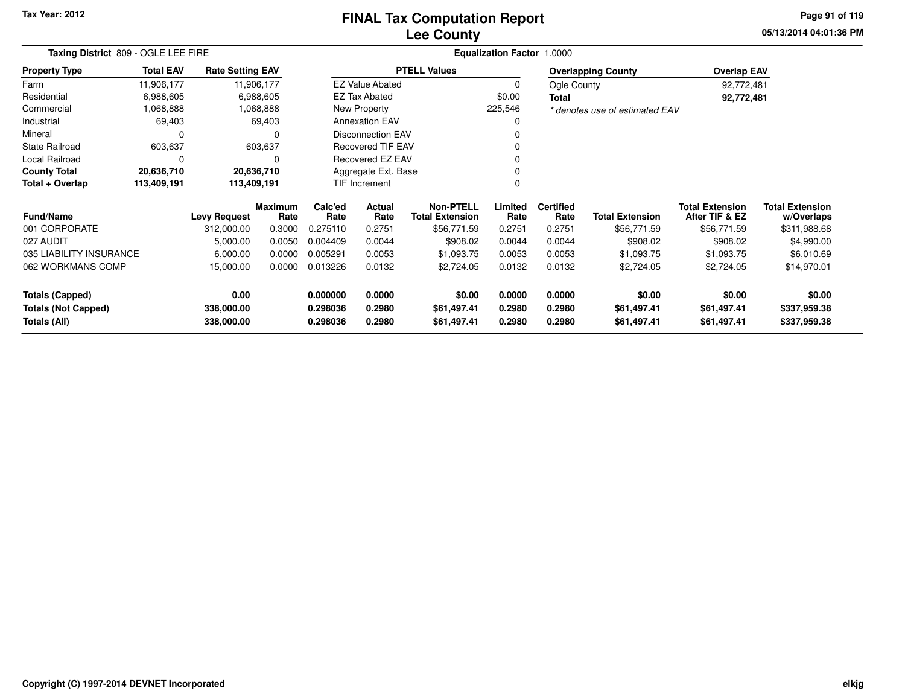# **Lee CountyFINAL Tax Computation Report**

**05/13/2014 04:01:36 PM Page 91 of 119**

| Taxing District 809 - OGLE LEE FIRE        |                            |                          |                        | Equalization Factor 1.0000 |                                                      |                                            |                  |                          |                                |                                          |                                      |  |  |  |
|--------------------------------------------|----------------------------|--------------------------|------------------------|----------------------------|------------------------------------------------------|--------------------------------------------|------------------|--------------------------|--------------------------------|------------------------------------------|--------------------------------------|--|--|--|
| <b>Property Type</b>                       | <b>Total EAV</b>           | <b>Rate Setting EAV</b>  |                        |                            |                                                      | <b>PTELL Values</b>                        |                  |                          | <b>Overlapping County</b>      | <b>Overlap EAV</b>                       |                                      |  |  |  |
| Farm                                       | 11,906,177                 | 11,906,177               |                        |                            | <b>EZ Value Abated</b>                               |                                            | 0                | Ogle County              |                                | 92,772,481                               |                                      |  |  |  |
| Residential                                | 6,988,605                  |                          | 6,988,605              |                            | <b>EZ Tax Abated</b>                                 |                                            | \$0.00           | Total                    |                                | 92,772,481                               |                                      |  |  |  |
| Commercial                                 | 1,068,888                  |                          | 1,068,888              |                            | New Property                                         |                                            | 225,546          |                          | * denotes use of estimated EAV |                                          |                                      |  |  |  |
| Industrial                                 | 69,403                     |                          | 69,403                 |                            | <b>Annexation EAV</b>                                |                                            |                  |                          |                                |                                          |                                      |  |  |  |
| Mineral                                    | 0                          |                          |                        |                            | <b>Disconnection EAV</b><br><b>Recovered TIF EAV</b> |                                            |                  |                          |                                |                                          |                                      |  |  |  |
| <b>State Railroad</b>                      | 603,637                    |                          | 603,637                |                            |                                                      |                                            |                  |                          |                                |                                          |                                      |  |  |  |
| Local Railroad                             | 0                          |                          | $\Omega$               |                            | Recovered EZ EAV                                     |                                            |                  |                          |                                |                                          |                                      |  |  |  |
| <b>County Total</b>                        | 20,636,710                 | 20,636,710               |                        |                            | Aggregate Ext. Base                                  |                                            |                  |                          |                                |                                          |                                      |  |  |  |
| Total + Overlap                            | 113,409,191<br>113,409,191 |                          |                        |                            | <b>TIF Increment</b>                                 |                                            | 0                |                          |                                |                                          |                                      |  |  |  |
| <b>Fund/Name</b>                           | <b>Levy Request</b>        |                          | <b>Maximum</b><br>Rate | Calc'ed<br>Rate            | Actual<br>Rate                                       | <b>Non-PTELL</b><br><b>Total Extension</b> | Limited<br>Rate  | <b>Certified</b><br>Rate | <b>Total Extension</b>         | <b>Total Extension</b><br>After TIF & EZ | <b>Total Extension</b><br>w/Overlaps |  |  |  |
| 001 CORPORATE                              |                            | 312,000.00               | 0.3000                 | 0.275110                   | 0.2751                                               | \$56,771.59                                | 0.2751           | 0.2751                   | \$56,771.59                    | \$56,771.59                              | \$311,988.68                         |  |  |  |
| 027 AUDIT                                  |                            | 5,000.00                 | 0.0050                 | 0.004409                   | 0.0044                                               | \$908.02                                   | 0.0044           | 0.0044                   | \$908.02                       | \$908.02                                 | \$4,990.00                           |  |  |  |
| 035 LIABILITY INSURANCE                    |                            | 6,000.00                 | 0.0000                 | 0.005291                   | 0.0053                                               | \$1,093.75                                 | 0.0053           | 0.0053                   | \$1,093.75                     | \$1,093.75                               | \$6,010.69                           |  |  |  |
| 062 WORKMANS COMP                          |                            | 15,000.00                | 0.0000                 | 0.013226                   | 0.0132                                               | \$2,724.05                                 | 0.0132           | 0.0132                   | \$2,724.05                     | \$2,724.05                               | \$14,970.01                          |  |  |  |
| <b>Totals (Capped)</b>                     |                            | 0.00                     |                        | 0.000000                   | 0.0000                                               | \$0.00                                     | 0.0000           | 0.0000                   | \$0.00                         | \$0.00                                   | \$0.00                               |  |  |  |
| <b>Totals (Not Capped)</b><br>Totals (All) |                            | 338,000.00<br>338,000.00 |                        | 0.298036<br>0.298036       | 0.2980<br>0.2980                                     | \$61,497.41<br>\$61,497.41                 | 0.2980<br>0.2980 | 0.2980<br>0.2980         | \$61,497.41<br>\$61,497.41     | \$61,497.41<br>\$61,497.41               | \$337,959.38<br>\$337,959.38         |  |  |  |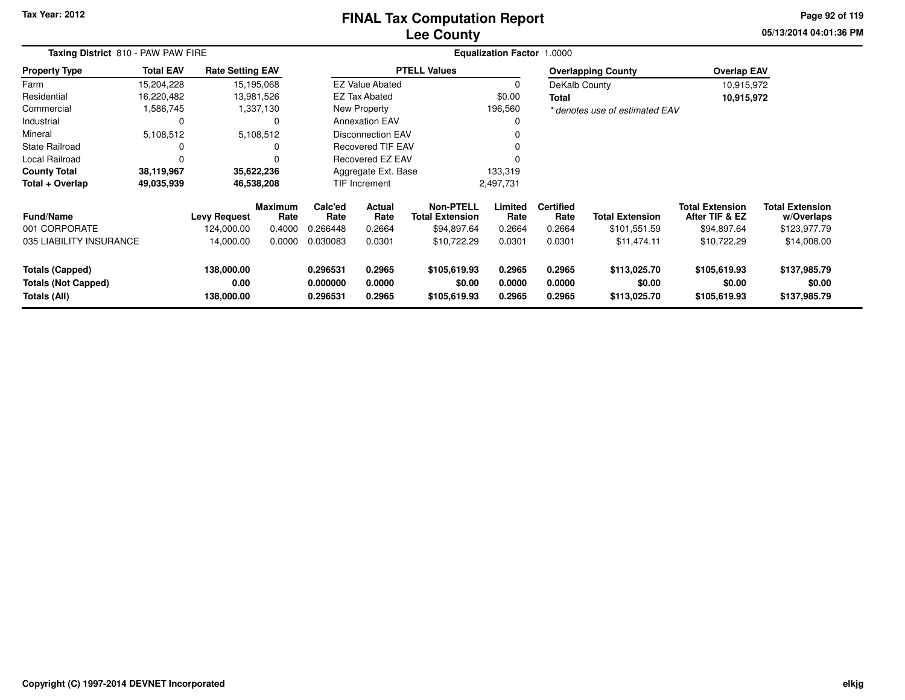# **Lee CountyFINAL Tax Computation Report**

**05/13/2014 04:01:36 PM Page 92 of 119**

| Taxing District 810 - PAW PAW FIRE                                   |                  |                                  |                 |                                  |                            |                                            |                            |                            |                                        |                                          |                                        |
|----------------------------------------------------------------------|------------------|----------------------------------|-----------------|----------------------------------|----------------------------|--------------------------------------------|----------------------------|----------------------------|----------------------------------------|------------------------------------------|----------------------------------------|
| <b>Property Type</b>                                                 | <b>Total EAV</b> | <b>Rate Setting EAV</b>          |                 |                                  |                            | <b>PTELL Values</b>                        |                            |                            | <b>Overlapping County</b>              | <b>Overlap EAV</b>                       |                                        |
| Farm                                                                 | 15,204,228       | 15,195,068                       |                 |                                  | <b>EZ Value Abated</b>     |                                            | 0                          | DeKalb County              |                                        | 10,915,972                               |                                        |
| Residential                                                          | 16,220,482       | 13,981,526                       |                 |                                  | <b>EZ Tax Abated</b>       |                                            | \$0.00                     | Total                      |                                        | 10,915,972                               |                                        |
| Commercial                                                           | 1,586,745        |                                  | 1,337,130       |                                  | New Property               |                                            | 196,560                    |                            | * denotes use of estimated EAV         |                                          |                                        |
| Industrial                                                           | 0                |                                  | 0               |                                  | <b>Annexation EAV</b>      |                                            | 0                          |                            |                                        |                                          |                                        |
| Mineral                                                              | 5,108,512        |                                  | 5,108,512       |                                  | <b>Disconnection EAV</b>   |                                            |                            |                            |                                        |                                          |                                        |
| <b>State Railroad</b>                                                |                  |                                  | O               |                                  | Recovered TIF EAV          |                                            |                            |                            |                                        |                                          |                                        |
| Local Railroad                                                       |                  |                                  | $\Omega$        |                                  | Recovered EZ EAV           |                                            |                            |                            |                                        |                                          |                                        |
| <b>County Total</b>                                                  | 38,119,967       | 35,622,236                       |                 |                                  | Aggregate Ext. Base        |                                            | 133,319                    |                            |                                        |                                          |                                        |
| Total + Overlap                                                      | 49,035,939       | 46,538,208                       |                 |                                  | TIF Increment              |                                            | 2,497,731                  |                            |                                        |                                          |                                        |
| Fund/Name                                                            |                  | <b>Levy Request</b>              | Maximum<br>Rate | Calc'ed<br>Rate                  | Actual<br>Rate             | <b>Non-PTELL</b><br><b>Total Extension</b> | Limited<br>Rate            | <b>Certified</b><br>Rate   | <b>Total Extension</b>                 | <b>Total Extension</b><br>After TIF & EZ | <b>Total Extension</b><br>w/Overlaps   |
| 001 CORPORATE                                                        |                  | 124,000.00                       | 0.4000          | 0.266448                         | 0.2664                     | \$94,897.64                                | 0.2664                     | 0.2664                     | \$101,551.59                           | \$94,897.64                              | \$123,977.79                           |
| 035 LIABILITY INSURANCE                                              |                  | 14,000.00                        | 0.0000          | 0.030083                         | 0.0301                     | \$10,722.29                                | 0.0301                     | 0.0301                     | \$11,474.11                            | \$10,722.29                              | \$14,008.00                            |
| <b>Totals (Capped)</b><br><b>Totals (Not Capped)</b><br>Totals (All) |                  | 138,000.00<br>0.00<br>138,000.00 |                 | 0.296531<br>0.000000<br>0.296531 | 0.2965<br>0.0000<br>0.2965 | \$105,619.93<br>\$0.00<br>\$105,619.93     | 0.2965<br>0.0000<br>0.2965 | 0.2965<br>0.0000<br>0.2965 | \$113,025.70<br>\$0.00<br>\$113,025.70 | \$105,619.93<br>\$0.00<br>\$105,619.93   | \$137,985.79<br>\$0.00<br>\$137,985.79 |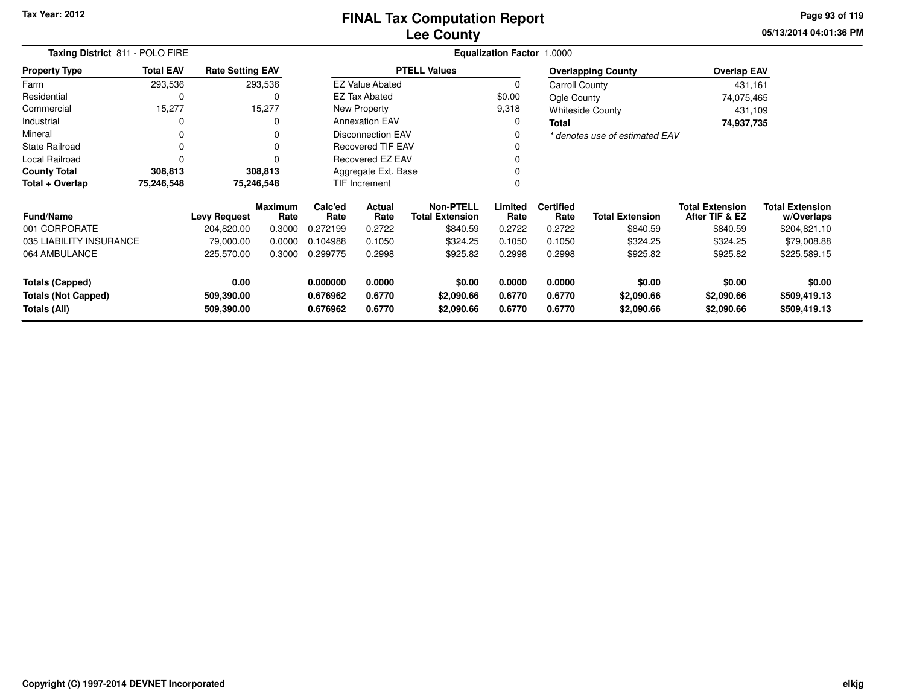| Taxing District 811 - POLO FIRE                      |                  |                         | Equalization Factor 1.0000 |                      |                                               |                                            |                  |                          |                                |                                          |                                      |  |
|------------------------------------------------------|------------------|-------------------------|----------------------------|----------------------|-----------------------------------------------|--------------------------------------------|------------------|--------------------------|--------------------------------|------------------------------------------|--------------------------------------|--|
| <b>Property Type</b>                                 | <b>Total EAV</b> | <b>Rate Setting EAV</b> |                            |                      |                                               | <b>PTELL Values</b>                        |                  |                          | <b>Overlapping County</b>      | <b>Overlap EAV</b>                       |                                      |  |
| Farm                                                 | 293,536          |                         | 293,536                    |                      | <b>EZ Value Abated</b>                        |                                            | 0                | Carroll County           |                                | 431,161                                  |                                      |  |
| Residential                                          | 0                |                         | 0                          |                      | <b>EZ Tax Abated</b>                          |                                            | \$0.00           | Ogle County              |                                | 74,075,465                               |                                      |  |
| Commercial                                           | 15,277           |                         | 15,277                     |                      | New Property                                  |                                            | 9,318            |                          | <b>Whiteside County</b>        | 431,109                                  |                                      |  |
| Industrial                                           | 0                |                         | $\Omega$                   |                      | <b>Annexation EAV</b>                         |                                            | 0                | Total                    |                                | 74,937,735                               |                                      |  |
| Mineral                                              | 0                |                         | $\Omega$                   |                      | Disconnection EAV<br><b>Recovered TIF EAV</b> |                                            |                  |                          | * denotes use of estimated EAV |                                          |                                      |  |
| <b>State Railroad</b>                                | 0                |                         | 0                          |                      |                                               |                                            |                  |                          |                                |                                          |                                      |  |
| <b>Local Railroad</b>                                | $\Omega$         |                         | O                          |                      | Recovered EZ EAV                              |                                            |                  |                          |                                |                                          |                                      |  |
| <b>County Total</b>                                  | 308,813          |                         | 308,813                    |                      | Aggregate Ext. Base                           |                                            |                  |                          |                                |                                          |                                      |  |
| Total + Overlap                                      | 75,246,548       |                         | 75,246,548                 |                      | TIF Increment                                 |                                            | 0                |                          |                                |                                          |                                      |  |
| <b>Fund/Name</b>                                     |                  | <b>Levy Request</b>     | <b>Maximum</b><br>Rate     | Calc'ed<br>Rate      | Actual<br>Rate                                | <b>Non-PTELL</b><br><b>Total Extension</b> | Limited<br>Rate  | <b>Certified</b><br>Rate | <b>Total Extension</b>         | <b>Total Extension</b><br>After TIF & EZ | <b>Total Extension</b><br>w/Overlaps |  |
| 001 CORPORATE                                        |                  | 204,820.00              | 0.3000                     | 0.272199             | 0.2722                                        | \$840.59                                   | 0.2722           | 0.2722                   | \$840.59                       | \$840.59                                 | \$204,821.10                         |  |
| 035 LIABILITY INSURANCE                              |                  | 79,000.00               | 0.0000                     | 0.104988             | 0.1050                                        | \$324.25                                   | 0.1050           | 0.1050                   | \$324.25                       | \$324.25                                 | \$79,008.88                          |  |
| 064 AMBULANCE                                        |                  | 225,570.00              | 0.3000                     | 0.299775             | 0.2998                                        | \$925.82                                   | 0.2998           | 0.2998                   | \$925.82                       | \$925.82                                 | \$225,589.15                         |  |
| <b>Totals (Capped)</b><br><b>Totals (Not Capped)</b> |                  | 0.00<br>509,390.00      |                            | 0.000000<br>0.676962 | 0.0000<br>0.6770                              | \$0.00<br>\$2,090.66                       | 0.0000<br>0.6770 | 0.0000<br>0.6770         | \$0.00<br>\$2,090.66           | \$0.00<br>\$2,090.66                     | \$0.00<br>\$509,419.13               |  |
| Totals (All)                                         |                  | 509,390.00              |                            | 0.676962             | 0.6770                                        | \$2,090.66                                 | 0.6770           | 0.6770                   | \$2,090.66                     | \$2,090.66                               | \$509,419.13                         |  |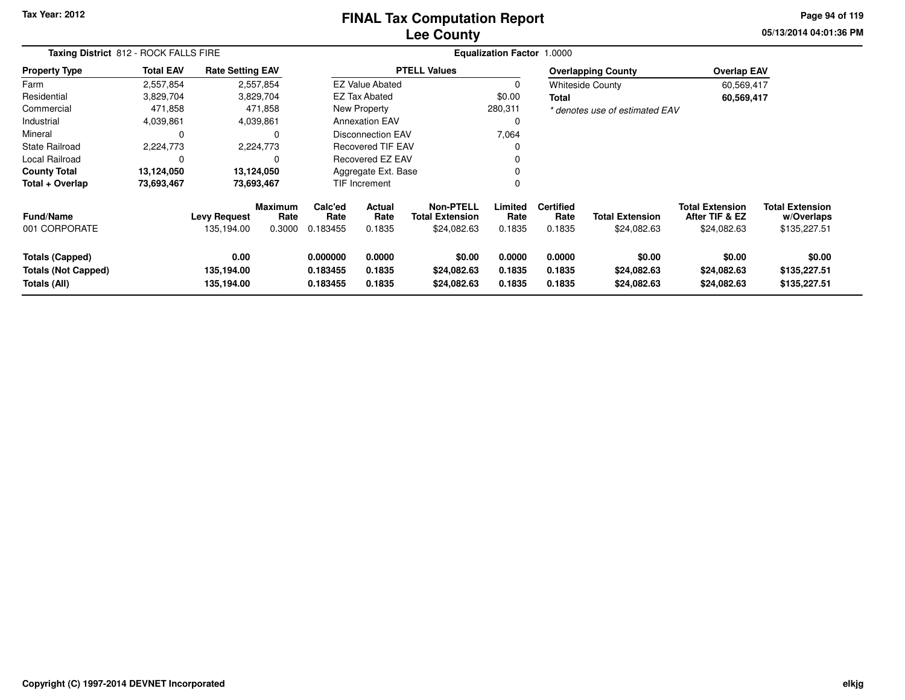#### **Lee CountyFINAL Tax Computation Report**

**05/13/2014 04:01:36 PM Page 94 of 119**

|                                                                      | Taxing District 812 - ROCK FALLS FIRE |                                   |                           |                                  | <b>Equalization Factor 1.0000</b> |                                                           |                            |                                    |                                       |                                                         |                                                      |  |  |  |
|----------------------------------------------------------------------|---------------------------------------|-----------------------------------|---------------------------|----------------------------------|-----------------------------------|-----------------------------------------------------------|----------------------------|------------------------------------|---------------------------------------|---------------------------------------------------------|------------------------------------------------------|--|--|--|
| <b>Property Type</b>                                                 | <b>Total EAV</b>                      | <b>Rate Setting EAV</b>           |                           |                                  |                                   | <b>PTELL Values</b>                                       |                            |                                    | <b>Overlapping County</b>             | <b>Overlap EAV</b>                                      |                                                      |  |  |  |
| Farm                                                                 | 2,557,854                             | 2,557,854                         |                           |                                  | <b>EZ Value Abated</b>            |                                                           | 0                          |                                    | <b>Whiteside County</b>               | 60,569,417                                              |                                                      |  |  |  |
| Residential                                                          | 3,829,704                             | 3,829,704                         |                           |                                  | <b>EZ Tax Abated</b>              |                                                           | \$0.00                     | Total                              |                                       | 60,569,417                                              |                                                      |  |  |  |
| Commercial                                                           | 471,858                               |                                   | 471,858                   |                                  | New Property                      |                                                           | 280,311                    |                                    | * denotes use of estimated EAV        |                                                         |                                                      |  |  |  |
| Industrial                                                           | 4,039,861                             | 4,039,861                         |                           |                                  | <b>Annexation EAV</b>             |                                                           | 0                          |                                    |                                       |                                                         |                                                      |  |  |  |
| Mineral                                                              |                                       |                                   | 0                         |                                  | Disconnection EAV                 |                                                           | 7,064                      |                                    |                                       |                                                         |                                                      |  |  |  |
| <b>State Railroad</b>                                                | 2,224,773                             | 2,224,773                         |                           |                                  | <b>Recovered TIF EAV</b>          |                                                           | 0                          |                                    |                                       |                                                         |                                                      |  |  |  |
| Local Railroad                                                       |                                       |                                   | 0                         |                                  | Recovered EZ EAV                  |                                                           | 0                          |                                    |                                       |                                                         |                                                      |  |  |  |
| <b>County Total</b>                                                  | 13,124,050                            | 13,124,050                        |                           |                                  | Aggregate Ext. Base               |                                                           |                            |                                    |                                       |                                                         |                                                      |  |  |  |
| Total + Overlap                                                      | 73,693,467                            | 73,693,467                        |                           |                                  | TIF Increment                     |                                                           | 0                          |                                    |                                       |                                                         |                                                      |  |  |  |
| <b>Fund/Name</b><br>001 CORPORATE                                    |                                       | <b>Levy Request</b><br>135,194.00 | Maximum<br>Rate<br>0.3000 | Calc'ed<br>Rate<br>0.183455      | Actual<br>Rate<br>0.1835          | <b>Non-PTELL</b><br><b>Total Extension</b><br>\$24,082.63 | Limited<br>Rate<br>0.1835  | <b>Certified</b><br>Rate<br>0.1835 | <b>Total Extension</b><br>\$24,082.63 | <b>Total Extension</b><br>After TIF & EZ<br>\$24,082.63 | <b>Total Extension</b><br>w/Overlaps<br>\$135,227.51 |  |  |  |
| <b>Totals (Capped)</b><br><b>Totals (Not Capped)</b><br>Totals (All) |                                       | 0.00<br>135,194.00<br>135,194.00  |                           | 0.000000<br>0.183455<br>0.183455 | 0.0000<br>0.1835<br>0.1835        | \$0.00<br>\$24,082.63<br>\$24,082.63                      | 0.0000<br>0.1835<br>0.1835 | 0.0000<br>0.1835<br>0.1835         | \$0.00<br>\$24,082.63<br>\$24,082.63  | \$0.00<br>\$24,082.63<br>\$24,082.63                    | \$0.00<br>\$135,227.51<br>\$135,227.51               |  |  |  |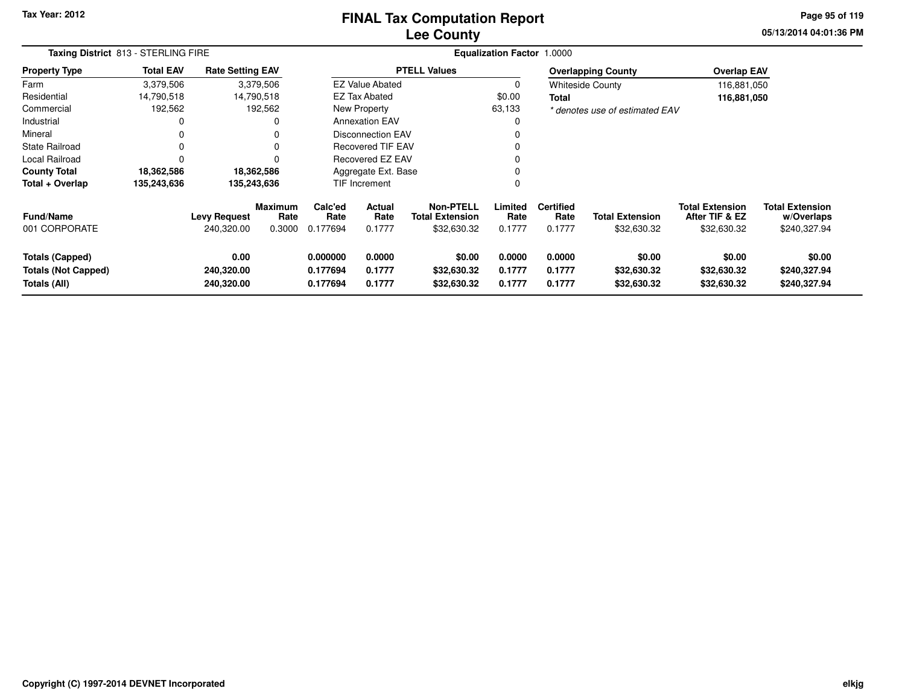# **Lee CountyFINAL Tax Computation Report**

**05/13/2014 04:01:36 PM Page 95 of 119**

|                                                                      | Taxing District 813 - STERLING FIRE |                                   |                           |                                  |                                 |                                                    | Equalization Factor 1.0000 |                                    |                                       |                                                         |                                                      |  |
|----------------------------------------------------------------------|-------------------------------------|-----------------------------------|---------------------------|----------------------------------|---------------------------------|----------------------------------------------------|----------------------------|------------------------------------|---------------------------------------|---------------------------------------------------------|------------------------------------------------------|--|
| <b>Property Type</b>                                                 | <b>Total EAV</b>                    | <b>Rate Setting EAV</b>           |                           |                                  |                                 | <b>PTELL Values</b>                                |                            |                                    | <b>Overlapping County</b>             | <b>Overlap EAV</b>                                      |                                                      |  |
| Farm                                                                 | 3,379,506                           |                                   | 3,379,506                 |                                  | <b>EZ Value Abated</b>          |                                                    | 0                          |                                    | <b>Whiteside County</b>               | 116,881,050                                             |                                                      |  |
| Residential                                                          | 14,790,518                          | 14,790,518                        |                           |                                  | <b>EZ Tax Abated</b>            |                                                    | \$0.00                     | <b>Total</b>                       |                                       | 116,881,050                                             |                                                      |  |
| Commercial                                                           | 192,562                             |                                   | 192,562                   |                                  | New Property                    |                                                    | 63,133                     |                                    | * denotes use of estimated EAV        |                                                         |                                                      |  |
| Industrial                                                           |                                     |                                   | $\Omega$                  |                                  | <b>Annexation EAV</b>           |                                                    | 0                          |                                    |                                       |                                                         |                                                      |  |
| Mineral                                                              |                                     |                                   | 0                         |                                  | <b>Disconnection EAV</b>        |                                                    |                            |                                    |                                       |                                                         |                                                      |  |
| State Railroad                                                       | 0                                   |                                   | $\Omega$                  |                                  | <b>Recovered TIF EAV</b>        |                                                    | 0                          |                                    |                                       |                                                         |                                                      |  |
| Local Railroad                                                       |                                     |                                   | $\Omega$                  |                                  | Recovered EZ EAV                |                                                    | $\Omega$                   |                                    |                                       |                                                         |                                                      |  |
| <b>County Total</b>                                                  | 18,362,586                          | 18,362,586                        |                           |                                  | Aggregate Ext. Base             |                                                    |                            |                                    |                                       |                                                         |                                                      |  |
| Total + Overlap                                                      | 135,243,636                         | 135,243,636                       |                           |                                  | <b>TIF Increment</b>            |                                                    | 0                          |                                    |                                       |                                                         |                                                      |  |
| <b>Fund/Name</b><br>001 CORPORATE                                    |                                     | <b>Levy Request</b><br>240,320.00 | Maximum<br>Rate<br>0.3000 | Calc'ed<br>Rate<br>0.177694      | <b>Actual</b><br>Rate<br>0.1777 | Non-PTELL<br><b>Total Extension</b><br>\$32,630.32 | Limited<br>Rate<br>0.1777  | <b>Certified</b><br>Rate<br>0.1777 | <b>Total Extension</b><br>\$32,630.32 | <b>Total Extension</b><br>After TIF & EZ<br>\$32,630.32 | <b>Total Extension</b><br>w/Overlaps<br>\$240,327.94 |  |
| <b>Totals (Capped)</b><br><b>Totals (Not Capped)</b><br>Totals (All) |                                     | 0.00<br>240,320.00<br>240,320.00  |                           | 0.000000<br>0.177694<br>0.177694 | 0.0000<br>0.1777<br>0.1777      | \$0.00<br>\$32,630.32<br>\$32,630.32               | 0.0000<br>0.1777<br>0.1777 | 0.0000<br>0.1777<br>0.1777         | \$0.00<br>\$32,630.32<br>\$32,630.32  | \$0.00<br>\$32,630.32<br>\$32,630.32                    | \$0.00<br>\$240,327.94<br>\$240,327.94               |  |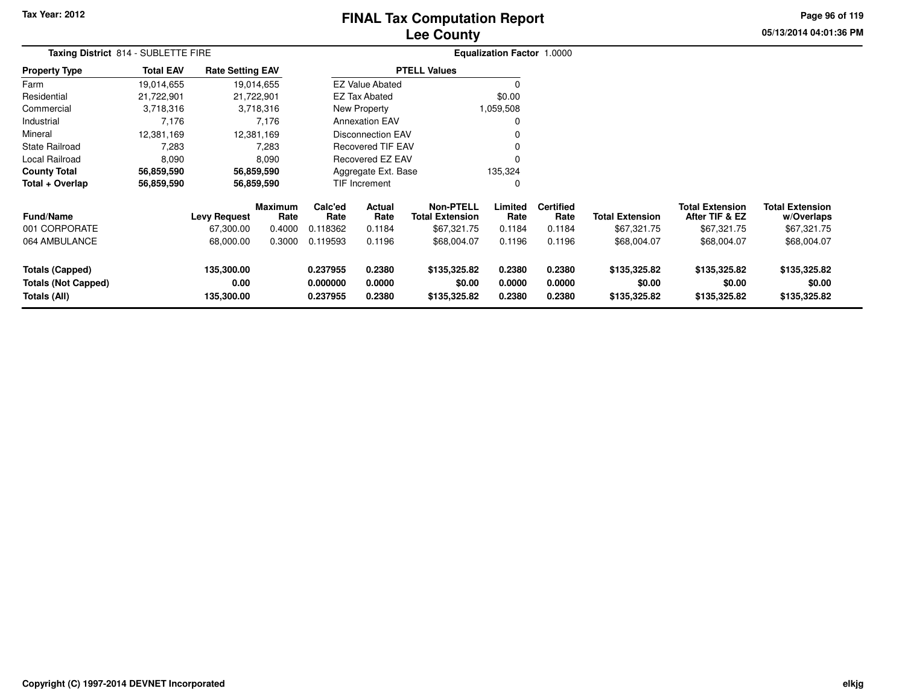# **Lee CountyFINAL Tax Computation Report**

**05/13/2014 04:01:36 PM Page 96 of 119**

|                                                                      | Taxing District 814 - SUBLETTE FIRE |                                  |                        |                                  |                                          |                                        | Equalization Factor 1.0000          |                            |                                        |                                          |                                        |  |
|----------------------------------------------------------------------|-------------------------------------|----------------------------------|------------------------|----------------------------------|------------------------------------------|----------------------------------------|-------------------------------------|----------------------------|----------------------------------------|------------------------------------------|----------------------------------------|--|
| <b>Property Type</b>                                                 | <b>Total EAV</b>                    | <b>Rate Setting EAV</b>          |                        |                                  |                                          | <b>PTELL Values</b>                    |                                     |                            |                                        |                                          |                                        |  |
| Farm                                                                 | 19,014,655                          |                                  | 19,014,655             |                                  | <b>EZ Value Abated</b>                   |                                        | $\Omega$                            |                            |                                        |                                          |                                        |  |
| Residential                                                          | 21,722,901                          |                                  | 21,722,901             |                                  | <b>EZ Tax Abated</b>                     |                                        | \$0.00                              |                            |                                        |                                          |                                        |  |
| Commercial                                                           | 3,718,316                           |                                  | 3,718,316              |                                  | New Property                             |                                        | 1,059,508                           |                            |                                        |                                          |                                        |  |
| Industrial                                                           | 7,176                               |                                  | 7,176                  |                                  | <b>Annexation EAV</b>                    |                                        | 0                                   |                            |                                        |                                          |                                        |  |
| Mineral                                                              | 12,381,169                          |                                  | 12,381,169             | Disconnection EAV                |                                          |                                        | 0                                   |                            |                                        |                                          |                                        |  |
| <b>State Railroad</b>                                                | 7,283                               |                                  | 7,283                  | <b>Recovered TIF EAV</b>         |                                          |                                        | 0                                   |                            |                                        |                                          |                                        |  |
| Local Railroad                                                       | 8,090                               |                                  | 8,090                  | Recovered EZ EAV                 |                                          |                                        | $\mathbf 0$                         |                            |                                        |                                          |                                        |  |
| <b>County Total</b>                                                  | 56,859,590                          |                                  | 56,859,590             |                                  | Aggregate Ext. Base                      |                                        | 135,324                             |                            |                                        |                                          |                                        |  |
| Total + Overlap                                                      | 56,859,590                          |                                  | 56,859,590             |                                  | TIF Increment                            |                                        | 0                                   |                            |                                        |                                          |                                        |  |
| <b>Fund/Name</b>                                                     |                                     | <b>Levy Request</b>              | <b>Maximum</b><br>Rate | Calc'ed<br>Rate                  | Actual<br><b>Total Extension</b><br>Rate |                                        | <b>Non-PTELL</b><br>Limited<br>Rate | <b>Certified</b><br>Rate   | <b>Total Extension</b>                 | <b>Total Extension</b><br>After TIF & EZ | <b>Total Extension</b><br>w/Overlaps   |  |
| 001 CORPORATE                                                        |                                     | 67,300.00                        | 0.4000                 | 0.118362                         | 0.1184                                   | \$67,321.75                            | 0.1184                              | 0.1184                     | \$67,321.75                            | \$67,321.75                              | \$67,321.75                            |  |
| 064 AMBULANCE                                                        |                                     | 68,000.00                        | 0.3000                 | 0.119593                         | 0.1196                                   | \$68,004.07                            | 0.1196                              | 0.1196                     | \$68,004.07                            | \$68,004.07                              | \$68,004.07                            |  |
| <b>Totals (Capped)</b><br><b>Totals (Not Capped)</b><br>Totals (All) |                                     | 135,300.00<br>0.00<br>135,300.00 |                        | 0.237955<br>0.000000<br>0.237955 | 0.2380<br>0.0000<br>0.2380               | \$135,325.82<br>\$0.00<br>\$135,325.82 | 0.2380<br>0.0000<br>0.2380          | 0.2380<br>0.0000<br>0.2380 | \$135,325.82<br>\$0.00<br>\$135,325.82 | \$135,325.82<br>\$0.00<br>\$135,325.82   | \$135,325.82<br>\$0.00<br>\$135,325.82 |  |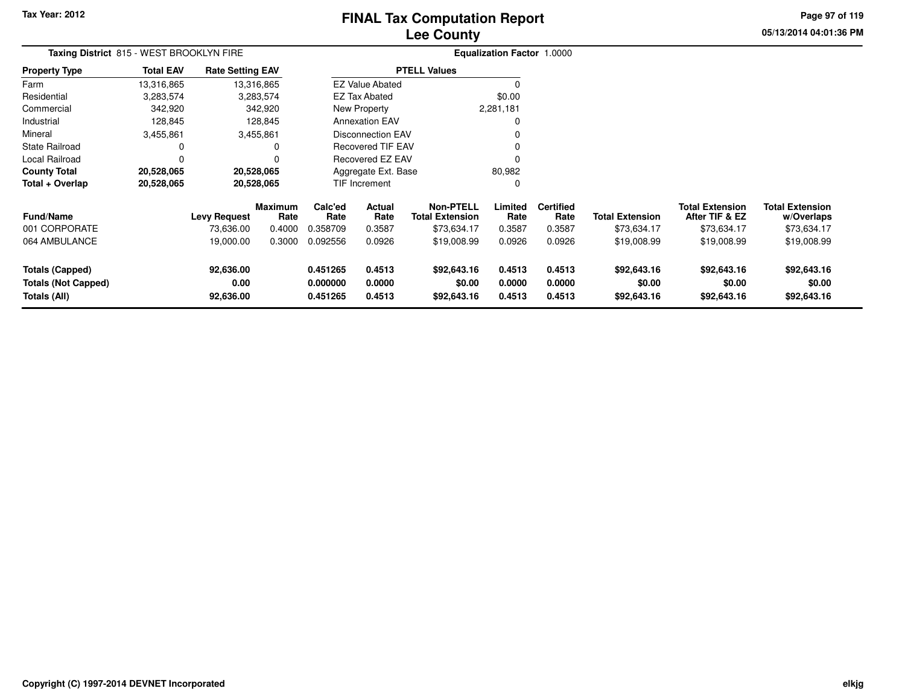# **Lee CountyFINAL Tax Computation Report**

**05/13/2014 04:01:36 PM Page 97 of 119**

| Taxing District 815 - WEST BROOKLYN FIRE                             |                  |                                |                 | <b>Equalization Factor 1.0000</b> |                            |                                            |                            |                            |                                      |                                          |                                      |
|----------------------------------------------------------------------|------------------|--------------------------------|-----------------|-----------------------------------|----------------------------|--------------------------------------------|----------------------------|----------------------------|--------------------------------------|------------------------------------------|--------------------------------------|
| <b>Property Type</b>                                                 | <b>Total EAV</b> | <b>Rate Setting EAV</b>        |                 |                                   |                            | <b>PTELL Values</b>                        |                            |                            |                                      |                                          |                                      |
| Farm                                                                 | 13,316,865       |                                | 13,316,865      |                                   | <b>EZ Value Abated</b>     |                                            |                            |                            |                                      |                                          |                                      |
| Residential                                                          | 3,283,574        |                                | 3,283,574       |                                   | <b>EZ Tax Abated</b>       |                                            | \$0.00                     |                            |                                      |                                          |                                      |
| Commercial                                                           | 342,920          |                                | 342,920         |                                   | New Property               |                                            | 2,281,181                  |                            |                                      |                                          |                                      |
| Industrial                                                           | 128,845          |                                | 128,845         |                                   | <b>Annexation EAV</b>      |                                            |                            |                            |                                      |                                          |                                      |
| Mineral                                                              | 3,455,861        |                                | 3,455,861       |                                   | Disconnection EAV          |                                            |                            |                            |                                      |                                          |                                      |
| State Railroad                                                       | 0                |                                | 0               |                                   | <b>Recovered TIF EAV</b>   |                                            |                            |                            |                                      |                                          |                                      |
| Local Railroad                                                       | 0                |                                | 0               |                                   | Recovered EZ EAV           |                                            |                            |                            |                                      |                                          |                                      |
| <b>County Total</b>                                                  | 20,528,065       |                                | 20,528,065      |                                   | Aggregate Ext. Base        |                                            | 80,982                     |                            |                                      |                                          |                                      |
| Total + Overlap                                                      | 20,528,065       |                                | 20,528,065      |                                   | TIF Increment              |                                            |                            |                            |                                      |                                          |                                      |
| Fund/Name                                                            |                  | <b>Levy Request</b>            | Maximum<br>Rate | Calc'ed<br>Rate                   | Actual<br>Rate             | <b>Non-PTELL</b><br><b>Total Extension</b> | Limited<br>Rate            | <b>Certified</b><br>Rate   | <b>Total Extension</b>               | <b>Total Extension</b><br>After TIF & EZ | <b>Total Extension</b><br>w/Overlaps |
| 001 CORPORATE                                                        |                  | 73,636.00                      | 0.4000          | 0.358709                          | 0.3587                     | \$73,634.17                                | 0.3587                     | 0.3587                     | \$73,634.17                          | \$73,634.17                              | \$73,634.17                          |
| 064 AMBULANCE                                                        |                  | 19,000.00                      | 0.3000          | 0.092556                          | 0.0926                     | \$19,008.99                                | 0.0926                     | 0.0926                     | \$19,008.99                          | \$19,008.99                              | \$19,008.99                          |
| <b>Totals (Capped)</b><br><b>Totals (Not Capped)</b><br>Totals (All) |                  | 92,636.00<br>0.00<br>92,636.00 |                 | 0.451265<br>0.000000<br>0.451265  | 0.4513<br>0.0000<br>0.4513 | \$92,643.16<br>\$0.00<br>\$92,643.16       | 0.4513<br>0.0000<br>0.4513 | 0.4513<br>0.0000<br>0.4513 | \$92,643.16<br>\$0.00<br>\$92,643.16 | \$92,643.16<br>\$0.00<br>\$92,643.16     | \$92,643.16<br>\$0.00<br>\$92,643.16 |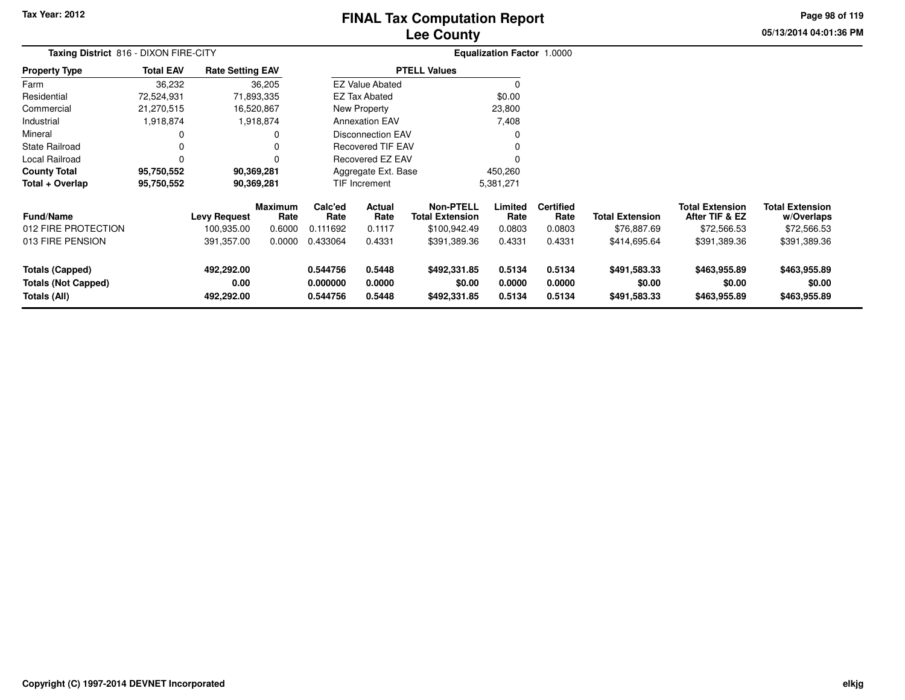# **Lee CountyFINAL Tax Computation Report**

**05/13/2014 04:01:36 PM Page 98 of 119**

| Taxing District 816 - DIXON FIRE-CITY                                |                  |                                  |                 |                                  |                            |                                            | Equalization Factor 1.0000 |                            |                                        |                                          |                                        |
|----------------------------------------------------------------------|------------------|----------------------------------|-----------------|----------------------------------|----------------------------|--------------------------------------------|----------------------------|----------------------------|----------------------------------------|------------------------------------------|----------------------------------------|
| <b>Property Type</b>                                                 | <b>Total EAV</b> | <b>Rate Setting EAV</b>          |                 |                                  |                            | <b>PTELL Values</b>                        |                            |                            |                                        |                                          |                                        |
| Farm                                                                 | 36,232           |                                  | 36,205          |                                  | <b>EZ Value Abated</b>     |                                            | $\Omega$                   |                            |                                        |                                          |                                        |
| Residential                                                          | 72,524,931       |                                  | 71,893,335      |                                  | <b>EZ Tax Abated</b>       |                                            | \$0.00                     |                            |                                        |                                          |                                        |
| Commercial                                                           | 21,270,515       |                                  | 16,520,867      |                                  | New Property               |                                            | 23,800                     |                            |                                        |                                          |                                        |
| Industrial                                                           | 1,918,874        |                                  | 1,918,874       |                                  | <b>Annexation EAV</b>      |                                            | 7,408                      |                            |                                        |                                          |                                        |
| Mineral                                                              |                  |                                  |                 |                                  | <b>Disconnection EAV</b>   |                                            | O                          |                            |                                        |                                          |                                        |
| <b>State Railroad</b>                                                |                  |                                  |                 |                                  | <b>Recovered TIF EAV</b>   |                                            |                            |                            |                                        |                                          |                                        |
| Local Railroad                                                       | 0                |                                  |                 |                                  | Recovered EZ EAV           |                                            |                            |                            |                                        |                                          |                                        |
| <b>County Total</b>                                                  | 95,750,552       |                                  | 90,369,281      |                                  | Aggregate Ext. Base        |                                            | 450,260                    |                            |                                        |                                          |                                        |
| Total + Overlap                                                      | 95,750,552       |                                  | 90,369,281      |                                  | <b>TIF Increment</b>       |                                            | 5,381,271                  |                            |                                        |                                          |                                        |
| <b>Fund/Name</b>                                                     |                  | <b>Levy Request</b>              | Maximum<br>Rate | Calc'ed<br>Rate                  | Actual<br>Rate             | <b>Non-PTELL</b><br><b>Total Extension</b> | Limited<br>Rate            | <b>Certified</b><br>Rate   | <b>Total Extension</b>                 | <b>Total Extension</b><br>After TIF & EZ | <b>Total Extension</b><br>w/Overlaps   |
| 012 FIRE PROTECTION                                                  |                  | 100,935.00                       | 0.6000          | 0.111692                         | 0.1117                     | \$100,942.49                               | 0.0803                     | 0.0803                     | \$76,887.69                            | \$72,566.53                              | \$72,566.53                            |
| 013 FIRE PENSION                                                     |                  | 391,357.00                       | 0.0000          | 0.433064                         | 0.4331                     | \$391,389.36                               | 0.4331                     | 0.4331                     | \$414,695.64                           | \$391,389.36                             | \$391,389.36                           |
| <b>Totals (Capped)</b><br><b>Totals (Not Capped)</b><br>Totals (All) |                  | 492,292.00<br>0.00<br>492,292.00 |                 | 0.544756<br>0.000000<br>0.544756 | 0.5448<br>0.0000<br>0.5448 | \$492,331.85<br>\$0.00<br>\$492,331.85     | 0.5134<br>0.0000<br>0.5134 | 0.5134<br>0.0000<br>0.5134 | \$491,583.33<br>\$0.00<br>\$491,583.33 | \$463,955.89<br>\$0.00<br>\$463,955.89   | \$463,955.89<br>\$0.00<br>\$463,955.89 |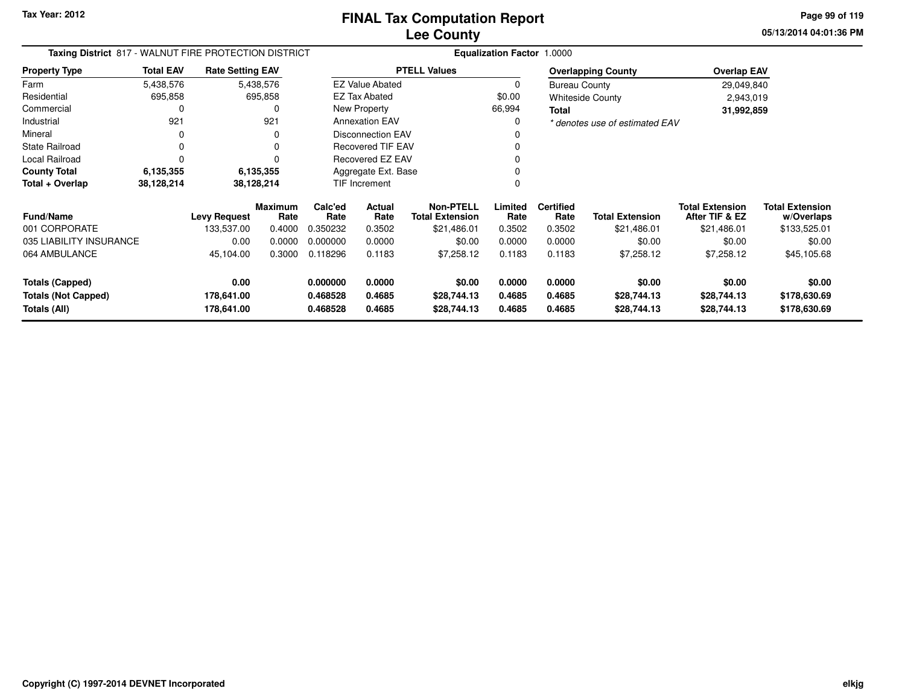**05/13/2014 04:01:36 PMPage 99 of 119**

| Taxing District 817 - WALNUT FIRE PROTECTION DISTRICT<br><b>Total EAV</b><br><b>Rate Setting EAV</b> |             |                          |                        |                      |                          |                                            | Equalization Factor 1.0000 |                          |                                |                                          |                                      |
|------------------------------------------------------------------------------------------------------|-------------|--------------------------|------------------------|----------------------|--------------------------|--------------------------------------------|----------------------------|--------------------------|--------------------------------|------------------------------------------|--------------------------------------|
| <b>Property Type</b>                                                                                 |             |                          |                        |                      |                          | <b>PTELL Values</b>                        |                            |                          | <b>Overlapping County</b>      | <b>Overlap EAV</b>                       |                                      |
| Farm                                                                                                 | 5,438,576   |                          | 5,438,576              |                      | <b>EZ Value Abated</b>   |                                            | <sup>0</sup>               | <b>Bureau County</b>     |                                | 29,049,840                               |                                      |
| Residential                                                                                          | 695,858     |                          | 695,858                |                      | <b>EZ Tax Abated</b>     |                                            | \$0.00                     |                          | <b>Whiteside County</b>        | 2,943,019                                |                                      |
| Commercial                                                                                           | $\Omega$    |                          | O                      |                      | New Property             |                                            | 66,994                     | <b>Total</b>             |                                | 31,992,859                               |                                      |
| Industrial                                                                                           | 921         |                          | 921                    |                      | <b>Annexation EAV</b>    |                                            | $\Omega$                   |                          | * denotes use of estimated EAV |                                          |                                      |
| Mineral                                                                                              | 0           |                          | 0                      |                      | <b>Disconnection EAV</b> |                                            |                            |                          |                                |                                          |                                      |
| <b>State Railroad</b>                                                                                | $\mathbf 0$ |                          | $\Omega$               |                      | <b>Recovered TIF EAV</b> |                                            |                            |                          |                                |                                          |                                      |
| Local Railroad                                                                                       | $\Omega$    |                          | U                      |                      | Recovered EZ EAV         |                                            |                            |                          |                                |                                          |                                      |
| <b>County Total</b>                                                                                  | 6,135,355   |                          | 6,135,355              |                      | Aggregate Ext. Base      |                                            |                            |                          |                                |                                          |                                      |
| Total + Overlap                                                                                      | 38,128,214  |                          | TIF Increment          |                      | $\Omega$                 |                                            |                            |                          |                                |                                          |                                      |
| <b>Fund/Name</b>                                                                                     |             | <b>Levy Request</b>      | <b>Maximum</b><br>Rate | Calc'ed<br>Rate      | <b>Actual</b><br>Rate    | <b>Non-PTELL</b><br><b>Total Extension</b> | Limited<br>Rate            | <b>Certified</b><br>Rate | <b>Total Extension</b>         | <b>Total Extension</b><br>After TIF & EZ | <b>Total Extension</b><br>w/Overlaps |
| 001 CORPORATE                                                                                        |             | 133,537.00               | 0.4000                 | 0.350232             | 0.3502                   | \$21,486.01                                | 0.3502                     | 0.3502                   | \$21,486.01                    | \$21,486.01                              | \$133,525.01                         |
| 035 LIABILITY INSURANCE                                                                              |             | 0.00                     | 0.0000                 | 0.000000             | 0.0000                   | \$0.00                                     | 0.0000                     | 0.0000                   | \$0.00                         | \$0.00                                   | \$0.00                               |
| 064 AMBULANCE                                                                                        |             | 45,104.00                | 0.3000                 | 0.118296             | 0.1183                   | \$7,258.12                                 | 0.1183                     | 0.1183                   | \$7,258.12                     | \$7,258.12                               | \$45,105.68                          |
| <b>Totals (Capped)</b>                                                                               |             | 0.00                     |                        | 0.000000             | 0.0000                   | \$0.00                                     | 0.0000                     | 0.0000                   | \$0.00                         | \$0.00                                   | \$0.00                               |
| <b>Totals (Not Capped)</b><br>Totals (All)                                                           |             | 178,641.00<br>178,641.00 |                        | 0.468528<br>0.468528 | 0.4685<br>0.4685         | \$28,744.13<br>\$28,744.13                 | 0.4685<br>0.4685           | 0.4685<br>0.4685         | \$28,744.13<br>\$28,744.13     | \$28,744.13<br>\$28,744.13               | \$178,630.69<br>\$178,630.69         |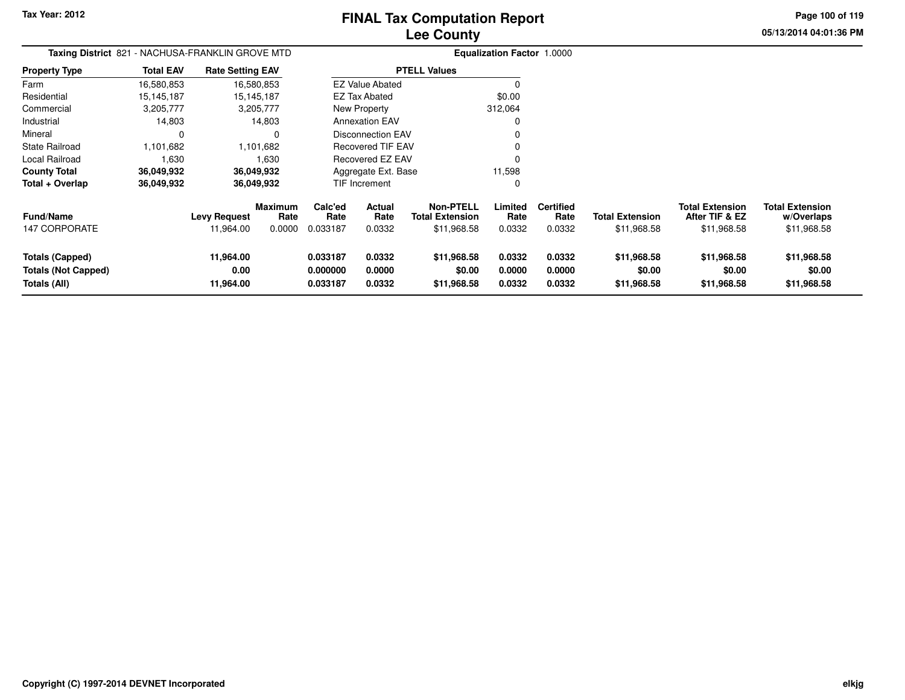**05/13/2014 04:01:36 PMPage 100 of 119**

| <b>Taxing District 821</b>                                    |                  |                                  |                                  | <b>Equalization Factor 1.0000</b> |                                 |                                                           |                            |                                    |                                       |                                                         |                                                     |
|---------------------------------------------------------------|------------------|----------------------------------|----------------------------------|-----------------------------------|---------------------------------|-----------------------------------------------------------|----------------------------|------------------------------------|---------------------------------------|---------------------------------------------------------|-----------------------------------------------------|
| <b>Property Type</b>                                          | <b>Total EAV</b> | <b>Rate Setting EAV</b>          |                                  |                                   |                                 | <b>PTELL Values</b>                                       |                            |                                    |                                       |                                                         |                                                     |
| Farm                                                          | 16,580,853       | 16,580,853                       |                                  |                                   | <b>EZ Value Abated</b>          |                                                           |                            |                                    |                                       |                                                         |                                                     |
| Residential                                                   | 15,145,187       | 15,145,187                       |                                  |                                   | <b>EZ Tax Abated</b>            |                                                           | \$0.00                     |                                    |                                       |                                                         |                                                     |
| Commercial                                                    | 3,205,777        | 3,205,777                        |                                  |                                   | New Property                    |                                                           | 312,064                    |                                    |                                       |                                                         |                                                     |
| Industrial                                                    | 14,803           |                                  | 14,803                           |                                   | <b>Annexation EAV</b>           |                                                           | 0                          |                                    |                                       |                                                         |                                                     |
| Mineral                                                       | 0                |                                  | $\Omega$                         |                                   | <b>Disconnection EAV</b>        |                                                           |                            |                                    |                                       |                                                         |                                                     |
| <b>State Railroad</b>                                         | 1,101,682        |                                  | 1,101,682                        |                                   | <b>Recovered TIF EAV</b>        |                                                           |                            |                                    |                                       |                                                         |                                                     |
| Local Railroad                                                | 1,630            |                                  | 1,630                            |                                   | Recovered EZ EAV                |                                                           | 0                          |                                    |                                       |                                                         |                                                     |
| <b>County Total</b>                                           | 36,049,932       | 36,049,932                       |                                  |                                   | Aggregate Ext. Base             |                                                           | 11,598                     |                                    |                                       |                                                         |                                                     |
| Total + Overlap                                               | 36,049,932       | 36,049,932                       |                                  |                                   | <b>TIF Increment</b>            |                                                           | 0                          |                                    |                                       |                                                         |                                                     |
| <b>Fund/Name</b><br><b>147 CORPORATE</b>                      |                  | <b>Levy Request</b><br>11,964.00 | <b>Maximum</b><br>Rate<br>0.0000 | Calc'ed<br>Rate<br>0.033187       | <b>Actual</b><br>Rate<br>0.0332 | <b>Non-PTELL</b><br><b>Total Extension</b><br>\$11,968.58 | Limited<br>Rate<br>0.0332  | <b>Certified</b><br>Rate<br>0.0332 | <b>Total Extension</b><br>\$11,968.58 | <b>Total Extension</b><br>After TIF & EZ<br>\$11,968.58 | <b>Total Extension</b><br>w/Overlaps<br>\$11,968.58 |
| Totals (Capped)<br><b>Totals (Not Capped)</b><br>Totals (All) |                  | 11,964.00<br>0.00<br>11,964.00   |                                  | 0.033187<br>0.000000<br>0.033187  | 0.0332<br>0.0000<br>0.0332      | \$11,968.58<br>\$0.00<br>\$11,968.58                      | 0.0332<br>0.0000<br>0.0332 | 0.0332<br>0.0000<br>0.0332         | \$11,968.58<br>\$0.00<br>\$11,968.58  | \$11,968.58<br>\$0.00<br>\$11,968.58                    | \$11,968.58<br>\$0.00<br>\$11,968.58                |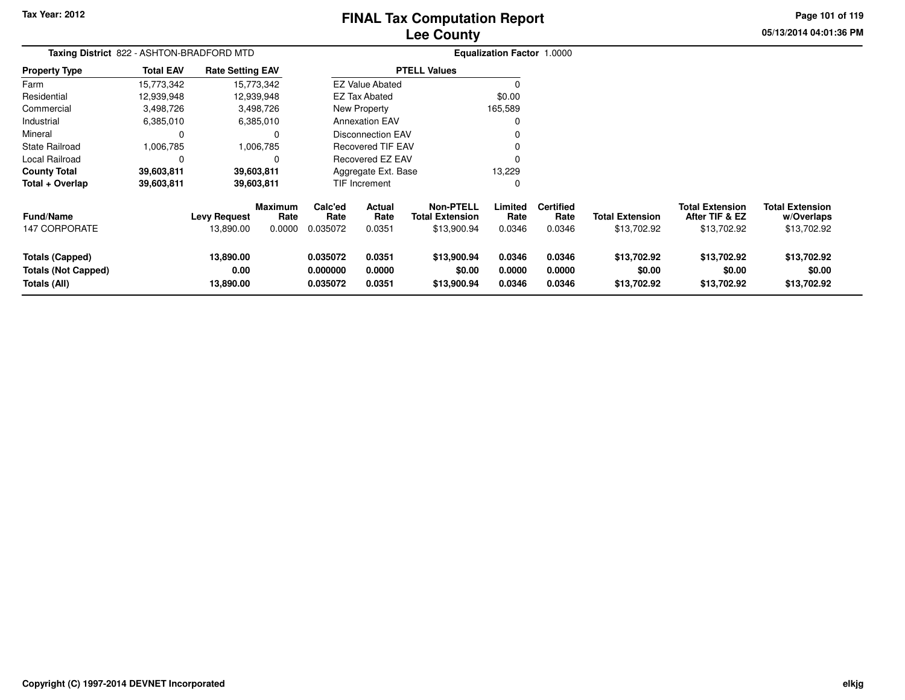# **Lee CountyFINAL Tax Computation Report**

**05/13/2014 04:01:36 PM Page 101 of 119**

| Taxing District 822 - ASHTON-BRADFORD MTD                            |                  |                                  |                                  | Equalization Factor 1.0000       |                            |                                                           |                            |                                    |                                       |                                                         |                                                     |
|----------------------------------------------------------------------|------------------|----------------------------------|----------------------------------|----------------------------------|----------------------------|-----------------------------------------------------------|----------------------------|------------------------------------|---------------------------------------|---------------------------------------------------------|-----------------------------------------------------|
| <b>Property Type</b>                                                 | <b>Total EAV</b> | <b>Rate Setting EAV</b>          |                                  |                                  |                            | <b>PTELL Values</b>                                       |                            |                                    |                                       |                                                         |                                                     |
| Farm                                                                 | 15,773,342       |                                  | 15,773,342                       |                                  | <b>EZ Value Abated</b>     |                                                           | $\Omega$                   |                                    |                                       |                                                         |                                                     |
| Residential                                                          | 12,939,948       |                                  | 12,939,948                       |                                  | EZ Tax Abated              |                                                           | \$0.00                     |                                    |                                       |                                                         |                                                     |
| Commercial                                                           | 3,498,726        |                                  | 3,498,726                        |                                  | New Property               |                                                           | 165,589                    |                                    |                                       |                                                         |                                                     |
| Industrial                                                           | 6,385,010        |                                  | 6,385,010                        |                                  | <b>Annexation EAV</b>      |                                                           |                            |                                    |                                       |                                                         |                                                     |
| Mineral                                                              | 0                |                                  |                                  |                                  | Disconnection EAV          |                                                           |                            |                                    |                                       |                                                         |                                                     |
| State Railroad                                                       | 1,006,785        |                                  | 1,006,785                        |                                  | <b>Recovered TIF EAV</b>   |                                                           |                            |                                    |                                       |                                                         |                                                     |
| Local Railroad                                                       | $\Omega$         |                                  | 0                                |                                  | <b>Recovered EZ EAV</b>    |                                                           | $\Omega$                   |                                    |                                       |                                                         |                                                     |
| <b>County Total</b>                                                  | 39,603,811       |                                  | 39,603,811                       |                                  | Aggregate Ext. Base        |                                                           | 13,229                     |                                    |                                       |                                                         |                                                     |
| Total + Overlap                                                      | 39,603,811       |                                  | 39,603,811                       |                                  | <b>TIF Increment</b>       |                                                           | 0                          |                                    |                                       |                                                         |                                                     |
| <b>Fund/Name</b><br><b>147 CORPORATE</b>                             |                  | <b>Levy Request</b><br>13,890.00 | <b>Maximum</b><br>Rate<br>0.0000 | Calc'ed<br>Rate<br>0.035072      | Actual<br>Rate<br>0.0351   | <b>Non-PTELL</b><br><b>Total Extension</b><br>\$13,900.94 | Limited<br>Rate<br>0.0346  | <b>Certified</b><br>Rate<br>0.0346 | <b>Total Extension</b><br>\$13,702.92 | <b>Total Extension</b><br>After TIF & EZ<br>\$13,702.92 | <b>Total Extension</b><br>w/Overlaps<br>\$13,702.92 |
| <b>Totals (Capped)</b><br><b>Totals (Not Capped)</b><br>Totals (All) |                  | 13,890.00<br>0.00<br>13,890.00   |                                  | 0.035072<br>0.000000<br>0.035072 | 0.0351<br>0.0000<br>0.0351 | \$13,900.94<br>\$0.00<br>\$13,900.94                      | 0.0346<br>0.0000<br>0.0346 | 0.0346<br>0.0000<br>0.0346         | \$13,702.92<br>\$0.00<br>\$13,702.92  | \$13,702.92<br>\$0.00<br>\$13,702.92                    | \$13,702.92<br>\$0.00<br>\$13,702.92                |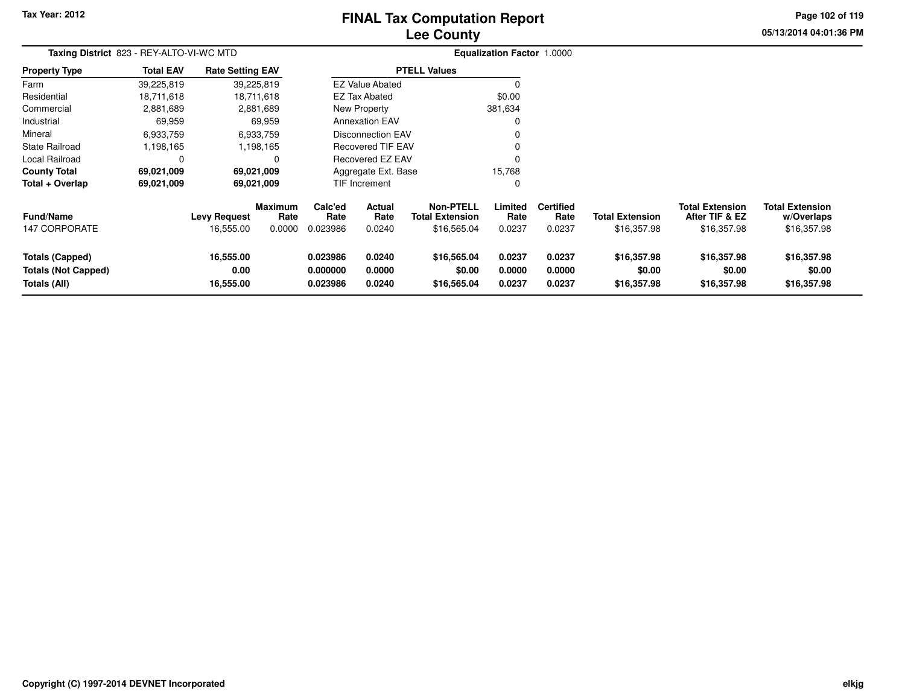# **Lee CountyFINAL Tax Computation Report**

**05/13/2014 04:01:36 PM Page 102 of 119**

| Taxing District 823 - REY-ALTO-VI-WC MTD                      |                  |                                  |                                  |                                  | Equalization Factor 1.0000      |                                                    |                            |                                    |                                       |                                                         |                                                     |
|---------------------------------------------------------------|------------------|----------------------------------|----------------------------------|----------------------------------|---------------------------------|----------------------------------------------------|----------------------------|------------------------------------|---------------------------------------|---------------------------------------------------------|-----------------------------------------------------|
| <b>Property Type</b>                                          | <b>Total EAV</b> | <b>Rate Setting EAV</b>          |                                  |                                  |                                 | <b>PTELL Values</b>                                |                            |                                    |                                       |                                                         |                                                     |
| Farm                                                          | 39,225,819       |                                  | 39,225,819                       |                                  | <b>EZ Value Abated</b>          |                                                    | O                          |                                    |                                       |                                                         |                                                     |
| Residential                                                   | 18,711,618       |                                  | 18,711,618                       |                                  | EZ Tax Abated                   |                                                    | \$0.00                     |                                    |                                       |                                                         |                                                     |
| Commercial                                                    | 2,881,689        |                                  | 2,881,689                        |                                  | New Property                    |                                                    | 381,634                    |                                    |                                       |                                                         |                                                     |
| Industrial                                                    | 69,959           |                                  | 69,959                           |                                  | <b>Annexation EAV</b>           |                                                    |                            |                                    |                                       |                                                         |                                                     |
| Mineral                                                       | 6,933,759        |                                  | 6,933,759                        |                                  | <b>Disconnection EAV</b>        |                                                    |                            |                                    |                                       |                                                         |                                                     |
| State Railroad                                                | 1,198,165        |                                  | 1,198,165                        |                                  | <b>Recovered TIF EAV</b>        |                                                    | 0                          |                                    |                                       |                                                         |                                                     |
| <b>Local Railroad</b>                                         | 0                |                                  | 0                                |                                  | Recovered EZ EAV                |                                                    |                            |                                    |                                       |                                                         |                                                     |
| <b>County Total</b>                                           | 69,021,009       |                                  | 69,021,009                       |                                  | Aggregate Ext. Base             |                                                    | 15,768                     |                                    |                                       |                                                         |                                                     |
| Total + Overlap                                               | 69,021,009       |                                  | 69,021,009                       |                                  | <b>TIF Increment</b>            |                                                    | 0                          |                                    |                                       |                                                         |                                                     |
| <b>Fund/Name</b><br>147 CORPORATE                             |                  | <b>Levy Request</b><br>16,555.00 | <b>Maximum</b><br>Rate<br>0.0000 | Calc'ed<br>Rate<br>0.023986      | <b>Actual</b><br>Rate<br>0.0240 | Non-PTELL<br><b>Total Extension</b><br>\$16,565.04 | Limited<br>Rate<br>0.0237  | <b>Certified</b><br>Rate<br>0.0237 | <b>Total Extension</b><br>\$16,357.98 | <b>Total Extension</b><br>After TIF & EZ<br>\$16,357.98 | <b>Total Extension</b><br>w/Overlaps<br>\$16,357.98 |
| Totals (Capped)<br><b>Totals (Not Capped)</b><br>Totals (All) |                  | 16,555.00<br>0.00<br>16,555.00   |                                  | 0.023986<br>0.000000<br>0.023986 | 0.0240<br>0.0000<br>0.0240      | \$16,565.04<br>\$0.00<br>\$16,565.04               | 0.0237<br>0.0000<br>0.0237 | 0.0237<br>0.0000<br>0.0237         | \$16,357.98<br>\$0.00<br>\$16,357.98  | \$16,357.98<br>\$0.00<br>\$16,357.98                    | \$16,357.98<br>\$0.00<br>\$16,357.98                |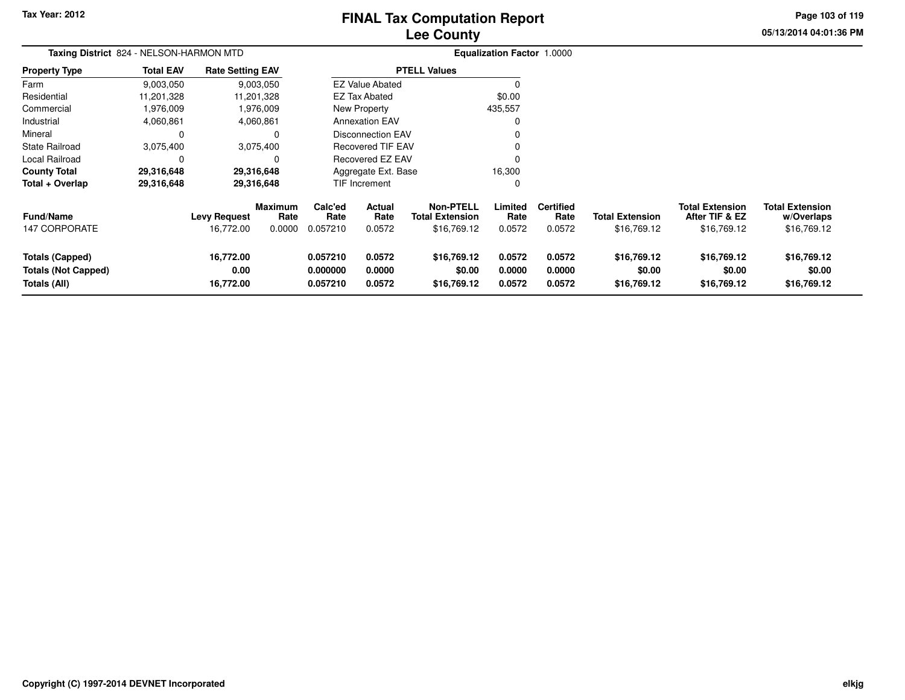# **Lee CountyFINAL Tax Computation Report**

**05/13/2014 04:01:36 PM Page 103 of 119**

| Taxing District 824 - NELSON-HARMON MTD                              |                  |                                  |                                  |                                  | <b>Equalization Factor 1.0000</b> |                                                           |                            |                                    |                                       |                                                         |                                                     |
|----------------------------------------------------------------------|------------------|----------------------------------|----------------------------------|----------------------------------|-----------------------------------|-----------------------------------------------------------|----------------------------|------------------------------------|---------------------------------------|---------------------------------------------------------|-----------------------------------------------------|
| <b>Property Type</b>                                                 | <b>Total EAV</b> | <b>Rate Setting EAV</b>          |                                  |                                  |                                   | <b>PTELL Values</b>                                       |                            |                                    |                                       |                                                         |                                                     |
| Farm                                                                 | 9,003,050        |                                  | 9,003,050                        |                                  | <b>EZ Value Abated</b>            |                                                           | 0                          |                                    |                                       |                                                         |                                                     |
| Residential                                                          | 11,201,328       |                                  | 11,201,328                       |                                  | EZ Tax Abated                     |                                                           | \$0.00                     |                                    |                                       |                                                         |                                                     |
| Commercial                                                           | 1,976,009        |                                  | 1,976,009                        |                                  | New Property                      |                                                           | 435,557                    |                                    |                                       |                                                         |                                                     |
| Industrial                                                           | 4,060,861        |                                  | 4,060,861                        |                                  | <b>Annexation EAV</b>             |                                                           | 0                          |                                    |                                       |                                                         |                                                     |
| Mineral                                                              | C                |                                  |                                  |                                  | <b>Disconnection EAV</b>          |                                                           |                            |                                    |                                       |                                                         |                                                     |
| State Railroad                                                       | 3,075,400        |                                  | 3,075,400                        |                                  | <b>Recovered TIF EAV</b>          |                                                           |                            |                                    |                                       |                                                         |                                                     |
| Local Railroad                                                       | C                |                                  | 0                                |                                  | Recovered EZ EAV                  |                                                           | ŋ                          |                                    |                                       |                                                         |                                                     |
| <b>County Total</b>                                                  | 29,316,648       |                                  | 29,316,648                       |                                  | Aggregate Ext. Base               |                                                           | 16,300                     |                                    |                                       |                                                         |                                                     |
| Total + Overlap                                                      | 29,316,648       |                                  | 29,316,648                       |                                  | TIF Increment                     |                                                           | 0                          |                                    |                                       |                                                         |                                                     |
| Fund/Name<br><b>147 CORPORATE</b>                                    |                  | <b>Levy Request</b><br>16,772.00 | <b>Maximum</b><br>Rate<br>0.0000 | Calc'ed<br>Rate<br>0.057210      | Actual<br>Rate<br>0.0572          | <b>Non-PTELL</b><br><b>Total Extension</b><br>\$16,769.12 | Limited<br>Rate<br>0.0572  | <b>Certified</b><br>Rate<br>0.0572 | <b>Total Extension</b><br>\$16,769.12 | <b>Total Extension</b><br>After TIF & EZ<br>\$16,769.12 | <b>Total Extension</b><br>w/Overlaps<br>\$16,769.12 |
| <b>Totals (Capped)</b><br><b>Totals (Not Capped)</b><br>Totals (All) |                  | 16,772.00<br>0.00<br>16,772.00   |                                  | 0.057210<br>0.000000<br>0.057210 | 0.0572<br>0.0000<br>0.0572        | \$16,769.12<br>\$0.00<br>\$16,769.12                      | 0.0572<br>0.0000<br>0.0572 | 0.0572<br>0.0000<br>0.0572         | \$16,769.12<br>\$0.00<br>\$16,769.12  | \$16,769.12<br>\$0.00<br>\$16,769.12                    | \$16,769.12<br>\$0.00<br>\$16,769.12                |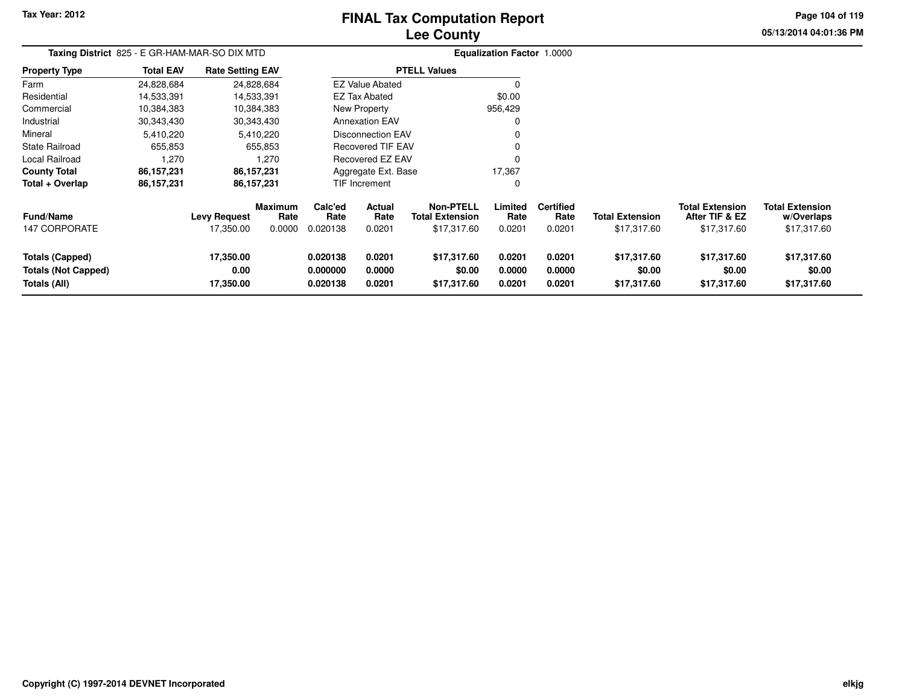# **Lee CountyFINAL Tax Computation Report**

**05/13/2014 04:01:36 PMPage 104 of 119**

| Taxing District 825 - E GR-HAM-MAR-SO DIX MTD                        |                  |                                  |                                  |                                  |                            |                                                    | <b>Equalization Factor 1.0000</b> |                                    |                                       |                                                         |                                                     |
|----------------------------------------------------------------------|------------------|----------------------------------|----------------------------------|----------------------------------|----------------------------|----------------------------------------------------|-----------------------------------|------------------------------------|---------------------------------------|---------------------------------------------------------|-----------------------------------------------------|
| <b>Property Type</b>                                                 | <b>Total EAV</b> | <b>Rate Setting EAV</b>          |                                  |                                  |                            | <b>PTELL Values</b>                                |                                   |                                    |                                       |                                                         |                                                     |
| Farm                                                                 | 24,828,684       |                                  | 24,828,684                       |                                  | <b>EZ Value Abated</b>     |                                                    |                                   |                                    |                                       |                                                         |                                                     |
| Residential                                                          | 14,533,391       |                                  | 14,533,391                       |                                  | <b>EZ Tax Abated</b>       |                                                    | \$0.00                            |                                    |                                       |                                                         |                                                     |
| Commercial                                                           | 10,384,383       |                                  | 10,384,383                       |                                  | <b>New Property</b>        |                                                    | 956,429                           |                                    |                                       |                                                         |                                                     |
| Industrial                                                           | 30,343,430       |                                  | 30,343,430                       |                                  | <b>Annexation EAV</b>      |                                                    |                                   |                                    |                                       |                                                         |                                                     |
| Mineral                                                              | 5,410,220        |                                  | 5,410,220                        |                                  | <b>Disconnection EAV</b>   |                                                    |                                   |                                    |                                       |                                                         |                                                     |
| State Railroad                                                       | 655,853          |                                  | 655,853                          |                                  | <b>Recovered TIF EAV</b>   |                                                    |                                   |                                    |                                       |                                                         |                                                     |
| Local Railroad                                                       | 1,270            |                                  | 1,270                            |                                  | Recovered EZ EAV           |                                                    |                                   |                                    |                                       |                                                         |                                                     |
| <b>County Total</b>                                                  | 86,157,231       |                                  | 86,157,231                       |                                  | Aggregate Ext. Base        |                                                    | 17,367                            |                                    |                                       |                                                         |                                                     |
| Total + Overlap                                                      | 86,157,231       |                                  | 86,157,231                       |                                  | <b>TIF Increment</b>       |                                                    | 0                                 |                                    |                                       |                                                         |                                                     |
| <b>Fund/Name</b><br>147 CORPORATE                                    |                  | <b>Levy Request</b><br>17,350.00 | <b>Maximum</b><br>Rate<br>0.0000 | Calc'ed<br>Rate<br>0.020138      | Actual<br>Rate<br>0.0201   | Non-PTELL<br><b>Total Extension</b><br>\$17,317.60 | Limited<br>Rate<br>0.0201         | <b>Certified</b><br>Rate<br>0.0201 | <b>Total Extension</b><br>\$17,317.60 | <b>Total Extension</b><br>After TIF & EZ<br>\$17,317.60 | <b>Total Extension</b><br>w/Overlaps<br>\$17,317.60 |
| <b>Totals (Capped)</b><br><b>Totals (Not Capped)</b><br>Totals (All) |                  | 17,350.00<br>0.00<br>17,350.00   |                                  | 0.020138<br>0.000000<br>0.020138 | 0.0201<br>0.0000<br>0.0201 | \$17,317.60<br>\$0.00<br>\$17,317.60               | 0.0201<br>0.0000<br>0.0201        | 0.0201<br>0.0000<br>0.0201         | \$17,317.60<br>\$0.00<br>\$17,317.60  | \$17,317.60<br>\$0.00<br>\$17,317.60                    | \$17,317.60<br>\$0.00<br>\$17,317.60                |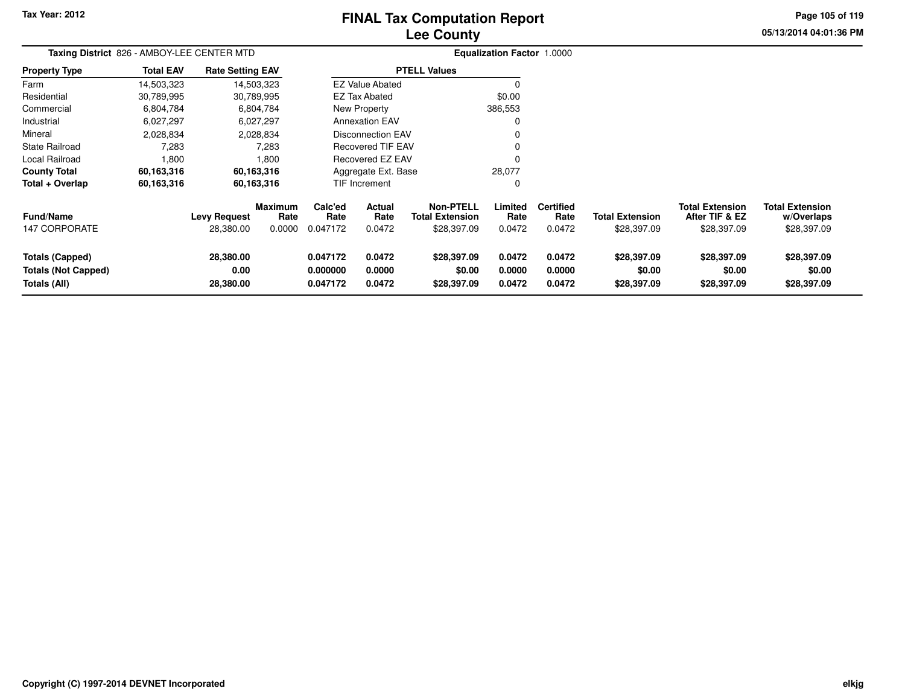# **Lee CountyFINAL Tax Computation Report**

**05/13/2014 04:01:36 PM Page 105 of 119**

| Taxing District 826 - AMBOY-LEE CENTER MTD                           |                  |                                  |                                  |                                  | Equalization Factor 1.0000 |                                                           |                            |                                    |                                       |                                                         |                                                     |
|----------------------------------------------------------------------|------------------|----------------------------------|----------------------------------|----------------------------------|----------------------------|-----------------------------------------------------------|----------------------------|------------------------------------|---------------------------------------|---------------------------------------------------------|-----------------------------------------------------|
| <b>Property Type</b>                                                 | <b>Total EAV</b> | <b>Rate Setting EAV</b>          |                                  |                                  |                            | <b>PTELL Values</b>                                       |                            |                                    |                                       |                                                         |                                                     |
| Farm                                                                 | 14,503,323       |                                  | 14,503,323                       |                                  | <b>EZ Value Abated</b>     |                                                           | 0                          |                                    |                                       |                                                         |                                                     |
| Residential                                                          | 30,789,995       |                                  | 30,789,995                       |                                  | <b>EZ Tax Abated</b>       |                                                           | \$0.00                     |                                    |                                       |                                                         |                                                     |
| Commercial                                                           | 6,804,784        |                                  | 6,804,784                        |                                  | New Property               |                                                           | 386,553                    |                                    |                                       |                                                         |                                                     |
| Industrial                                                           | 6,027,297        |                                  | 6,027,297                        |                                  | <b>Annexation EAV</b>      |                                                           | 0                          |                                    |                                       |                                                         |                                                     |
| Mineral                                                              | 2,028,834        |                                  | 2,028,834                        |                                  | <b>Disconnection EAV</b>   |                                                           | 0                          |                                    |                                       |                                                         |                                                     |
| State Railroad                                                       | 7,283            |                                  | 7,283                            |                                  | <b>Recovered TIF EAV</b>   |                                                           | 0                          |                                    |                                       |                                                         |                                                     |
| <b>Local Railroad</b>                                                | 1,800            |                                  | 1,800                            |                                  | Recovered EZ EAV           |                                                           | 0                          |                                    |                                       |                                                         |                                                     |
| <b>County Total</b>                                                  | 60,163,316       |                                  | 60,163,316                       |                                  | Aggregate Ext. Base        |                                                           | 28,077                     |                                    |                                       |                                                         |                                                     |
| Total + Overlap                                                      | 60,163,316       |                                  | 60,163,316                       |                                  | TIF Increment              |                                                           | 0                          |                                    |                                       |                                                         |                                                     |
| <b>Fund/Name</b><br>147 CORPORATE                                    |                  | <b>Levy Request</b><br>28,380.00 | <b>Maximum</b><br>Rate<br>0.0000 | Calc'ed<br>Rate<br>0.047172      | Actual<br>Rate<br>0.0472   | <b>Non-PTELL</b><br><b>Total Extension</b><br>\$28,397.09 | Limited<br>Rate<br>0.0472  | <b>Certified</b><br>Rate<br>0.0472 | <b>Total Extension</b><br>\$28,397.09 | <b>Total Extension</b><br>After TIF & EZ<br>\$28,397.09 | <b>Total Extension</b><br>w/Overlaps<br>\$28,397.09 |
| <b>Totals (Capped)</b><br><b>Totals (Not Capped)</b><br>Totals (All) |                  | 28,380.00<br>0.00<br>28,380.00   |                                  | 0.047172<br>0.000000<br>0.047172 | 0.0472<br>0.0000<br>0.0472 | \$28,397.09<br>\$0.00<br>\$28,397.09                      | 0.0472<br>0.0000<br>0.0472 | 0.0472<br>0.0000<br>0.0472         | \$28,397.09<br>\$0.00<br>\$28,397.09  | \$28,397.09<br>\$0.00<br>\$28,397.09                    | \$28,397.09<br>\$0.00<br>\$28,397.09                |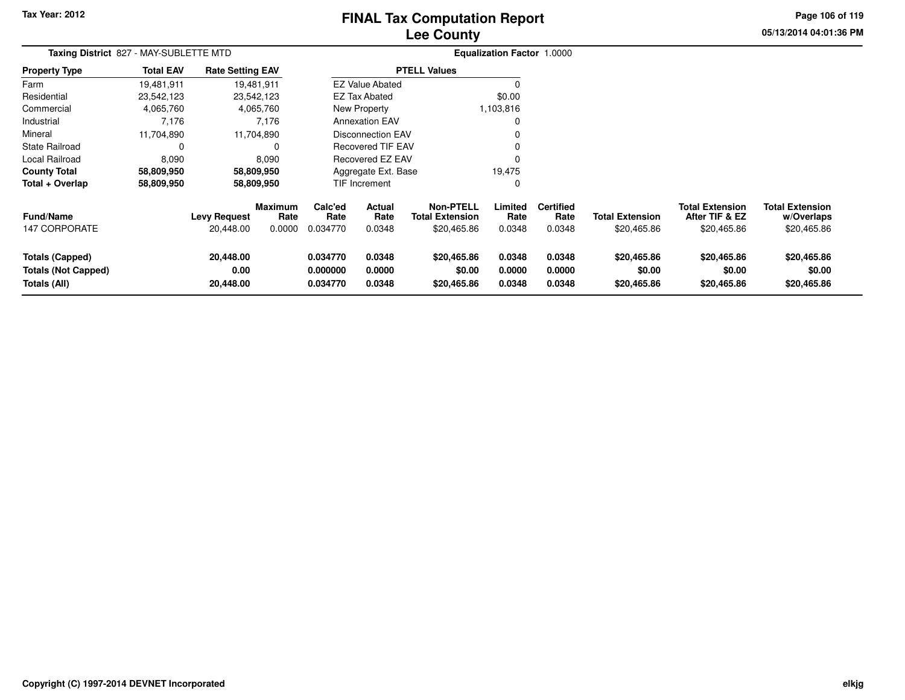# **Lee CountyFINAL Tax Computation Report**

**05/13/2014 04:01:36 PM Page 106 of 119**

|                                                                      | Taxing District 827 - MAY-SUBLETTE MTD |                                  |                                  |                                  |                            |                                                    | <b>Equalization Factor 1.0000</b> |                                    |                                       |                                                         |                                                     |  |
|----------------------------------------------------------------------|----------------------------------------|----------------------------------|----------------------------------|----------------------------------|----------------------------|----------------------------------------------------|-----------------------------------|------------------------------------|---------------------------------------|---------------------------------------------------------|-----------------------------------------------------|--|
| <b>Property Type</b>                                                 | <b>Total EAV</b>                       | <b>Rate Setting EAV</b>          |                                  |                                  |                            | <b>PTELL Values</b>                                |                                   |                                    |                                       |                                                         |                                                     |  |
| Farm                                                                 | 19,481,911                             |                                  | 19,481,911                       |                                  | <b>EZ Value Abated</b>     |                                                    | 0                                 |                                    |                                       |                                                         |                                                     |  |
| Residential                                                          | 23,542,123                             |                                  | 23,542,123                       |                                  | <b>EZ Tax Abated</b>       |                                                    | \$0.00                            |                                    |                                       |                                                         |                                                     |  |
| Commercial                                                           | 4,065,760                              |                                  | 4,065,760                        |                                  | New Property               |                                                    | 1,103,816                         |                                    |                                       |                                                         |                                                     |  |
| Industrial                                                           | 7,176                                  |                                  | 7,176                            |                                  | <b>Annexation EAV</b>      |                                                    | 0                                 |                                    |                                       |                                                         |                                                     |  |
| Mineral                                                              | 11,704,890                             |                                  | 11,704,890                       |                                  | Disconnection EAV          |                                                    | $\mathbf 0$                       |                                    |                                       |                                                         |                                                     |  |
| State Railroad                                                       |                                        |                                  |                                  |                                  | Recovered TIF EAV          |                                                    | 0                                 |                                    |                                       |                                                         |                                                     |  |
| Local Railroad                                                       | 8,090                                  |                                  | 8,090                            |                                  | Recovered EZ EAV           |                                                    | $\Omega$                          |                                    |                                       |                                                         |                                                     |  |
| <b>County Total</b>                                                  | 58,809,950                             |                                  | 58,809,950                       |                                  | Aggregate Ext. Base        |                                                    | 19,475                            |                                    |                                       |                                                         |                                                     |  |
| Total + Overlap                                                      | 58,809,950                             |                                  | 58,809,950                       |                                  | TIF Increment              |                                                    | 0                                 |                                    |                                       |                                                         |                                                     |  |
| <b>Fund/Name</b><br>147 CORPORATE                                    |                                        | <b>Levy Request</b><br>20,448.00 | <b>Maximum</b><br>Rate<br>0.0000 | Calc'ed<br>Rate<br>0.034770      | Actual<br>Rate<br>0.0348   | Non-PTELL<br><b>Total Extension</b><br>\$20,465.86 | Limited<br>Rate<br>0.0348         | <b>Certified</b><br>Rate<br>0.0348 | <b>Total Extension</b><br>\$20,465.86 | <b>Total Extension</b><br>After TIF & EZ<br>\$20,465.86 | <b>Total Extension</b><br>w/Overlaps<br>\$20,465.86 |  |
|                                                                      |                                        |                                  |                                  |                                  |                            |                                                    |                                   |                                    |                                       |                                                         |                                                     |  |
| <b>Totals (Capped)</b><br><b>Totals (Not Capped)</b><br>Totals (All) |                                        | 20,448.00<br>0.00<br>20,448.00   |                                  | 0.034770<br>0.000000<br>0.034770 | 0.0348<br>0.0000<br>0.0348 | \$20,465.86<br>\$0.00<br>\$20,465.86               | 0.0348<br>0.0000<br>0.0348        | 0.0348<br>0.0000<br>0.0348         | \$20,465.86<br>\$0.00<br>\$20,465.86  | \$20,465.86<br>\$0.00<br>\$20,465.86                    | \$20,465.86<br>\$0.00<br>\$20,465.86                |  |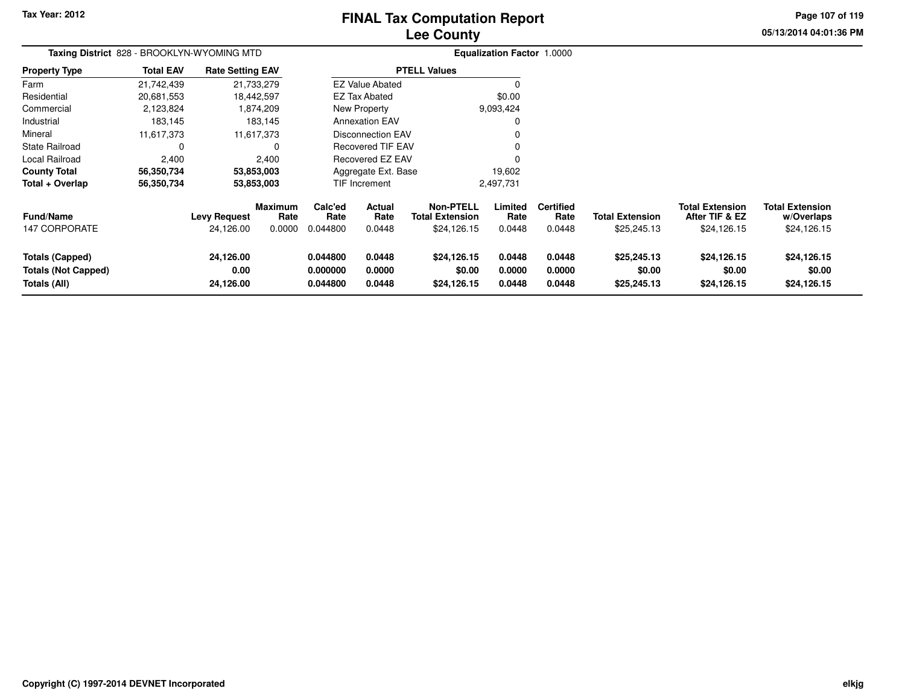# **Lee CountyFINAL Tax Computation Report**

**05/13/2014 04:01:36 PMPage 107 of 119**

| Taxing District 828 - BROOKLYN-WYOMING MTD                           |                  |                                  |                                  |                                  | Equalization Factor 1.0000 |                                                           |                            |                                    |                                       |                                                  |                                                     |
|----------------------------------------------------------------------|------------------|----------------------------------|----------------------------------|----------------------------------|----------------------------|-----------------------------------------------------------|----------------------------|------------------------------------|---------------------------------------|--------------------------------------------------|-----------------------------------------------------|
| <b>Property Type</b>                                                 | <b>Total EAV</b> | <b>Rate Setting EAV</b>          |                                  |                                  |                            | <b>PTELL Values</b>                                       |                            |                                    |                                       |                                                  |                                                     |
| Farm                                                                 | 21,742,439       |                                  | 21,733,279                       |                                  | <b>EZ Value Abated</b>     |                                                           | $\Omega$                   |                                    |                                       |                                                  |                                                     |
| Residential                                                          | 20,681,553       |                                  | 18,442,597                       |                                  | <b>EZ Tax Abated</b>       |                                                           | \$0.00                     |                                    |                                       |                                                  |                                                     |
| Commercial                                                           | 2,123,824        |                                  | 1,874,209                        |                                  | New Property               |                                                           | 9,093,424                  |                                    |                                       |                                                  |                                                     |
| Industrial                                                           | 183,145          |                                  | 183,145                          |                                  | <b>Annexation EAV</b>      |                                                           | 0                          |                                    |                                       |                                                  |                                                     |
| Mineral                                                              | 11,617,373       |                                  | 11,617,373                       |                                  | <b>Disconnection EAV</b>   |                                                           |                            |                                    |                                       |                                                  |                                                     |
| <b>State Railroad</b>                                                | 0                |                                  |                                  |                                  | Recovered TIF EAV          |                                                           |                            |                                    |                                       |                                                  |                                                     |
| Local Railroad                                                       | 2,400            |                                  | 2,400                            | <b>Recovered EZ EAV</b>          |                            |                                                           |                            |                                    |                                       |                                                  |                                                     |
| <b>County Total</b>                                                  | 56,350,734       |                                  | 53,853,003                       | Aggregate Ext. Base<br>19,602    |                            |                                                           |                            |                                    |                                       |                                                  |                                                     |
| Total + Overlap                                                      | 56,350,734       |                                  | 53,853,003                       |                                  | TIF Increment              |                                                           | 2,497,731                  |                                    |                                       |                                                  |                                                     |
| Fund/Name<br><b>147 CORPORATE</b>                                    |                  | <b>Levy Request</b><br>24,126.00 | <b>Maximum</b><br>Rate<br>0.0000 | Calc'ed<br>Rate<br>0.044800      | Actual<br>Rate<br>0.0448   | <b>Non-PTELL</b><br><b>Total Extension</b><br>\$24,126.15 | Limited<br>Rate<br>0.0448  | <b>Certified</b><br>Rate<br>0.0448 | <b>Total Extension</b><br>\$25,245.13 | Total Extension<br>After TIF & EZ<br>\$24,126.15 | <b>Total Extension</b><br>w/Overlaps<br>\$24,126.15 |
| Totals (Capped)<br><b>Totals (Not Capped)</b><br><b>Totals (All)</b> |                  | 24,126.00<br>0.00<br>24,126.00   |                                  | 0.044800<br>0.000000<br>0.044800 | 0.0448<br>0.0000<br>0.0448 | \$24,126.15<br>\$0.00<br>\$24,126.15                      | 0.0448<br>0.0000<br>0.0448 | 0.0448<br>0.0000<br>0.0448         | \$25,245.13<br>\$0.00<br>\$25,245.13  | \$24,126.15<br>\$0.00<br>\$24,126.15             | \$24,126.15<br>\$0.00<br>\$24,126.15                |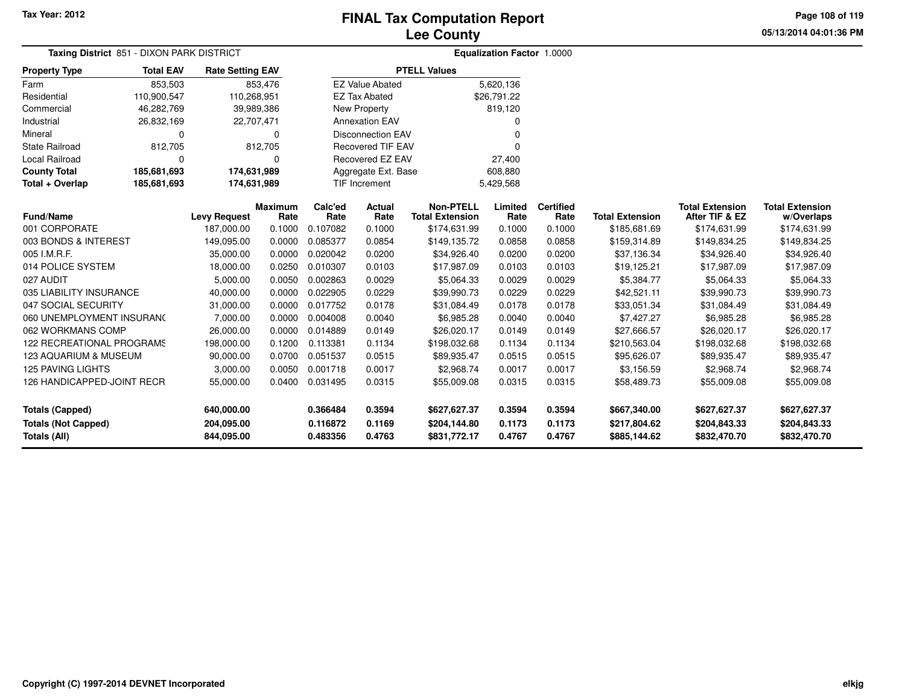**05/13/2014 04:01:36 PMPage 108 of 119**

| Taxing District 851 - DIXON PARK DISTRICT |                            |                         | <b>Equalization Factor 1.0000</b> |                 |                          |                                            |                 |                          |                        |                                          |                                      |
|-------------------------------------------|----------------------------|-------------------------|-----------------------------------|-----------------|--------------------------|--------------------------------------------|-----------------|--------------------------|------------------------|------------------------------------------|--------------------------------------|
| <b>Property Type</b>                      | <b>Total EAV</b>           | <b>Rate Setting EAV</b> |                                   |                 |                          | <b>PTELL Values</b>                        |                 |                          |                        |                                          |                                      |
| Farm                                      | 853,503                    |                         | 853,476                           |                 | <b>EZ Value Abated</b>   |                                            | 5,620,136       |                          |                        |                                          |                                      |
| Residential                               | 110,900,547                | 110,268,951             |                                   |                 | <b>EZ Tax Abated</b>     |                                            | \$26,791.22     |                          |                        |                                          |                                      |
| Commercial                                | 46,282,769                 |                         | 39,989,386                        |                 | New Property             |                                            | 819,120         |                          |                        |                                          |                                      |
| Industrial                                | 26,832,169                 |                         | 22,707,471                        |                 | <b>Annexation EAV</b>    |                                            | 0               |                          |                        |                                          |                                      |
| Mineral                                   | 0                          |                         | $\mathbf 0$                       |                 | <b>Disconnection EAV</b> |                                            | $\Omega$        |                          |                        |                                          |                                      |
| State Railroad                            | 812,705                    |                         | 812,705                           |                 | Recovered TIF EAV        |                                            | $\Omega$        |                          |                        |                                          |                                      |
| <b>Local Railroad</b>                     | $\Omega$                   |                         | $\Omega$                          |                 | <b>Recovered EZ EAV</b>  | 27,400                                     |                 |                          |                        |                                          |                                      |
| <b>County Total</b>                       | 185,681,693                | 174,631,989             |                                   |                 | Aggregate Ext. Base      |                                            | 608,880         |                          |                        |                                          |                                      |
| Total + Overlap                           | 185,681,693<br>174,631,989 |                         |                                   |                 | <b>TIF Increment</b>     |                                            | 5,429,568       |                          |                        |                                          |                                      |
| <b>Fund/Name</b>                          |                            | <b>Levy Request</b>     | <b>Maximum</b><br>Rate            | Calc'ed<br>Rate | Actual<br>Rate           | <b>Non-PTELL</b><br><b>Total Extension</b> | Limited<br>Rate | <b>Certified</b><br>Rate | <b>Total Extension</b> | <b>Total Extension</b><br>After TIF & EZ | <b>Total Extension</b><br>w/Overlaps |
| 001 CORPORATE                             |                            | 187,000.00              | 0.1000                            | 0.107082        | 0.1000                   | \$174,631.99                               | 0.1000          | 0.1000                   | \$185,681.69           | \$174,631.99                             | \$174,631.99                         |
| 003 BONDS & INTEREST                      |                            | 149,095.00              | 0.0000                            | 0.085377        | 0.0854                   | \$149,135.72                               | 0.0858          | 0.0858                   | \$159,314.89           | \$149,834.25                             | \$149,834.25                         |
| 005 I.M.R.F.                              |                            | 35,000.00               | 0.0000                            | 0.020042        | 0.0200                   | \$34,926.40                                | 0.0200          | 0.0200                   | \$37,136.34            | \$34,926.40                              | \$34,926.40                          |
| 014 POLICE SYSTEM                         |                            | 18,000.00               | 0.0250                            | 0.010307        | 0.0103                   | \$17,987.09                                | 0.0103          | 0.0103                   | \$19,125.21            | \$17,987.09                              | \$17,987.09                          |
| 027 AUDIT                                 |                            | 5,000.00                | 0.0050                            | 0.002863        | 0.0029                   | \$5,064.33                                 | 0.0029          | 0.0029                   | \$5,384.77             | \$5,064.33                               | \$5,064.33                           |
| 035 LIABILITY INSURANCE                   |                            | 40,000.00               | 0.0000                            | 0.022905        | 0.0229                   | \$39,990.73                                | 0.0229          | 0.0229                   | \$42,521.11            | \$39,990.73                              | \$39,990.73                          |
| 047 SOCIAL SECURITY                       |                            | 31,000.00               | 0.0000                            | 0.017752        | 0.0178                   | \$31,084.49                                | 0.0178          | 0.0178                   | \$33,051.34            | \$31,084.49                              | \$31,084.49                          |
| 060 UNEMPLOYMENT INSURANC                 |                            | 7,000.00                | 0.0000                            | 0.004008        | 0.0040                   | \$6,985.28                                 | 0.0040          | 0.0040                   | \$7,427.27             | \$6,985.28                               | \$6,985.28                           |
| 062 WORKMANS COMP                         |                            | 26,000.00               | 0.0000                            | 0.014889        | 0.0149                   | \$26,020.17                                | 0.0149          | 0.0149                   | \$27,666.57            | \$26,020.17                              | \$26,020.17                          |
| <b>122 RECREATIONAL PROGRAMS</b>          |                            | 198,000.00              | 0.1200                            | 0.113381        | 0.1134                   | \$198,032.68                               | 0.1134          | 0.1134                   | \$210,563.04           | \$198,032.68                             | \$198,032.68                         |
| 123 AQUARIUM & MUSEUM                     |                            | 90,000.00               | 0.0700                            | 0.051537        | 0.0515                   | \$89,935.47                                | 0.0515          | 0.0515                   | \$95,626.07            | \$89,935.47                              | \$89,935.47                          |
| <b>125 PAVING LIGHTS</b>                  |                            | 3,000.00                | 0.0050                            | 0.001718        | 0.0017                   | \$2,968.74                                 | 0.0017          | 0.0017                   | \$3,156.59             | \$2,968.74                               | \$2,968.74                           |
| 126 HANDICAPPED-JOINT RECR                |                            | 55,000.00               | 0.0400                            | 0.031495        | 0.0315                   | \$55,009.08                                | 0.0315          | 0.0315                   | \$58,489.73            | \$55,009.08                              | \$55,009.08                          |
| <b>Totals (Capped)</b>                    |                            | 640,000.00              |                                   | 0.366484        | 0.3594                   | \$627,627.37                               | 0.3594          | 0.3594                   | \$667,340.00           | \$627,627.37                             | \$627,627.37                         |
| <b>Totals (Not Capped)</b>                |                            | 204,095.00              |                                   | 0.116872        | 0.1169                   | \$204,144.80                               | 0.1173          | 0.1173                   | \$217,804.62           | \$204,843.33                             | \$204,843.33                         |
| <b>Totals (All)</b>                       |                            | 844,095.00              |                                   | 0.483356        | 0.4763                   | \$831,772.17                               | 0.4767          | 0.4767                   | \$885,144.62           | \$832,470.70                             | \$832,470.70                         |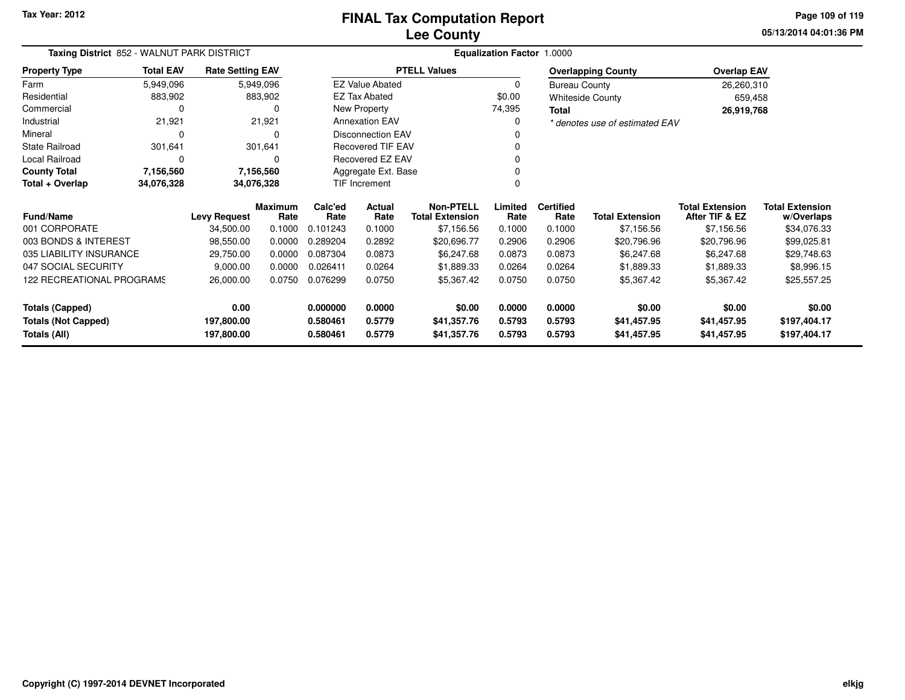**05/13/2014 04:01:36 PMPage 109 of 119**

| Taxing District 852 - WALNUT PARK DISTRICT |                  |                         |                 |                       | Equalization Factor 1.0000 |                                            |                 |                          |                                |                                          |                                      |  |  |  |
|--------------------------------------------|------------------|-------------------------|-----------------|-----------------------|----------------------------|--------------------------------------------|-----------------|--------------------------|--------------------------------|------------------------------------------|--------------------------------------|--|--|--|
| <b>Property Type</b>                       | <b>Total EAV</b> | <b>Rate Setting EAV</b> |                 |                       |                            | <b>PTELL Values</b>                        |                 |                          | <b>Overlapping County</b>      | <b>Overlap EAV</b>                       |                                      |  |  |  |
| Farm                                       | 5,949,096        |                         | 5,949,096       |                       | <b>EZ Value Abated</b>     |                                            | 0               | <b>Bureau County</b>     |                                | 26,260,310                               |                                      |  |  |  |
| Residential                                | 883,902          |                         | 883,902         |                       | <b>EZ Tax Abated</b>       |                                            | \$0.00          |                          | <b>Whiteside County</b>        | 659,458                                  |                                      |  |  |  |
| Commercial                                 |                  |                         | 0               |                       | New Property               |                                            | 74,395<br>Total |                          |                                | 26,919,768                               |                                      |  |  |  |
| Industrial                                 | 21,921           |                         | 21,921          | <b>Annexation EAV</b> |                            |                                            | 0               |                          | * denotes use of estimated EAV |                                          |                                      |  |  |  |
| Mineral                                    | $\Omega$         |                         | $\Omega$        |                       | <b>Disconnection EAV</b>   |                                            | 0               |                          |                                |                                          |                                      |  |  |  |
| <b>State Railroad</b>                      | 301,641          |                         | 301,641         |                       | <b>Recovered TIF EAV</b>   |                                            | $\Omega$        |                          |                                |                                          |                                      |  |  |  |
| Local Railroad                             | 0                |                         | 0               |                       | Recovered EZ EAV           |                                            | $\Omega$        |                          |                                |                                          |                                      |  |  |  |
| <b>County Total</b>                        | 7,156,560        |                         | 7,156,560       |                       | Aggregate Ext. Base        |                                            |                 |                          |                                |                                          |                                      |  |  |  |
| Total + Overlap                            | 34,076,328       | 34,076,328              |                 |                       | TIF Increment<br>$\Omega$  |                                            |                 |                          |                                |                                          |                                      |  |  |  |
| <b>Fund/Name</b>                           |                  | <b>Levy Request</b>     | Maximum<br>Rate | Calc'ed<br>Rate       | Actual<br>Rate             | <b>Non-PTELL</b><br><b>Total Extension</b> | Limited<br>Rate | <b>Certified</b><br>Rate | <b>Total Extension</b>         | <b>Total Extension</b><br>After TIF & EZ | <b>Total Extension</b><br>w/Overlaps |  |  |  |
| 001 CORPORATE                              |                  | 34,500.00               | 0.1000          | 0.101243              | 0.1000                     | \$7,156.56                                 | 0.1000          | 0.1000                   | \$7,156.56                     | \$7,156.56                               | \$34,076.33                          |  |  |  |
| 003 BONDS & INTEREST                       |                  | 98,550.00               | 0.0000          | 0.289204              | 0.2892                     | \$20,696.77                                | 0.2906          | 0.2906                   | \$20,796.96                    | \$20,796.96                              | \$99,025.81                          |  |  |  |
| 035 LIABILITY INSURANCE                    |                  | 29,750.00               | 0.0000          | 0.087304              | 0.0873                     | \$6,247.68                                 | 0.0873          | 0.0873                   | \$6,247.68                     | \$6,247.68                               | \$29,748.63                          |  |  |  |
| 047 SOCIAL SECURITY                        |                  | 9,000.00                | 0.0000          | 0.026411              | 0.0264                     | \$1,889.33                                 | 0.0264          | 0.0264                   | \$1,889.33                     | \$1,889.33                               | \$8,996.15                           |  |  |  |
| 122 RECREATIONAL PROGRAMS                  |                  | 26,000.00               | 0.0750          | 0.076299              | 0.0750                     | \$5,367.42                                 | 0.0750          | 0.0750                   | \$5,367.42                     | \$5,367.42                               | \$25,557.25                          |  |  |  |
| <b>Totals (Capped)</b>                     |                  | 0.00                    |                 | 0.000000              | 0.0000                     | \$0.00                                     | 0.0000          | 0.0000                   | \$0.00                         | \$0.00                                   | \$0.00                               |  |  |  |
| <b>Totals (Not Capped)</b>                 |                  | 197,800.00              |                 | 0.580461              | 0.5779                     | \$41,357.76                                | 0.5793          | 0.5793                   | \$41,457.95                    | \$41,457.95                              | \$197,404.17                         |  |  |  |
| Totals (All)                               | 197,800.00       |                         | 0.580461        | 0.5779                | \$41,357.76                | 0.5793                                     | 0.5793          | \$41,457.95              | \$41,457.95                    | \$197,404.17                             |                                      |  |  |  |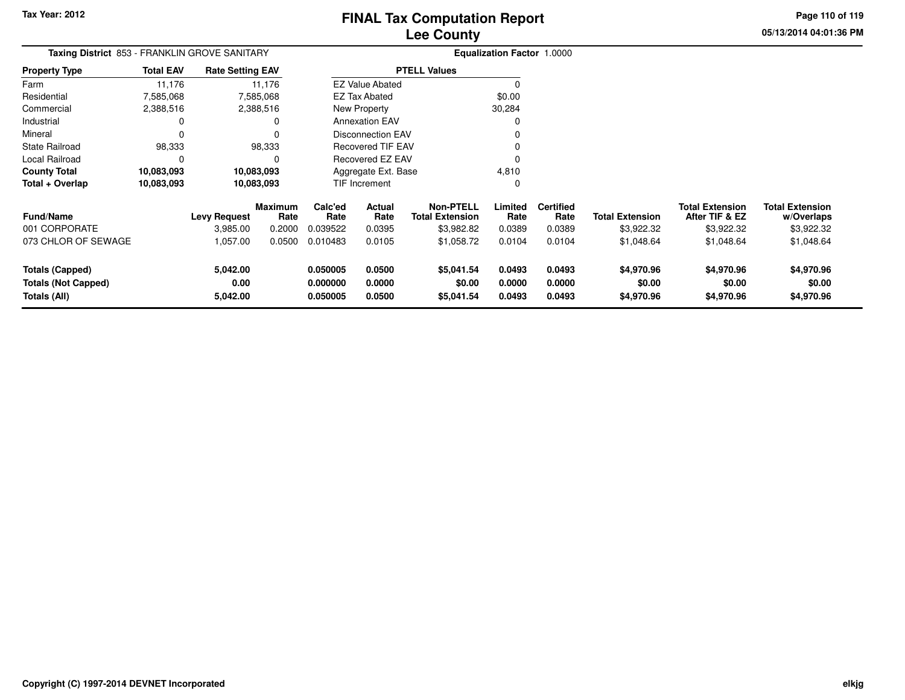**05/13/2014 04:01:36 PM Page 110 of 119**

| Taxing District 853 - FRANKLIN GROVE SANITARY |                     |          |                                                                                                                                 |                  |                                                                         |                                                                                                                                                                                      |                          |                                                |                                          |                                      |
|-----------------------------------------------|---------------------|----------|---------------------------------------------------------------------------------------------------------------------------------|------------------|-------------------------------------------------------------------------|--------------------------------------------------------------------------------------------------------------------------------------------------------------------------------------|--------------------------|------------------------------------------------|------------------------------------------|--------------------------------------|
| <b>Total EAV</b>                              |                     |          |                                                                                                                                 |                  |                                                                         |                                                                                                                                                                                      |                          |                                                |                                          |                                      |
| 11,176                                        |                     |          |                                                                                                                                 |                  |                                                                         | C                                                                                                                                                                                    |                          |                                                |                                          |                                      |
| 7,585,068                                     |                     |          |                                                                                                                                 |                  |                                                                         | \$0.00                                                                                                                                                                               |                          |                                                |                                          |                                      |
| 2,388,516                                     |                     |          |                                                                                                                                 |                  |                                                                         | 30,284                                                                                                                                                                               |                          |                                                |                                          |                                      |
| 0                                             |                     | 0        |                                                                                                                                 |                  |                                                                         | $\Omega$                                                                                                                                                                             |                          |                                                |                                          |                                      |
|                                               |                     |          |                                                                                                                                 |                  |                                                                         |                                                                                                                                                                                      |                          |                                                |                                          |                                      |
| 98,333                                        |                     |          |                                                                                                                                 |                  |                                                                         |                                                                                                                                                                                      |                          |                                                |                                          |                                      |
| 0                                             |                     | $\Omega$ |                                                                                                                                 |                  |                                                                         | $\Omega$                                                                                                                                                                             |                          |                                                |                                          |                                      |
| 10,083,093                                    |                     |          |                                                                                                                                 |                  |                                                                         | 4,810                                                                                                                                                                                |                          |                                                |                                          |                                      |
| 10,083,093                                    |                     |          |                                                                                                                                 |                  |                                                                         | 0                                                                                                                                                                                    |                          |                                                |                                          |                                      |
|                                               | <b>Levy Request</b> | Rate     | Calc'ed<br>Rate                                                                                                                 | Actual<br>Rate   | <b>Non-PTELL</b><br><b>Total Extension</b>                              | Limited<br>Rate                                                                                                                                                                      | <b>Certified</b><br>Rate | <b>Total Extension</b>                         | <b>Total Extension</b><br>After TIF & EZ | <b>Total Extension</b><br>w/Overlaps |
|                                               | 3,985.00            | 0.2000   | 0.039522                                                                                                                        | 0.0395           | \$3,982.82                                                              | 0.0389                                                                                                                                                                               | 0.0389                   | \$3,922.32                                     | \$3,922.32                               | \$3,922.32                           |
|                                               | 1,057.00            | 0.0500   | 0.010483                                                                                                                        | 0.0105           | \$1,058.72                                                              | 0.0104                                                                                                                                                                               | 0.0104                   | \$1,048.64                                     | \$1,048.64                               | \$1,048.64                           |
|                                               | 5,042.00<br>0.00    |          | 0.050005<br>0.000000                                                                                                            | 0.0500<br>0.0000 | \$5,041.54<br>\$0.00                                                    | 0.0493<br>0.0000                                                                                                                                                                     | 0.0493<br>0.0000         | \$4,970.96<br>\$0.00                           | \$4,970.96<br>\$0.00                     | \$4,970.96<br>\$0.00<br>\$4,970.96   |
| 073 CHLOR OF SEWAGE                           |                     |          | <b>Rate Setting EAV</b><br>11,176<br>7,585,068<br>2,388,516<br>98,333<br>10,083,093<br>10,083,093<br><b>Maximum</b><br>5,042.00 |                  | EZ Tax Abated<br>New Property<br><b>Annexation EAV</b><br>TIF Increment | <b>PTELL Values</b><br><b>EZ Value Abated</b><br><b>Disconnection EAV</b><br><b>Recovered TIF EAV</b><br>Recovered EZ EAV<br>Aggregate Ext. Base<br>0.0500<br>0.050005<br>\$5,041.54 |                          | Equalization Factor 1.0000<br>0.0493<br>0.0493 |                                          | \$4,970.96<br>\$4,970.96             |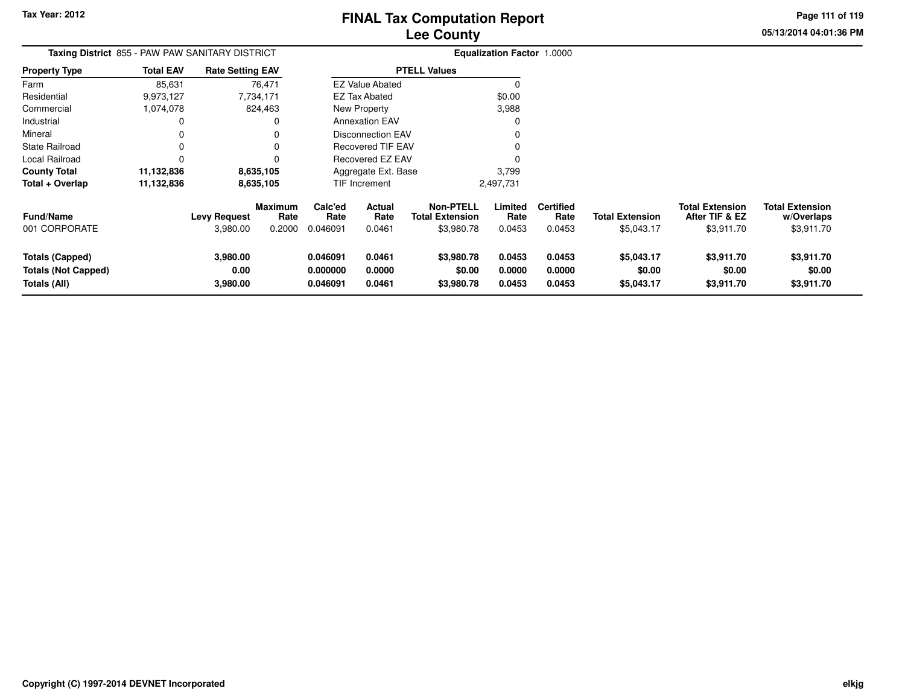**05/13/2014 04:01:36 PMPage 111 of 119**

> **w/Overlaps** \$3,911.70

| Taxing District 855 - PAW PAW SANITARY DISTRICT |                  |                         |                        |                 | <b>Equalization Factor 1.0000</b> |                                            |                 |                          |                        |                                          |                                      |
|-------------------------------------------------|------------------|-------------------------|------------------------|-----------------|-----------------------------------|--------------------------------------------|-----------------|--------------------------|------------------------|------------------------------------------|--------------------------------------|
| <b>Property Type</b>                            | <b>Total EAV</b> | <b>Rate Setting EAV</b> |                        |                 |                                   | <b>PTELL Values</b>                        |                 |                          |                        |                                          |                                      |
| Farm                                            | 85,631           | 76,471                  |                        |                 | <b>EZ Value Abated</b>            |                                            | 0               |                          |                        |                                          |                                      |
| Residential                                     | 9,973,127        | 7,734,171               |                        |                 | EZ Tax Abated                     |                                            | \$0.00          |                          |                        |                                          |                                      |
| Commercial                                      | 1,074,078        | 824,463                 |                        |                 | New Property                      |                                            | 3,988           |                          |                        |                                          |                                      |
| Industrial                                      | 0                |                         | 0                      |                 | <b>Annexation EAV</b>             |                                            |                 |                          |                        |                                          |                                      |
| Mineral                                         | 0                |                         | 0                      |                 | <b>Disconnection EAV</b>          |                                            | 0               |                          |                        |                                          |                                      |
| State Railroad                                  | 0                |                         | $\Omega$               |                 | <b>Recovered TIF EAV</b>          |                                            | 0               |                          |                        |                                          |                                      |
| Local Railroad                                  | 0                |                         | $\Omega$               |                 | Recovered EZ EAV                  |                                            | 0               |                          |                        |                                          |                                      |
| <b>County Total</b>                             | 11,132,836       | 8,635,105               |                        |                 | Aggregate Ext. Base               |                                            | 3,799           |                          |                        |                                          |                                      |
| Total + Overlap                                 | 11,132,836       | 8,635,105               |                        |                 | TIF Increment                     |                                            | 2,497,731       |                          |                        |                                          |                                      |
| <b>Fund/Name</b>                                |                  | <b>Levy Request</b>     | <b>Maximum</b><br>Rate | Calc'ed<br>Rate | Actual<br>Rate                    | <b>Non-PTELL</b><br><b>Total Extension</b> | Limited<br>Rate | <b>Certified</b><br>Rate | <b>Total Extension</b> | <b>Total Extension</b><br>After TIF & EZ | <b>Total Extension</b><br>w/Overlaps |
| 001 CORPORATE                                   |                  | 3,980.00                | 0.2000                 | 0.046091        | 0.0461                            | \$3,980.78                                 | 0.0453          | 0.0453                   | \$5,043.17             | \$3,911.70                               | \$3,911.70                           |
| Totals (Capped)                                 |                  | 3,980.00                |                        | 0.046091        | 0.0461                            | \$3,980.78                                 | 0.0453          | 0.0453                   | \$5,043.17             | \$3,911.70                               | \$3,911.70                           |
| <b>Totals (Not Capped)</b>                      |                  | 0.00                    |                        | 0.000000        | 0.0000                            | \$0.00                                     | 0.0000          | 0.0000                   | \$0.00                 | \$0.00                                   | \$0.00                               |
| Totals (All)                                    |                  | 3,980.00                |                        | 0.046091        | 0.0461                            | \$3,980.78                                 | 0.0453          | 0.0453                   | \$5,043.17             | \$3,911.70                               | \$3,911.70                           |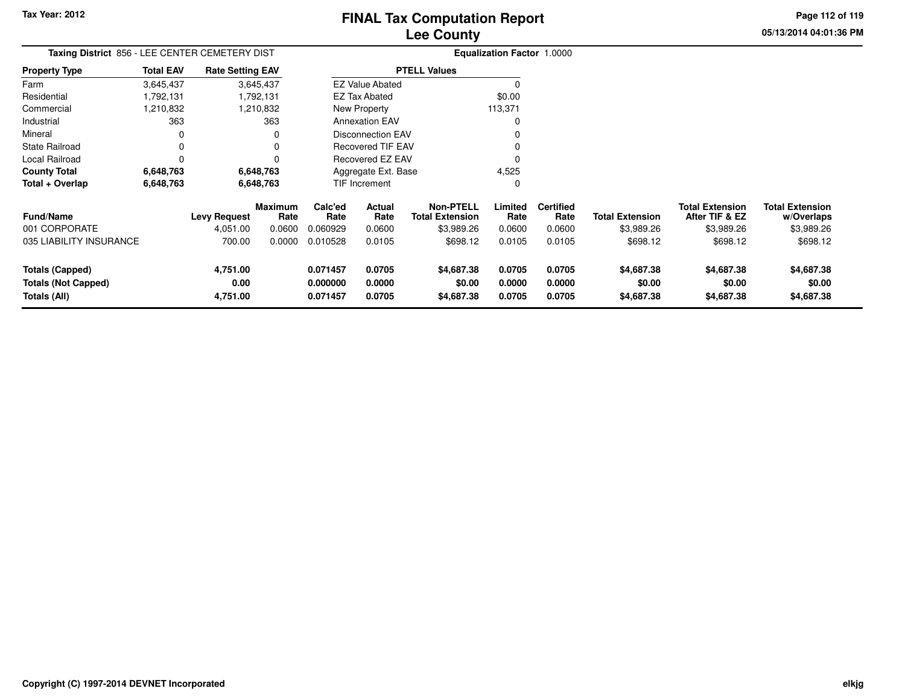**0.071457 0.0705 \$4,687.38 0.0705 0.0705 \$4,687.38 \$4,687.38 \$4,687.38**

**05/13/2014 04:01:36 PMPage 112 of 119**

> **w/Overlaps** \$3,989.26

#### **Equalization Factor** 1.0000 **Taxing District** 856 - LEE CENTER CEMETERY DIST**Property Type**1,792,131 1,792,131 1,210,832 Farm ResidentialCommercial 1,210,832 1,210,832363 Industrial 363  $\mathbf 0$ Mineral 0 0 $\mathsf 0$ State Railroad 0 0  $\mathsf 0$ Local Railroad 0 0 6,648,763 **County Total 6,648,763 6,648,763**6,648,763 **Total + Overlap 6,648,763 6,648,763** 3,645,4371,792,131 **Fund/Name Levy Request Rate Limited**Rate **Total ExtensionAfter TIF & EZ** \$3,989.26 **Total ExtensionRate Total Extension Rate Total Extension**\$3,989.26 **Maximum Calc'ed Rate**0.060929 **Actual RateNon-PTELL Certified** \$3,989.26 001 CORPORATE 4,051.00 0.0600 0.060929 0.0600 \$3,989.26 0.0600 0.0600 \$3,989.26 \$3,989.26 \$3,989.26 035 LIABILITY INSURANCE 700.00 0.0000 0.010528 0.0105 \$698.12 0.0105 0.0105 \$698.12 \$698.12 \$698.12 **Totals (Capped) 4,751.00 0.071457 0.0705 \$4,687.38 0.0705 0.0705 \$4,687.38 \$4,687.38 \$4,687.38 Totals (Not Capped) 0.00 0.000000 0.0000 \$0.00 0.0000 0.0000 \$0.00 \$0.00 \$0.00 Totals (All) 4,751.00**3,645,437**Total EAV Rate Setting EAV PTELL Values**  $\overline{\overline{0}}$  \$0.00 113,371 $\pmb{0}$ Annexation EAV v o Disconnection EAV $\sim$  0 Recovered TIF EAV0 v Recovered EZ EAV <sup>0</sup> 4,525 $\overline{0}$ New Property EZ Tax AbatedEZ Value AbatedAggregate Ext. BaseTIF Increment0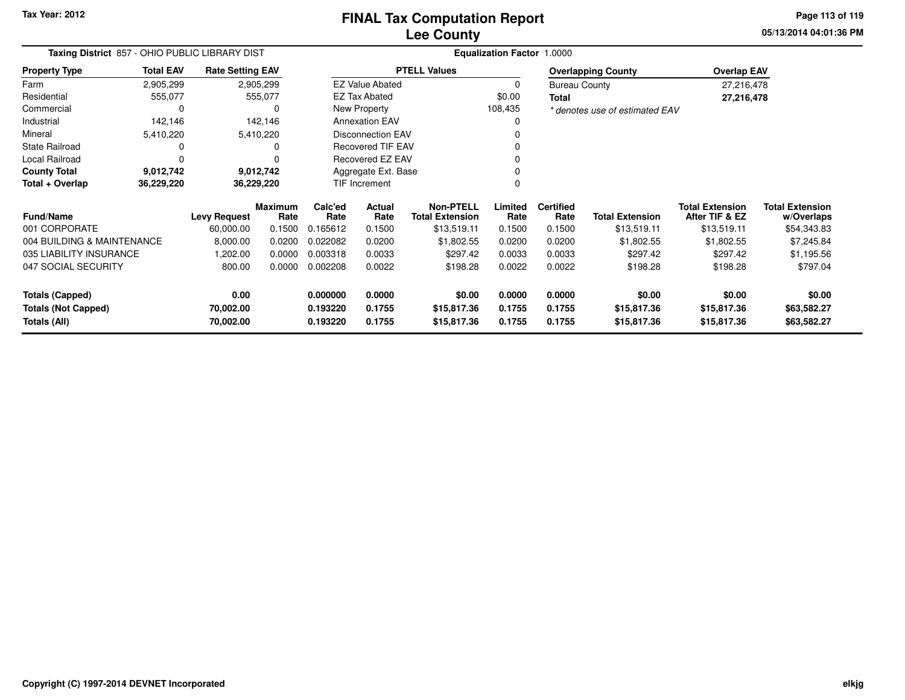**05/13/2014 04:01:36 PMPage 113 of 119**

| Taxing District 857 - OHIO PUBLIC LIBRARY DIST |                  |                         |                        | <b>Equalization Factor 1.0000</b> |                          |                                            |                  |                          |                                |                                          |                                      |  |  |
|------------------------------------------------|------------------|-------------------------|------------------------|-----------------------------------|--------------------------|--------------------------------------------|------------------|--------------------------|--------------------------------|------------------------------------------|--------------------------------------|--|--|
| <b>Property Type</b>                           | <b>Total EAV</b> | <b>Rate Setting EAV</b> |                        |                                   |                          | <b>PTELL Values</b>                        |                  |                          | <b>Overlapping County</b>      | <b>Overlap EAV</b>                       |                                      |  |  |
| Farm                                           | 2,905,299        |                         | 2,905,299              |                                   | <b>EZ Value Abated</b>   |                                            | 0                | <b>Bureau County</b>     |                                | 27,216,478                               |                                      |  |  |
| Residential                                    | 555,077          |                         | 555,077                |                                   | <b>EZ Tax Abated</b>     |                                            | \$0.00           | <b>Total</b>             |                                | 27,216,478                               |                                      |  |  |
| Commercial                                     | 0                |                         |                        |                                   | New Property             |                                            | 108,435          |                          | * denotes use of estimated EAV |                                          |                                      |  |  |
| Industrial                                     | 142,146          |                         | 142,146                |                                   | <b>Annexation EAV</b>    |                                            | 0                |                          |                                |                                          |                                      |  |  |
| Mineral                                        | 5,410,220        |                         | 5,410,220              |                                   | <b>Disconnection EAV</b> |                                            |                  |                          |                                |                                          |                                      |  |  |
| <b>State Railroad</b>                          | 0                |                         |                        |                                   | <b>Recovered TIF EAV</b> |                                            | 0                |                          |                                |                                          |                                      |  |  |
| Local Railroad                                 | 0                |                         |                        |                                   | Recovered EZ EAV         |                                            | 0                |                          |                                |                                          |                                      |  |  |
| <b>County Total</b>                            | 9,012,742        |                         | 9,012,742              |                                   | Aggregate Ext. Base      |                                            | 0                |                          |                                |                                          |                                      |  |  |
| Total + Overlap                                | 36,229,220       | 36,229,220              |                        | TIF Increment<br>0                |                          |                                            |                  |                          |                                |                                          |                                      |  |  |
| <b>Fund/Name</b>                               |                  | <b>Levy Request</b>     | <b>Maximum</b><br>Rate | Calc'ed<br>Rate                   | Actual<br>Rate           | <b>Non-PTELL</b><br><b>Total Extension</b> | Limited<br>Rate  | <b>Certified</b><br>Rate | <b>Total Extension</b>         | <b>Total Extension</b><br>After TIF & EZ | <b>Total Extension</b><br>w/Overlaps |  |  |
| 001 CORPORATE                                  |                  | 60,000.00               | 0.1500                 | 0.165612                          | 0.1500                   | \$13,519.11                                | 0.1500           | 0.1500                   | \$13,519.11                    | \$13,519.11                              | \$54,343.83                          |  |  |
| 004 BUILDING & MAINTENANCE                     |                  | 8,000.00                | 0.0200                 | 0.022082                          | 0.0200                   | \$1,802.55                                 | 0.0200           | 0.0200                   | \$1,802.55                     | \$1,802.55                               | \$7,245.84                           |  |  |
| 035 LIABILITY INSURANCE                        |                  | 1,202.00                | 0.0000                 | 0.003318                          | 0.0033                   | \$297.42                                   | 0.0033           | 0.0033                   | \$297.42                       | \$297.42                                 | \$1,195.56                           |  |  |
| 047 SOCIAL SECURITY                            |                  | 800.00                  | 0.0000                 | 0.002208                          | 0.0022                   | \$198.28                                   | 0.0022           | 0.0022                   | \$198.28                       | \$198.28                                 | \$797.04                             |  |  |
| <b>Totals (Capped)</b>                         |                  | 0.00                    |                        | 0.000000                          | 0.0000                   | \$0.00                                     | 0.0000           | 0.0000                   | \$0.00                         | \$0.00                                   | \$0.00                               |  |  |
| <b>Totals (Not Capped)</b><br>Totals (All)     |                  | 70,002.00<br>70,002.00  |                        | 0.193220<br>0.193220              | 0.1755<br>0.1755         | \$15,817.36<br>\$15,817.36                 | 0.1755<br>0.1755 | 0.1755<br>0.1755         | \$15,817.36<br>\$15,817.36     | \$15,817.36<br>\$15,817.36               | \$63,582.27<br>\$63,582.27           |  |  |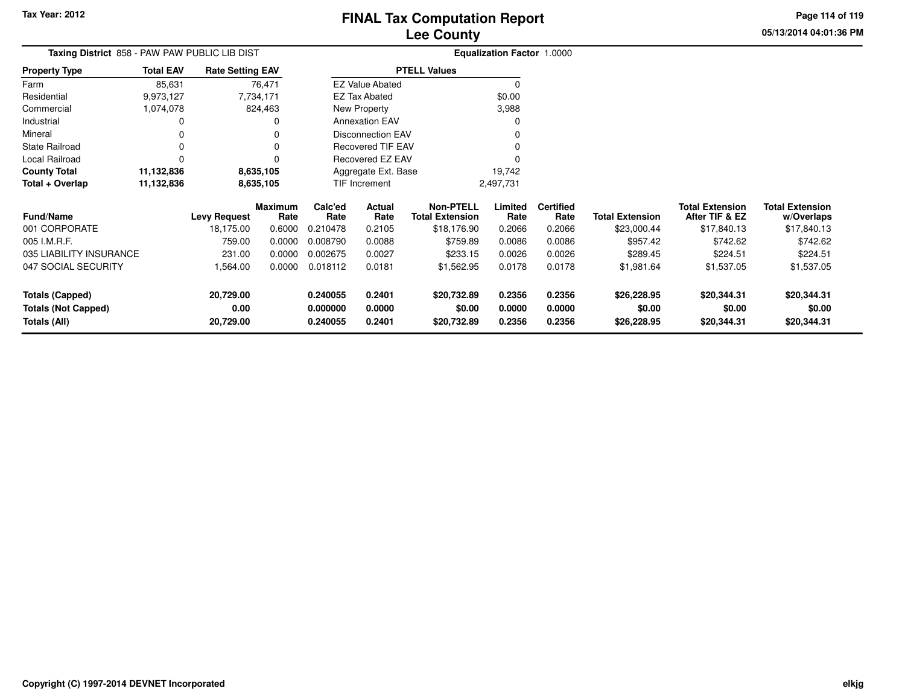**0.240055 0.2401 \$20,732.89 0.2356 0.2356 \$26,228.95 \$20,344.31 \$20,344.31**

**05/13/2014 04:01:36 PMPage 114 of 119**

> **w/Overlaps**\$17,840.13

| Taxing District 858 - PAW PAW PUBLIC LIB DIST |                  |                         |                 | Equalization Factor 1.0000 |                          |                                            |                 |                          |                        |                                          |                                      |
|-----------------------------------------------|------------------|-------------------------|-----------------|----------------------------|--------------------------|--------------------------------------------|-----------------|--------------------------|------------------------|------------------------------------------|--------------------------------------|
| <b>Property Type</b>                          | <b>Total EAV</b> | <b>Rate Setting EAV</b> |                 |                            |                          | <b>PTELL Values</b>                        |                 |                          |                        |                                          |                                      |
| Farm                                          | 85,631           |                         | 76,471          |                            | <b>EZ Value Abated</b>   |                                            |                 |                          |                        |                                          |                                      |
| Residential                                   | 9,973,127        |                         | 7,734,171       |                            | <b>EZ Tax Abated</b>     |                                            | \$0.00          |                          |                        |                                          |                                      |
| Commercial                                    | 1,074,078        |                         | 824,463         |                            | New Property             |                                            | 3,988           |                          |                        |                                          |                                      |
| Industrial                                    |                  |                         | <sup>0</sup>    |                            | <b>Annexation EAV</b>    |                                            |                 |                          |                        |                                          |                                      |
| Mineral                                       |                  |                         |                 |                            | Disconnection EAV        |                                            |                 |                          |                        |                                          |                                      |
| <b>State Railroad</b>                         |                  |                         | $\Omega$        |                            | <b>Recovered TIF EAV</b> |                                            |                 |                          |                        |                                          |                                      |
| Local Railroad                                |                  |                         | $\Omega$        |                            | Recovered EZ EAV         |                                            |                 |                          |                        |                                          |                                      |
| <b>County Total</b>                           | 11,132,836       |                         | 8,635,105       |                            | Aggregate Ext. Base      |                                            | 19,742          |                          |                        |                                          |                                      |
| Total + Overlap                               | 11,132,836       |                         | 8,635,105       |                            | TIF Increment            |                                            | 2,497,731       |                          |                        |                                          |                                      |
| <b>Fund/Name</b>                              |                  | <b>Levy Request</b>     | Maximum<br>Rate | Calc'ed<br>Rate            | Actual<br>Rate           | <b>Non-PTELL</b><br><b>Total Extension</b> | Limited<br>Rate | <b>Certified</b><br>Rate | <b>Total Extension</b> | <b>Total Extension</b><br>After TIF & EZ | <b>Total Extension</b><br>w/Overlaps |
| 001 CORPORATE                                 |                  | 18,175.00               | 0.6000          | 0.210478                   | 0.2105                   | \$18,176.90                                | 0.2066          | 0.2066                   | \$23,000.44            | \$17,840.13                              | \$17,840.13                          |
| 005 I.M.R.F.                                  |                  | 759.00                  | 0.0000          | 0.008790                   | 0.0088                   | \$759.89                                   | 0.0086          | 0.0086                   | \$957.42               | \$742.62                                 | \$742.62                             |
| 035 LIABILITY INSURANCE                       |                  | 231.00                  | 0.0000          | 0.002675                   | 0.0027                   | \$233.15                                   | 0.0026          | 0.0026                   | \$289.45               | \$224.51                                 | \$224.51                             |
| 047 SOCIAL SECURITY                           |                  | 1,564.00                | 0.0000          | 0.018112                   | 0.0181                   | \$1,562.95                                 | 0.0178          | 0.0178                   | \$1,981.64             | \$1,537.05                               | \$1,537.05                           |
| <b>Totals (Capped)</b>                        |                  | 20,729.00               |                 | 0.240055                   | 0.2401                   | \$20,732.89                                | 0.2356          | 0.2356                   | \$26,228.95            | \$20,344.31                              | \$20,344.31                          |
| <b>Totals (Not Capped)</b>                    |                  | 0.00                    |                 | 0.000000                   | 0.0000                   | \$0.00                                     | 0.0000          | 0.0000                   | \$0.00                 | \$0.00                                   | \$0.00                               |
| Totals (All)                                  |                  | 20,729.00               |                 | 0.240055                   | 0.2401                   | \$20,732.89                                | 0.2356          | 0.2356                   | \$26,228.95            | \$20,344.31                              | \$20,344.31                          |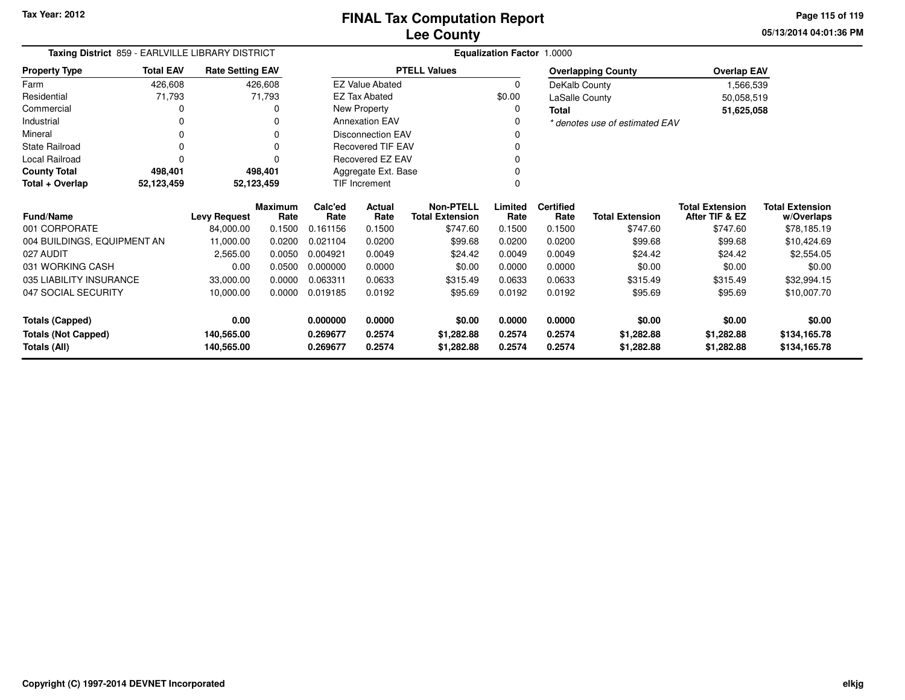**05/13/2014 04:01:36 PMPage 115 of 119**

| Taxing District 859 - EARLVILLE LIBRARY DISTRICT |                  |                         |                        | <b>Equalization Factor 1.0000</b> |                          |                                            |                 |                          |                                |                                          |                                      |  |
|--------------------------------------------------|------------------|-------------------------|------------------------|-----------------------------------|--------------------------|--------------------------------------------|-----------------|--------------------------|--------------------------------|------------------------------------------|--------------------------------------|--|
| <b>Property Type</b>                             | <b>Total EAV</b> | <b>Rate Setting EAV</b> |                        |                                   |                          | <b>PTELL Values</b>                        |                 |                          | <b>Overlapping County</b>      | <b>Overlap EAV</b>                       |                                      |  |
| Farm                                             | 426,608          |                         | 426,608                |                                   | <b>EZ Value Abated</b>   |                                            | $\mathbf 0$     | DeKalb County            |                                | 1,566,539                                |                                      |  |
| Residential                                      | 71,793           |                         | 71,793                 |                                   | <b>EZ Tax Abated</b>     |                                            | \$0.00          | LaSalle County           |                                | 50,058,519                               |                                      |  |
| Commercial                                       | 0                |                         | 0                      |                                   | New Property             |                                            | 0               | <b>Total</b>             |                                | 51,625,058                               |                                      |  |
| Industrial                                       | 0                |                         | 0                      |                                   | <b>Annexation EAV</b>    |                                            | 0               |                          | * denotes use of estimated EAV |                                          |                                      |  |
| Mineral                                          | 0                |                         |                        |                                   | <b>Disconnection EAV</b> |                                            | 0               |                          |                                |                                          |                                      |  |
| <b>State Railroad</b>                            | 0                |                         | 0                      |                                   | <b>Recovered TIF EAV</b> |                                            | 0               |                          |                                |                                          |                                      |  |
| Local Railroad                                   | O                |                         |                        |                                   | Recovered EZ EAV         |                                            | 0               |                          |                                |                                          |                                      |  |
| <b>County Total</b>                              | 498,401          |                         | 498,401                |                                   | Aggregate Ext. Base      |                                            |                 |                          |                                |                                          |                                      |  |
| Total + Overlap                                  | 52,123,459       |                         | 52,123,459             | <b>TIF Increment</b>              |                          |                                            | 0               |                          |                                |                                          |                                      |  |
| Fund/Name                                        |                  | <b>Levy Request</b>     | <b>Maximum</b><br>Rate | Calc'ed<br>Rate                   | Actual<br>Rate           | <b>Non-PTELL</b><br><b>Total Extension</b> | Limited<br>Rate | <b>Certified</b><br>Rate | <b>Total Extension</b>         | <b>Total Extension</b><br>After TIF & EZ | <b>Total Extension</b><br>w/Overlaps |  |
| 001 CORPORATE                                    |                  | 84,000.00               | 0.1500                 | 0.161156                          | 0.1500                   | \$747.60                                   | 0.1500          | 0.1500                   | \$747.60                       | \$747.60                                 | \$78,185.19                          |  |
| 004 BUILDINGS, EQUIPMENT AN                      |                  | 11,000.00               | 0.0200                 | 0.021104                          | 0.0200                   | \$99.68                                    | 0.0200          | 0.0200                   | \$99.68                        | \$99.68                                  | \$10,424.69                          |  |
| 027 AUDIT                                        |                  | 2,565.00                | 0.0050                 | 0.004921                          | 0.0049                   | \$24.42                                    | 0.0049          | 0.0049                   | \$24.42                        | \$24.42                                  | \$2,554.05                           |  |
| 031 WORKING CASH                                 |                  | 0.00                    | 0.0500                 | 0.000000                          | 0.0000                   | \$0.00                                     | 0.0000          | 0.0000                   | \$0.00                         | \$0.00                                   | \$0.00                               |  |
| 035 LIABILITY INSURANCE                          |                  | 33,000.00               | 0.0000                 | 0.063311                          | 0.0633                   | \$315.49                                   | 0.0633          | 0.0633                   | \$315.49                       | \$315.49                                 | \$32,994.15                          |  |
| 047 SOCIAL SECURITY                              |                  | 10,000.00               | 0.0000                 | 0.019185                          | 0.0192                   | \$95.69                                    | 0.0192          | 0.0192                   | \$95.69                        | \$95.69                                  | \$10,007.70                          |  |
| <b>Totals (Capped)</b>                           |                  | 0.00                    |                        | 0.000000                          | 0.0000                   | \$0.00                                     | 0.0000          | 0.0000                   | \$0.00                         | \$0.00                                   | \$0.00                               |  |
| <b>Totals (Not Capped)</b>                       |                  | 140,565.00              |                        | 0.269677                          | 0.2574                   | \$1,282.88                                 | 0.2574          | 0.2574                   | \$1,282.88                     | \$1,282.88                               | \$134,165.78                         |  |
| 140,565.00<br>Totals (All)                       |                  |                         | 0.269677               | 0.2574                            | \$1,282.88               | 0.2574                                     | 0.2574          | \$1,282.88               | \$1,282.88                     | \$134,165.78                             |                                      |  |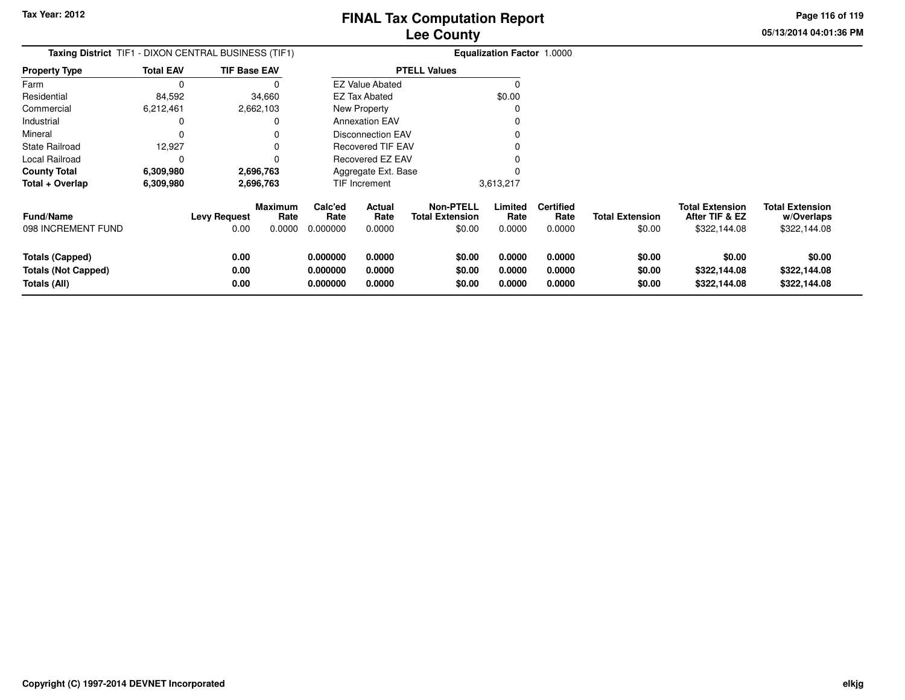**05/13/2014 04:01:36 PM Page 116 of 119**

| Taxing District TIF1 - DIXON CENTRAL BUSINESS (TIF1)          |                  |                             |                           |                                  |                                 |                                                      | <b>Equalization Factor 1.0000</b> |                                    |                                  |                                                          |                                                      |
|---------------------------------------------------------------|------------------|-----------------------------|---------------------------|----------------------------------|---------------------------------|------------------------------------------------------|-----------------------------------|------------------------------------|----------------------------------|----------------------------------------------------------|------------------------------------------------------|
| <b>Property Type</b>                                          | <b>Total EAV</b> | <b>TIF Base EAV</b>         |                           |                                  |                                 | <b>PTELL Values</b>                                  |                                   |                                    |                                  |                                                          |                                                      |
| Farm                                                          |                  |                             |                           |                                  | <b>EZ Value Abated</b>          |                                                      | $\Omega$                          |                                    |                                  |                                                          |                                                      |
| Residential                                                   | 84,592           |                             | 34,660                    |                                  | EZ Tax Abated                   |                                                      | \$0.00                            |                                    |                                  |                                                          |                                                      |
| Commercial                                                    | 6,212,461        |                             | 2,662,103                 |                                  | New Property                    |                                                      |                                   |                                    |                                  |                                                          |                                                      |
| Industrial                                                    |                  |                             |                           |                                  | <b>Annexation EAV</b>           |                                                      |                                   |                                    |                                  |                                                          |                                                      |
| Mineral                                                       |                  |                             |                           |                                  | <b>Disconnection EAV</b>        |                                                      |                                   |                                    |                                  |                                                          |                                                      |
| <b>State Railroad</b>                                         | 12,927           |                             |                           |                                  | <b>Recovered TIF EAV</b>        |                                                      |                                   |                                    |                                  |                                                          |                                                      |
| Local Railroad                                                |                  |                             |                           |                                  | Recovered EZ EAV                |                                                      |                                   |                                    |                                  |                                                          |                                                      |
| <b>County Total</b>                                           | 6,309,980        |                             | 2,696,763                 |                                  | Aggregate Ext. Base             |                                                      |                                   |                                    |                                  |                                                          |                                                      |
| Total + Overlap                                               | 6,309,980        |                             | 2,696,763                 |                                  | TIF Increment                   |                                                      | 3,613,217                         |                                    |                                  |                                                          |                                                      |
| <b>Fund/Name</b><br>098 INCREMENT FUND                        |                  | <b>Levy Request</b><br>0.00 | Maximum<br>Rate<br>0.0000 | Calc'ed<br>Rate<br>0.000000      | <b>Actual</b><br>Rate<br>0.0000 | <b>Non-PTELL</b><br><b>Total Extension</b><br>\$0.00 | Limited<br>Rate<br>0.0000         | <b>Certified</b><br>Rate<br>0.0000 | <b>Total Extension</b><br>\$0.00 | <b>Total Extension</b><br>After TIF & EZ<br>\$322,144.08 | <b>Total Extension</b><br>w/Overlaps<br>\$322,144.08 |
| Totals (Capped)<br><b>Totals (Not Capped)</b><br>Totals (All) |                  | 0.00<br>0.00<br>0.00        |                           | 0.000000<br>0.000000<br>0.000000 | 0.0000<br>0.0000<br>0.0000      | \$0.00<br>\$0.00<br>\$0.00                           | 0.0000<br>0.0000<br>0.0000        | 0.0000<br>0.0000<br>0.0000         | \$0.00<br>\$0.00<br>\$0.00       | \$0.00<br>\$322,144.08<br>\$322,144.08                   | \$0.00<br>\$322,144.08<br>\$322,144.08               |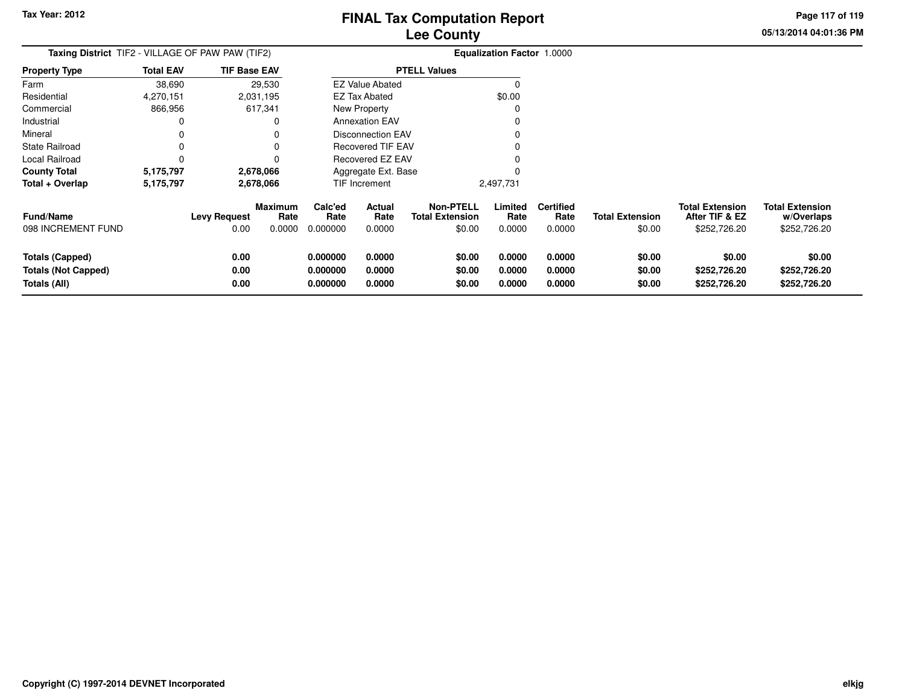**05/13/2014 04:01:36 PMPage 117 of 119**

> **w/Overlaps**\$252,726.20

| <b>Taxing District</b> TIF2 - VILLAGE OF PAW PAW (TIF2) |                  |                             |                                  |                             |                          |                                                      | <b>Equalization Factor 1.0000</b> |                                    |                                  |                                                          |                                                      |
|---------------------------------------------------------|------------------|-----------------------------|----------------------------------|-----------------------------|--------------------------|------------------------------------------------------|-----------------------------------|------------------------------------|----------------------------------|----------------------------------------------------------|------------------------------------------------------|
| <b>Property Type</b>                                    | <b>Total EAV</b> | <b>TIF Base EAV</b>         |                                  |                             |                          | <b>PTELL Values</b>                                  |                                   |                                    |                                  |                                                          |                                                      |
| Farm                                                    | 38,690           |                             | 29,530                           |                             | <b>EZ Value Abated</b>   |                                                      | $\Omega$                          |                                    |                                  |                                                          |                                                      |
| Residential                                             | 4,270,151        |                             | 2,031,195                        |                             | EZ Tax Abated            |                                                      | \$0.00                            |                                    |                                  |                                                          |                                                      |
| Commercial                                              | 866,956          |                             | 617,341                          |                             | New Property             |                                                      |                                   |                                    |                                  |                                                          |                                                      |
| Industrial                                              | 0                |                             | 0                                |                             | <b>Annexation EAV</b>    |                                                      |                                   |                                    |                                  |                                                          |                                                      |
| Mineral                                                 | 0                |                             |                                  |                             | <b>Disconnection EAV</b> |                                                      |                                   |                                    |                                  |                                                          |                                                      |
| <b>State Railroad</b>                                   | 0                |                             | 0                                |                             | Recovered TIF EAV        |                                                      |                                   |                                    |                                  |                                                          |                                                      |
| Local Railroad                                          | 0                |                             | 0                                |                             | Recovered EZ EAV         |                                                      |                                   |                                    |                                  |                                                          |                                                      |
| <b>County Total</b>                                     | 5,175,797        |                             | 2,678,066                        |                             | Aggregate Ext. Base      |                                                      |                                   |                                    |                                  |                                                          |                                                      |
| Total + Overlap                                         | 5,175,797        | 2,678,066                   |                                  | TIF Increment               |                          |                                                      | 2,497,731                         |                                    |                                  |                                                          |                                                      |
| <b>Fund/Name</b><br>098 INCREMENT FUND                  |                  | <b>Levy Request</b><br>0.00 | <b>Maximum</b><br>Rate<br>0.0000 | Calc'ed<br>Rate<br>0.000000 | Actual<br>Rate<br>0.0000 | <b>Non-PTELL</b><br><b>Total Extension</b><br>\$0.00 | Limited<br>Rate<br>0.0000         | <b>Certified</b><br>Rate<br>0.0000 | <b>Total Extension</b><br>\$0.00 | <b>Total Extension</b><br>After TIF & EZ<br>\$252,726.20 | <b>Total Extension</b><br>w/Overlaps<br>\$252,726.20 |
|                                                         |                  |                             |                                  |                             |                          |                                                      |                                   |                                    |                                  |                                                          |                                                      |
| Totals (Capped)                                         |                  | 0.00                        |                                  | 0.000000                    | 0.0000                   | \$0.00                                               | 0.0000                            | 0.0000                             | \$0.00                           | \$0.00                                                   | \$0.00                                               |
| <b>Totals (Not Capped)</b>                              |                  | 0.00                        |                                  | 0.000000                    | 0.0000                   | \$0.00                                               | 0.0000                            | 0.0000                             | \$0.00                           | \$252,726.20                                             | \$252,726.20                                         |
| Totals (All)                                            |                  | 0.00                        |                                  | 0.000000                    | 0.0000                   | \$0.00                                               | 0.0000                            | 0.0000                             | \$0.00                           | \$252,726.20                                             | \$252,726.20                                         |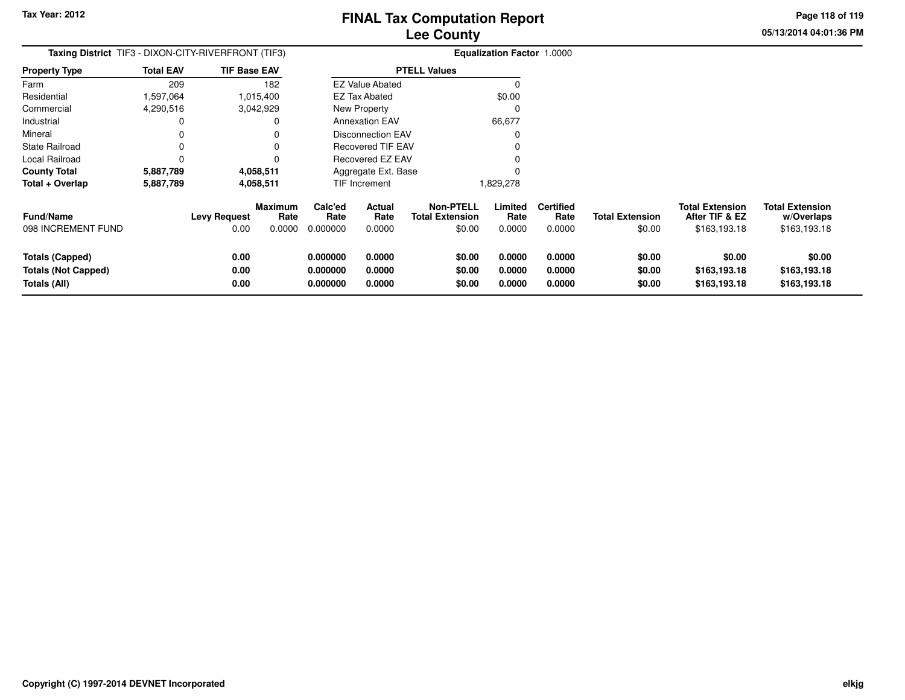**05/13/2014 04:01:36 PM Page 118 of 119**

| <b>Taxing District</b> TIF3 - DIXON-CITY-RIVERFRONT (TIF3)           |                  |                             |                                  |                                  | <b>Equalization Factor 1.0000</b> |                                                      |                            |                                    |                                  |                                                          |                                                      |
|----------------------------------------------------------------------|------------------|-----------------------------|----------------------------------|----------------------------------|-----------------------------------|------------------------------------------------------|----------------------------|------------------------------------|----------------------------------|----------------------------------------------------------|------------------------------------------------------|
| <b>Property Type</b>                                                 | <b>Total EAV</b> | <b>TIF Base EAV</b>         |                                  |                                  |                                   | <b>PTELL Values</b>                                  |                            |                                    |                                  |                                                          |                                                      |
| Farm                                                                 | 209              |                             | 182                              |                                  | <b>EZ Value Abated</b>            |                                                      | $\Omega$                   |                                    |                                  |                                                          |                                                      |
| Residential                                                          | .597,064         |                             | 1,015,400                        |                                  | EZ Tax Abated                     |                                                      | \$0.00                     |                                    |                                  |                                                          |                                                      |
| Commercial                                                           | 4,290,516        |                             | 3,042,929                        |                                  | New Property                      |                                                      | C                          |                                    |                                  |                                                          |                                                      |
| Industrial                                                           | 0                |                             | 0                                |                                  | <b>Annexation EAV</b>             |                                                      | 66,677                     |                                    |                                  |                                                          |                                                      |
| Mineral                                                              | 0                |                             | 0                                |                                  | <b>Disconnection EAV</b>          |                                                      | 0                          |                                    |                                  |                                                          |                                                      |
| <b>State Railroad</b>                                                | 0                |                             | $\Omega$                         |                                  | <b>Recovered TIF EAV</b>          |                                                      |                            |                                    |                                  |                                                          |                                                      |
| Local Railroad                                                       | 0                |                             | 0                                |                                  | Recovered EZ EAV                  |                                                      |                            |                                    |                                  |                                                          |                                                      |
| <b>County Total</b>                                                  | 5,887,789        |                             | 4,058,511                        |                                  | Aggregate Ext. Base               |                                                      |                            |                                    |                                  |                                                          |                                                      |
| Total + Overlap                                                      | 5,887,789        | 4,058,511                   |                                  | TIF Increment                    |                                   |                                                      | 1,829,278                  |                                    |                                  |                                                          |                                                      |
| <b>Fund/Name</b><br>098 INCREMENT FUND                               |                  | <b>Levy Request</b><br>0.00 | <b>Maximum</b><br>Rate<br>0.0000 | Calc'ed<br>Rate<br>0.000000      | Actual<br>Rate<br>0.0000          | <b>Non-PTELL</b><br><b>Total Extension</b><br>\$0.00 | Limited<br>Rate<br>0.0000  | <b>Certified</b><br>Rate<br>0.0000 | <b>Total Extension</b><br>\$0.00 | <b>Total Extension</b><br>After TIF & EZ<br>\$163,193.18 | <b>Total Extension</b><br>w/Overlaps<br>\$163,193.18 |
| <b>Totals (Capped)</b><br><b>Totals (Not Capped)</b><br>Totals (All) |                  | 0.00<br>0.00<br>0.00        |                                  | 0.000000<br>0.000000<br>0.000000 | 0.0000<br>0.0000<br>0.0000        | \$0.00<br>\$0.00<br>\$0.00                           | 0.0000<br>0.0000<br>0.0000 | 0.0000<br>0.0000<br>0.0000         | \$0.00<br>\$0.00<br>\$0.00       | \$0.00<br>\$163,193.18<br>\$163,193.18                   | \$0.00<br>\$163,193.18<br>\$163,193.18               |